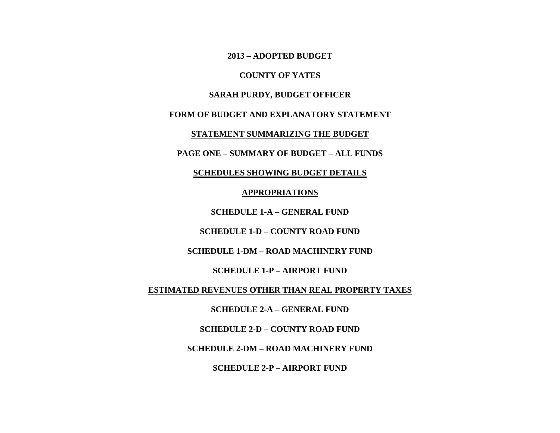**2013 – ADOPTED BUDGET**

## **COUNTY OF YATES**

## **SARAH PURDY, BUDGET OFFICER**

## **FORM OF BUDGET AND EXPLANATORY STATEMENT**

**STATEMENT SUMMARIZING THE BUDGET**

**PAGE ONE – SUMMARY OF BUDGET – ALL FUNDS**

**SCHEDULES SHOWING BUDGET DETAILS**

**APPROPRIATIONS**

**SCHEDULE 1-A – GENERAL FUND**

**SCHEDULE 1-D – COUNTY ROAD FUND**

**SCHEDULE 1-DM – ROAD MACHINERY FUND**

**SCHEDULE 1-P – AIRPORT FUND**

**ESTIMATED REVENUES OTHER THAN REAL PROPERTY TAXES**

**SCHEDULE 2-A – GENERAL FUND**

**SCHEDULE 2-D – COUNTY ROAD FUND**

**SCHEDULE 2-DM – ROAD MACHINERY FUND**

**SCHEDULE 2-P – AIRPORT FUND**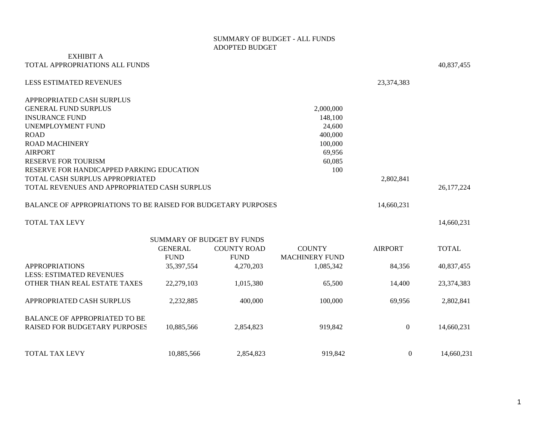## SUMMARY OF BUDGET - ALL FUNDS ADOPTED BUDGET

| <b>EXHIBIT A</b>                                                     |                |                            |                       |                |              |
|----------------------------------------------------------------------|----------------|----------------------------|-----------------------|----------------|--------------|
| TOTAL APPROPRIATIONS ALL FUNDS                                       |                |                            |                       |                | 40,837,455   |
| <b>LESS ESTIMATED REVENUES</b>                                       |                |                            |                       | 23,374,383     |              |
| APPROPRIATED CASH SURPLUS                                            |                |                            |                       |                |              |
| <b>GENERAL FUND SURPLUS</b>                                          |                |                            | 2,000,000             |                |              |
| <b>INSURANCE FUND</b>                                                |                |                            | 148,100               |                |              |
| UNEMPLOYMENT FUND                                                    |                |                            | 24,600                |                |              |
| <b>ROAD</b>                                                          |                |                            | 400,000               |                |              |
| <b>ROAD MACHINERY</b>                                                |                |                            | 100,000               |                |              |
| <b>AIRPORT</b>                                                       |                |                            | 69,956                |                |              |
| <b>RESERVE FOR TOURISM</b>                                           |                |                            | 60,085                |                |              |
| RESERVE FOR HANDICAPPED PARKING EDUCATION                            |                |                            | 100                   |                |              |
| TOTAL CASH SURPLUS APPROPRIATED                                      |                |                            |                       | 2,802,841      |              |
| TOTAL REVENUES AND APPROPRIATED CASH SURPLUS                         |                |                            |                       |                | 26, 177, 224 |
| <b>BALANCE OF APPROPRIATIONS TO BE RAISED FOR BUDGETARY PURPOSES</b> |                |                            |                       | 14,660,231     |              |
| <b>TOTAL TAX LEVY</b>                                                |                |                            |                       |                | 14,660,231   |
|                                                                      |                | SUMMARY OF BUDGET BY FUNDS |                       |                |              |
|                                                                      | <b>GENERAL</b> | <b>COUNTY ROAD</b>         | <b>COUNTY</b>         | <b>AIRPORT</b> | <b>TOTAL</b> |
|                                                                      | <b>FUND</b>    | <b>FUND</b>                | <b>MACHINERY FUND</b> |                |              |
| <b>APPROPRIATIONS</b>                                                | 35, 397, 554   | 4,270,203                  | 1,085,342             | 84,356         | 40,837,455   |
| <b>LESS: ESTIMATED REVENUES</b>                                      |                |                            |                       |                |              |
| OTHER THAN REAL ESTATE TAXES                                         | 22,279,103     | 1,015,380                  | 65,500                | 14,400         | 23,374,383   |
| APPROPRIATED CASH SURPLUS                                            | 2,232,885      | 400,000                    | 100,000               | 69,956         | 2,802,841    |
| <b>BALANCE OF APPROPRIATED TO BE</b>                                 |                |                            |                       |                |              |

RAISED FOR BUDGETARY PURPOSES 10,885,566 2,854,823 919,842 0 14,660,231

TOTAL TAX LEVY 10,885,566 2,854,823 919,842 0 14,660,231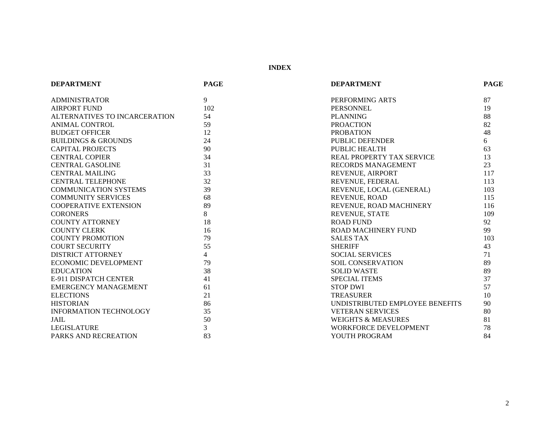**INDEX**

| <b>DEPARTMENT</b>              | <b>PAGE</b>    | <b>DEPARTMENT</b>                | <b>PAGE</b> |
|--------------------------------|----------------|----------------------------------|-------------|
| <b>ADMINISTRATOR</b>           | 9              | PERFORMING ARTS                  | 87          |
| <b>AIRPORT FUND</b>            | 102            | PERSONNEL                        | 19          |
| ALTERNATIVES TO INCARCERATION  | 54             | <b>PLANNING</b>                  | 88          |
| <b>ANIMAL CONTROL</b>          | 59             | <b>PROACTION</b>                 | 82          |
| <b>BUDGET OFFICER</b>          | 12             | <b>PROBATION</b>                 | 48          |
| <b>BUILDINGS &amp; GROUNDS</b> | 24             | <b>PUBLIC DEFENDER</b>           | 6           |
| CAPITAL PROJECTS               | 90             | PUBLIC HEALTH                    | 63          |
| <b>CENTRAL COPIER</b>          | 34             | <b>REAL PROPERTY TAX SERVICE</b> | 13          |
| <b>CENTRAL GASOLINE</b>        | 31             | RECORDS MANAGEMENT               | 23          |
| <b>CENTRAL MAILING</b>         | 33             | REVENUE, AIRPORT                 | 117         |
| <b>CENTRAL TELEPHONE</b>       | 32             | REVENUE, FEDERAL                 | 113         |
| <b>COMMUNICATION SYSTEMS</b>   | 39             | REVENUE, LOCAL (GENERAL)         | 103         |
| <b>COMMUNITY SERVICES</b>      | 68             | <b>REVENUE, ROAD</b>             | 115         |
| COOPERATIVE EXTENSION          | 89             | REVENUE, ROAD MACHINERY          | 116         |
| <b>CORONERS</b>                | 8              | <b>REVENUE, STATE</b>            | 109         |
| <b>COUNTY ATTORNEY</b>         | 18             | ROAD FUND                        | 92          |
| <b>COUNTY CLERK</b>            | 16             | ROAD MACHINERY FUND              | 99          |
| <b>COUNTY PROMOTION</b>        | 79             | <b>SALES TAX</b>                 | 103         |
| <b>COURT SECURITY</b>          | 55             | <b>SHERIFF</b>                   | 43          |
| <b>DISTRICT ATTORNEY</b>       | $\overline{4}$ | <b>SOCIAL SERVICES</b>           | 71          |
| <b>ECONOMIC DEVELOPMENT</b>    | 79             | SOIL CONSERVATION                | 89          |
| <b>EDUCATION</b>               | 38             | <b>SOLID WASTE</b>               | 89          |
| E-911 DISPATCH CENTER          | 41             | <b>SPECIAL ITEMS</b>             | 37          |
| <b>EMERGENCY MANAGEMENT</b>    | 61             | <b>STOP DWI</b>                  | 57          |
| <b>ELECTIONS</b>               | 21             | <b>TREASURER</b>                 | 10          |
| <b>HISTORIAN</b>               | 86             | UNDISTRIBUTED EMPLOYEE BENEFITS  | 90          |
| <b>INFORMATION TECHNOLOGY</b>  | 35             | <b>VETERAN SERVICES</b>          | 80          |
| JAIL                           | 50             | <b>WEIGHTS &amp; MEASURES</b>    | 81          |
| <b>LEGISLATURE</b>             | $\overline{3}$ | WORKFORCE DEVELOPMENT            | 78          |
| PARKS AND RECREATION           | 83             | YOUTH PROGRAM                    | 84          |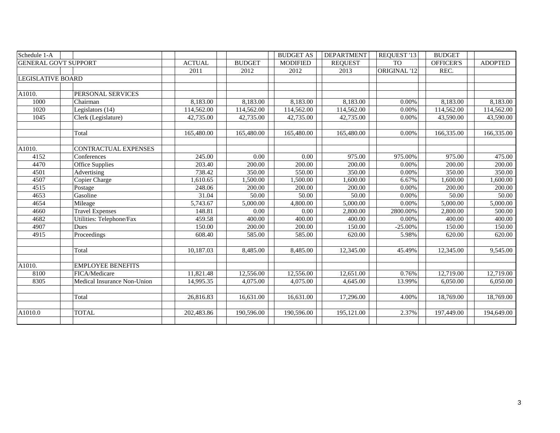| Schedule 1-A                |                             |               |               | <b>BUDGET AS</b> | <b>DEPARTMENT</b> | REQUEST '13  | <b>BUDGET</b>    |                |
|-----------------------------|-----------------------------|---------------|---------------|------------------|-------------------|--------------|------------------|----------------|
| <b>GENERAL GOVT SUPPORT</b> |                             | <b>ACTUAL</b> | <b>BUDGET</b> | <b>MODIFIED</b>  | <b>REOUEST</b>    | <b>TO</b>    | <b>OFFICER'S</b> | <b>ADOPTED</b> |
|                             |                             | 2011          | 2012          | 2012             | 2013              | ORIGINAL '12 | REC.             |                |
| <b>LEGISLATIVE BOARD</b>    |                             |               |               |                  |                   |              |                  |                |
|                             |                             |               |               |                  |                   |              |                  |                |
| A1010.                      | PERSONAL SERVICES           |               |               |                  |                   |              |                  |                |
| 1000                        | Chairman                    | 8,183.00      | 8,183.00      | 8,183.00         | 8,183.00          | 0.00%        | 8,183.00         | 8,183.00       |
| 1020                        | Legislators (14)            | 114,562.00    | 114,562.00    | 114,562.00       | 114,562.00        | 0.00%        | 114,562.00       | 114,562.00     |
| 1045                        | Clerk (Legislature)         | 42,735.00     | 42,735.00     | 42,735.00        | 42,735.00         | 0.00%        | 43,590.00        | 43,590.00      |
|                             |                             |               |               |                  |                   |              |                  |                |
|                             | Total                       | 165,480.00    | 165,480.00    | 165,480.00       | 165,480.00        | 0.00%        | 166,335.00       | 166,335.00     |
|                             |                             |               |               |                  |                   |              |                  |                |
| A1010.                      | CONTRACTUAL EXPENSES        |               |               |                  |                   |              |                  |                |
| 4152                        | Conferences                 | 245.00        | 0.00          | 0.00             | 975.00            | 975.00%      | 975.00           | 475.00         |
| 4470                        | Office Supplies             | 203.40        | 200.00        | 200.00           | 200.00            | 0.00%        | 200.00           | 200.00         |
| 4501                        | Advertising                 | 738.42        | 350.00        | 550.00           | 350.00            | 0.00%        | 350.00           | 350.00         |
| 4507                        | Copier Charge               | 1,610.65      | 1,500.00      | 1,500.00         | 1,600.00          | 6.67%        | 1,600.00         | 1,600.00       |
| 4515                        | Postage                     | 248.06        | 200.00        | 200.00           | 200.00            | 0.00%        | 200.00           | 200.00         |
| 4653                        | Gasoline                    | 31.04         | 50.00         | 50.00            | 50.00             | 0.00%        | 50.00            | 50.00          |
| 4654                        | Mileage                     | 5,743.67      | 5,000.00      | 4,800.00         | 5,000.00          | 0.00%        | 5,000.00         | 5,000.00       |
| 4660                        | <b>Travel Expenses</b>      | 148.81        | 0.00          | 0.00             | 2,800.00          | 2800.00%     | 2,800.00         | 500.00         |
| 4682                        | Utilities: Telephone/Fax    | 459.58        | 400.00        | 400.00           | 400.00            | 0.00%        | 400.00           | 400.00         |
| 4907                        | Dues                        | 150.00        | 200.00        | 200.00           | 150.00            | $-25.00%$    | 150.00           | 150.00         |
| 4915                        | Proceedings                 | 608.40        | 585.00        | 585.00           | 620.00            | 5.98%        | 620.00           | 620.00         |
|                             |                             |               |               |                  |                   |              |                  |                |
|                             | Total                       | 10,187.03     | 8,485.00      | 8,485.00         | 12,345.00         | 45.49%       | 12,345.00        | 9,545.00       |
|                             |                             |               |               |                  |                   |              |                  |                |
| A1010.                      | <b>EMPLOYEE BENEFITS</b>    |               |               |                  |                   |              |                  |                |
| 8100                        | FICA/Medicare               | 11,821.48     | 12,556.00     | 12,556.00        | 12,651.00         | 0.76%        | 12,719.00        | 12,719.00      |
| 8305                        | Medical Insurance Non-Union | 14,995.35     | 4,075.00      | 4,075.00         | 4,645.00          | 13.99%       | 6,050.00         | 6,050.00       |
|                             |                             |               |               |                  |                   |              |                  |                |
|                             | Total                       | 26,816.83     | 16,631.00     | 16,631.00        | 17,296.00         | 4.00%        | 18,769.00        | 18,769.00      |
|                             |                             |               |               |                  |                   |              |                  |                |
| A1010.0                     | <b>TOTAL</b>                | 202,483.86    | 190,596.00    | 190,596.00       | 195,121.00        | 2.37%        | 197,449.00       | 194,649.00     |
|                             |                             |               |               |                  |                   |              |                  |                |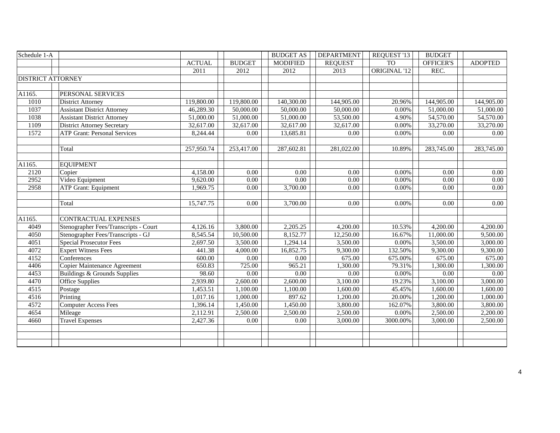| Schedule 1-A             |                                       |               |               | <b>BUDGET AS</b> | <b>DEPARTMENT</b> | REQUEST '13  | <b>BUDGET</b> |                |
|--------------------------|---------------------------------------|---------------|---------------|------------------|-------------------|--------------|---------------|----------------|
|                          |                                       | <b>ACTUAL</b> | <b>BUDGET</b> | <b>MODIFIED</b>  | <b>REQUEST</b>    | <b>TO</b>    | OFFICER'S     | <b>ADOPTED</b> |
|                          |                                       | 2011          | 2012          | 2012             | 2013              | ORIGINAL '12 | REC.          |                |
| <b>DISTRICT ATTORNEY</b> |                                       |               |               |                  |                   |              |               |                |
|                          |                                       |               |               |                  |                   |              |               |                |
| A1165.                   | PERSONAL SERVICES                     |               |               |                  |                   |              |               |                |
| 1010                     | <b>District Attorney</b>              | 119,800.00    | 119,800.00    | 140,300.00       | 144,905.00        | 20.96%       | 144,905.00    | 144,905.00     |
| 1037                     | <b>Assistant District Attorney</b>    | 46,289.30     | 50,000.00     | 50,000.00        | 50,000.00         | 0.00%        | 51,000.00     | 51,000.00      |
| 1038                     | <b>Assistant District Attorney</b>    | 51,000.00     | 51,000.00     | 51,000.00        | 53,500.00         | 4.90%        | 54,570.00     | 54,570.00      |
| 1109                     | <b>District Attorney Secretary</b>    | 32,617.00     | 32,617.00     | 32,617.00        | 32,617.00         | 0.00%        | 33,270.00     | 33,270.00      |
| 1572                     | <b>ATP Grant: Personal Services</b>   | 8,244.44      | 0.00          | 13,685.81        | 0.00              | 0.00%        | 0.00          | 0.00           |
|                          |                                       |               |               |                  |                   |              |               |                |
|                          | Total                                 | 257,950.74    | 253,417.00    | 287,602.81       | 281,022.00        | 10.89%       | 283,745.00    | 283,745.00     |
|                          |                                       |               |               |                  |                   |              |               |                |
| A1165.                   | <b>EQUIPMENT</b>                      |               |               |                  |                   |              |               |                |
| 2120                     | Copier                                | 4.158.00      | 0.00          | 0.00             | 0.00              | 0.00%        | 0.00          | 0.00           |
| 2952                     | Video Equipment                       | 9,620.00      | 0.00          | 0.00             | 0.00              | 0.00%        | 0.00          | 0.00           |
| 2958                     | <b>ATP Grant: Equipment</b>           | 1.969.75      | 0.00          | 3,700.00         | 0.00              | 0.00%        | 0.00          | 0.00           |
|                          |                                       |               |               |                  |                   |              |               |                |
|                          | Total                                 | 15,747.75     | 0.00          | 3,700.00         | 0.00              | 0.00%        | 0.00          | 0.00           |
|                          |                                       |               |               |                  |                   |              |               |                |
| A1165.                   | <b>CONTRACTUAL EXPENSES</b>           |               |               |                  |                   |              |               |                |
| 4049                     | Stenographer Fees/Transcripts - Court | 4,126.16      | 3,800.00      | 2,205.25         | 4,200.00          | 10.53%       | 4,200.00      | 4,200.00       |
| 4050                     | Stenographer Fees/Transcripts - GJ    | 8,545.54      | 10,500.00     | 8,152.77         | 12,250.00         | 16.67%       | 11,000.00     | 9,500.00       |
| 4051                     | <b>Special Prosecutor Fees</b>        | 2,697.50      | 3,500.00      | 1,294.14         | 3,500.00          | 0.00%        | 3,500.00      | 3,000.00       |
| 4072                     | <b>Expert Witness Fees</b>            | 441.38        | 4,000.00      | 16,852.75        | 9,300.00          | 132.50%      | 9,300.00      | 9,300.00       |
| 4152                     | Conferences                           | 600.00        | 0.00          | 0.00             | 675.00            | 675.00%      | 675.00        | 675.00         |
| 4406                     | Copier Maintenance Agreement          | 650.83        | 725.00        | 965.21           | 1,300.00          | 79.31%       | 1,300.00      | 1,300.00       |
| 4453                     | Buildings & Grounds Supplies          | 98.60         | 0.00          | 0.00             | 0.00              | 0.00%        | 0.00          | 0.00           |
| 4470                     | <b>Office Supplies</b>                | 2,939.80      | 2,600.00      | 2,600.00         | 3,100.00          | 19.23%       | 3,100.00      | 3,000.00       |
| 4515                     | Postage                               | 1,453.51      | 1,100.00      | 1,100.00         | 1,600.00          | 45.45%       | 1,600.00      | 1,600.00       |
| 4516                     | Printing                              | 1,017.16      | 1,000.00      | 897.62           | 1,200.00          | 20.00%       | 1,200.00      | 1,000.00       |
| 4572                     | <b>Computer Access Fees</b>           | 1,396.14      | 1,450.00      | 1,450.00         | 3,800.00          | 162.07%      | 3,800.00      | 3,800.00       |
| 4654                     | Mileage                               | 2,112.91      | 2,500.00      | 2,500.00         | 2,500.00          | 0.00%        | 2,500.00      | 2,200.00       |
| 4660                     | <b>Travel Expenses</b>                | 2,427.36      | 0.00          | 0.00             | 3,000.00          | 3000.00%     | 3,000.00      | 2,500.00       |
|                          |                                       |               |               |                  |                   |              |               |                |
|                          |                                       |               |               |                  |                   |              |               |                |
|                          |                                       |               |               |                  |                   |              |               |                |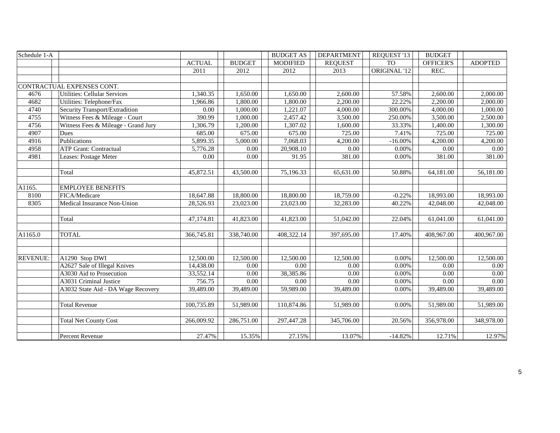| Schedule 1-A    |                                     |                         |               | <b>BUDGET AS</b> | <b>DEPARTMENT</b> | REQUEST '13  | <b>BUDGET</b> |                |
|-----------------|-------------------------------------|-------------------------|---------------|------------------|-------------------|--------------|---------------|----------------|
|                 |                                     | $\operatorname{ACTUAL}$ | <b>BUDGET</b> | <b>MODIFIED</b>  | <b>REQUEST</b>    | <b>TO</b>    | OFFICER'S     | <b>ADOPTED</b> |
|                 |                                     | 2011                    | 2012          | 2012             | 2013              | ORIGINAL '12 | REC.          |                |
|                 |                                     |                         |               |                  |                   |              |               |                |
|                 | CONTRACTUAL EXPENSES CONT.          |                         |               |                  |                   |              |               |                |
| 4676            | <b>Utilities: Cellular Services</b> | 1,340.35                | 1,650.00      | 1,650.00         | 2,600.00          | 57.58%       | 2,600.00      | 2,000.00       |
| 4682            | Utilities: Telephone/Fax            | 1,966.86                | 1,800.00      | 1,800.00         | 2,200.00          | 22.22%       | 2,200.00      | 2,000.00       |
| 4740            | Security Transport/Extradition      | 0.00                    | 1,000.00      | 1,221.07         | 4,000.00          | 300.00%      | 4,000.00      | 1,000.00       |
| 4755            | Witness Fees & Mileage - Court      | 390.99                  | 1,000.00      | 2,457.42         | 3,500.00          | 250.00%      | 3,500.00      | 2,500.00       |
| 4756            | Witness Fees & Mileage - Grand Jury | 1,306.79                | 1,200.00      | 1,307.02         | 1,600.00          | 33.33%       | 1,400.00      | 1,300.00       |
| 4907            | Dues                                | 685.00                  | 675.00        | 675.00           | 725.00            | 7.41%        | 725.00        | 725.00         |
| 4916            | Publications                        | 5,899.35                | 5,000.00      | 7,068.03         | 4,200.00          | $-16.00\%$   | 4,200.00      | 4,200.00       |
| 4958            | <b>ATP Grant: Contractual</b>       | 5,776.28                | 0.00          | 20,908.10        | 0.00              | 0.00%        | 0.00          | 0.00           |
| 4981            | Leases: Postage Meter               | 0.00                    | 0.00          | 91.95            | 381.00            | 0.00%        | 381.00        | 381.00         |
|                 |                                     |                         |               |                  |                   |              |               |                |
|                 | Total                               | 45,872.51               | 43,500.00     | 75,196.33        | 65,631.00         | 50.88%       | 64,181.00     | 56,181.00      |
| A1165.          | <b>EMPLOYEE BENEFITS</b>            |                         |               |                  |                   |              |               |                |
| 8100            | FICA/Medicare                       | 18,647.88               | 18,800.00     | 18,800.00        | 18,759.00         | $-0.22%$     | 18,993.00     | 18,993.00      |
| 8305            | Medical Insurance Non-Union         | 28,526.93               | 23,023.00     | 23,023.00        | 32,283.00         | 40.22%       | 42,048.00     | 42,048.00      |
|                 |                                     |                         |               |                  |                   |              |               |                |
|                 | Total                               | 47,174.81               | 41,823.00     | 41,823.00        | 51,042.00         | 22.04%       | 61,041.00     | 61,041.00      |
| A1165.0         | <b>TOTAL</b>                        | 366,745.81              | 338,740.00    | 408,322.14       | 397,695.00        | 17.40%       | 408,967.00    | 400,967.00     |
|                 |                                     |                         |               |                  |                   |              |               |                |
| <b>REVENUE:</b> | A1290 Stop DWI                      | 12,500.00               | 12,500.00     | 12,500.00        | 12,500.00         | 0.00%        | 12,500.00     | 12,500.00      |
|                 | A2627 Sale of Illegal Knives        | 14,438.00               | 0.00          | 0.00             | 0.00              | 0.00%        | 0.00          | 0.00           |
|                 | A3030 Aid to Prosecution            | 33,552.14               | 0.00          | 38,385.86        | 0.00              | 0.00%        | 0.00          | 0.00           |
|                 | A3031 Criminal Justice              | 756.75                  | 0.00          | 0.00             | 0.00              | 0.00%        | 0.00          | 0.00           |
|                 | A3032 State Aid - DA Wage Recovery  | 39,489.00               | 39,489.00     | 59,989.00        | 39,489.00         | 0.00%        | 39,489.00     | 39,489.00      |
|                 |                                     |                         |               |                  |                   |              |               |                |
|                 | <b>Total Revenue</b>                | 100,735.89              | 51,989.00     | 110,874.86       | 51,989.00         | 0.00%        | 51,989.00     | 51,989.00      |
|                 |                                     |                         |               |                  |                   |              |               |                |
|                 | <b>Total Net County Cost</b>        | 266,009.92              | 286,751.00    | 297,447.28       | 345,706.00        | 20.56%       | 356,978.00    | 348,978.00     |
|                 | Percent Revenue                     | 27.47%                  | 15.35%        | 27.15%           | 13.07%            | $-14.82%$    | 12.71%        | 12.97%         |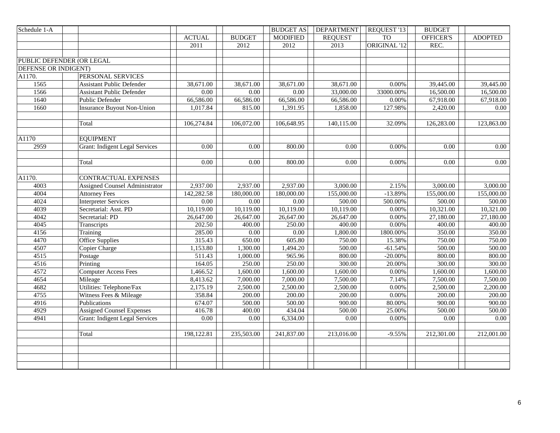| Schedule 1-A                |                                       |                     |                   | <b>BUDGET AS</b>  | <b>DEPARTMENT</b> | REQUEST '13     | <b>BUDGET</b> |                   |
|-----------------------------|---------------------------------------|---------------------|-------------------|-------------------|-------------------|-----------------|---------------|-------------------|
|                             |                                       | <b>ACTUAL</b>       | <b>BUDGET</b>     | <b>MODIFIED</b>   | <b>REQUEST</b>    | TO <sub>1</sub> | OFFICER'S     | <b>ADOPTED</b>    |
|                             |                                       | 2011                | 2012              | 2012              | 2013              | ORIGINAL '12    | REC.          |                   |
|                             |                                       |                     |                   |                   |                   |                 |               |                   |
|                             | PUBLIC DEFENDER (OR LEGAL             |                     |                   |                   |                   |                 |               |                   |
| <b>DEFENSE OR INDIGENT)</b> |                                       |                     |                   |                   |                   |                 |               |                   |
| A1170.                      | PERSONAL SERVICES                     |                     |                   |                   |                   |                 |               |                   |
| 1565                        | <b>Assistant Public Defender</b>      | 38,671.00           | 38,671.00         | 38,671.00         | 38,671.00         | 0.00%           | 39,445.00     | 39,445.00         |
| 1566                        | <b>Assistant Public Defender</b>      | $0.00\,$            | 0.00              | $0.00\,$          | 33,000.00         | 33000.00%       | 16,500.00     | 16,500.00         |
| 1640                        | Public Defender                       | 66,586.00           | 66,586.00         | 66,586.00         | 66,586.00         | 0.00%           | 67,918.00     | 67,918.00         |
| 1660                        | <b>Insurance Buyout Non-Union</b>     | 1,017.84            | 815.00            | 1,391.95          | 1,858.00          | 127.98%         | 2,420.00      | 0.00              |
|                             |                                       |                     |                   |                   |                   |                 |               |                   |
|                             | Total                                 | 106,274.84          | 106,072.00        | 106,648.95        | 140,115.00        | 32.09%          | 126,283.00    | 123,863.00        |
|                             |                                       |                     |                   |                   |                   |                 |               |                   |
| A1170                       | <b>EQUIPMENT</b>                      |                     |                   |                   |                   |                 |               |                   |
| 2959                        | <b>Grant: Indigent Legal Services</b> | 0.00                | 0.00              | 800.00            | 0.00              | $0.00\%$        | 0.00          | 0.00              |
|                             |                                       |                     |                   |                   |                   |                 |               |                   |
|                             | Total                                 | 0.00                | 0.00              | 800.00            | 0.00              | 0.00%           | 0.00          | $0.00\,$          |
|                             |                                       |                     |                   |                   |                   |                 |               |                   |
| A1170.                      | <b>CONTRACTUAL EXPENSES</b>           |                     |                   |                   |                   |                 |               |                   |
| 4003                        | <b>Assigned Counsel Administrator</b> | 2,937.00            | 2,937.00          | 2,937.00          | 3,000.00          | 2.15%           | 3,000.00      | 3,000.00          |
| 4004                        | <b>Attorney Fees</b>                  | 142,282.58          | 180,000.00        | 180,000.00        | 155,000.00        | $-13.89%$       | 155,000.00    | 155,000.00        |
| 4024                        | <b>Interpreter Services</b>           | 0.00                | 0.00              | $0.00\,$          | 500.00            | 500.00%         | 500.00        | 500.00            |
| 4039                        | Secretarial: Asst. PD                 | 10,119.00           | 10,119.00         | 10,119.00         | 10,119.00         | 0.00%           | 10,321.00     | 10,321.00         |
| 4042                        | Secretarial: PD                       | 26,647.00           | 26,647.00         | 26,647.00         | 26,647.00         | 0.00%           | 27,180.00     | 27,180.00         |
| 4045                        | Transcripts                           | 202.50              | 400.00            | 250.00            | 400.00            | 0.00%           | 400.00        | 400.00            |
| 4156                        | Training                              | 285.00              | $\overline{0.00}$ | $\overline{0.00}$ | 1,800.00          | 1800.00%        | 350.00        | 350.00            |
| 4470                        | <b>Office Supplies</b>                | 315.43              | 650.00            | 605.80            | 750.00            | 15.38%          | 750.00        | 750.00            |
| 4507                        | Copier Charge                         | 1,153.80            | 1,300.00          | 1,494.20          | 500.00            | $-61.54%$       | 500.00        | 500.00            |
| 4515                        | Postage                               | $\overline{511.43}$ | 1,000.00          | 965.96            | 800.00            | $-20.00\%$      | 800.00        | 800.00            |
| 4516                        | Printing                              | 164.05              | 250.00            | 250.00            | 300.00            | 20.00%          | 300.00        | 300.00            |
| 4572                        | <b>Computer Access Fees</b>           | 1,466.52            | 1,600.00          | 1,600.00          | 1,600.00          | 0.00%           | 1,600.00      | 1,600.00          |
| 4654                        | Mileage                               | 8,413.62            | 7,000.00          | 7,000.00          | 7,500.00          | 7.14%           | 7,500.00      | 7,500.00          |
| 4682                        | Utilities: Telephone/Fax              | 2,175.19            | 2,500.00          | 2,500.00          | 2,500.00          | 0.00%           | 2,500.00      | 2,200.00          |
| 4755                        | Witness Fees & Mileage                | 358.84              | 200.00            | 200.00            | 200.00            | 0.00%           | 200.00        | 200.00            |
| 4916                        | Publications                          | 674.07              | 500.00            | 500.00            | 900.00            | 80.00%          | 900.00        | 900.00            |
| 4929                        | <b>Assigned Counsel Expenses</b>      | 416.78              | 400.00            | 434.04            | 500.00            | 25.00%          | 500.00        | 500.00            |
| 4941                        | <b>Grant: Indigent Legal Services</b> | $\overline{0.00}$   | 0.00              | 6,334.00          | 0.00              | 0.00%           | 0.00          | $\overline{0.00}$ |
|                             |                                       |                     |                   |                   |                   |                 |               |                   |
|                             | Total                                 | 198,122.81          | 235,503.00        | 241,837.00        | 213,016.00        | $-9.55%$        | 212,301.00    | 212,001.00        |
|                             |                                       |                     |                   |                   |                   |                 |               |                   |
|                             |                                       |                     |                   |                   |                   |                 |               |                   |
|                             |                                       |                     |                   |                   |                   |                 |               |                   |
|                             |                                       |                     |                   |                   |                   |                 |               |                   |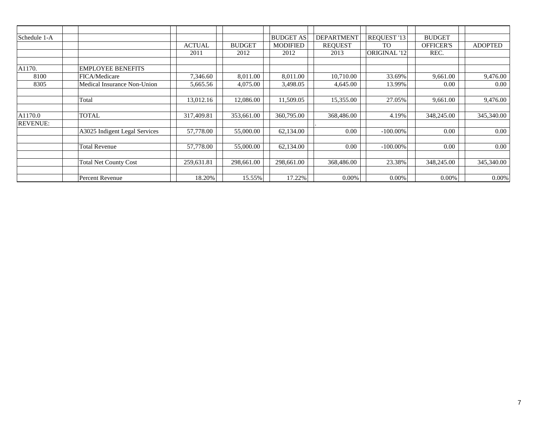| Schedule 1-A    |                               |               |               | <b>BUDGET AS</b> | <b>DEPARTMENT</b> | REQUEST '13  | <b>BUDGET</b>    |                |
|-----------------|-------------------------------|---------------|---------------|------------------|-------------------|--------------|------------------|----------------|
|                 |                               |               |               |                  |                   |              |                  |                |
|                 |                               | <b>ACTUAL</b> | <b>BUDGET</b> | <b>MODIFIED</b>  | <b>REOUEST</b>    | <b>TO</b>    | <b>OFFICER'S</b> | <b>ADOPTED</b> |
|                 |                               | 2011          | 2012          | 2012             | 2013              | ORIGINAL '12 | REC.             |                |
|                 |                               |               |               |                  |                   |              |                  |                |
| A1170.          | <b>EMPLOYEE BENEFITS</b>      |               |               |                  |                   |              |                  |                |
| 8100            | FICA/Medicare                 | 7,346.60      | 8,011.00      | 8,011.00         | 10,710.00         | 33.69%       | 9,661.00         | 9,476.00       |
| 8305            | Medical Insurance Non-Union   | 5,665.56      | 4,075.00      | 3,498.05         | 4,645.00          | 13.99%       | 0.00             | $0.00\,$       |
|                 |                               |               |               |                  |                   |              |                  |                |
|                 | Total                         | 13,012.16     | 12,086.00     | 11,509.05        | 15,355.00         | 27.05%       | 9,661.00         | 9,476.00       |
|                 |                               |               |               |                  |                   |              |                  |                |
| A1170.0         | TOTAL                         | 317,409.81    | 353,661.00    | 360,795.00       | 368,486.00        | 4.19%        | 348,245.00       | 345,340.00     |
| <b>REVENUE:</b> |                               |               |               |                  |                   |              |                  |                |
|                 | A3025 Indigent Legal Services | 57,778.00     | 55,000.00     | 62,134.00        | 0.00              | $-100.00\%$  | 0.00             | 0.00           |
|                 |                               |               |               |                  |                   |              |                  |                |
|                 | <b>Total Revenue</b>          | 57,778.00     | 55,000.00     | 62,134.00        | 0.00              | $-100.00\%$  | 0.00             | 0.00           |
|                 |                               |               |               |                  |                   |              |                  |                |
|                 | <b>Total Net County Cost</b>  | 259,631.81    | 298,661.00    | 298,661.00       | 368,486.00        | 23.38%       | 348,245.00       | 345,340.00     |
|                 |                               |               |               |                  |                   |              |                  |                |
|                 | Percent Revenue               | 18.20%        | 15.55%        | 17.22%           | 0.00%             | 0.00%        | 0.00%            | 0.00%          |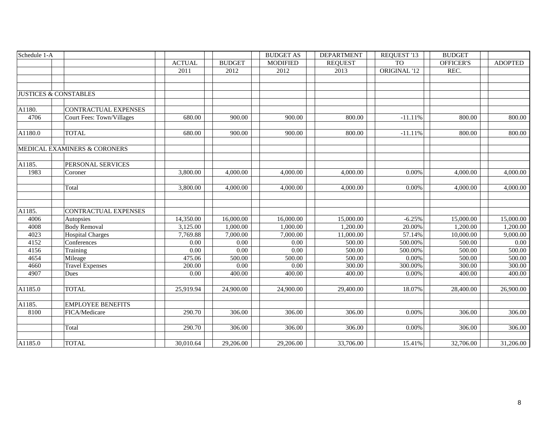| Schedule 1-A |                                  |               |               | <b>BUDGET AS</b> | <b>DEPARTMENT</b> | REQUEST '13  | <b>BUDGET</b> |                |
|--------------|----------------------------------|---------------|---------------|------------------|-------------------|--------------|---------------|----------------|
|              |                                  | <b>ACTUAL</b> | <b>BUDGET</b> | <b>MODIFIED</b>  | <b>REQUEST</b>    | <b>TO</b>    | OFFICER'S     | <b>ADOPTED</b> |
|              |                                  | 2011          | 2012          | 2012             | 2013              | ORIGINAL '12 | REC.          |                |
|              |                                  |               |               |                  |                   |              |               |                |
|              |                                  |               |               |                  |                   |              |               |                |
|              | <b>JUSTICES &amp; CONSTABLES</b> |               |               |                  |                   |              |               |                |
|              |                                  |               |               |                  |                   |              |               |                |
| A1180.       | CONTRACTUAL EXPENSES             |               |               |                  |                   |              |               |                |
| 4706         | Court Fees: Town/Villages        | 680.00        | 900.00        | 900.00           | 800.00            | $-11.11%$    | 800.00        | 800.00         |
|              |                                  |               |               |                  |                   |              |               |                |
| A1180.0      | <b>TOTAL</b>                     | 680.00        | 900.00        | 900.00           | 800.00            | $-11.11%$    | 800.00        | 800.00         |
|              |                                  |               |               |                  |                   |              |               |                |
|              | MEDICAL EXAMINERS & CORONERS     |               |               |                  |                   |              |               |                |
|              |                                  |               |               |                  |                   |              |               |                |
| A1185.       | PERSONAL SERVICES                |               |               |                  |                   |              |               |                |
| 1983         | Coroner                          | 3,800.00      | 4,000.00      | 4,000.00         | 4,000.00          | 0.00%        | 4,000.00      | 4,000.00       |
|              |                                  |               |               |                  |                   |              |               |                |
|              | Total                            | 3,800.00      | 4,000.00      | 4,000.00         | 4,000.00          | 0.00%        | 4,000.00      | 4,000.00       |
|              |                                  |               |               |                  |                   |              |               |                |
|              |                                  |               |               |                  |                   |              |               |                |
| A1185.       | <b>CONTRACTUAL EXPENSES</b>      |               |               |                  |                   |              |               |                |
| 4006         | Autopsies                        | 14,350.00     | 16,000.00     | 16,000.00        | 15,000.00         | $-6.25%$     | 15,000.00     | 15,000.00      |
| 4008         | <b>Body Removal</b>              | 3,125.00      | 1,000.00      | 1,000.00         | 1,200.00          | 20.00%       | 1,200.00      | 1,200.00       |
| 4023         | <b>Hospital Charges</b>          | 7,769.88      | 7,000.00      | 7,000.00         | 11,000.00         | 57.14%       | 10,000.00     | 9,000.00       |
| 4152         | Conferences                      | 0.00          | 0.00          | 0.00             | 500.00            | 500.00%      | 500.00        | 0.00           |
| 4156         | Training                         | 0.00          | 0.00          | 0.00             | 500.00            | 500.00%      | 500.00        | 500.00         |
| 4654         | Mileage                          | 475.06        | 500.00        | 500.00           | 500.00            | 0.00%        | 500.00        | 500.00         |
| 4660         | <b>Travel Expenses</b>           | 200.00        | 0.00          | 0.00             | 300.00            | 300.00%      | 300.00        | 300.00         |
| 4907         | Dues                             | 0.00          | 400.00        | 400.00           | 400.00            | 0.00%        | 400.00        | 400.00         |
|              |                                  |               |               |                  |                   |              |               |                |
| A1185.0      | <b>TOTAL</b>                     | 25,919.94     | 24,900.00     | 24,900.00        | 29,400.00         | 18.07%       | 28,400.00     | 26,900.00      |
|              |                                  |               |               |                  |                   |              |               |                |
| A1185.       | <b>EMPLOYEE BENEFITS</b>         |               |               |                  |                   |              |               |                |
| 8100         | FICA/Medicare                    | 290.70        | 306.00        | 306.00           | 306.00            | 0.00%        | 306.00        | 306.00         |
|              |                                  |               |               |                  |                   |              |               |                |
|              | Total                            | 290.70        | 306.00        | 306.00           | 306.00            | 0.00%        | 306.00        | 306.00         |
|              |                                  |               |               |                  |                   |              |               |                |
| A1185.0      | <b>TOTAL</b>                     | 30,010.64     | 29,206.00     | 29,206.00        | 33,706.00         | 15.41%       | 32,706.00     | 31,206.00      |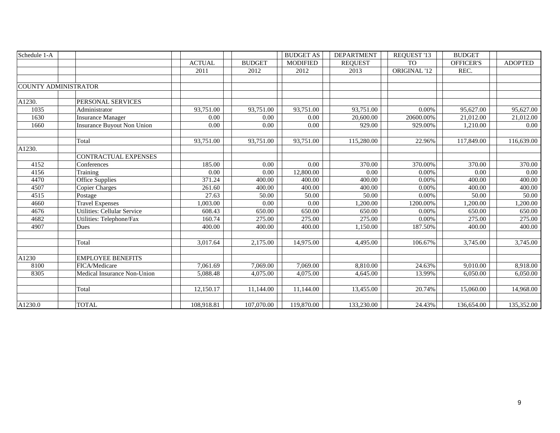| Schedule 1-A         |                                   |               |               | <b>BUDGET AS</b> | <b>DEPARTMENT</b> | <b>REOUEST '13</b> | <b>BUDGET</b>    |                |
|----------------------|-----------------------------------|---------------|---------------|------------------|-------------------|--------------------|------------------|----------------|
|                      |                                   | <b>ACTUAL</b> | <b>BUDGET</b> | <b>MODIFIED</b>  | <b>REQUEST</b>    | <b>TO</b>          | <b>OFFICER'S</b> | <b>ADOPTED</b> |
|                      |                                   | 2011          | 2012          | 2012             | 2013              | ORIGINAL '12       | REC.             |                |
|                      |                                   |               |               |                  |                   |                    |                  |                |
| COUNTY ADMINISTRATOR |                                   |               |               |                  |                   |                    |                  |                |
|                      |                                   |               |               |                  |                   |                    |                  |                |
| A1230.               | PERSONAL SERVICES                 |               |               |                  |                   |                    |                  |                |
| 1035                 | Administrator                     | 93,751.00     | 93,751.00     | 93,751.00        | 93,751.00         | 0.00%              | 95,627.00        | 95,627.00      |
| 1630                 | <b>Insurance Manager</b>          | 0.00          | 0.00          | 0.00             | 20,600.00         | 20600.00%          | 21,012.00        | 21,012.00      |
| 1660                 | <b>Insurance Buyout Non Union</b> | 0.00          | 0.00          | 0.00             | 929.00            | 929.00%            | 1,210.00         | 0.00           |
|                      |                                   |               |               |                  |                   |                    |                  |                |
|                      | Total                             | 93,751.00     | 93,751.00     | 93,751.00        | 115,280.00        | 22.96%             | 117,849.00       | 116,639.00     |
| A1230.               |                                   |               |               |                  |                   |                    |                  |                |
|                      | <b>CONTRACTUAL EXPENSES</b>       |               |               |                  |                   |                    |                  |                |
| 4152                 | Conferences                       | 185.00        | 0.00          | 0.00             | 370.00            | 370.00%            | 370.00           | 370.00         |
| 4156                 | Training                          | 0.00          | 0.00          | 12,800.00        | 0.00              | 0.00%              | 0.00             | 0.00           |
| 4470                 | Office Supplies                   | 371.24        | 400.00        | 400.00           | 400.00            | 0.00%              | 400.00           | 400.00         |
| 4507                 | <b>Copier Charges</b>             | 261.60        | 400.00        | 400.00           | 400.00            | 0.00%              | 400.00           | 400.00         |
| 4515                 | Postage                           | 27.63         | 50.00         | 50.00            | 50.00             | 0.00%              | 50.00            | 50.00          |
| 4660                 | <b>Travel Expenses</b>            | 1,003.00      | 0.00          | 0.00             | 1.200.00          | 1200.00%           | 1,200.00         | 1,200.00       |
| 4676                 | Utilities: Cellular Service       | 608.43        | 650.00        | 650.00           | 650.00            | 0.00%              | 650.00           | 650.00         |
| 4682                 | Utilities: Telephone/Fax          | 160.74        | 275.00        | 275.00           | 275.00            | 0.00%              | 275.00           | 275.00         |
| 4907                 | Dues                              | 400.00        | 400.00        | 400.00           | 1,150.00          | 187.50%            | 400.00           | 400.00         |
|                      |                                   |               |               |                  |                   |                    |                  |                |
|                      | Total                             | 3,017.64      | 2,175.00      | 14,975.00        | 4,495.00          | 106.67%            | 3,745.00         | 3,745.00       |
| A1230                | <b>EMPLOYEE BENEFITS</b>          |               |               |                  |                   |                    |                  |                |
| 8100                 | FICA/Medicare                     | 7,061.69      | 7,069.00      | 7,069.00         | 8,810.00          | 24.63%             | 9,010.00         | 8,918.00       |
| 8305                 | Medical Insurance Non-Union       | 5,088.48      | 4,075.00      | 4.075.00         | 4,645.00          | 13.99%             | 6.050.00         | 6,050.00       |
|                      |                                   |               |               |                  |                   |                    |                  |                |
|                      | Total                             | 12,150.17     | 11,144.00     | 11,144.00        | 13,455.00         | 20.74%             | 15,060.00        | 14,968.00      |
| A1230.0              | <b>TOTAL</b>                      | 108,918.81    | 107,070.00    | 119,870.00       | 133,230.00        | 24.43%             | 136,654.00       | 135,352.00     |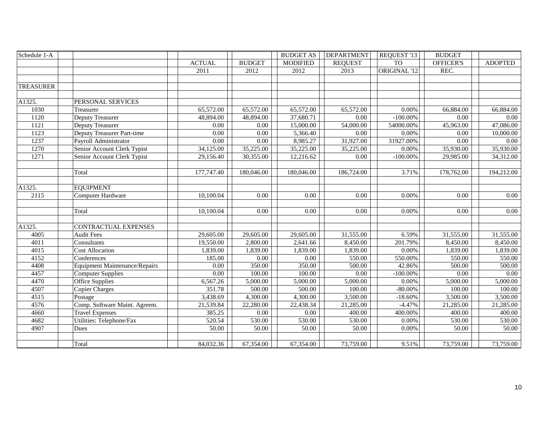| Schedule 1-A |                                      |               |                   | <b>BUDGET AS</b> | <b>DEPARTMENT</b> | REQUEST '13  | <b>BUDGET</b> |                |
|--------------|--------------------------------------|---------------|-------------------|------------------|-------------------|--------------|---------------|----------------|
|              |                                      | <b>ACTUAL</b> | <b>BUDGET</b>     | <b>MODIFIED</b>  | <b>REQUEST</b>    | <b>TO</b>    | OFFICER'S     | <b>ADOPTED</b> |
|              |                                      | 2011          | 2012              | 2012             | 2013              | ORIGINAL '12 | REC.          |                |
|              |                                      |               |                   |                  |                   |              |               |                |
| TREASURER    |                                      |               |                   |                  |                   |              |               |                |
|              |                                      |               |                   |                  |                   |              |               |                |
| A1325.       | PERSONAL SERVICES                    |               |                   |                  |                   |              |               |                |
| 1030         | Treasurer                            | 65,572.00     | 65,572.00         | 65,572.00        | 65,572.00         | 0.00%        | 66,884.00     | 66,884.00      |
| 1120         | Deputy Treasurer                     | 48,894.00     | 48,894.00         | 37,680.71        | $0.00\,$          | $-100.00\%$  | 0.00          | 0.00           |
| 1121         | Deputy Treasurer                     | 0.00          | 0.00              | 15,000.00        | 54,000.00         | 54000.00%    | 45,963.00     | 47,086.00      |
| 1123         | Deputy Treasurer Part-time           | 0.00          | 0.00              | 5,366.40         | 0.00              | 0.00%        | 0.00          | 10,000.00      |
| 1237         | Payroll Administrator                | 0.00          | 0.00              | 8,985.27         | 31,927.00         | 31927.00%    | 0.00          | 0.00           |
| 1270         | Senior Account Clerk Typist          | 34,125.00     | 35,225.00         | 35,225.00        | 35,225.00         | 0.00%        | 35,930.00     | 35,930.00      |
| 1271         | Senior Account Clerk Typist          | 29,156.40     | 30,355.00         | 12,216.62        | 0.00              | $-100.00\%$  | 29,985.00     | 34,312.00      |
|              |                                      |               |                   |                  |                   |              |               |                |
|              | Total                                | 177,747.40    | 180,046.00        | 180,046.00       | 186,724.00        | 3.71%        | 178,762.00    | 194,212.00     |
|              |                                      |               |                   |                  |                   |              |               |                |
| A1325.       | <b>EQUIPMENT</b>                     |               |                   |                  |                   |              |               |                |
| 2115         | <b>Computer Hardware</b>             | 10,100.04     | 0.00              | 0.00             | 0.00              | 0.00%        | 0.00          | 0.00           |
|              |                                      |               |                   |                  |                   |              |               |                |
|              | Total                                | 10,100.04     | 0.00              | 0.00             | 0.00              | 0.00%        | 0.00          | 0.00           |
|              |                                      |               |                   |                  |                   |              |               |                |
| A1325.       | CONTRACTUAL EXPENSES                 |               |                   |                  |                   |              |               |                |
| 4005         | <b>Audit Fees</b>                    | 29,605.00     | 29,605.00         | 29,605.00        | 31,555.00         | 6.59%        | 31,555.00     | 31,555.00      |
| 4011         | Consultants                          | 19,550.00     | 2,800.00          | 2,641.66         | 8,450.00          | 201.79%      | 8,450.00      | 8,450.00       |
| 4015         | <b>Cost Allocation</b>               | 1,839.00      | 1,839.00          | 1,839.00         | 1,839.00          | 0.00%        | 1,839.00      | 1,839.00       |
| 4152         | Conferences                          | 185.00        | $\overline{0.00}$ | 0.00             | 550.00            | 550.00%      | 550.00        | 550.00         |
| 4408         | <b>Equipment Maintenance/Repairs</b> | 0.00          | 350.00            | 350.00           | 500.00            | 42.86%       | 500.00        | 500.00         |
| 4457         | <b>Computer Supplies</b>             | 0.00          | 100.00            | 100.00           | $\overline{0.00}$ | $-100.00\%$  | 0.00          | 0.00           |
| 4470         | <b>Office Supplies</b>               | 6,567.26      | 5,000.00          | 5,000.00         | 5,000.00          | $0.00\%$     | 5,000.00      | 5,000.00       |
| 4507         | <b>Copier Charges</b>                | 351.78        | 500.00            | 500.00           | 100.00            | $-80.00\%$   | 100.00        | 100.00         |
| 4515         | Postage                              | 3,438.69      | 4,300.00          | 4,300.00         | 3,500.00          | $-18.60%$    | 3,500.00      | 3,500.00       |
| 4576         | Comp. Software Maint. Agreem.        | 21,539.84     | 22,280.00         | 22,438.34        | 21,285.00         | $-4.47%$     | 21,285.00     | 21,285.00      |
| 4660         | <b>Travel Expenses</b>               | 385.25        | 0.00              | 0.00             | 400.00            | 400.00%      | 400.00        | 400.00         |
| 4682         | Utilities: Telephone/Fax             | 520.54        | 530.00            | 530.00           | 530.00            | 0.00%        | 530.00        | 530.00         |
| 4907         | Dues                                 | 50.00         | 50.00             | 50.00            | 50.00             | 0.00%        | 50.00         | 50.00          |
|              |                                      |               |                   |                  |                   |              |               |                |
|              | Total                                | 84,032.36     | 67,354.00         | 67,354.00        | 73,759.00         | 9.51%        | 73,759.00     | 73,759.00      |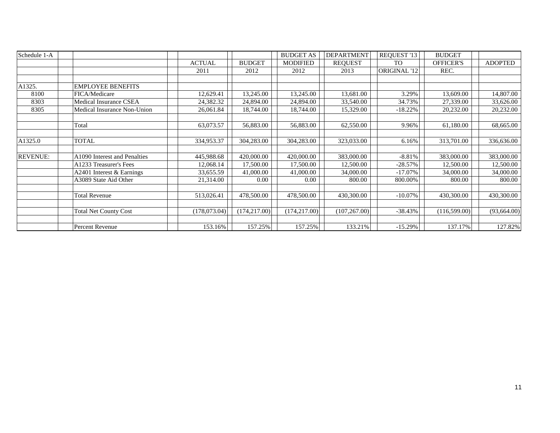| Schedule 1-A    |                              |               |               | <b>BUDGET AS</b> | <b>DEPARTMENT</b> | REQUEST '13    | <b>BUDGET</b>    |                |
|-----------------|------------------------------|---------------|---------------|------------------|-------------------|----------------|------------------|----------------|
|                 |                              | <b>ACTUAL</b> | <b>BUDGET</b> | <b>MODIFIED</b>  | <b>REQUEST</b>    | T <sub>O</sub> | <b>OFFICER'S</b> | <b>ADOPTED</b> |
|                 |                              | 2011          | 2012          | 2012             | 2013              | ORIGINAL '12   | REC.             |                |
|                 |                              |               |               |                  |                   |                |                  |                |
| A1325.          | <b>EMPLOYEE BENEFITS</b>     |               |               |                  |                   |                |                  |                |
| 8100            | FICA/Medicare                | 12,629.41     | 13,245.00     | 13,245.00        | 13,681.00         | 3.29%          | 13,609.00        | 14,807.00      |
| 8303            | Medical Insurance CSEA       | 24,382.32     | 24,894.00     | 24,894.00        | 33,540.00         | 34.73%         | 27,339.00        | 33,626.00      |
| 8305            | Medical Insurance Non-Union  | 26,061.84     | 18,744.00     | 18,744.00        | 15,329.00         | $-18.22%$      | 20,232.00        | 20,232.00      |
|                 |                              |               |               |                  |                   |                |                  |                |
|                 | Total                        | 63,073.57     | 56,883.00     | 56,883.00        | 62,550.00         | 9.96%          | 61,180.00        | 68,665.00      |
|                 |                              |               |               |                  |                   |                |                  |                |
| A1325.0         | <b>TOTAL</b>                 | 334,953.37    | 304,283.00    | 304,283.00       | 323,033.00        | 6.16%          | 313,701.00       | 336,636.00     |
|                 |                              |               |               |                  |                   |                |                  |                |
| <b>REVENUE:</b> | A1090 Interest and Penalties | 445,988.68    | 420,000.00    | 420,000.00       | 383,000.00        | $-8.81%$       | 383,000.00       | 383,000.00     |
|                 | A1233 Treasurer's Fees       | 12,068.14     | 17,500.00     | 17,500.00        | 12,500.00         | $-28.57%$      | 12,500.00        | 12,500.00      |
|                 | A2401 Interest & Earnings    | 33,655.59     | 41,000.00     | 41,000.00        | 34,000.00         | $-17.07\%$     | 34,000.00        | 34,000.00      |
|                 | A3089 State Aid Other        | 21,314.00     | 0.00          | 0.00             | 800.00            | 800.00%        | 800.00           | 800.00         |
|                 |                              |               |               |                  |                   |                |                  |                |
|                 | <b>Total Revenue</b>         | 513,026.41    | 478,500.00    | 478,500.00       | 430,300.00        | $-10.07\%$     | 430,300.00       | 430,300.00     |
|                 |                              |               |               |                  |                   |                |                  |                |
|                 | <b>Total Net County Cost</b> | (178,073.04)  | (174, 217.00) | (174, 217.00)    | (107, 267.00)     | $-38.43%$      | (116,599.00)     | (93, 664.00)   |
|                 |                              |               |               |                  |                   |                |                  |                |
|                 | Percent Revenue              | 153.16%       | 157.25%       | 157.25%          | 133.21%           | $-15.29%$      | 137.17%          | 127.82%        |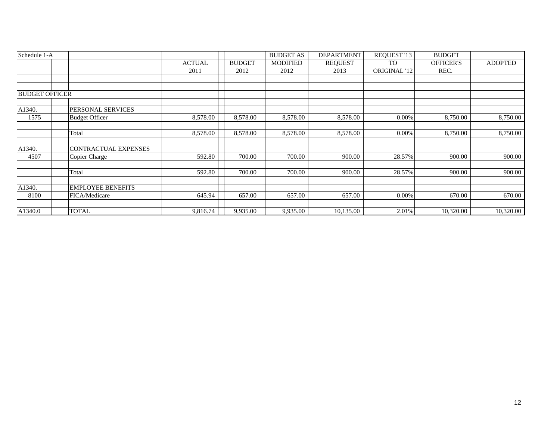| Schedule 1-A          |                             |               |               | <b>BUDGET AS</b> | <b>DEPARTMENT</b> | REQUEST '13  | <b>BUDGET</b>    |                |
|-----------------------|-----------------------------|---------------|---------------|------------------|-------------------|--------------|------------------|----------------|
|                       |                             | <b>ACTUAL</b> | <b>BUDGET</b> | <b>MODIFIED</b>  | <b>REQUEST</b>    | <b>TO</b>    | <b>OFFICER'S</b> | <b>ADOPTED</b> |
|                       |                             | 2011          | 2012          | 2012             | 2013              | ORIGINAL '12 | REC.             |                |
|                       |                             |               |               |                  |                   |              |                  |                |
|                       |                             |               |               |                  |                   |              |                  |                |
| <b>BUDGET OFFICER</b> |                             |               |               |                  |                   |              |                  |                |
| A1340.                | PERSONAL SERVICES           |               |               |                  |                   |              |                  |                |
| 1575                  | <b>Budget Officer</b>       | 8,578.00      | 8,578.00      | 8,578.00         | 8,578.00          | 0.00%        | 8,750.00         | 8,750.00       |
|                       |                             |               |               |                  |                   |              |                  |                |
|                       | Total                       | 8,578.00      | 8,578.00      | 8,578.00         | 8,578.00          | 0.00%        | 8,750.00         | 8,750.00       |
| A1340.                | <b>CONTRACTUAL EXPENSES</b> |               |               |                  |                   |              |                  |                |
| 4507                  | Copier Charge               | 592.80        | 700.00        | 700.00           | 900.00            | 28.57%       | 900.00           | 900.00         |
|                       | Total                       | 592.80        | 700.00        | 700.00           | 900.00            | 28.57%       | 900.00           | 900.00         |
|                       |                             |               |               |                  |                   |              |                  |                |
| A1340.                | <b>EMPLOYEE BENEFITS</b>    |               |               |                  |                   |              |                  |                |
| 8100                  | FICA/Medicare               | 645.94        | 657.00        | 657.00           | 657.00            | $0.00\%$     | 670.00           | 670.00         |
|                       |                             |               |               |                  |                   |              |                  |                |
| A1340.0               | TOTAL                       | 9,816.74      | 9,935.00      | 9,935.00         | 10,135.00         | 2.01%        | 10,320.00        | 10,320.00      |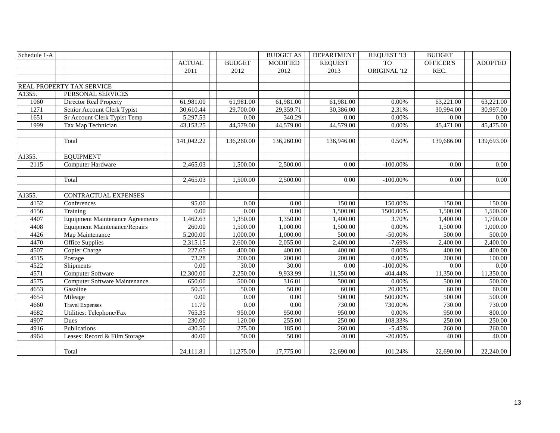| Schedule 1-A |                                         |               |               | <b>BUDGET AS</b> | <b>DEPARTMENT</b> | REQUEST '13  | <b>BUDGET</b>    |                |
|--------------|-----------------------------------------|---------------|---------------|------------------|-------------------|--------------|------------------|----------------|
|              |                                         | <b>ACTUAL</b> | <b>BUDGET</b> | <b>MODIFIED</b>  | <b>REQUEST</b>    | <b>TO</b>    | <b>OFFICER'S</b> | <b>ADOPTED</b> |
|              |                                         | 2011          | 2012          | 2012             | 2013              | ORIGINAL '12 | REC.             |                |
|              |                                         |               |               |                  |                   |              |                  |                |
|              | REAL PROPERTY TAX SERVICE               |               |               |                  |                   |              |                  |                |
| A1355.       | <b>PERSONAL SERVICES</b>                |               |               |                  |                   |              |                  |                |
| 1060         | Director Real Property                  | 61,981.00     | 61,981.00     | 61,981.00        | 61,981.00         | 0.00%        | 63,221.00        | 63,221.00      |
| 1271         | Senior Account Clerk Typist             | 30,610.44     | 29,700.00     | 29,359.71        | 30,386.00         | 2.31%        | 30,994.00        | 30,997.00      |
| 1651         | Sr Account Clerk Typist Temp            | 5,297.53      | 0.00          | 340.29           | 0.00              | $0.00\%$     | 0.00             | 0.00           |
| 1999         | Tax Map Technician                      | 43,153.25     | 44,579.00     | 44,579.00        | 44,579.00         | 0.00%        | 45,471.00        | 45,475.00      |
|              |                                         |               |               |                  |                   |              |                  |                |
|              | Total                                   | 141,042.22    | 136,260.00    | 136,260.00       | 136,946.00        | 0.50%        | 139,686.00       | 139,693.00     |
|              |                                         |               |               |                  |                   |              |                  |                |
| A1355.       | <b>EQUIPMENT</b>                        |               |               |                  |                   |              |                  |                |
| 2115         | Computer Hardware                       | 2,465.03      | 1,500.00      | 2,500.00         | 0.00              | $-100.00\%$  | 0.00             | 0.00           |
|              |                                         |               |               |                  |                   |              |                  |                |
|              | Total                                   | 2,465.03      | 1,500.00      | 2,500.00         | 0.00              | $-100.00\%$  | 0.00             | 0.00           |
|              |                                         |               |               |                  |                   |              |                  |                |
| A1355.       | CONTRACTUAL EXPENSES                    |               |               |                  |                   |              |                  |                |
| 4152         | Conferences                             | 95.00         | 0.00          | 0.00             | 150.00            | 150.00%      | 150.00           | 150.00         |
| 4156         | Training                                | 0.00          | 0.00          | 0.00             | 1,500.00          | 1500.00%     | 1,500.00         | 1,500.00       |
| 4407         | <b>Equipment Maintenance Agreements</b> | 1,462.63      | 1,350.00      | 1,350.00         | 1,400.00          | 3.70%        | 1,400.00         | 1,700.00       |
| 4408         | <b>Equipment Maintenance/Repairs</b>    | 260.00        | 1,500.00      | 1,000.00         | 1,500.00          | 0.00%        | 1,500.00         | 1,000.00       |
| 4426         | Map Maintenance                         | 5,200.00      | 1,000.00      | 1,000.00         | 500.00            | $-50.00\%$   | 500.00           | 500.00         |
| 4470         | Office Supplies                         | 2,315.15      | 2,600.00      | 2,055.00         | 2,400.00          | $-7.69%$     | 2,400.00         | 2,400.00       |
| 4507         | Copier Charge                           | 227.65        | 400.00        | 400.00           | 400.00            | 0.00%        | 400.00           | 400.00         |
| 4515         | Postage                                 | 73.28         | 200.00        | 200.00           | 200.00            | 0.00%        | 200.00           | 100.00         |
| 4522         | Shipments                               | 0.00          | 30.00         | 30.00            | 0.00              | $-100.00\%$  | 0.00             | 0.00           |
| 4571         | <b>Computer Software</b>                | 12,300.00     | 2,250.00      | 9,933.99         | 11,350.00         | 404.44%      | 11,350.00        | 11,350.00      |
| 4575         | Computer Software Maintenance           | 650.00        | 500.00        | 316.01           | 500.00            | 0.00%        | 500.00           | 500.00         |
| 4653         | Gasoline                                | 50.55         | 50.00         | 50.00            | 60.00             | 20.00%       | 60.00            | 60.00          |
| 4654         | Mileage                                 | 0.00          | 0.00          | 0.00             | 500.00            | 500.00%      | 500.00           | 500.00         |
| 4660         | <b>Travel Expenses</b>                  | 11.70         | 0.00          | 0.00             | 730.00            | 730.00%      | 730.00           | 730.00         |
| 4682         | Utilities: Telephone/Fax                | 765.35        | 950.00        | 950.00           | 950.00            | 0.00%        | 950.00           | 800.00         |
| 4907         | Dues                                    | 230.00        | 120.00        | 255.00           | 250.00            | 108.33%      | 250.00           | 250.00         |
| 4916         | Publications                            | 430.50        | 275.00        | 185.00           | 260.00            | $-5.45%$     | 260.00           | 260.00         |
| 4964         | Leases: Record & Film Storage           | 40.00         | 50.00         | 50.00            | 40.00             | $-20.00%$    | 40.00            | 40.00          |
|              |                                         |               |               |                  |                   |              |                  |                |
|              | Total                                   | 24,111.81     | 11,275.00     | 17,775.00        | 22,690.00         | 101.24%      | 22,690.00        | 22,240.00      |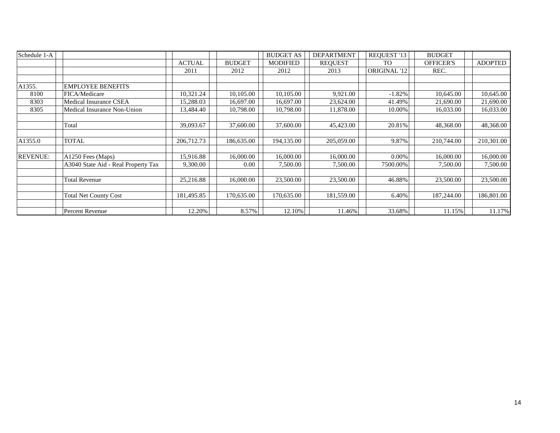| Schedule 1-A    |                                     |               |               | <b>BUDGET AS</b> | <b>DEPARTMENT</b> | REQUEST '13  | <b>BUDGET</b>    |                |
|-----------------|-------------------------------------|---------------|---------------|------------------|-------------------|--------------|------------------|----------------|
|                 |                                     | <b>ACTUAL</b> | <b>BUDGET</b> | <b>MODIFIED</b>  | <b>REQUEST</b>    | TO           | <b>OFFICER'S</b> | <b>ADOPTED</b> |
|                 |                                     | 2011          | 2012          | 2012             | 2013              | ORIGINAL '12 | REC.             |                |
|                 |                                     |               |               |                  |                   |              |                  |                |
| A1355.          | <b>EMPLOYEE BENEFITS</b>            |               |               |                  |                   |              |                  |                |
| 8100            | FICA/Medicare                       | 10,321.24     | 10,105.00     | 10,105.00        | 9,921.00          | $-1.82%$     | 10,645.00        | 10,645.00      |
| 8303            | Medical Insurance CSEA              | 15,288.03     | 16,697.00     | 16,697.00        | 23,624.00         | 41.49%       | 21,690.00        | 21,690.00      |
| 8305            | Medical Insurance Non-Union         | 13,484.40     | 10,798.00     | 10,798.00        | 11,878.00         | 10.00%       | 16,033.00        | 16,033.00      |
|                 |                                     |               |               |                  |                   |              |                  |                |
|                 | Total                               | 39,093.67     | 37,600.00     | 37,600.00        | 45,423.00         | 20.81%       | 48,368.00        | 48,368.00      |
|                 |                                     |               |               |                  |                   |              |                  |                |
| A1355.0         | <b>TOTAL</b>                        | 206,712.73    | 186,635.00    | 194,135.00       | 205,059.00        | 9.87%        | 210,744.00       | 210,301.00     |
|                 |                                     |               |               |                  |                   |              |                  |                |
| <b>REVENUE:</b> | A1250 Fees (Maps)                   | 15,916.88     | 16,000.00     | 16,000.00        | 16,000.00         | 0.00%        | 16,000.00        | 16,000.00      |
|                 | A3040 State Aid - Real Property Tax | 9,300.00      | 0.00          | 7,500.00         | 7,500.00          | 7500.00%     | 7,500.00         | 7,500.00       |
|                 |                                     |               |               |                  |                   |              |                  |                |
|                 | <b>Total Revenue</b>                | 25,216.88     | 16,000.00     | 23,500.00        | 23,500.00         | 46.88%       | 23,500.00        | 23,500.00      |
|                 |                                     |               |               |                  |                   |              |                  |                |
|                 | <b>Total Net County Cost</b>        | 181,495.85    | 170,635.00    | 170,635.00       | 181,559.00        | 6.40%        | 187,244.00       | 186,801.00     |
|                 |                                     |               |               |                  |                   |              |                  |                |
|                 | Percent Revenue                     | 12.20%        | 8.57%         | 12.10%           | 11.46%            | 33.68%       | 11.15%           | 11.17%         |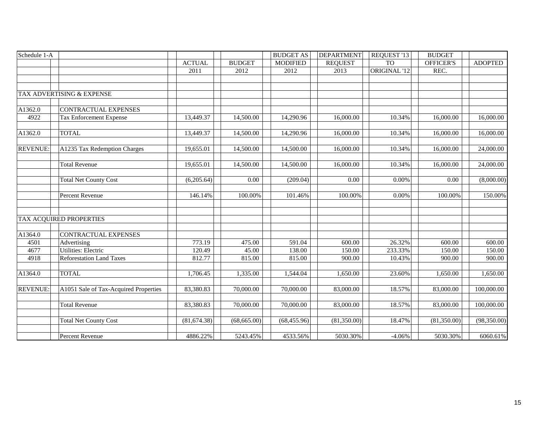| Schedule 1-A    |                                       |               |               | <b>BUDGET AS</b> | <b>DEPARTMENT</b> | REQUEST '13  | <b>BUDGET</b> |                |
|-----------------|---------------------------------------|---------------|---------------|------------------|-------------------|--------------|---------------|----------------|
|                 |                                       | <b>ACTUAL</b> | <b>BUDGET</b> | <b>MODIFIED</b>  | <b>REQUEST</b>    | <b>TO</b>    | OFFICER'S     | <b>ADOPTED</b> |
|                 |                                       | 2011          | 2012          | 2012             | 2013              | ORIGINAL '12 | REC.          |                |
|                 |                                       |               |               |                  |                   |              |               |                |
|                 |                                       |               |               |                  |                   |              |               |                |
|                 | TAX ADVERTISING & EXPENSE             |               |               |                  |                   |              |               |                |
|                 |                                       |               |               |                  |                   |              |               |                |
| A1362.0         | <b>CONTRACTUAL EXPENSES</b>           |               |               |                  |                   |              |               |                |
| 4922            | Tax Enforcement Expense               | 13,449.37     | 14,500.00     | 14,290.96        | 16,000.00         | 10.34%       | 16,000.00     | 16,000.00      |
|                 |                                       |               |               |                  |                   |              |               |                |
| A1362.0         | <b>TOTAL</b>                          | 13,449.37     | 14,500.00     | 14,290.96        | 16,000.00         | 10.34%       | 16,000.00     | 16,000.00      |
|                 |                                       |               |               |                  |                   |              |               |                |
| <b>REVENUE:</b> | A1235 Tax Redemption Charges          | 19,655.01     | 14,500.00     | 14,500.00        | 16,000.00         | 10.34%       | 16,000.00     | 24,000.00      |
|                 |                                       |               |               |                  |                   |              |               |                |
|                 | <b>Total Revenue</b>                  | 19,655.01     | 14,500.00     | 14,500.00        | 16,000.00         | 10.34%       | 16,000.00     | 24,000.00      |
|                 |                                       |               |               |                  |                   |              |               |                |
|                 | <b>Total Net County Cost</b>          | (6,205.64)    | 0.00          | (209.04)         | 0.00              | 0.00%        | 0.00          | (8,000.00)     |
|                 |                                       |               |               |                  |                   |              |               |                |
|                 | Percent Revenue                       | 146.14%       | 100.00%       | 101.46%          | 100.00%           | 0.00%        | 100.00%       | 150.00%        |
|                 |                                       |               |               |                  |                   |              |               |                |
|                 |                                       |               |               |                  |                   |              |               |                |
|                 | TAX ACQUIRED PROPERTIES               |               |               |                  |                   |              |               |                |
|                 |                                       |               |               |                  |                   |              |               |                |
| A1364.0         | CONTRACTUAL EXPENSES                  |               |               |                  |                   |              |               |                |
| 4501            | Advertising                           | 773.19        | 475.00        | 591.04           | 600.00            | 26.32%       | 600.00        | 600.00         |
| 4677            | <b>Utilities: Electric</b>            | 120.49        | 45.00         | 138.00           | 150.00            | 233.33%      | 150.00        | 150.00         |
| 4918            | <b>Reforestation Land Taxes</b>       | 812.77        | 815.00        | 815.00           | 900.00            | 10.43%       | 900.00        | 900.00         |
|                 |                                       |               |               |                  |                   |              |               |                |
| A1364.0         | <b>TOTAL</b>                          | 1,706.45      | 1,335.00      | 1,544.04         | 1,650.00          | 23.60%       | 1,650.00      | 1,650.00       |
|                 |                                       |               |               |                  |                   |              |               |                |
| <b>REVENUE:</b> | A1051 Sale of Tax-Acquired Properties | 83,380.83     | 70,000.00     | 70,000.00        | 83,000.00         | 18.57%       | 83,000.00     | 100,000.00     |
|                 |                                       |               |               |                  |                   |              |               |                |
|                 | <b>Total Revenue</b>                  | 83,380.83     | 70,000.00     | 70,000.00        | 83,000.00         | 18.57%       | 83,000.00     | 100,000.00     |
|                 |                                       |               |               |                  |                   |              |               |                |
|                 | <b>Total Net County Cost</b>          | (81,674.38)   | (68, 665.00)  | (68, 455.96)     | (81,350.00)       | 18.47%       | (81,350.00)   | (98,350.00)    |
|                 |                                       |               |               |                  |                   |              |               |                |
|                 | Percent Revenue                       | 4886.22%      | 5243.45%      | 4533.56%         | 5030.30%          | $-4.06%$     | 5030.30%      | 6060.61%       |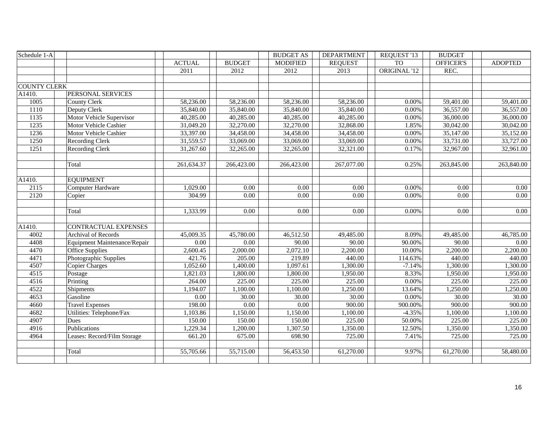| Schedule 1-A        |                               |               |               | <b>BUDGET AS</b>  | <b>DEPARTMENT</b> | REQUEST '13  | <b>BUDGET</b> |                |
|---------------------|-------------------------------|---------------|---------------|-------------------|-------------------|--------------|---------------|----------------|
|                     |                               | <b>ACTUAL</b> | <b>BUDGET</b> | <b>MODIFIED</b>   | <b>REQUEST</b>    | <b>TO</b>    | OFFICER'S     | <b>ADOPTED</b> |
|                     |                               | 2011          | 2012          | 2012              | 2013              | ORIGINAL '12 | REC.          |                |
|                     |                               |               |               |                   |                   |              |               |                |
| <b>COUNTY CLERK</b> |                               |               |               |                   |                   |              |               |                |
| A1410.              | PERSONAL SERVICES             |               |               |                   |                   |              |               |                |
| 1005                | <b>County Clerk</b>           | 58,236.00     | 58,236.00     | 58,236.00         | 58,236.00         | $0.00\%$     | 59,401.00     | 59,401.00      |
| 1110                | Deputy Clerk                  | 35,840.00     | 35,840.00     | 35,840.00         | 35,840.00         | $0.00\%$     | 36,557.00     | 36,557.00      |
| 1135                | Motor Vehicle Supervisor      | 40,285.00     | 40,285.00     | 40,285.00         | 40,285.00         | 0.00%        | 36,000.00     | 36,000.00      |
| 1235                | Motor Vehicle Cashier         | 31,049.20     | 32,270.00     | 32,270.00         | 32,868.00         | 1.85%        | 30,042.00     | 30,042.00      |
| 1236                | Motor Vehicle Cashier         | 33,397.00     | 34,458.00     | 34,458.00         | 34,458.00         | 0.00%        | 35,147.00     | 35,152.00      |
| 1250                | <b>Recording Clerk</b>        | 31,559.57     | 33,069.00     | 33,069.00         | 33,069.00         | $0.00\%$     | 33,731.00     | 33,727.00      |
| 1251                | <b>Recording Clerk</b>        | 31,267.60     | 32,265.00     | 32,265.00         | 32,321.00         | 0.17%        | 32,967.00     | 32,961.00      |
|                     |                               |               |               |                   |                   |              |               |                |
|                     | Total                         | 261,634.37    | 266,423.00    | 266,423.00        | 267,077.00        | 0.25%        | 263,845.00    | 263,840.00     |
|                     |                               |               |               |                   |                   |              |               |                |
| A1410.              | <b>EQUIPMENT</b>              |               |               |                   |                   |              |               |                |
| 2115                | Computer Hardware             | 1,029.00      | 0.00          | $\overline{0.00}$ | $\overline{0.00}$ | $0.00\%$     | 0.00          | 0.00           |
| 2120                | Copier                        | 304.99        | 0.00          | 0.00              | 0.00              | 0.00%        | 0.00          | 0.00           |
|                     |                               |               |               |                   |                   |              |               |                |
|                     | Total                         | 1,333.99      | 0.00          | 0.00              | 0.00              | 0.00%        | 0.00          | 0.00           |
|                     |                               |               |               |                   |                   |              |               |                |
| A1410.              | CONTRACTUAL EXPENSES          |               |               |                   |                   |              |               |                |
| 4002                | Archival of Records           | 45,009.35     | 45,780.00     | 46,512.50         | 49,485.00         | 8.09%        | 49,485.00     | 46,785.00      |
| 4408                | Equipment Maintenance/Repair  | 0.00          | 0.00          | 90.00             | 90.00             | 90.00%       | 90.00         | $0.00\,$       |
| 4470                | Office Supplies               | 2,600.45      | 2,000.00      | 2,072.10          | 2,200.00          | 10.00%       | 2,200.00      | 2,200.00       |
| 4471                | Photographic Supplies         | 421.76        | 205.00        | 219.89            | 440.00            | 114.63%      | 440.00        | 440.00         |
| 4507                | <b>Copier Charges</b>         | 1,052.60      | 1,400.00      | 1,097.61          | 1,300.00          | $-7.14%$     | 1,300.00      | 1,300.00       |
| 4515                | Postage                       | 1,821.03      | 1,800.00      | 1,800.00          | 1,950.00          | 8.33%        | 1,950.00      | 1,950.00       |
| 4516                | $\overline{\text{Pr}}$ inting | 264.00        | 225.00        | 225.00            | 225.00            | $0.00\%$     | 225.00        | 225.00         |
| 4522                | Shipments                     | 1,194.07      | 1,100.00      | 1,100.00          | 1,250.00          | 13.64%       | 1,250.00      | 1,250.00       |
| 4653                | Gasoline                      | 0.00          | 30.00         | 30.00             | 30.00             | 0.00%        | 30.00         | 30.00          |
| 4660                | <b>Travel Expenses</b>        | 198.00        | 0.00          | 0.00              | 900.00            | 900.00%      | 900.00        | 900.00         |
| 4682                | Utilities: Telephone/Fax      | 1,103.86      | 1,150.00      | 1,150.00          | 1,100.00          | $-4.35%$     | 1,100.00      | 1,100.00       |
| 4907                | <b>Dues</b>                   | 150.00        | 150.00        | 150.00            | 225.00            | 50.00%       | 225.00        | 225.00         |
| 4916                | Publications                  | 1,229.34      | 1,200.00      | 1,307.50          | 1,350.00          | 12.50%       | 1,350.00      | 1,350.00       |
| 4964                | Leases: Record/Film Storage   | 661.20        | 675.00        | 698.90            | 725.00            | 7.41%        | 725.00        | 725.00         |
|                     |                               |               |               |                   |                   |              |               |                |
|                     | Total                         | 55,705.66     | 55,715.00     | 56,453.50         | 61,270.00         | 9.97%        | 61,270.00     | 58,480.00      |
|                     |                               |               |               |                   |                   |              |               |                |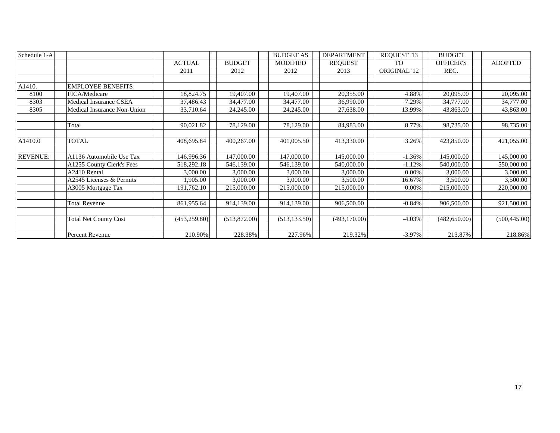| Schedule 1-A    |                              |               |               | <b>BUDGET AS</b> | <b>DEPARTMENT</b> | REQUEST '13  | <b>BUDGET</b>    |                |
|-----------------|------------------------------|---------------|---------------|------------------|-------------------|--------------|------------------|----------------|
|                 |                              | <b>ACTUAL</b> | <b>BUDGET</b> | <b>MODIFIED</b>  | <b>REQUEST</b>    | <b>TO</b>    | <b>OFFICER'S</b> | <b>ADOPTED</b> |
|                 |                              | 2011          | 2012          | 2012             | 2013              | ORIGINAL '12 | REC.             |                |
|                 |                              |               |               |                  |                   |              |                  |                |
| A1410.          | <b>EMPLOYEE BENEFITS</b>     |               |               |                  |                   |              |                  |                |
| 8100            | FICA/Medicare                | 18,824.75     | 19,407.00     | 19,407.00        | 20,355.00         | 4.88%        | 20,095.00        | 20,095.00      |
| 8303            | Medical Insurance CSEA       | 37,486.43     | 34,477.00     | 34,477.00        | 36,990.00         | 7.29%        | 34,777.00        | 34,777.00      |
| 8305            | Medical Insurance Non-Union  | 33,710.64     | 24,245.00     | 24,245.00        | 27,638.00         | 13.99%       | 43,863.00        | 43,863.00      |
|                 | Total                        | 90,021.82     | 78,129.00     | 78,129.00        | 84,983.00         | 8.77%        | 98,735.00        | 98,735.00      |
| A1410.0         | <b>TOTAL</b>                 | 408,695.84    | 400,267.00    | 401,005.50       | 413,330.00        | 3.26%        | 423,850.00       | 421,055.00     |
| <b>REVENUE:</b> | A1136 Automobile Use Tax     | 146,996.36    | 147,000.00    | 147,000.00       | 145,000.00        | $-1.36%$     | 145,000.00       | 145,000.00     |
|                 | A1255 County Clerk's Fees    | 518,292.18    | 546,139.00    | 546,139.00       | 540,000.00        | $-1.12%$     | 540,000.00       | 550,000.00     |
|                 | A2410 Rental                 | 3,000.00      | 3,000.00      | 3,000.00         | 3,000.00          | 0.00%        | 3,000.00         | 3,000.00       |
|                 | A2545 Licenses & Permits     | 1,905.00      | 3,000.00      | 3,000.00         | 3,500.00          | 16.67%       | 3,500.00         | 3,500.00       |
|                 | A3005 Mortgage Tax           | 191,762.10    | 215,000.00    | 215,000.00       | 215,000.00        | 0.00%        | 215,000.00       | 220,000.00     |
|                 | <b>Total Revenue</b>         | 861,955.64    | 914,139.00    | 914,139.00       | 906,500.00        | $-0.84%$     | 906,500.00       | 921,500.00     |
|                 | <b>Total Net County Cost</b> | (453, 259.80) | (513,872.00)  | (513, 133.50)    | (493, 170.00)     | $-4.03\%$    | (482, 650.00)    | (500, 445.00)  |
|                 | Percent Revenue              | 210.90%       | 228.38%       | 227.96%          | 219.32%           | $-3.97\%$    | 213.87%          | 218.86%        |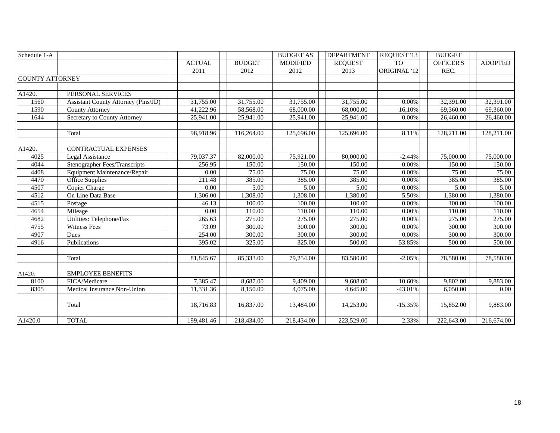| Schedule 1-A           |                                            |               |               | <b>BUDGET AS</b> | <b>DEPARTMENT</b> | REQUEST '13  | <b>BUDGET</b>    |                |
|------------------------|--------------------------------------------|---------------|---------------|------------------|-------------------|--------------|------------------|----------------|
|                        |                                            | <b>ACTUAL</b> | <b>BUDGET</b> | <b>MODIFIED</b>  | <b>REQUEST</b>    | <b>TO</b>    | <b>OFFICER'S</b> | <b>ADOPTED</b> |
|                        |                                            | 2011          | 2012          | 2012             | 2013              | ORIGINAL '12 | REC.             |                |
| <b>COUNTY ATTORNEY</b> |                                            |               |               |                  |                   |              |                  |                |
|                        |                                            |               |               |                  |                   |              |                  |                |
| A1420.                 | PERSONAL SERVICES                          |               |               |                  |                   |              |                  |                |
| 1560                   | <b>Assistant County Attorney (Pins/JD)</b> | 31,755.00     | 31,755.00     | 31,755.00        | 31,755.00         | 0.00%        | 32,391.00        | 32,391.00      |
| 1590                   | <b>County Attorney</b>                     | 41,222.96     | 58,568.00     | 68,000.00        | 68,000.00         | 16.10%       | 69,360.00        | 69,360.00      |
| 1644                   | Secretary to County Attorney               | 25,941.00     | 25,941.00     | 25,941.00        | 25,941.00         | 0.00%        | 26,460.00        | 26,460.00      |
|                        |                                            |               |               |                  |                   |              |                  |                |
|                        | Total                                      | 98.918.96     | 116,264.00    | 125,696.00       | 125,696.00        | 8.11%        | 128,211.00       | 128,211.00     |
|                        |                                            |               |               |                  |                   |              |                  |                |
| A1420.                 | CONTRACTUAL EXPENSES                       |               |               |                  |                   |              |                  |                |
| 4025                   | Legal Assistance                           | 79,037.37     | 82,000.00     | 75,921.00        | 80,000.00         | $-2.44%$     | 75,000.00        | 75,000.00      |
| 4044                   | Stenographer Fees/Transcripts              | 256.95        | 150.00        | 150.00           | 150.00            | 0.00%        | 150.00           | 150.00         |
| 4408                   | Equipment Maintenance/Repair               | 0.00          | 75.00         | 75.00            | 75.00             | 0.00%        | 75.00            | 75.00          |
| 4470                   | Office Supplies                            | 211.48        | 385.00        | 385.00           | 385.00            | 0.00%        | 385.00           | 385.00         |
| 4507                   | Copier Charge                              | 0.00          | 5.00          | 5.00             | 5.00              | 0.00%        | 5.00             | 5.00           |
| 4512                   | On Line Data Base                          | 1,306.00      | 1,308.00      | 1,308.00         | 1,380.00          | 5.50%        | 1,380.00         | 1,380.00       |
| 4515                   | Postage                                    | 46.13         | 100.00        | 100.00           | 100.00            | $0.00\%$     | 100.00           | 100.00         |
| 4654                   | Mileage                                    | 0.00          | 110.00        | 110.00           | 110.00            | 0.00%        | 110.00           | 110.00         |
| 4682                   | Utilities: Telephone/Fax                   | 265.63        | 275.00        | 275.00           | 275.00            | 0.00%        | 275.00           | 275.00         |
| 4755                   | Witness Fees                               | 73.09         | 300.00        | 300.00           | 300.00            | 0.00%        | 300.00           | 300.00         |
| 4907                   | Dues                                       | 254.00        | 300.00        | 300.00           | 300.00            | 0.00%        | 300.00           | 300.00         |
| 4916                   | Publications                               | 395.02        | 325.00        | 325.00           | 500.00            | 53.85%       | 500.00           | 500.00         |
|                        |                                            |               |               |                  |                   |              |                  |                |
|                        | Total                                      | 81,845.67     | 85,333.00     | 79.254.00        | 83,580.00         | $-2.05%$     | 78,580.00        | 78,580.00      |
|                        |                                            |               |               |                  |                   |              |                  |                |
| A1420.                 | <b>EMPLOYEE BENEFITS</b>                   |               |               |                  |                   |              |                  |                |
| 8100                   | FICA/Medicare                              | 7,385.47      | 8,687.00      | 9,409.00         | 9,608.00          | 10.60%       | 9,802.00         | 9,883.00       |
| 8305                   | Medical Insurance Non-Union                | 11,331.36     | 8,150.00      | 4,075.00         | 4,645.00          | $-43.01%$    | 6,050.00         | 0.00           |
|                        |                                            |               |               |                  |                   |              |                  |                |
|                        | Total                                      | 18,716.83     | 16,837.00     | 13,484.00        | 14,253.00         | $-15.35%$    | 15,852.00        | 9,883.00       |
|                        |                                            |               |               |                  |                   |              |                  |                |
| A1420.0                | <b>TOTAL</b>                               | 199,481.46    | 218,434.00    | 218,434.00       | 223,529.00        | 2.33%        | 222,643.00       | 216,674.00     |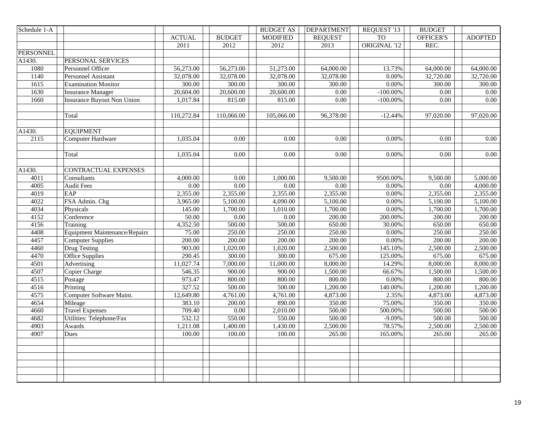| Schedule 1-A     |                                      |               |               | <b>BUDGET AS</b> | <b>DEPARTMENT</b> | REQUEST '13  | <b>BUDGET</b> |                |
|------------------|--------------------------------------|---------------|---------------|------------------|-------------------|--------------|---------------|----------------|
|                  |                                      | <b>ACTUAL</b> | <b>BUDGET</b> | <b>MODIFIED</b>  | <b>REQUEST</b>    | <b>TO</b>    | OFFICER'S     | <b>ADOPTED</b> |
|                  |                                      | 2011          | 2012          | 2012             | $\overline{2013}$ | ORIGINAL '12 | REC.          |                |
| <b>PERSONNEL</b> |                                      |               |               |                  |                   |              |               |                |
| A1430.           | PERSONAL SERVICES                    |               |               |                  |                   |              |               |                |
| 1080             | Personnel Officer                    | 56,273.00     | 56,273.00     | 51,273.00        | 64,000.00         | 13.73%       | 64,000.00     | 64,000.00      |
| 1140             | Personnel Assistant                  | 32,078.00     | 32,078.00     | 32,078.00        | 32,078.00         | 0.00%        | 32,720.00     | 32,720.00      |
| 1615             | <b>Examination Monitor</b>           | 300.00        | 300.00        | 300.00           | 300.00            | 0.00%        | 300.00        | 300.00         |
| 1630             | <b>Insurance Manager</b>             | 20,604.00     | 20,600.00     | 20,600.00        | 0.00              | $-100.00\%$  | 0.00          | 0.00           |
| 1660             | <b>Insurance Buyout Non Union</b>    | 1,017.84      | 815.00        | 815.00           | 0.00              | $-100.00\%$  | 0.00          | 0.00           |
|                  |                                      |               |               |                  |                   |              |               |                |
|                  | Total                                | 110,272.84    | 110,066.00    | 105,066.00       | 96,378.00         | $-12.44%$    | 97,020.00     | 97,020.00      |
|                  |                                      |               |               |                  |                   |              |               |                |
| A1430.           | <b>EQUIPMENT</b>                     |               |               |                  |                   |              |               |                |
| 2115             | <b>Computer Hardware</b>             | 1,035.04      | 0.00          | 0.00             | 0.00              | 0.00%        | 0.00          | 0.00           |
|                  |                                      |               |               |                  |                   |              |               |                |
|                  | Total                                | 1,035.04      | 0.00          | 0.00             | 0.00              | 0.00%        | 0.00          | 0.00           |
|                  |                                      |               |               |                  |                   |              |               |                |
| A1430.           | CONTRACTUAL EXPENSES                 |               |               |                  |                   |              |               |                |
| 4011             | Consultants                          | 4,000.00      | 0.00          | 1,000.00         | 9,500.00          | 9500.00%     | 9,500.00      | 5,000.00       |
| 4005             | <b>Audit Fees</b>                    | 0.00          | 0.00          | 0.00             | $0.00\,$          | 0.00%        | $0.00\,$      | 4,000.00       |
| 4019             | <b>EAP</b>                           | 2,355.00      | 2,355.00      | 2,355.00         | 2,355.00          | 0.00%        | 2,355.00      | 2,355.00       |
| 4022             | FSA Admin. Chg                       | 3,965.00      | 5,100.00      | 4,090.00         | 5,100.00          | 0.00%        | 5,100.00      | 5,100.00       |
| 4034             | Physicals                            | 145.00        | 1,700.00      | 1,010.00         | 1,700.00          | 0.00%        | 1,700.00      | 1,700.00       |
| 4152             | Conference                           | 50.00         | $0.00\,$      | 0.00             | 200.00            | 200.00%      | 200.00        | 200.00         |
| 4156             | Training                             | 4,352.50      | 500.00        | 500.00           | 650.00            | 30.00%       | 650.00        | 650.00         |
| 4408             | <b>Equipment Maintenance/Repairs</b> | 75.00         | 250.00        | 250.00           | 250.00            | 0.00%        | 250.00        | 250.00         |
| 4457             | <b>Computer Supplies</b>             | 200.00        | 200.00        | 200.00           | 200.00            | 0.00%        | 200.00        | 200.00         |
| 4460             | Drug Testing                         | 903.00        | 1,020.00      | 1,020.00         | 2,500.00          | 145.10%      | 2,500.00      | 2,500.00       |
| 4470             | Office Supplies                      | 290.45        | 300.00        | 300.00           | 675.00            | 125.00%      | 675.00        | 675.00         |
| 4501             | Advertising                          | 11,027.74     | 7,000.00      | 11,000.00        | 8,000.00          | 14.29%       | 8,000.00      | 8,000.00       |
| 4507             | Copier Charge                        | 546.35        | 900.00        | 900.00           | 1,500.00          | 66.67%       | 1,500.00      | 1,500.00       |
| 4515             | Postage                              | 973.47        | 800.00        | 800.00           | 800.00            | 0.00%        | 800.00        | 800.00         |
| 4516             | Printing                             | 327.52        | 500.00        | 500.00           | 1,200.00          | 140.00%      | 1,200.00      | 1,200.00       |
| 4575             | Computer Software Maint.             | 12,649.80     | 4,761.00      | 4,761.00         | 4,873.00          | 2.35%        | 4,873.00      | 4,873.00       |
| 4654             | Mileage                              | 383.10        | 200.00        | 890.00           | 350.00            | 75.00%       | 350.00        | 350.00         |
| 4660             | <b>Travel Expenses</b>               | 709.40        | $0.00\,$      | 2,010.00         | 500.00            | 500.00%      | 500.00        | 500.00         |
| 4682             | Utilities: Telephone/Fax             | 532.12        | 550.00        | 550.00           | 500.00            | $-9.09%$     | 500.00        | 500.00         |
| 4903             | Awards                               | 1,211.08      | 1,400.00      | 1,430.00         | 2,500.00          | 78.57%       | 2,500.00      | 2,500.00       |
| 4907             | Dues                                 | 100.00        | 100.00        | 100.00           | 265.00            | 165.00%      | 265.00        | 265.00         |
|                  |                                      |               |               |                  |                   |              |               |                |
|                  |                                      |               |               |                  |                   |              |               |                |
|                  |                                      |               |               |                  |                   |              |               |                |
|                  |                                      |               |               |                  |                   |              |               |                |
|                  |                                      |               |               |                  |                   |              |               |                |
|                  |                                      |               |               |                  |                   |              |               |                |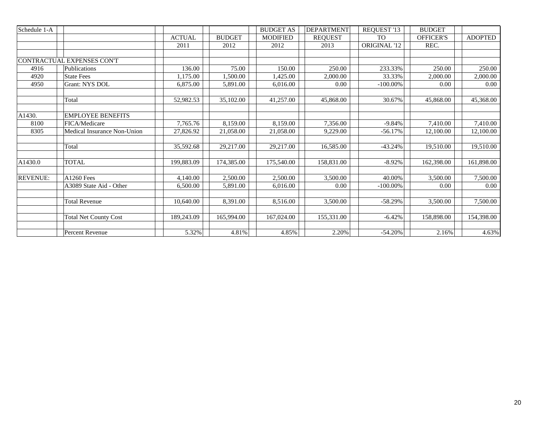| Schedule 1-A    |                              |               |               | <b>BUDGET AS</b> | <b>DEPARTMENT</b> | REQUEST '13  | <b>BUDGET</b>    |                |
|-----------------|------------------------------|---------------|---------------|------------------|-------------------|--------------|------------------|----------------|
|                 |                              | <b>ACTUAL</b> | <b>BUDGET</b> | <b>MODIFIED</b>  | <b>REQUEST</b>    | <b>TO</b>    | <b>OFFICER'S</b> | <b>ADOPTED</b> |
|                 |                              | 2011          | 2012          | 2012             | 2013              | ORIGINAL '12 | REC.             |                |
|                 |                              |               |               |                  |                   |              |                  |                |
|                 | CONTRACTUAL EXPENSES CONT    |               |               |                  |                   |              |                  |                |
| 4916            | Publications                 | 136.00        | 75.00         | 150.00           | 250.00            | 233.33%      | 250.00           | 250.00         |
| 4920            | <b>State Fees</b>            | 1,175.00      | 1,500.00      | 1,425.00         | 2,000.00          | 33.33%       | 2,000.00         | 2,000.00       |
| 4950            | Grant: NYS DOL               | 6,875.00      | 5,891.00      | 6,016.00         | 0.00              | $-100.00\%$  | 0.00             | 0.00           |
|                 |                              |               |               |                  |                   |              |                  |                |
|                 | Total                        | 52,982.53     | 35,102.00     | 41,257.00        | 45,868.00         | 30.67%       | 45,868.00        | 45,368.00      |
|                 |                              |               |               |                  |                   |              |                  |                |
| A1430.          | <b>EMPLOYEE BENEFITS</b>     |               |               |                  |                   |              |                  |                |
| 8100            | FICA/Medicare                | 7,765.76      | 8.159.00      | 8,159.00         | 7,356.00          | $-9.84%$     | 7,410.00         | 7,410.00       |
| 8305            | Medical Insurance Non-Union  | 27.826.92     | 21,058.00     | 21,058.00        | 9,229.00          | $-56.17%$    | 12,100.00        | 12,100.00      |
|                 | Total                        | 35,592.68     | 29,217.00     | 29,217.00        | 16,585.00         | $-43.24%$    | 19,510.00        | 19,510.00      |
| A1430.0         | <b>TOTAL</b>                 | 199,883.09    | 174,385.00    | 175,540.00       | 158,831.00        | $-8.92%$     | 162,398.00       | 161,898.00     |
| <b>REVENUE:</b> | <b>A1260 Fees</b>            | 4,140.00      | 2,500.00      | 2,500.00         | 3,500.00          | 40.00%       | 3,500.00         | 7,500.00       |
|                 | A3089 State Aid - Other      | 6.500.00      | 5,891.00      | 6.016.00         | 0.00              | $-100.00\%$  | 0.00             | 0.00           |
|                 |                              |               |               |                  |                   |              |                  |                |
|                 | <b>Total Revenue</b>         | 10,640.00     | 8,391.00      | 8,516.00         | 3,500.00          | $-58.29%$    | 3,500.00         | 7,500.00       |
|                 | <b>Total Net County Cost</b> | 189,243.09    | 165,994.00    | 167,024.00       | 155,331.00        | $-6.42%$     | 158,898.00       | 154,398.00     |
|                 | <b>Percent Revenue</b>       | 5.32%         | 4.81%         | 4.85%            | 2.20%             | $-54.20%$    | 2.16%            | 4.63%          |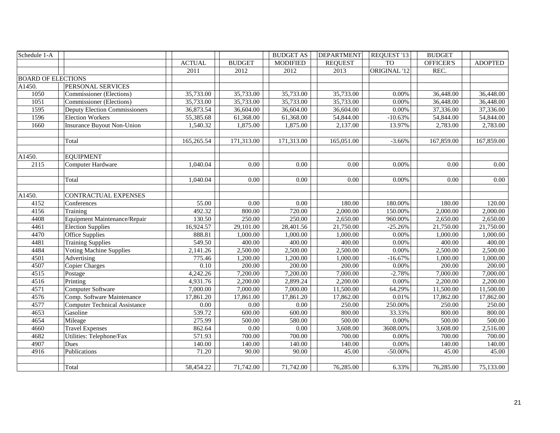| Schedule 1-A              |                                      |               |               | <b>BUDGET AS</b> | <b>DEPARTMENT</b> | REQUEST '13  | <b>BUDGET</b> |                |
|---------------------------|--------------------------------------|---------------|---------------|------------------|-------------------|--------------|---------------|----------------|
|                           |                                      | <b>ACTUAL</b> | <b>BUDGET</b> | <b>MODIFIED</b>  | <b>REQUEST</b>    | <b>TO</b>    | OFFICER'S     | <b>ADOPTED</b> |
|                           |                                      | 2011          | 2012          | 2012             | 2013              | ORIGINAL '12 | REC.          |                |
| <b>BOARD OF ELECTIONS</b> |                                      |               |               |                  |                   |              |               |                |
| A1450.                    | PERSONAL SERVICES                    |               |               |                  |                   |              |               |                |
| 1050                      | Commissioner (Elections)             | 35,733.00     | 35,733.00     | 35,733.00        | 35,733.00         | 0.00%        | 36,448.00     | 36,448.00      |
| 1051                      | Commissioner (Elections)             | 35,733.00     | 35,733.00     | 35,733.00        | 35,733.00         | 0.00%        | 36,448.00     | 36,448.00      |
| 1595                      | <b>Deputy Election Commissioners</b> | 36,873.54     | 36,604.00     | 36,604.00        | 36,604.00         | 0.00%        | 37,336.00     | 37,336.00      |
| 1596                      | <b>Election Workers</b>              | 55,385.68     | 61,368.00     | 61,368.00        | 54,844.00         | $-10.63%$    | 54,844.00     | 54,844.00      |
| 1660                      | <b>Insurance Buyout Non-Union</b>    | 1,540.32      | 1,875.00      | 1,875.00         | 2,137.00          | 13.97%       | 2,783.00      | 2,783.00       |
|                           |                                      |               |               |                  |                   |              |               |                |
|                           | Total                                | 165,265.54    | 171,313.00    | 171,313.00       | 165,051.00        | $-3.66%$     | 167,859.00    | 167,859.00     |
| A1450.                    | <b>EQUIPMENT</b>                     |               |               |                  |                   |              |               |                |
| 2115                      | Computer Hardware                    | 1,040.04      | 0.00          | 0.00             | 0.00              | 0.00%        | 0.00          | 0.00           |
|                           |                                      |               |               |                  |                   |              |               |                |
|                           | Total                                | 1,040.04      | 0.00          | 0.00             | 0.00              | $0.00\%$     | 0.00          | 0.00           |
|                           |                                      |               |               |                  |                   |              |               |                |
| A1450.                    | <b>CONTRACTUAL EXPENSES</b>          |               |               |                  |                   |              |               |                |
| 4152                      | Conferences                          | 55.00         | 0.00          | 0.00             | 180.00            | 180.00%      | 180.00        | 120.00         |
| 4156                      | Training                             | 492.32        | 800.00        | 720.00           | 2,000.00          | 150.00%      | 2,000.00      | 2,000.00       |
| 4408                      | Equipment Maintenance/Repair         | 130.50        | 250.00        | 250.00           | 2,650.00          | 960.00%      | 2,650.00      | 2,650.00       |
| 4461                      | <b>Election Supplies</b>             | 16,924.57     | 29,101.00     | 28,401.56        | 21,750.00         | $-25.26%$    | 21,750.00     | 21,750.00      |
| 4470                      | Office Supplies                      | 888.81        | 1,000.00      | 1,000.00         | 1,000.00          | 0.00%        | 1,000.00      | 1,000.00       |
| 4481                      | <b>Training Supplies</b>             | 549.50        | 400.00        | 400.00           | 400.00            | 0.00%        | 400.00        | 400.00         |
| 4484                      | <b>Voting Machine Supplies</b>       | 2,141.26      | 2,500.00      | 2,500.00         | 2,500.00          | 0.00%        | 2,500.00      | 2,500.00       |
| 4501                      | Advertising                          | 775.46        | 1,200.00      | 1,200.00         | 1,000.00          | $-16.67%$    | 1,000.00      | 1,000.00       |
| 4507                      | <b>Copier Charges</b>                | $0.10\,$      | 200.00        | 200.00           | 200.00            | 0.00%        | 200.00        | 200.00         |
| 4515                      | Postage                              | 4,242.26      | 7,200.00      | 7,200.00         | 7,000.00          | $-2.78%$     | 7,000.00      | 7,000.00       |
| 4516                      | Printing                             | 4,931.76      | 2,200.00      | 2,899.24         | 2,200.00          | 0.00%        | 2,200.00      | 2,200.00       |
| 4571                      | Computer Software                    | 7,000.00      | 7,000.00      | 7,000.00         | 11,500.00         | 64.29%       | 11,500.00     | 11,500.00      |
| 4576                      | Comp. Software Maintenance           | 17,861.20     | 17,861.00     | 17,861.20        | 17,862.00         | 0.01%        | 17,862.00     | 17,862.00      |
| 4577                      | <b>Computer Technical Assistance</b> | 0.00          | 0.00          | 0.00             | 250.00            | 250.00%      | 250.00        | 250.00         |
| 4653                      | Gasoline                             | 539.72        | 600.00        | 600.00           | 800.00            | 33.33%       | 800.00        | 800.00         |
| 4654                      | Mileage                              | 275.99        | 500.00        | 580.00           | 500.00            | 0.00%        | 500.00        | 500.00         |
| 4660                      | <b>Travel Expenses</b>               | 862.64        | 0.00          | 0.00             | 3,608.00          | 3608.00%     | 3,608.00      | 2,516.00       |
| 4682                      | Utilities: Telephone/Fax             | 571.93        | 700.00        | 700.00           | 700.00            | 0.00%        | 700.00        | 700.00         |
| 4907                      | Dues                                 | 140.00        | 140.00        | 140.00           | 140.00            | 0.00%        | 140.00        | 140.00         |
| 4916                      | Publications                         | 71.20         | 90.00         | 90.00            | 45.00             | $-50.00%$    | 45.00         | 45.00          |
|                           |                                      |               |               |                  |                   |              |               |                |
|                           | Total                                | 58,454.22     | 71,742.00     | 71,742.00        | 76,285.00         | 6.33%        | 76,285.00     | 75,133.00      |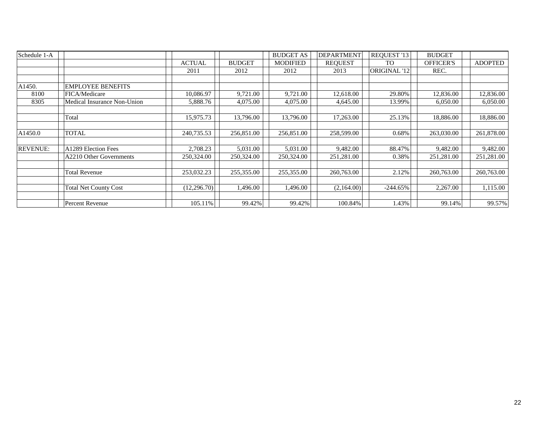| Schedule 1-A    |                              |               |               | <b>BUDGET AS</b> | <b>DEPARTMENT</b> | REQUEST '13         | <b>BUDGET</b>    |                |
|-----------------|------------------------------|---------------|---------------|------------------|-------------------|---------------------|------------------|----------------|
|                 |                              | <b>ACTUAL</b> | <b>BUDGET</b> | <b>MODIFIED</b>  | <b>REQUEST</b>    | <b>TO</b>           | <b>OFFICER'S</b> | <b>ADOPTED</b> |
|                 |                              | 2011          | 2012          | 2012             | 2013              | <b>ORIGINAL '12</b> | REC.             |                |
|                 |                              |               |               |                  |                   |                     |                  |                |
| A1450.          | <b>EMPLOYEE BENEFITS</b>     |               |               |                  |                   |                     |                  |                |
| 8100            | FICA/Medicare                | 10.086.97     | 9,721.00      | 9,721.00         | 12,618.00         | 29.80%              | 12,836.00        | 12,836.00      |
| 8305            | Medical Insurance Non-Union  | 5,888.76      | 4,075.00      | 4,075.00         | 4,645.00          | 13.99%              | 6,050.00         | 6,050.00       |
|                 |                              |               |               |                  |                   |                     |                  |                |
|                 | Total                        | 15,975.73     | 13.796.00     | 13,796.00        | 17,263.00         | 25.13%              | 18,886.00        | 18,886.00      |
|                 |                              |               |               |                  |                   |                     |                  |                |
| A1450.0         | <b>TOTAL</b>                 | 240,735.53    | 256,851.00    | 256,851.00       | 258,599.00        | 0.68%               | 263,030.00       | 261,878.00     |
|                 |                              |               |               |                  |                   |                     |                  |                |
| <b>REVENUE:</b> | A1289 Election Fees          | 2,708.23      | 5,031.00      | 5.031.00         | 9,482.00          | 88.47%              | 9,482.00         | 9,482.00       |
|                 | A2210 Other Governments      | 250,324.00    | 250,324.00    | 250,324.00       | 251,281.00        | 0.38%               | 251,281.00       | 251,281.00     |
|                 |                              |               |               |                  |                   |                     |                  |                |
|                 | <b>Total Revenue</b>         | 253,032.23    | 255,355.00    | 255,355.00       | 260,763.00        | 2.12%               | 260,763.00       | 260,763.00     |
|                 |                              |               |               |                  |                   |                     |                  |                |
|                 | <b>Total Net County Cost</b> | (12, 296.70)  | 1,496.00      | 1,496.00         | (2,164.00)        | $-244.65%$          | 2,267.00         | 1,115.00       |
|                 |                              |               |               |                  |                   |                     |                  |                |
|                 | Percent Revenue              | 105.11%       | 99.42%        | 99.42%           | 100.84%           | 1.43%               | 99.14%           | 99.57%         |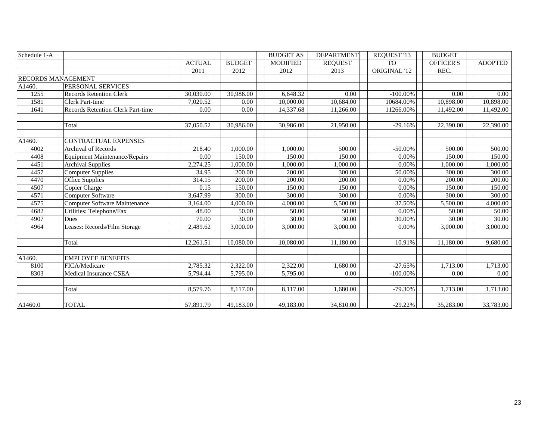| Schedule 1-A              |                                          |               |               | <b>BUDGET AS</b> | <b>DEPARTMENT</b> | <b>REOUEST '13</b> | <b>BUDGET</b>    |                |
|---------------------------|------------------------------------------|---------------|---------------|------------------|-------------------|--------------------|------------------|----------------|
|                           |                                          | <b>ACTUAL</b> | <b>BUDGET</b> | <b>MODIFIED</b>  | <b>REQUEST</b>    | <b>TO</b>          | <b>OFFICER'S</b> | <b>ADOPTED</b> |
|                           |                                          | 2011          | 2012          | 2012             | 2013              | ORIGINAL '12       | REC.             |                |
| <b>RECORDS MANAGEMENT</b> |                                          |               |               |                  |                   |                    |                  |                |
| A1460.                    | PERSONAL SERVICES                        |               |               |                  |                   |                    |                  |                |
| 1255                      | <b>Records Retention Clerk</b>           | 30,030.00     | 30,986.00     | 6,648.32         | 0.00              | $-100.00\%$        | 0.00             | 0.00           |
| 1581                      | <b>Clerk Part-time</b>                   | 7,020.52      | 0.00          | 10,000.00        | 10,684.00         | 10684.00%          | 10,898.00        | 10,898.00      |
| 1641                      | <b>Records Retention Clerk Part-time</b> | 0.00          | 0.00          | 14,337.68        | 11,266.00         | 11266.00%          | 11,492.00        | 11,492.00      |
|                           |                                          |               |               |                  |                   |                    |                  |                |
|                           | Total                                    | 37,050.52     | 30,986.00     | 30,986.00        | 21,950.00         | $-29.16%$          | 22,390.00        | 22,390.00      |
|                           |                                          |               |               |                  |                   |                    |                  |                |
| A1460.                    | <b>CONTRACTUAL EXPENSES</b>              |               |               |                  |                   |                    |                  |                |
| 4002                      | Archival of Records                      | 218.40        | 1,000.00      | 1.000.00         | 500.00            | $-50.00%$          | 500.00           | 500.00         |
| 4408                      | <b>Equipment Maintenance/Repairs</b>     | 0.00          | 150.00        | 150.00           | 150.00            | 0.00%              | 150.00           | 150.00         |
| 4451                      | <b>Archival Supplies</b>                 | 2,274.25      | 00.000,1      | 1,000.00         | 1,000.00          | 0.00%              | 1,000.00         | 1,000.00       |
| 4457                      | <b>Computer Supplies</b>                 | 34.95         | 200.00        | 200.00           | 300.00            | 50.00%             | 300.00           | 300.00         |
| 4470                      | Office Supplies                          | 314.15        | 200.00        | 200.00           | 200.00            | 0.00%              | 200.00           | 200.00         |
| 4507                      | Copier Charge                            | 0.15          | 150.00        | 150.00           | 150.00            | 0.00%              | 150.00           | 150.00         |
| 4571                      | Computer Software                        | 3,647.99      | 300.00        | 300.00           | 300.00            | 0.00%              | 300.00           | 300.00         |
| 4575                      | Computer Software Maintenance            | 3,164.00      | 4,000.00      | 4,000.00         | 5,500.00          | 37.50%             | 5,500.00         | 4,000.00       |
| 4682                      | Utilities: Telephone/Fax                 | 48.00         | 50.00         | 50.00            | 50.00             | 0.00%              | 50.00            | 50.00          |
| 4907                      | <b>Dues</b>                              | 70.00         | 30.00         | 30.00            | 30.00             | 30.00%             | 30.00            | 30.00          |
| 4964                      | Leases: Records/Film Storage             | 2,489.62      | 3,000.00      | 3,000.00         | 3,000.00          | 0.00%              | 3,000.00         | 3,000.00       |
|                           |                                          |               |               |                  |                   |                    |                  |                |
|                           | Total                                    | 12,261.51     | 10,080.00     | 10.080.00        | 11,180.00         | 10.91%             | 11,180.00        | 9,680.00       |
|                           |                                          |               |               |                  |                   |                    |                  |                |
| A1460.                    | <b>EMPLOYEE BENEFITS</b>                 |               |               |                  |                   |                    |                  |                |
| 8100                      | FICA/Medicare                            | 2,785.32      | 2,322.00      | 2,322.00         | 1,680.00          | $-27.65%$          | 1,713.00         | 1,713.00       |
| 8303                      | <b>Medical Insurance CSEA</b>            | 5,794.44      | 5,795.00      | 5,795.00         | 0.00              | $-100.00\%$        | 0.00             | 0.00           |
|                           |                                          |               |               |                  |                   |                    |                  |                |
|                           | Total                                    | 8,579.76      | 8,117.00      | 8,117.00         | 1,680.00          | $-79.30%$          | 1,713.00         | 1,713.00       |
|                           |                                          |               |               |                  |                   |                    |                  |                |
| A1460.0                   | <b>TOTAL</b>                             | 57,891.79     | 49,183.00     | 49,183.00        | 34,810.00         | $-29.22%$          | 35,283.00        | 33,783.00      |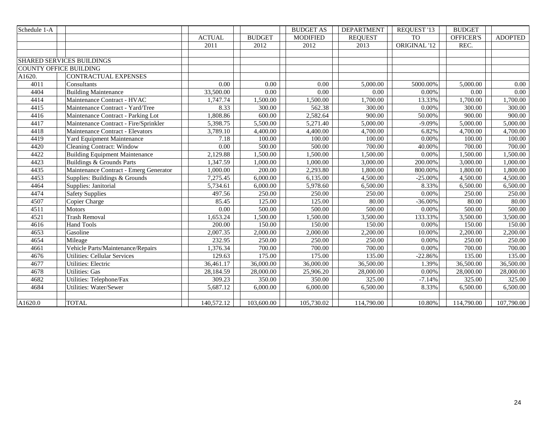| Schedule 1-A |                                        |                       |               | <b>BUDGET AS</b> | <b>DEPARTMENT</b> | REQUEST '13  | <b>BUDGET</b> |                |
|--------------|----------------------------------------|-----------------------|---------------|------------------|-------------------|--------------|---------------|----------------|
|              |                                        | <b>ACTUAL</b>         | <b>BUDGET</b> | <b>MODIFIED</b>  | <b>REQUEST</b>    | <b>TO</b>    | OFFICER'S     | <b>ADOPTED</b> |
|              |                                        | 2011                  | 2012          | 2012             | 2013              | ORIGINAL '12 | REC.          |                |
|              |                                        |                       |               |                  |                   |              |               |                |
|              | <b>SHARED SERVICES BUILDINGS</b>       |                       |               |                  |                   |              |               |                |
|              | <b>COUNTY OFFICE BUILDING</b>          |                       |               |                  |                   |              |               |                |
| A1620.       | <b>CONTRACTUAL EXPENSES</b>            |                       |               |                  |                   |              |               |                |
| 4011         | Consultants                            | 0.00                  | 0.00          | 0.00             | 5,000.00          | 5000.00%     | 5,000.00      | 0.00           |
| 4404         | <b>Building Maintenance</b>            | 33,500.00             | 0.00          | 0.00             | 0.00              | 0.00%        | 0.00          | $0.00\,$       |
| 4414         | Maintenance Contract - HVAC            | 1,747.74              | 1,500.00      | 1,500.00         | 1,700.00          | 13.33%       | 1,700.00      | 1,700.00       |
| 4415         | Maintenance Contract - Yard/Tree       | 8.33                  | 300.00        | 562.38           | 300.00            | 0.00%        | 300.00        | 300.00         |
| 4416         | Maintenance Contract - Parking Lot     | 1,808.86              | 600.00        | 2,582.64         | 900.00            | 50.00%       | 900.00        | 900.00         |
| 4417         | Maintenance Contract - Fire/Sprinkler  | 5,398.75              | 5,500.00      | 5,271.40         | 5,000.00          | $-9.09%$     | 5,000.00      | 5,000.00       |
| 4418         | Maintenance Contract - Elevators       | 3,789.10              | 4,400.00      | 4,400.00         | 4,700.00          | 6.82%        | 4,700.00      | 4,700.00       |
| 4419         | Yard Equipment Maintenance             | 7.18                  | 100.00        | 100.00           | 100.00            | 0.00%        | 100.00        | 100.00         |
| 4420         | <b>Cleaning Contract: Window</b>       | 0.00                  | 500.00        | 500.00           | 700.00            | 40.00%       | 700.00        | 700.00         |
| 4422         | <b>Building Equipment Maintenance</b>  | 2,129.88              | 1,500.00      | 1,500.00         | 1,500.00          | 0.00%        | 1,500.00      | 1,500.00       |
| 4423         | Buildings & Grounds Parts              | 1,347.59              | 1,000.00      | 1,000.00         | 3,000.00          | 200.00%      | 3,000.00      | 1,000.00       |
| 4435         | Maintenance Contract - Emerg Generator | 1,000.00              | 200.00        | 2,293.80         | 1,800.00          | 800.00%      | 1.800.00      | 1,800.00       |
| 4453         | Supplies: Buildings & Grounds          | $7,275.\overline{45}$ | 6,000.00      | 6,135.00         | 4,500.00          | $-25.00%$    | 4,500.00      | 4,500.00       |
| 4464         | Supplies: Janitorial                   | 5,734.61              | 6,000.00      | 5,978.60         | 6,500.00          | 8.33%        | 6,500.00      | 6,500.00       |
| 4474         | <b>Safety Supplies</b>                 | 497.56                | 250.00        | 250.00           | 250.00            | 0.00%        | 250.00        | 250.00         |
| 4507         | Copier Charge                          | 85.45                 | 125.00        | 125.00           | 80.00             | $-36.00%$    | 80.00         | 80.00          |
| 4511         | Motors                                 | 0.00                  | 500.00        | 500.00           | 500.00            | 0.00%        | 500.00        | 500.00         |
| 4521         | <b>Trash Removal</b>                   | 1,653.24              | 1,500.00      | 1,500.00         | 3,500.00          | 133.33%      | 3,500.00      | 3,500.00       |
| 4616         | Hand Tools                             | 200.00                | 150.00        | 150.00           | 150.00            | 0.00%        | 150.00        | 150.00         |
| 4653         | Gasoline                               | 2,007.35              | 2,000.00      | 2,000.00         | 2,200.00          | 10.00%       | 2,200.00      | 2,200.00       |
| 4654         | Mileage                                | 232.95                | 250.00        | 250.00           | 250.00            | 0.00%        | 250.00        | 250.00         |
| 4661         | Vehicle Parts/Maintenance/Repairs      | 1,376.34              | 700.00        | 700.00           | 700.00            | 0.00%        | 700.00        | 700.00         |
| 4676         | <b>Utilities: Cellular Services</b>    | 129.63                | 175.00        | 175.00           | 135.00            | $-22.86%$    | 135.00        | 135.00         |
| 4677         | Utilities: Electric                    | 36,461.17             | 36,000.00     | 36,000.00        | 36,500.00         | 1.39%        | 36,500.00     | 36,500.00      |
| 4678         | <b>Utilities: Gas</b>                  | 28,184.59             | 28,000.00     | 25,906.20        | 28,000.00         | 0.00%        | 28,000.00     | 28,000.00      |
| 4682         | Utilities: Telephone/Fax               | 309.23                | 350.00        | 350.00           | 325.00            | $-7.14%$     | 325.00        | 325.00         |
| 4684         | Utilities: Water/Sewer                 | 5,687.12              | 6,000.00      | 6,000.00         | 6,500.00          | 8.33%        | 6,500.00      | 6,500.00       |
|              |                                        |                       |               |                  |                   |              |               |                |
| A1620.0      | <b>TOTAL</b>                           | 140,572.12            | 103,600.00    | 105,730.02       | 114,790.00        | 10.80%       | 114,790.00    | 107,790.00     |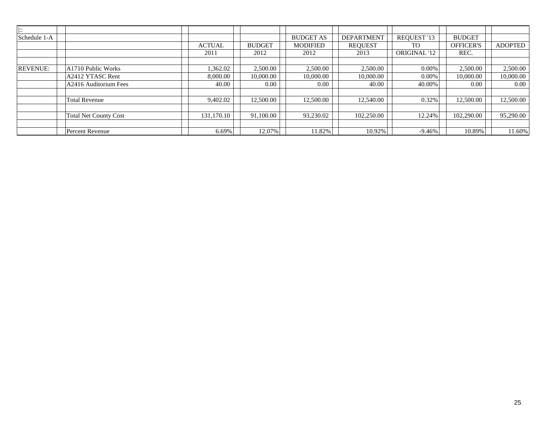| $\mathbf{r}$ :  |                              |               |               |                  |                   |                     |                  |                |
|-----------------|------------------------------|---------------|---------------|------------------|-------------------|---------------------|------------------|----------------|
| Schedule 1-A    |                              |               |               | <b>BUDGET AS</b> | <b>DEPARTMENT</b> | REQUEST '13         | <b>BUDGET</b>    |                |
|                 |                              | <b>ACTUAL</b> | <b>BUDGET</b> | <b>MODIFIED</b>  | <b>REQUEST</b>    | TO.                 | <b>OFFICER'S</b> | <b>ADOPTED</b> |
|                 |                              | 2011          | 2012          | 2012             | 2013              | <b>ORIGINAL '12</b> | REC.             |                |
|                 |                              |               |               |                  |                   |                     |                  |                |
| <b>REVENUE:</b> | A1710 Public Works           | 1,362.02      | 2,500.00      | 2,500.00         | 2,500.00          | $0.00\%$            | 2,500.00         | 2,500.00       |
|                 | A2412 YTASC Rent             | 8,000.00      | 10,000.00     | 10,000.00        | 10,000.00         | $0.00\%$            | 10,000.00        | 10,000.00      |
|                 | A2416 Auditorium Fees        | 40.00         | 0.00          | 0.00             | 40.00             | 40.00%              | 0.00             | $0.00\,$       |
|                 |                              |               |               |                  |                   |                     |                  |                |
|                 | <b>Total Revenue</b>         | 9,402.02      | 12,500.00     | 12,500.00        | 12,540.00         | 0.32%               | 12,500.00        | 12,500.00      |
|                 |                              |               |               |                  |                   |                     |                  |                |
|                 | <b>Total Net County Cost</b> | 131,170.10    | 91,100.00     | 93,230.02        | 102,250.00        | 12.24%              | 102,290.00       | 95,290.00      |
|                 |                              |               |               |                  |                   |                     |                  |                |
|                 | Percent Revenue              | 6.69%         | 12.07%        | 11.82%           | 10.92%            | $-9.46%$            | 10.89%           | 11.60%         |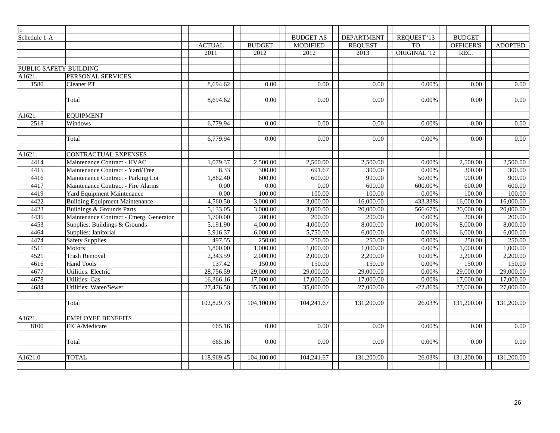| $\overline{ \hspace{-.02in}:\hspace{-.02in} }$ |                                         |                   |               |                  |                   |              |               |                |
|------------------------------------------------|-----------------------------------------|-------------------|---------------|------------------|-------------------|--------------|---------------|----------------|
| Schedule 1-A                                   |                                         |                   |               | <b>BUDGET AS</b> | <b>DEPARTMENT</b> | REQUEST '13  | <b>BUDGET</b> |                |
|                                                |                                         | <b>ACTUAL</b>     | <b>BUDGET</b> | <b>MODIFIED</b>  | <b>REQUEST</b>    | <b>TO</b>    | OFFICER'S     | <b>ADOPTED</b> |
|                                                |                                         | 2011              | 2012          | 2012             | 2013              | ORIGINAL '12 | REC.          |                |
|                                                |                                         |                   |               |                  |                   |              |               |                |
| PUBLIC SAFETY BUILDING                         |                                         |                   |               |                  |                   |              |               |                |
| A1621.                                         | PERSONAL SERVICES                       |                   |               |                  |                   |              |               |                |
| 1580                                           | Cleaner PT                              | 8,694.62          | 0.00          | 0.00             | 0.00              | 0.00%        | 0.00          | $0.00\,$       |
|                                                |                                         |                   |               |                  |                   |              |               |                |
|                                                | Total                                   | 8,694.62          | 0.00          | 0.00             | 0.00              | 0.00%        | 0.00          | $0.00\,$       |
|                                                |                                         |                   |               |                  |                   |              |               |                |
| A1621                                          | <b>EQUIPMENT</b>                        |                   |               |                  |                   |              |               |                |
| 2518                                           | Windows                                 | 6,779.94          | 0.00          | 0.00             | 0.00              | 0.00%        | 0.00          | $0.00\,$       |
|                                                |                                         |                   |               |                  |                   |              |               |                |
|                                                | Total                                   | 6,779.94          | 0.00          | 0.00             | 0.00              | 0.00%        | 0.00          | 0.00           |
|                                                |                                         |                   |               |                  |                   |              |               |                |
| A1621.                                         | CONTRACTUAL EXPENSES                    |                   |               |                  |                   |              |               |                |
| 4414                                           | Maintenance Contract - HVAC             | 1,079.37          | 2,500.00      | 2,500.00         | 2,500.00          | 0.00%        | 2,500.00      | 2,500.00       |
| 4415                                           | Maintenance Contract - Yard/Tree        | 8.33              | 300.00        | 691.67           | 300.00            | 0.00%        | 300.00        | 300.00         |
| 4416                                           | Maintenance Contract - Parking Lot      | 1,862.40          | 600.00        | 600.00           | 900.00            | 50.00%       | 900.00        | 900.00         |
| 4417                                           | Maintenance Contract - Fire Alarms      | 0.00              | 0.00          | 0.00             | 600.00            | 600.00%      | 600.00        | 600.00         |
| 4419                                           | Yard Equipment Maintenance              | $\overline{0.00}$ | 100.00        | 100.00           | 100.00            | 0.00%        | 100.00        | 100.00         |
| 4422                                           | <b>Building Equipment Maintenance</b>   | 4,560.50          | 3,000.00      | 3,000.00         | 16,000.00         | 433.33%      | 16,000.00     | 16,000.00      |
| 4423                                           | <b>Buildings &amp; Grounds Parts</b>    | 5,133.05          | 3,000.00      | 3,000.00         | 20,000.00         | 566.67%      | 20,000.00     | 20,000.00      |
| 4435                                           | Maintenance Contract - Emerg. Generator | 1,700.00          | 200.00        | 200.00           | 200.00            | 0.00%        | 200.00        | 200.00         |
| 4453                                           | Supplies: Buildings & Grounds           | 5,191.90          | 4,000.00      | 4,000.00         | 8,000.00          | 100.00%      | 8,000.00      | 8,000.00       |
| 4464                                           | Supplies: Janitorial                    | 5,916.37          | 6,000.00      | 5,750.00         | 6,000.00          | 0.00%        | 6,000.00      | 6,000.00       |
| 4474                                           | <b>Safety Supplies</b>                  | 497.55            | 250.00        | 250.00           | 250.00            | 0.00%        | 250.00        | 250.00         |
| 4511                                           | <b>Motors</b>                           | 1,800.00          | 1,000.00      | 1,000.00         | 1,000.00          | 0.00%        | 1,000.00      | 1,000.00       |
| 4521                                           | <b>Trash Removal</b>                    | 2,343.59          | 2,000.00      | 2,000.00         | 2,200.00          | 10.00%       | 2,200.00      | 2,200.00       |
| 4616                                           | <b>Hand Tools</b>                       | 137.42            | 150.00        | 150.00           | 150.00            | 0.00%        | 150.00        | 150.00         |
| 4677                                           | <b>Utilities: Electric</b>              | 28,756.59         | 29,000.00     | 29,000.00        | 29,000.00         | 0.00%        | 29,000.00     | 29,000.00      |
| 4678                                           | <b>Utilities: Gas</b>                   | 16,366.16         | 17,000.00     | 17,000.00        | 17,000.00         | 0.00%        | 17,000.00     | 17,000.00      |
| 4684                                           | Utilities: Water/Sewer                  | 27,476.50         | 35,000.00     | 35,000.00        | 27,000.00         | $-22.86%$    | 27,000.00     | 27,000.00      |
|                                                |                                         |                   |               |                  |                   |              |               |                |
|                                                | Total                                   | 102,829.73        | 104,100.00    | 104,241.67       | 131,200.00        | 26.03%       | 131,200.00    | 131,200.00     |
|                                                |                                         |                   |               |                  |                   |              |               |                |
| A1621.                                         | <b>EMPLOYEE BENEFITS</b>                |                   |               |                  |                   |              |               |                |
| 8100                                           | FICA/Medicare                           | 665.16            | 0.00          | 0.00             | 0.00              | 0.00%        | 0.00          | $0.00\,$       |
|                                                |                                         |                   |               |                  |                   |              |               |                |
|                                                | Total                                   | 665.16            | 0.00          | 0.00             | 0.00              | 0.00%        | 0.00          | 0.00           |
|                                                |                                         |                   |               |                  |                   |              |               |                |
| A1621.0                                        | <b>TOTAL</b>                            | 118,969.45        | 104,100.00    | 104,241.67       | 131,200.00        | 26.03%       | 131,200.00    | 131,200.00     |
|                                                |                                         |                   |               |                  |                   |              |               |                |
|                                                |                                         |                   |               |                  |                   |              |               |                |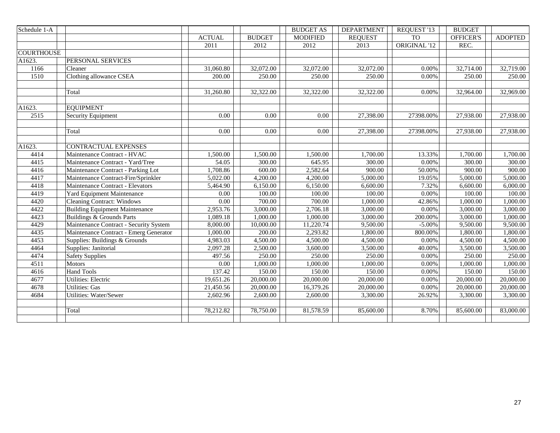| Schedule 1-A      |                                        |               |               | <b>BUDGET AS</b> | <b>DEPARTMENT</b> | REQUEST '13  | <b>BUDGET</b> |                |
|-------------------|----------------------------------------|---------------|---------------|------------------|-------------------|--------------|---------------|----------------|
|                   |                                        | <b>ACTUAL</b> | <b>BUDGET</b> | <b>MODIFIED</b>  | <b>REQUEST</b>    | <b>TO</b>    | OFFICER'S     | <b>ADOPTED</b> |
|                   |                                        | 2011          | 2012          | 2012             | 2013              | ORIGINAL '12 | REC.          |                |
| <b>COURTHOUSE</b> |                                        |               |               |                  |                   |              |               |                |
| A1623.            | PERSONAL SERVICES                      |               |               |                  |                   |              |               |                |
| 1166              | Cleaner                                | 31,060.80     | 32,072.00     | 32,072.00        | 32,072.00         | 0.00%        | 32,714.00     | 32,719.00      |
| 1510              | Clothing allowance CSEA                | 200.00        | 250.00        | 250.00           | 250.00            | 0.00%        | 250.00        | 250.00         |
|                   |                                        |               |               |                  |                   |              |               |                |
|                   | Total                                  | 31,260.80     | 32,322.00     | 32,322.00        | 32,322.00         | 0.00%        | 32,964.00     | 32,969.00      |
|                   |                                        |               |               |                  |                   |              |               |                |
| A1623.            | <b>EQUIPMENT</b>                       |               |               |                  |                   |              |               |                |
| 2515              | Security Equipment                     | 0.00          | 0.00          | 0.00             | 27,398.00         | 27398.00%    | 27,938.00     | 27,938.00      |
|                   |                                        |               |               |                  |                   |              |               |                |
|                   | Total                                  | 0.00          | 0.00          | 0.00             | 27,398.00         | 27398.00%    | 27,938.00     | 27,938.00      |
|                   |                                        |               |               |                  |                   |              |               |                |
| A1623.            | CONTRACTUAL EXPENSES                   |               |               |                  |                   |              |               |                |
| 4414              | Maintenance Contract - HVAC            | 1,500.00      | 1,500.00      | 1,500.00         | 1,700.00          | 13.33%       | 1,700.00      | 1,700.00       |
| 4415              | Maintenance Contract - Yard/Tree       | 54.05         | 300.00        | 645.95           | 300.00            | 0.00%        | 300.00        | 300.00         |
| 4416              | Maintenance Contract - Parking Lot     | 1,708.86      | 600.00        | 2,582.64         | 900.00            | 50.00%       | 900.00        | 900.00         |
| 4417              | Maintenance Contract-Fire/Sprinkler    | 5,022.00      | 4,200.00      | 4,200.00         | 5,000.00          | 19.05%       | 5,000.00      | 5,000.00       |
| 4418              | Maintenance Contract - Elevators       | 5,464.90      | 6,150.00      | 6,150.00         | 6,600.00          | 7.32%        | 6,600.00      | 6,000.00       |
| 4419              | Yard Equipment Maintenance             | 0.00          | 100.00        | 100.00           | 100.00            | 0.00%        | 100.00        | 100.00         |
| 4420              | <b>Cleaning Contract: Windows</b>      | 0.00          | 700.00        | 700.00           | 1,000.00          | 42.86%       | 1,000.00      | 1,000.00       |
| 4422              | <b>Building Equipment Maintenance</b>  | 2,953.76      | 3,000.00      | 2,706.18         | 3,000.00          | 0.00%        | 3,000.00      | 3,000.00       |
| 4423              | Buildings & Grounds Parts              | 1,089.18      | 1,000.00      | 1,000.00         | 3,000.00          | 200.00%      | 3,000.00      | 1,000.00       |
| 4429              | Maintenance Contract - Security System | 8,000.00      | 10,000.00     | 11,220.74        | 9,500.00          | $-5.00\%$    | 9,500.00      | 9,500.00       |
| 4435              | Maintenance Contract - Emerg Generator | 1,000.00      | 200.00        | 2,293.82         | 1,800.00          | 800.00%      | 1,800.00      | 1,800.00       |
| 4453              | Supplies: Buildings & Grounds          | 4,983.03      | 4,500.00      | 4,500.00         | 4,500.00          | 0.00%        | 4,500.00      | 4,500.00       |
| 4464              | Supplies: Janitorial                   | 2,097.28      | 2,500.00      | 3,600.00         | 3,500.00          | 40.00%       | 3,500.00      | 3,500.00       |
| 4474              | <b>Safety Supplies</b>                 | 497.56        | 250.00        | 250.00           | 250.00            | 0.00%        | 250.00        | 250.00         |
| 4511              | Motors                                 | 0.00          | 1,000.00      | 1,000.00         | 1,000.00          | 0.00%        | 1,000.00      | 1,000.00       |
| 4616              | <b>Hand Tools</b>                      | 137.42        | 150.00        | 150.00           | 150.00            | 0.00%        | 150.00        | 150.00         |
| 4677              | <b>Utilities: Electric</b>             | 19,651.26     | 20,000.00     | 20,000.00        | 20,000.00         | 0.00%        | 20,000.00     | 20,000.00      |
| 4678              | <b>Utilities: Gas</b>                  | 21,450.56     | 20,000.00     | 16,379.26        | 20,000.00         | 0.00%        | 20,000.00     | 20,000.00      |
| 4684              | Utilities: Water/Sewer                 | 2,602.96      | 2,600.00      | 2,600.00         | 3,300.00          | 26.92%       | 3,300.00      | 3,300.00       |
|                   |                                        |               |               |                  |                   |              |               |                |
|                   | Total                                  | 78,212.82     | 78,750.00     | 81,578.59        | 85,600.00         | 8.70%        | 85,600.00     | 83,000.00      |
|                   |                                        |               |               |                  |                   |              |               |                |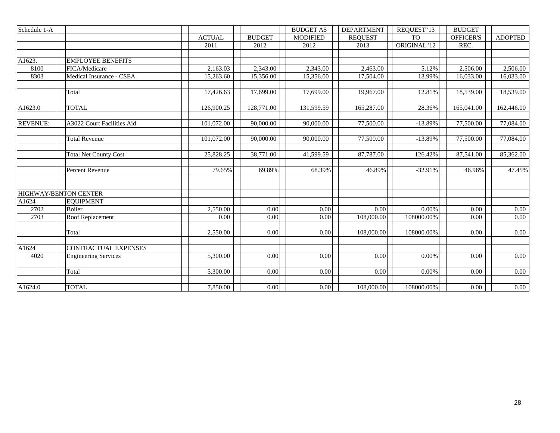| Schedule 1-A    |                              |               |               | <b>BUDGET AS</b> | <b>DEPARTMENT</b> | REQUEST '13  | <b>BUDGET</b>    |                |
|-----------------|------------------------------|---------------|---------------|------------------|-------------------|--------------|------------------|----------------|
|                 |                              | <b>ACTUAL</b> | <b>BUDGET</b> | <b>MODIFIED</b>  | <b>REQUEST</b>    | <b>TO</b>    | <b>OFFICER'S</b> | <b>ADOPTED</b> |
|                 |                              | 2011          | 2012          | 2012             | 2013              | ORIGINAL '12 | REC.             |                |
|                 |                              |               |               |                  |                   |              |                  |                |
| A1623.          | <b>EMPLOYEE BENEFITS</b>     |               |               |                  |                   |              |                  |                |
| 8100            | FICA/Medicare                | 2,163.03      | 2,343.00      | 2,343.00         | 2,463.00          | 5.12%        | 2,506.00         | 2,506.00       |
| 8303            | Medical Insurance - CSEA     | 15,263.60     | 15,356.00     | 15,356.00        | 17,504.00         | 13.99%       | 16,033.00        | 16,033.00      |
|                 |                              |               |               |                  |                   |              |                  |                |
|                 | Total                        | 17,426.63     | 17,699.00     | 17,699.00        | 19,967.00         | 12.81%       | 18,539.00        | 18,539.00      |
|                 |                              |               |               |                  |                   |              |                  |                |
| A1623.0         | <b>TOTAL</b>                 | 126,900.25    | 128,771.00    | 131,599.59       | 165,287.00        | 28.36%       | 165,041.00       | 162,446.00     |
|                 |                              |               |               |                  |                   |              |                  |                |
| <b>REVENUE:</b> | A3022 Court Facilities Aid   | 101,072.00    | 90,000.00     | 90,000.00        | 77,500.00         | $-13.89%$    | 77,500.00        | 77,084.00      |
|                 |                              |               |               |                  |                   |              |                  |                |
|                 | <b>Total Revenue</b>         | 101,072.00    | 90,000.00     | 90,000.00        | 77,500.00         | $-13.89%$    | 77,500.00        | 77,084.00      |
|                 |                              |               |               |                  |                   |              |                  |                |
|                 | <b>Total Net County Cost</b> | 25,828.25     | 38,771.00     | 41,599.59        | 87,787.00         | 126.42%      | 87,541.00        | 85,362.00      |
|                 |                              |               |               |                  |                   |              |                  |                |
|                 | Percent Revenue              | 79.65%        | 69.89%        | 68.39%           | 46.89%            | $-32.91%$    | 46.96%           | 47.45%         |
|                 |                              |               |               |                  |                   |              |                  |                |
|                 |                              |               |               |                  |                   |              |                  |                |
|                 | <b>HIGHWAY/BENTON CENTER</b> |               |               |                  |                   |              |                  |                |
| A1624           | <b>EQUIPMENT</b>             |               |               |                  |                   |              |                  |                |
| 2702            | Boiler                       | 2,550.00      | 0.00          | 0.00             | 0.00              | 0.00%        | 0.00             | $0.00\,$       |
| 2703            | Roof Replacement             | 0.00          | 0.00          | 0.00             | 108,000.00        | 108000.00%   | 0.00             | $0.00\,$       |
|                 |                              |               |               |                  |                   |              |                  |                |
|                 | Total                        | 2,550.00      | 0.00          | 0.00             | 108,000.00        | 108000.00%   | 0.00             | $0.00\,$       |
|                 |                              |               |               |                  |                   |              |                  |                |
| A1624           | <b>CONTRACTUAL EXPENSES</b>  |               |               |                  |                   |              |                  |                |
| 4020            | <b>Engineering Services</b>  | 5,300.00      | 0.00          | 0.00             | 0.00              | 0.00%        | 0.00             | $0.00\,$       |
|                 |                              |               |               |                  |                   |              |                  |                |
|                 | Total                        | 5,300.00      | 0.00          | 0.00             | 0.00              | 0.00%        | 0.00             | $0.00\,$       |
|                 |                              |               |               |                  |                   |              |                  |                |
| A1624.0         | <b>TOTAL</b>                 | 7,850.00      | 0.00          | 0.00             | 108,000.00        | 108000.00%   | 0.00             | 0.00           |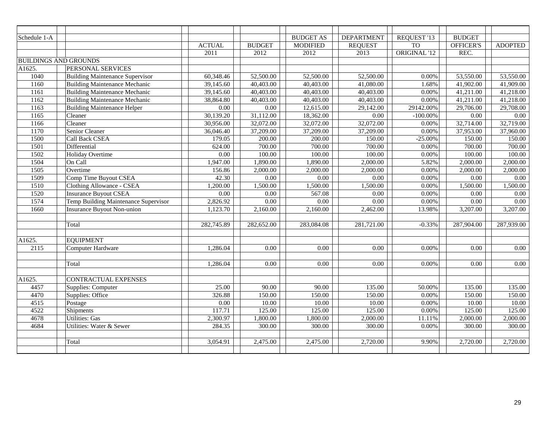| Schedule 1-A |                                        |               |                   | <b>BUDGET AS</b> | <b>DEPARTMENT</b> | REQUEST '13  | <b>BUDGET</b> |                |
|--------------|----------------------------------------|---------------|-------------------|------------------|-------------------|--------------|---------------|----------------|
|              |                                        | <b>ACTUAL</b> | <b>BUDGET</b>     | <b>MODIFIED</b>  | <b>REQUEST</b>    | <b>TO</b>    | OFFICER'S     | <b>ADOPTED</b> |
|              |                                        | 2011          | 2012              | 2012             | 2013              | ORIGINAL '12 | REC.          |                |
|              | <b>BUILDINGS AND GROUNDS</b>           |               |                   |                  |                   |              |               |                |
| A1625.       | PERSONAL SERVICES                      |               |                   |                  |                   |              |               |                |
| 1040         | <b>Building Maintenance Supervisor</b> | 60,348.46     | 52,500.00         | 52,500.00        | 52,500.00         | 0.00%        | 53,550.00     | 53,550.00      |
| 1160         | <b>Building Maintenance Mechanic</b>   | 39,145.60     | 40,403.00         | 40,403.00        | 41,080.00         | 1.68%        | 41,902.00     | 41,909.00      |
| 1161         | <b>Building Maintenance Mechanic</b>   | 39,145.60     | 40,403.00         | 40,403.00        | 40,403.00         | 0.00%        | 41,211.00     | 41,218.00      |
| 1162         | <b>Building Maintenance Mechanic</b>   | 38,864.80     | 40,403.00         | 40,403.00        | 40,403.00         | 0.00%        | 41,211.00     | 41,218.00      |
| 1163         | <b>Building Maintenance Helper</b>     | 0.00          | $\overline{0.00}$ | 12,615.00        | 29,142.00         | 29142.00%    | 29,706.00     | 29,708.00      |
| 1165         | Cleaner                                | 30,139.20     | 31,112.00         | 18,362.00        | 0.00              | $-100.00\%$  | $0.00\,$      | 0.00           |
| 1166         | Cleaner                                | 30,956.00     | 32,072.00         | 32,072.00        | 32,072.00         | 0.00%        | 32,714.00     | 32,719.00      |
| 1170         | Senior Cleaner                         | 36,046.40     | 37,209.00         | 37,209.00        | 37,209.00         | 0.00%        | 37,953.00     | 37,960.00      |
| 1500         | <b>Call Back CSEA</b>                  | 179.05        | 200.00            | 200.00           | 150.00            | $-25.00%$    | 150.00        | 150.00         |
| 1501         | Differential                           | 624.00        | 700.00            | 700.00           | 700.00            | 0.00%        | 700.00        | 700.00         |
| 1502         | Holiday Overtime                       | 0.00          | 100.00            | 100.00           | 100.00            | 0.00%        | 100.00        | 100.00         |
| 1504         | On Call                                | 1,947.00      | 1,890.00          | 1,890.00         | 2,000.00          | 5.82%        | 2,000.00      | 2,000.00       |
| 1505         | Overtime                               | 156.86        | 2,000.00          | 2,000.00         | 2,000.00          | 0.00%        | 2,000.00      | 2,000.00       |
| 1509         | Comp Time Buyout CSEA                  | 42.30         | $\overline{0.00}$ | 0.00             | 0.00              | 0.00%        | $0.00\,$      | 0.00           |
| 1510         | Clothing Allowance - CSEA              | 1,200.00      | 1,500.00          | 1,500.00         | 1,500.00          | 0.00%        | 1,500.00      | 1,500.00       |
| 1520         | <b>Insurance Buyout CSEA</b>           | 0.00          | 0.00              | 567.08           | 0.00              | 0.00%        | $0.00\,$      | 0.00           |
| 1574         | Temp Building Maintenance Supervisor   | 2,826.92      | $0.00\,$          | 0.00             | 0.00              | $0.00\%$     | $0.00\,$      | 0.00           |
| 1660         | Insurance Buyout Non-union             | 1,123.70      | 2,160.00          | 2,160.00         | 2,462.00          | 13.98%       | 3,207.00      | 3,207.00       |
|              |                                        |               |                   |                  |                   |              |               |                |
|              | Total                                  | 282,745.89    | 282,652.00        | 283,084.08       | 281,721.00        | $-0.33%$     | 287,904.00    | 287,939.00     |
|              |                                        |               |                   |                  |                   |              |               |                |
| A1625.       | <b>EQUIPMENT</b>                       |               |                   |                  |                   |              |               |                |
| 2115         | Computer Hardware                      | 1,286.04      | 0.00              | 0.00             | 0.00              | 0.00%        | 0.00          | 0.00           |
|              |                                        |               |                   |                  |                   |              |               |                |
|              | Total                                  | 1.286.04      | 0.00              | 0.00             | 0.00              | 0.00%        | 0.00          | 0.00           |
|              |                                        |               |                   |                  |                   |              |               |                |
| A1625.       | CONTRACTUAL EXPENSES                   |               |                   |                  |                   |              |               |                |
| 4457         | Supplies: Computer                     | 25.00         | 90.00             | 90.00            | 135.00            | 50.00%       | 135.00        | 135.00         |
| 4470         | Supplies: Office                       | 326.88        | 150.00            | 150.00           | 150.00            | 0.00%        | 150.00        | 150.00         |
| 4515         | $\overline{\text{Postage}}$            | $0.00\,$      | 10.00             | 10.00            | 10.00             | $0.00\%$     | 10.00         | 10.00          |
| 4522         | Shipments                              | 117.71        | 125.00            | 125.00           | 125.00            | 0.00%        | 125.00        | 125.00         |
| 4678         | <b>Utilities: Gas</b>                  | 2,300.97      | 1,800.00          | 1,800.00         | 2,000.00          | 11.11%       | 2,000.00      | 2,000.00       |
| 4684         | Utilities: Water & Sewer               | 284.35        | 300.00            | 300.00           | 300.00            | 0.00%        | 300.00        | 300.00         |
|              |                                        |               |                   |                  |                   |              |               |                |
|              | Total                                  | 3,054.91      | 2,475.00          | 2,475.00         | 2,720.00          | 9.90%        | 2,720.00      | 2,720.00       |
|              |                                        |               |                   |                  |                   |              |               |                |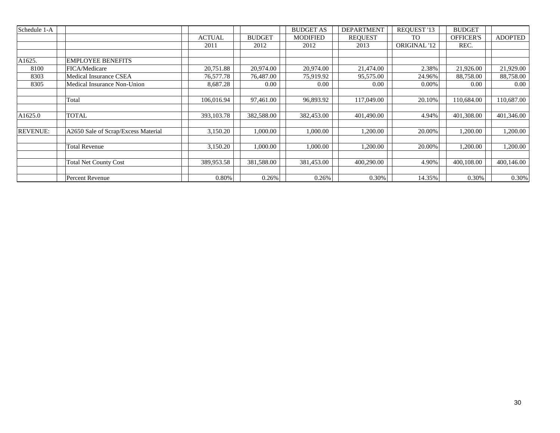| Schedule 1-A    |                                     |               |               | <b>BUDGET AS</b> | <b>DEPARTMENT</b> | <b>REOUEST '13</b> | <b>BUDGET</b>    |                |
|-----------------|-------------------------------------|---------------|---------------|------------------|-------------------|--------------------|------------------|----------------|
|                 |                                     | <b>ACTUAL</b> | <b>BUDGET</b> | <b>MODIFIED</b>  | <b>REOUEST</b>    | <b>TO</b>          | <b>OFFICER'S</b> | <b>ADOPTED</b> |
|                 |                                     | 2011          | 2012          | 2012             | 2013              | ORIGINAL '12       | REC.             |                |
|                 |                                     |               |               |                  |                   |                    |                  |                |
| A1625.          | <b>EMPLOYEE BENEFITS</b>            |               |               |                  |                   |                    |                  |                |
| 8100            | FICA/Medicare                       | 20,751.88     | 20.974.00     | 20.974.00        | 21,474.00         | 2.38%              | 21,926.00        | 21,929.00      |
| 8303            | Medical Insurance CSEA              | 76,577.78     | 76,487.00     | 75,919.92        | 95,575.00         | 24.96%             | 88,758.00        | 88,758.00      |
| 8305            | Medical Insurance Non-Union         | 8,687.28      | 0.00          | 0.00             | 0.00              | 0.00%              | 0.00             | $0.00\,$       |
|                 |                                     |               |               |                  |                   |                    |                  |                |
|                 | Total                               | 106,016.94    | 97,461.00     | 96,893.92        | 117,049.00        | 20.10%             | 110,684.00       | 110,687.00     |
|                 |                                     |               |               |                  |                   |                    |                  |                |
| A1625.0         | TOTAL                               | 393,103.78    | 382,588.00    | 382,453.00       | 401,490.00        | 4.94%              | 401,308.00       | 401,346.00     |
|                 |                                     |               |               |                  |                   |                    |                  |                |
| <b>REVENUE:</b> | A2650 Sale of Scrap/Excess Material | 3,150.20      | 1,000.00      | 1,000.00         | 1,200.00          | 20.00%             | ,200.00          | 1,200.00       |
|                 |                                     |               |               |                  |                   |                    |                  |                |
|                 | <b>Total Revenue</b>                | 3,150.20      | 1.000.00      | 1,000.00         | 1,200.00          | 20.00%             | 1.200.00         | 1,200.00       |
|                 |                                     |               |               |                  |                   |                    |                  |                |
|                 | <b>Total Net County Cost</b>        | 389,953.58    | 381,588.00    | 381,453.00       | 400,290.00        | 4.90%              | 400,108.00       | 400,146.00     |
|                 |                                     |               |               |                  |                   |                    |                  |                |
|                 | Percent Revenue                     | 0.80%         | 0.26%         | 0.26%            | 0.30%             | 14.35%             | 0.30%            | 0.30%          |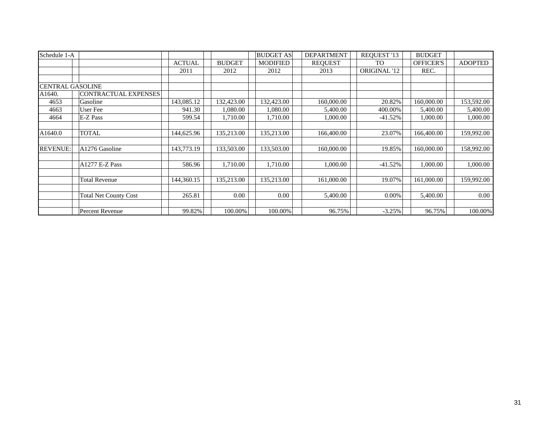| Schedule 1-A            |                              |               |               | <b>BUDGET AS</b> | <b>DEPARTMENT</b> | REQUEST '13         | <b>BUDGET</b>    |                |
|-------------------------|------------------------------|---------------|---------------|------------------|-------------------|---------------------|------------------|----------------|
|                         |                              | <b>ACTUAL</b> | <b>BUDGET</b> | <b>MODIFIED</b>  | <b>REOUEST</b>    | TO                  | <b>OFFICER'S</b> | <b>ADOPTED</b> |
|                         |                              | 2011          | 2012          | 2012             | 2013              | <b>ORIGINAL '12</b> | REC.             |                |
|                         |                              |               |               |                  |                   |                     |                  |                |
| <b>CENTRAL GASOLINE</b> |                              |               |               |                  |                   |                     |                  |                |
| A1640.                  | <b>CONTRACTUAL EXPENSES</b>  |               |               |                  |                   |                     |                  |                |
| 4653                    | Gasoline                     | 143,085.12    | 132,423.00    | 132,423.00       | 160,000.00        | 20.82%              | 160,000.00       | 153,592.00     |
| 4663                    | User Fee                     | 941.30        | 1,080.00      | 1,080.00         | 5,400.00          | 400.00%             | 5,400.00         | 5,400.00       |
| 4664                    | E-Z Pass                     | 599.54        | 1,710.00      | 1,710.00         | 1,000.00          | $-41.52%$           | 1,000.00         | 1,000.00       |
| A1640.0                 | <b>TOTAL</b>                 | 144,625.96    | 135,213.00    | 135,213.00       | 166,400.00        | 23.07%              | 166,400.00       | 159,992.00     |
| <b>REVENUE:</b>         | A1276 Gasoline               | 143,773.19    | 133,503.00    | 133,503.00       | 160,000.00        | 19.85%              | 160,000.00       | 158,992.00     |
|                         | A1277 E-Z Pass               | 586.96        | 1,710.00      | 1,710.00         | 1,000.00          | $-41.52%$           | 1,000.00         | 1,000.00       |
|                         | <b>Total Revenue</b>         | 144,360.15    | 135,213.00    | 135,213.00       | 161,000.00        | 19.07%              | 161,000.00       | 159,992.00     |
|                         | <b>Total Net County Cost</b> | 265.81        | 0.00          | 0.00             | 5,400.00          | 0.00%               | 5,400.00         | 0.00           |
|                         | Percent Revenue              | 99.82%        | 100.00%       | 100.00%          | 96.75%            | $-3.25%$            | 96.75%           | 100.00%        |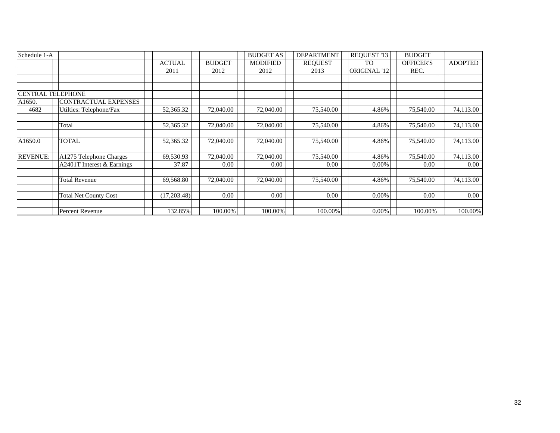| Schedule 1-A             |                              |               |               | <b>BUDGET AS</b> | <b>DEPARTMENT</b> | REQUEST '13         | <b>BUDGET</b>    |                |
|--------------------------|------------------------------|---------------|---------------|------------------|-------------------|---------------------|------------------|----------------|
|                          |                              | <b>ACTUAL</b> | <b>BUDGET</b> | <b>MODIFIED</b>  | <b>REQUEST</b>    | TO                  | <b>OFFICER'S</b> | <b>ADOPTED</b> |
|                          |                              | 2011          | 2012          | 2012             | 2013              | <b>ORIGINAL '12</b> | REC.             |                |
|                          |                              |               |               |                  |                   |                     |                  |                |
|                          |                              |               |               |                  |                   |                     |                  |                |
| <b>CENTRAL TELEPHONE</b> |                              |               |               |                  |                   |                     |                  |                |
| A1650.                   | <b>CONTRACTUAL EXPENSES</b>  |               |               |                  |                   |                     |                  |                |
| 4682                     | Utilties: Telephone/Fax      | 52,365.32     | 72,040.00     | 72,040.00        | 75,540.00         | 4.86%               | 75,540.00        | 74,113.00      |
|                          |                              |               |               |                  |                   |                     |                  |                |
|                          | Total                        | 52,365.32     | 72,040.00     | 72,040.00        | 75,540.00         | 4.86%               | 75,540.00        | 74,113.00      |
| A1650.0                  | TOTAL                        | 52,365.32     | 72,040.00     | 72,040.00        | 75,540.00         | 4.86%               | 75,540.00        | 74,113.00      |
|                          |                              |               |               |                  |                   |                     |                  |                |
| <b>REVENUE:</b>          | A1275 Telephone Charges      | 69,530.93     | 72,040.00     | 72,040.00        | 75,540.00         | 4.86%               | 75,540.00        | 74,113.00      |
|                          | A2401T Interest & Earnings   | 37.87         | 0.00          | 0.00             | 0.00              | $0.00\%$            | 0.00             | 0.00           |
|                          |                              |               |               |                  |                   |                     |                  |                |
|                          | <b>Total Revenue</b>         | 69,568.80     | 72,040.00     | 72,040.00        | 75,540.00         | 4.86%               | 75,540.00        | 74,113.00      |
|                          |                              |               |               |                  |                   |                     |                  |                |
|                          | <b>Total Net County Cost</b> | (17,203.48)   | 0.00          | 0.00             | 0.00              | $0.00\%$            | 0.00             | 0.00           |
|                          |                              |               |               |                  |                   |                     |                  |                |
|                          | Percent Revenue              | 132.85%       | 100.00%       | 100.00%          | 100.00%           | 0.00%               | 100.00%          | 100.00%        |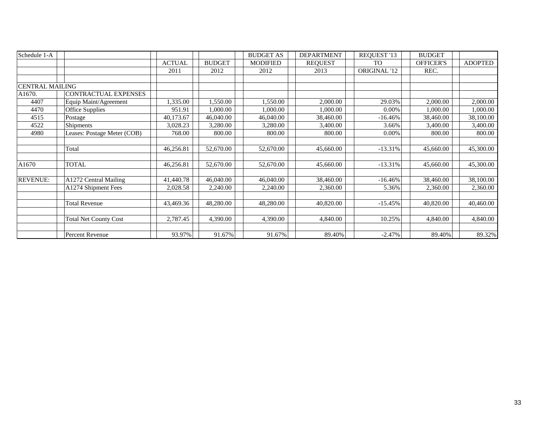| Schedule 1-A           |                              |               |               | <b>BUDGET AS</b> | <b>DEPARTMENT</b> | REQUEST '13    | <b>BUDGET</b>    |                |
|------------------------|------------------------------|---------------|---------------|------------------|-------------------|----------------|------------------|----------------|
|                        |                              | <b>ACTUAL</b> | <b>BUDGET</b> | <b>MODIFIED</b>  | <b>REQUEST</b>    | T <sub>O</sub> | <b>OFFICER'S</b> | <b>ADOPTED</b> |
|                        |                              | 2011          | 2012          | 2012             | 2013              | ORIGINAL '12   | REC.             |                |
|                        |                              |               |               |                  |                   |                |                  |                |
| <b>CENTRAL MAILING</b> |                              |               |               |                  |                   |                |                  |                |
| A1670.                 | CONTRACTUAL EXPENSES         |               |               |                  |                   |                |                  |                |
| 4407                   | Equip Maint/Agreement        | 1,335.00      | 1,550.00      | 1,550.00         | 2,000.00          | 29.03%         | 2,000.00         | 2,000.00       |
| 4470                   | Office Supplies              | 951.91        | 1,000.00      | 1,000.00         | 1,000.00          | 0.00%          | 1,000.00         | 1,000.00       |
| 4515                   | Postage                      | 40,173.67     | 46,040.00     | 46,040.00        | 38,460.00         | $-16.46%$      | 38,460.00        | 38,100.00      |
| 4522                   | Shipments                    | 3,028.23      | 3,280.00      | 3,280.00         | 3,400.00          | 3.66%          | 3,400.00         | 3,400.00       |
| 4980                   | Leases: Postage Meter (COB)  | 768.00        | 800.00        | 800.00           | 800.00            | 0.00%          | 800.00           | 800.00         |
|                        |                              |               |               |                  |                   |                |                  |                |
|                        | Total                        | 46,256.81     | 52,670.00     | 52,670.00        | 45,660.00         | $-13.31%$      | 45,660.00        | 45,300.00      |
|                        |                              |               |               |                  |                   |                |                  |                |
| A1670                  | TOTAL                        | 46,256.81     | 52,670.00     | 52,670.00        | 45,660.00         | $-13.31%$      | 45,660.00        | 45,300.00      |
|                        |                              |               |               |                  |                   |                |                  |                |
| <b>REVENUE:</b>        | A1272 Central Mailing        | 41,440.78     | 46,040.00     | 46,040.00        | 38,460.00         | $-16.46%$      | 38,460.00        | 38,100.00      |
|                        | A1274 Shipment Fees          | 2,028.58      | 2,240.00      | 2,240.00         | 2,360.00          | 5.36%          | 2,360.00         | 2,360.00       |
|                        |                              |               |               |                  |                   |                |                  |                |
|                        | <b>Total Revenue</b>         | 43,469.36     | 48,280.00     | 48,280.00        | 40,820.00         | $-15.45%$      | 40,820.00        | 40,460.00      |
|                        |                              |               |               |                  |                   |                |                  |                |
|                        | <b>Total Net County Cost</b> | 2,787.45      | 4,390.00      | 4,390.00         | 4,840.00          | 10.25%         | 4,840.00         | 4,840.00       |
|                        |                              |               |               |                  |                   |                |                  |                |
|                        | Percent Revenue              | 93.97%        | 91.67%        | 91.67%           | 89.40%            | $-2.47%$       | 89.40%           | 89.32%         |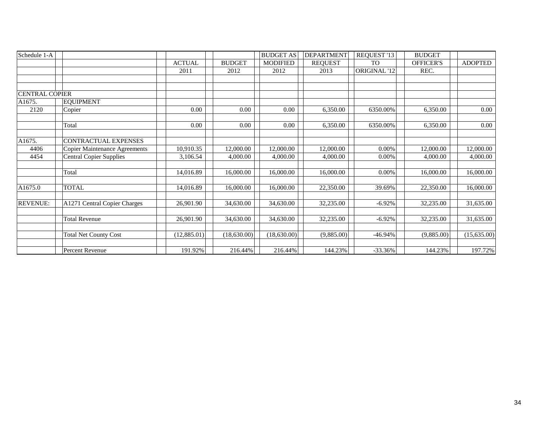| Schedule 1-A          |                                      |               |               | <b>BUDGET AS</b> | <b>DEPARTMENT</b> | REQUEST '13  | <b>BUDGET</b>    |                |
|-----------------------|--------------------------------------|---------------|---------------|------------------|-------------------|--------------|------------------|----------------|
|                       |                                      | <b>ACTUAL</b> | <b>BUDGET</b> | <b>MODIFIED</b>  | <b>REQUEST</b>    | <b>TO</b>    | <b>OFFICER'S</b> | <b>ADOPTED</b> |
|                       |                                      | 2011          | 2012          | 2012             | 2013              | ORIGINAL '12 | REC.             |                |
|                       |                                      |               |               |                  |                   |              |                  |                |
|                       |                                      |               |               |                  |                   |              |                  |                |
| <b>CENTRAL COPIER</b> |                                      |               |               |                  |                   |              |                  |                |
| A1675.                | <b>EQUIPMENT</b>                     |               |               |                  |                   |              |                  |                |
| 2120                  | Copier                               | 0.00          | 0.00          | 0.00             | 6,350.00          | 6350.00%     | 6,350.00         | 0.00           |
|                       | Total                                | 0.00          | 0.00          | 0.00             | 6,350.00          | 6350.00%     | 6,350.00         | 0.00           |
| A1675.                | CONTRACTUAL EXPENSES                 |               |               |                  |                   |              |                  |                |
| 4406                  | <b>Copier Maintenance Agreements</b> | 10,910.35     | 12,000.00     | 12,000.00        | 12,000.00         | 0.00%        | 12,000.00        | 12,000.00      |
| 4454                  | <b>Central Copier Supplies</b>       | 3,106.54      | 4,000.00      | 4,000.00         | 4,000.00          | 0.00%        | 4,000.00         | 4,000.00       |
|                       | Total                                | 14,016.89     | 16,000.00     | 16,000.00        | 16,000.00         | 0.00%        | 16,000.00        | 16,000.00      |
| A1675.0               | <b>TOTAL</b>                         | 14,016.89     | 16,000.00     | 16,000.00        | 22,350.00         | 39.69%       | 22,350.00        | 16,000.00      |
| <b>REVENUE:</b>       | A1271 Central Copier Charges         | 26,901.90     | 34,630.00     | 34,630.00        | 32,235.00         | $-6.92%$     | 32,235.00        | 31,635.00      |
|                       | <b>Total Revenue</b>                 | 26,901.90     | 34,630.00     | 34,630.00        | 32,235.00         | $-6.92%$     | 32,235.00        | 31,635.00      |
|                       | <b>Total Net County Cost</b>         | (12,885.01)   | (18,630.00)   | (18,630.00)      | (9,885.00)        | $-46.94%$    | (9,885.00)       | (15,635.00)    |
|                       | <b>Percent Revenue</b>               | 191.92%       | 216.44%       | 216.44%          | 144.23%           | $-33.36%$    | 144.23%          | 197.72%        |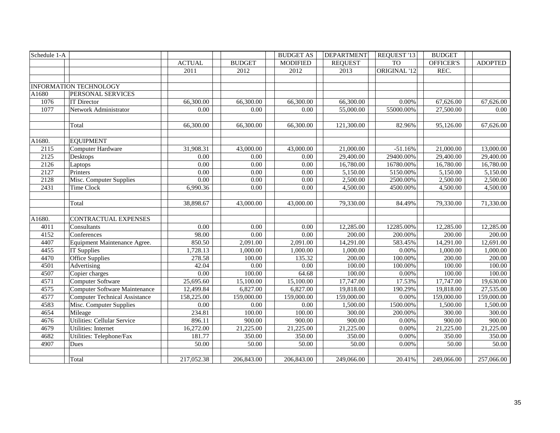| Schedule 1-A |                                      |                   |                   | <b>BUDGET AS</b>  | <b>DEPARTMENT</b>   | REQUEST '13             | <b>BUDGET</b> |                |
|--------------|--------------------------------------|-------------------|-------------------|-------------------|---------------------|-------------------------|---------------|----------------|
|              |                                      | <b>ACTUAL</b>     | <b>BUDGET</b>     | <b>MODIFIED</b>   | <b>REQUEST</b>      | TO <sub>1</sub>         | OFFICER'S     | <b>ADOPTED</b> |
|              |                                      | 2011              | 2012              | 2012              | 2013                | ORIGINAL <sup>'12</sup> | REC.          |                |
|              |                                      |                   |                   |                   |                     |                         |               |                |
|              | <b>INFORMATION TECHNOLOGY</b>        |                   |                   |                   |                     |                         |               |                |
| A1680        | <b>PERSONAL SERVICES</b>             |                   |                   |                   |                     |                         |               |                |
| 1076         | <b>IT Director</b>                   | 66,300.00         | 66,300.00         | 66,300.00         | 66,300.00           | 0.00%                   | 67,626.00     | 67,626.00      |
| 1077         | Network Administrator                | $0.00\,$          | 0.00              | 0.00              | 55,000.00           | 55000.00%               | 27,500.00     | 0.00           |
|              | Total                                | 66,300.00         | 66,300.00         | 66,300.00         | 121,300.00          | 82.96%                  | 95,126.00     | 67,626.00      |
| A1680.       | <b>EOUIPMENT</b>                     |                   |                   |                   |                     |                         |               |                |
| 2115         | Computer Hardware                    | 31,908.31         | 43,000.00         | 43,000.00         | 21,000.00           | $-51.16%$               | 21,000.00     | 13,000.00      |
| 2125         | Desktops                             | 0.00              | 0.00              | 0.00              | 29,400.00           | 29400.00%               | 29,400.00     | 29,400.00      |
| 2126         | Laptops                              | 0.00              | 0.00              | 0.00              | 16,780.00           | 16780.00%               | 16,780.00     | 16,780.00      |
| 2127         | Printers                             | 0.00              | 0.00              | 0.00              | 5,150.00            | 5150.00%                | 5,150.00      | 5,150.00       |
| 2128         | Misc. Computer Supplies              | $\overline{0.00}$ | $\overline{0.00}$ | $\overline{0.00}$ | 2,500.00            | 2500.00%                | 2,500.00      | 2,500.00       |
| 2431         | <b>Time Clock</b>                    | 6,990.36          | 0.00              | 0.00              | 4,500.00            | 4500.00%                | 4,500.00      | 4,500.00       |
|              | Total                                | 38,898.67         | 43,000.00         | 43,000.00         | 79,330.00           | 84.49%                  | 79,330.00     | 71,330.00      |
| A1680.       | CONTRACTUAL EXPENSES                 |                   |                   |                   |                     |                         |               |                |
| 4011         | Consultants                          | 0.00              | 0.00              | 0.00              | 12,285.00           | 12285.00%               | 12,285.00     | 12,285.00      |
| 4152         | Conferences                          | 98.00             | $\overline{0.00}$ | 0.00              | 200.00              | 200.00%                 | 200.00        | 200.00         |
| 4407         | Equipment Maintenance Agree.         | 850.50            | 2,091.00          | 2,091.00          | 14,291.00           | 583.45%                 | 14,291.00     | 12,691.00      |
| 4455         | <b>IT Supplies</b>                   | 1,728.13          | 1,000.00          | 1,000.00          | 1,000.00            | 0.00%                   | 1,000.00      | 1,000.00       |
| 4470         | Office Supplies                      | 278.58            | 100.00            | 135.32            | 200.00              | 100.00%                 | 200.00        | 200.00         |
| 4501         | Advertising                          | 42.04             | 0.00              | 0.00              | 100.00              | 100.00%                 | 100.00        | 100.00         |
| 4507         | Copier charges                       | 0.00              | 100.00            | 64.68             | 100.00              | 0.00%                   | 100.00        | 100.00         |
| 4571         | <b>Computer Software</b>             | 25,695.60         | 15,100.00         | 15,100.00         | 17,747.00           | 17.53%                  | 17,747.00     | 19,630.00      |
| 4575         | Computer Software Maintenance        | 12,499.84         | 6,827.00          | 6,827.00          | 19,818.00           | 190.29%                 | 19,818.00     | 27,535.00      |
| 4577         | <b>Computer Technical Assistance</b> | 158,225.00        | 159,000.00        | 159,000.00        | 159,000.00          | 0.00%                   | 159,000.00    | 159,000.00     |
| 4583         | Misc. Computer Supplies              | 0.00              | 0.00              | 0.00              | 1,500.00            | 1500.00%                | 1,500.00      | 1,500.00       |
| 4654         | Mileage                              | 234.81            | 100.00            | 100.00            | $\overline{300.00}$ | 200.00%                 | 300.00        | 300.00         |
| 4676         | <b>Utilities: Cellular Service</b>   | 896.11            | 900.00            | 900.00            | 900.00              | 0.00%                   | 900.00        | 900.00         |
| 4679         | Utilities: Internet                  | 16,272.00         | 21,225.00         | 21,225.00         | 21,225.00           | 0.00%                   | 21,225.00     | 21,225.00      |
| 4682         | Utilities: Telephone/Fax             | 181.77            | 350.00            | 350.00            | 350.00              | 0.00%                   | 350.00        | 350.00         |
| 4907         | Dues                                 | 50.00             | 50.00             | 50.00             | 50.00               | 0.00%                   | 50.00         | 50.00          |
|              | Total                                | 217,052.38        | 206,843.00        | 206,843.00        | 249,066.00          | 20.41%                  | 249,066.00    | 257,066.00     |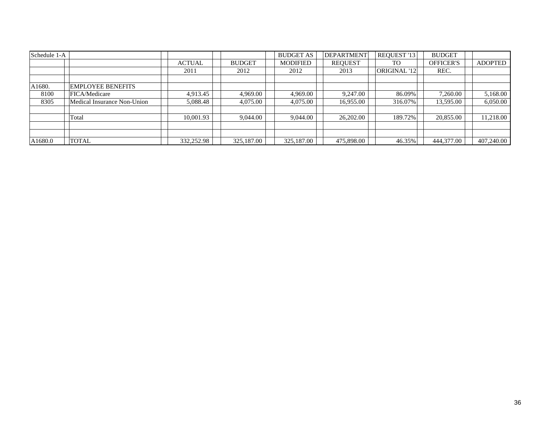| Schedule 1-A |                             |               |               | <b>BUDGET AS</b> | <b>DEPARTMENT</b> | REQUEST '13  | <b>BUDGET</b>    |                |
|--------------|-----------------------------|---------------|---------------|------------------|-------------------|--------------|------------------|----------------|
|              |                             | <b>ACTUAL</b> | <b>BUDGET</b> | MODIFIED         | <b>REOUEST</b>    | <b>TO</b>    | <b>OFFICER'S</b> | <b>ADOPTED</b> |
|              |                             | 2011          | 2012          | 2012             | 2013              | ORIGINAL '12 | REC.             |                |
|              |                             |               |               |                  |                   |              |                  |                |
| A1680.       | <b>EMPLOYEE BENEFITS</b>    |               |               |                  |                   |              |                  |                |
| 8100         | FICA/Medicare               | 4,913.45      | 4.969.00      | 4,969.00         | 9,247.00          | 86.09%       | 7,260.00         | 5,168.00       |
| 8305         | Medical Insurance Non-Union | 5,088.48      | 4,075.00      | 4,075.00         | 16,955.00         | 316.07%      | 13,595.00        | 6,050.00       |
|              |                             |               |               |                  |                   |              |                  |                |
|              | Total                       | 10,001.93     | 9,044.00      | 9.044.00         | 26,202.00         | 189.72%      | 20,855.00        | 11,218.00      |
|              |                             |               |               |                  |                   |              |                  |                |
|              |                             |               |               |                  |                   |              |                  |                |
| A1680.0      | <b>TOTAL</b>                | 332,252.98    | 325,187.00    | 325,187.00       | 475,898.00        | 46.35%       | 444,377.00       | 407,240.00     |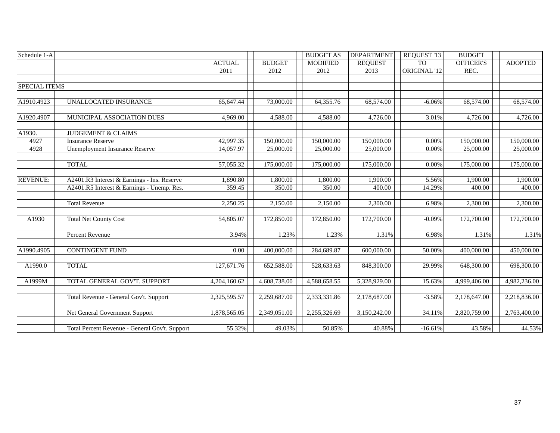| Schedule 1-A         |                                                |               |               | <b>BUDGET AS</b> | <b>DEPARTMENT</b> | REQUEST '13  | <b>BUDGET</b>    |                |
|----------------------|------------------------------------------------|---------------|---------------|------------------|-------------------|--------------|------------------|----------------|
|                      |                                                | <b>ACTUAL</b> | <b>BUDGET</b> | <b>MODIFIED</b>  | <b>REQUEST</b>    | <b>TO</b>    | <b>OFFICER'S</b> | <b>ADOPTED</b> |
|                      |                                                | 2011          | 2012          | 2012             | 2013              | ORIGINAL '12 | REC.             |                |
|                      |                                                |               |               |                  |                   |              |                  |                |
| <b>SPECIAL ITEMS</b> |                                                |               |               |                  |                   |              |                  |                |
|                      |                                                |               |               |                  |                   |              |                  |                |
| A1910.4923           | UNALLOCATED INSURANCE                          | 65,647.44     | 73,000.00     | 64,355.76        | 68,574.00         | $-6.06%$     | 68,574.00        | 68,574.00      |
|                      |                                                |               |               |                  |                   |              |                  |                |
| A1920.4907           | MUNICIPAL ASSOCIATION DUES                     | 4,969.00      | 4,588.00      | 4,588.00         | 4,726.00          | 3.01%        | 4,726.00         | 4,726.00       |
|                      |                                                |               |               |                  |                   |              |                  |                |
| A1930.               | <b>JUDGEMENT &amp; CLAIMS</b>                  |               |               |                  |                   |              |                  |                |
| 4927                 | <b>Insurance Reserve</b>                       | 42,997.35     | 150,000.00    | 150,000.00       | 150,000.00        | 0.00%        | 150,000.00       | 150,000.00     |
| 4928                 | <b>Unemployment Insurance Reserve</b>          | 14,057.97     | 25,000.00     | 25,000.00        | 25,000.00         | 0.00%        | 25,000.00        | 25,000.00      |
|                      |                                                |               |               |                  |                   |              |                  |                |
|                      | <b>TOTAL</b>                                   | 57,055.32     | 175,000.00    | 175,000.00       | 175,000.00        | 0.00%        | 175,000.00       | 175,000.00     |
|                      |                                                |               |               |                  |                   |              |                  |                |
| <b>REVENUE:</b>      | A2401.R3 Interest & Earnings - Ins. Reserve    | 1,890.80      | 1,800.00      | 1,800.00         | 1,900.00          | 5.56%        | 1,900.00         | 1,900.00       |
|                      | A2401.R5 Interest & Earnings - Unemp. Res.     | 359.45        | 350.00        | 350.00           | 400.00            | 14.29%       | 400.00           | 400.00         |
|                      |                                                |               |               |                  |                   |              |                  |                |
|                      | <b>Total Revenue</b>                           | 2,250.25      | 2,150.00      | 2,150.00         | 2,300.00          | 6.98%        | 2,300.00         | 2,300.00       |
|                      |                                                |               |               |                  |                   |              |                  |                |
| A1930                | <b>Total Net County Cost</b>                   | 54,805.07     | 172,850.00    | 172,850.00       | 172,700.00        | $-0.09%$     | 172,700.00       | 172,700.00     |
|                      |                                                | 3.94%         |               | 1.23%            | 1.31%             |              |                  | 1.31%          |
|                      | Percent Revenue                                |               | 1.23%         |                  |                   | 6.98%        | 1.31%            |                |
| A1990.4905           | <b>CONTINGENT FUND</b>                         | $0.00\,$      | 400,000.00    | 284,689.87       | 600,000.00        | 50.00%       | 400,000.00       | 450,000.00     |
|                      |                                                |               |               |                  |                   |              |                  |                |
| A1990.0              | <b>TOTAL</b>                                   | 127,671.76    | 652,588.00    | 528,633.63       | 848,300.00        | 29.99%       | 648,300.00       | 698,300.00     |
|                      |                                                |               |               |                  |                   |              |                  |                |
| A1999M               | TOTAL GENERAL GOV'T. SUPPORT                   | 4,204,160.62  | 4,608,738.00  | 4,588,658.55     | 5,328,929.00      | 15.63%       | 4,999,406.00     | 4,982,236.00   |
|                      |                                                |               |               |                  |                   |              |                  |                |
|                      | Total Revenue - General Gov't. Support         | 2,325,595.57  | 2,259,687.00  | 2,333,331.86     | 2,178,687.00      | $-3.58%$     | 2,178,647.00     | 2,218,836.00   |
|                      |                                                |               |               |                  |                   |              |                  |                |
|                      | Net General Government Support                 | 1,878,565.05  | 2,349,051.00  | 2,255,326.69     | 3,150,242.00      | 34.11%       | 2,820,759.00     | 2,763,400.00   |
|                      |                                                |               |               |                  |                   |              |                  |                |
|                      | Total Percent Revenue - General Gov't. Support | 55.32%        | 49.03%        | 50.85%           | 40.88%            | $-16.61%$    | 43.58%           | 44.53%         |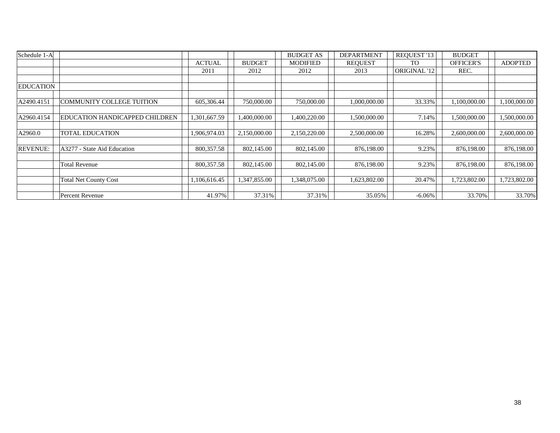| Schedule 1-A     |                                       |               |               | <b>BUDGET AS</b> | <b>DEPARTMENT</b> | REQUEST '13         | <b>BUDGET</b>    |                |
|------------------|---------------------------------------|---------------|---------------|------------------|-------------------|---------------------|------------------|----------------|
|                  |                                       | <b>ACTUAL</b> | <b>BUDGET</b> | <b>MODIFIED</b>  | <b>REOUEST</b>    | TO                  | <b>OFFICER'S</b> | <b>ADOPTED</b> |
|                  |                                       | 2011          | 2012          | 2012             | 2013              | <b>ORIGINAL '12</b> | REC.             |                |
|                  |                                       |               |               |                  |                   |                     |                  |                |
| <b>EDUCATION</b> |                                       |               |               |                  |                   |                     |                  |                |
|                  |                                       |               |               |                  |                   |                     |                  |                |
| A2490.4151       | <b>COMMUNITY COLLEGE TUITION</b>      | 605.306.44    | 750,000.00    | 750,000.00       | 1.000.000.00      | 33.33%              | 1.100.000.00     | 1,100,000.00   |
|                  |                                       |               |               |                  |                   |                     |                  |                |
| A2960.4154       | <b>EDUCATION HANDICAPPED CHILDREN</b> | 1,301,667.59  | 1,400,000.00  | 1,400,220.00     | 1,500,000.00      | 7.14%               | 1,500,000.00     | 1,500,000.00   |
|                  |                                       |               |               |                  |                   |                     |                  |                |
| A2960.0          | TOTAL EDUCATION                       | ,906,974.03   | 2,150,000.00  | 2,150,220.00     | 2,500,000.00      | 16.28%              | 2,600,000.00     | 2,600,000.00   |
|                  |                                       |               |               |                  |                   |                     |                  |                |
| <b>REVENUE:</b>  | A3277 - State Aid Education           | 800,357.58    | 802,145.00    | 802,145.00       | 876,198.00        | 9.23%               | 876,198.00       | 876,198.00     |
|                  |                                       |               |               |                  |                   |                     |                  |                |
|                  | <b>Total Revenue</b>                  | 800,357.58    | 802,145.00    | 802,145.00       | 876,198.00        | 9.23%               | 876,198.00       | 876,198.00     |
|                  |                                       |               |               |                  |                   |                     |                  |                |
|                  | <b>Total Net County Cost</b>          | ,106,616.45   | 1,347,855.00  | .348,075.00      | 1,623,802.00      | 20.47%              | 1,723,802.00     | 1,723,802.00   |
|                  |                                       |               |               |                  |                   |                     |                  |                |
|                  | Percent Revenue                       | 41.97%        | 37.31%        | 37.31%           | 35.05%            | -6.06%              | 33.70%           | 33.70%         |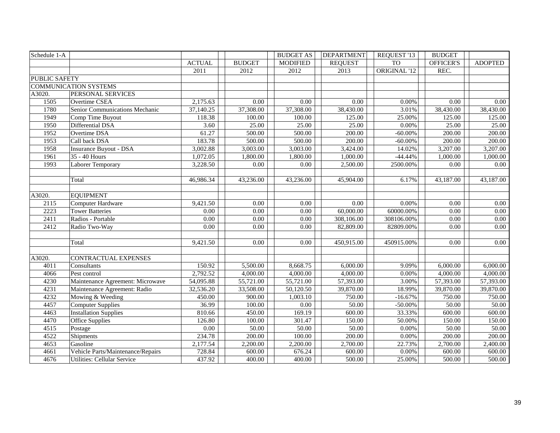| Schedule 1-A         |                                   |               |               | <b>BUDGET AS</b> | <b>DEPARTMENT</b> | REQUEST '13         | <b>BUDGET</b>    |                     |
|----------------------|-----------------------------------|---------------|---------------|------------------|-------------------|---------------------|------------------|---------------------|
|                      |                                   | <b>ACTUAL</b> | <b>BUDGET</b> | <b>MODIFIED</b>  | <b>REQUEST</b>    | <b>TO</b>           | <b>OFFICER'S</b> | <b>ADOPTED</b>      |
|                      |                                   | 2011          | 2012          | 2012             | 2013              | <b>ORIGINAL '12</b> | REC.             |                     |
| <b>PUBLIC SAFETY</b> |                                   |               |               |                  |                   |                     |                  |                     |
|                      | <b>COMMUNICATION SYSTEMS</b>      |               |               |                  |                   |                     |                  |                     |
| A3020.               | PERSONAL SERVICES                 |               |               |                  |                   |                     |                  |                     |
| 1505                 | Overtime CSEA                     | 2,175.63      | 0.00          | 0.00             | 0.00              | 0.00%               | 0.00             | 0.00                |
| 1780                 | Senior Communications Mechanic    | 37,140.25     | 37,308.00     | 37,308.00        | 38,430.00         | 3.01%               | 38,430.00        | 38,430.00           |
| 1949                 | Comp Time Buyout                  | 118.38        | 100.00        | 100.00           | 125.00            | 25.00%              | 125.00           | 125.00              |
| 1950                 | Differential DSA                  | 3.60          | 25.00         | 25.00            | 25.00             | 0.00%               | 25.00            | 25.00               |
| 1952                 | Overtime DSA                      | 61.27         | 500.00        | 500.00           | 200.00            | $-60.00\%$          | 200.00           | 200.00              |
| 1953                 | Call back DSA                     | 183.78        | 500.00        | 500.00           | 200.00            | $-60.00\%$          | 200.00           | 200.00              |
| 1958                 | Insurance Buyout - DSA            | 3,002.88      | 3,003.00      | 3,003.00         | 3,424.00          | 14.02%              | 3,207.00         | 3,207.00            |
| 1961                 | 35 - 40 Hours                     | 1,072.05      | 1,800.00      | 1,800.00         | 1,000.00          | $-44.44%$           | 1,000.00         | 1,000.00            |
| 1993                 | Laborer Temporary                 | 3,228.50      | $0.00\,$      | 0.00             | 2,500.00          | 2500.00%            | 0.00             | $0.00\,$            |
|                      |                                   |               |               |                  |                   |                     |                  |                     |
|                      | Total                             | 46,986.34     | 43,236.00     | 43,236.00        | 45,904.00         | 6.17%               | 43,187.00        | 43,187.00           |
|                      |                                   |               |               |                  |                   |                     |                  |                     |
| A3020.               | <b>EOUIPMENT</b>                  |               |               |                  |                   |                     |                  |                     |
| 2115                 | <b>Computer Hardware</b>          | 9,421.50      | 0.00          | 0.00             | 0.00              | 0.00%               | 0.00             | 0.00                |
| 2223                 | <b>Tower Batteries</b>            | 0.00          | 0.00          | 0.00             | 60,000.00         | 60000.00%           | 0.00             | 0.00                |
| 2411                 | Radios - Portable                 | 0.00          | 0.00          | 0.00             | 308,106.00        | 308106.00%          | 0.00             | 0.00                |
| 2412                 | Radio Two-Way                     | 0.00          | 0.00          | 0.00             | 82,809.00         | 82809.00%           | 0.00             | 0.00                |
|                      |                                   |               |               |                  |                   |                     |                  |                     |
|                      | Total                             | 9,421.50      | 0.00          | 0.00             | 450,915.00        | 450915.00%          | 0.00             | 0.00                |
|                      |                                   |               |               |                  |                   |                     |                  |                     |
| A3020.               | <b>CONTRACTUAL EXPENSES</b>       |               |               |                  |                   |                     |                  |                     |
| 4011                 | Consultants                       | 150.92        | 5,500.00      | 8,668.75         | 6,000.00          | 9.09%               | 6,000.00         | 6,000.00            |
| 4066                 | Pest control                      | 2,792.52      | 4,000.00      | 4,000.00         | 4,000.00          | 0.00%               | 4,000.00         | 4,000.00            |
| 4230                 | Maintenance Agreement: Microwave  | 54,095.88     | 55,721.00     | 55,721.00        | 57,393.00         | 3.00%               | 57,393.00        | 57,393.00           |
| 4231                 | Maintenance Agreement: Radio      | 32,536.20     | 33,508.00     | 50,120.50        | 39,870.00         | 18.99%              | 39,870.00        | 39,870.00           |
| 4232                 | Mowing & Weeding                  | 450.00        | 900.00        | 1,003.10         | 750.00            | $-16.67%$           | 750.00           | 750.00              |
| 4457                 | <b>Computer Supplies</b>          | 36.99         | 100.00        | 0.00             | 50.00             | $-50.00\%$          | 50.00            | 50.00               |
| 4463                 | <b>Installation Supplies</b>      | 810.66        | 450.00        | 169.19           | 600.00            | 33.33%              | 600.00           | 600.00              |
| 4470                 | Office Supplies                   | 126.80        | 100.00        | 301.47           | 150.00            | 50.00%              | 150.00           | 150.00              |
| 4515                 | Postage                           | 0.00          | 50.00         | 50.00            | 50.00             | 0.00%               | 50.00            | $\overline{50.00}$  |
| 4522                 | Shipments                         | 234.78        | 200.00        | 100.00           | 200.00            | $0.00\%$            | 200.00           | 200.00              |
| 4653                 | Gasoline                          | 2,177.54      | 2,200.00      | 2,200.00         | 2,700.00          | 22.73%              | 2,700.00         | 2,400.00            |
| 4661                 | Vehicle Parts/Maintenance/Repairs | 728.84        | 600.00        | 676.24           | 600.00            | 0.00%               | 600.00           | 600.00              |
| 4676                 | Utilities: Cellular Service       | 437.92        | 400.00        | 400.00           | 500.00            | 25.00%              | 500.00           | $\overline{500.00}$ |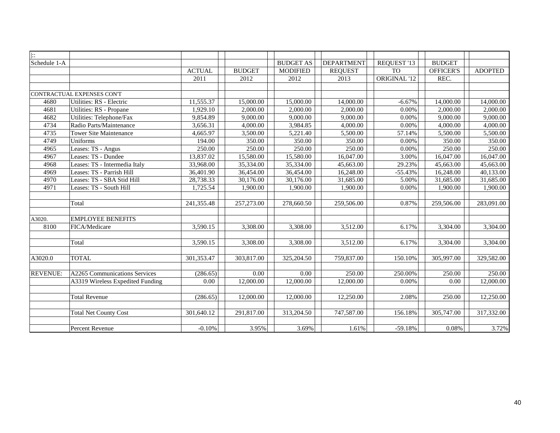| $\overline{ \vdots}$ |                                  |               |               |                  |                   |              |               |                |
|----------------------|----------------------------------|---------------|---------------|------------------|-------------------|--------------|---------------|----------------|
| Schedule 1-A         |                                  |               |               | <b>BUDGET AS</b> | <b>DEPARTMENT</b> | REQUEST '13  | <b>BUDGET</b> |                |
|                      |                                  | <b>ACTUAL</b> | <b>BUDGET</b> | <b>MODIFIED</b>  | <b>REQUEST</b>    | <b>TO</b>    | OFFICER'S     | <b>ADOPTED</b> |
|                      |                                  | 2011          | 2012          | 2012             | 2013              | ORIGINAL '12 | REC.          |                |
|                      |                                  |               |               |                  |                   |              |               |                |
|                      | CONTRACTUAL EXPENSES CON'T       |               |               |                  |                   |              |               |                |
| 4680                 | Utilities: RS - Electric         | 11,555.37     | 15,000.00     | 15,000.00        | 14,000.00         | $-6.67%$     | 14,000.00     | 14,000.00      |
| 4681                 | Utilities: RS - Propane          | 1,929.10      | 2,000.00      | 2,000.00         | 2,000.00          | $0.00\%$     | 2,000.00      | 2,000.00       |
| 4682                 | Utilities: Telephone/Fax         | 9,854.89      | 9,000.00      | 9,000.00         | 9,000.00          | 0.00%        | 9,000.00      | 9,000.00       |
| 4734                 | Radio Parts/Maintenance          | 3,656.31      | 4,000.00      | 3,984.85         | 4,000.00          | $0.00\%$     | 4,000.00      | 4,000.00       |
| 4735                 | <b>Tower Site Maintenance</b>    | 4,665.97      | 3,500.00      | 5,221.40         | 5,500.00          | 57.14%       | 5,500.00      | 5,500.00       |
| 4749                 | Uniforms                         | 194.00        | 350.00        | 350.00           | 350.00            | $0.00\%$     | 350.00        | 350.00         |
| 4965                 | Leases: TS - Angus               | 250.00        | 250.00        | 250.00           | 250.00            | $0.00\%$     | 250.00        | 250.00         |
| 4967                 | Leases: TS - Dundee              | 13,837.02     | 15,580.00     | 15,580.00        | 16,047.00         | 3.00%        | 16,047.00     | 16,047.00      |
| 4968                 | Leases: TS - Intermedia Italy    | 33,968.00     | 35,334.00     | 35,334.00        | 45,663.00         | 29.23%       | 45,663.00     | 45,663.00      |
| 4969                 | Leases: TS - Parrish Hill        | 36,401.90     | 36,454.00     | 36,454.00        | 16,248.00         | $-55.43%$    | 16,248.00     | 40,133.00      |
| 4970                 | Leases: TS - SBA Stid Hill       | 28,738.33     | 30,176.00     | 30,176.00        | 31,685.00         | 5.00%        | 31,685.00     | 31,685.00      |
| 4971                 | Leases: TS - South Hill          | 1,725.54      | 1,900.00      | 1,900.00         | 1,900.00          | 0.00%        | 1,900.00      | 1,900.00       |
|                      |                                  |               |               |                  |                   |              |               |                |
|                      | Total                            | 241,355.48    | 257,273.00    | 278,660.50       | 259,506.00        | 0.87%        | 259,506.00    | 283,091.00     |
|                      |                                  |               |               |                  |                   |              |               |                |
| A3020.               | <b>EMPLOYEE BENEFITS</b>         |               |               |                  |                   |              |               |                |
| 8100                 | FICA/Medicare                    | 3,590.15      | 3,308.00      | 3,308.00         | 3,512.00          | 6.17%        | 3,304.00      | 3,304.00       |
|                      |                                  |               |               |                  |                   |              |               |                |
|                      | Total                            | 3,590.15      | 3,308.00      | 3,308.00         | 3,512.00          | 6.17%        | 3,304.00      | 3,304.00       |
|                      |                                  |               |               |                  |                   |              |               |                |
| A3020.0              | <b>TOTAL</b>                     | 301,353.47    | 303,817.00    | 325,204.50       | 759,837.00        | 150.10%      | 305,997.00    | 329,582.00     |
|                      |                                  |               |               |                  |                   |              |               |                |
| <b>REVENUE:</b>      | A2265 Communications Services    | (286.65)      | 0.00          | 0.00             | 250.00            | 250.00%      | 250.00        | 250.00         |
|                      | A3319 Wireless Expedited Funding | 0.00          | 12,000.00     | 12,000.00        | 12,000.00         | 0.00%        | 0.00          | 12,000.00      |
|                      |                                  |               |               |                  |                   |              |               |                |
|                      | <b>Total Revenue</b>             | (286.65)      | 12,000.00     | 12,000.00        | 12,250.00         | 2.08%        | 250.00        | 12,250.00      |
|                      |                                  |               |               |                  |                   |              |               |                |
|                      | <b>Total Net County Cost</b>     | 301,640.12    | 291,817.00    | 313,204.50       | 747,587.00        | 156.18%      | 305,747.00    | 317,332.00     |
|                      |                                  |               |               |                  |                   |              |               |                |
|                      | Percent Revenue                  | $-0.10%$      | 3.95%         | 3.69%            | 1.61%             | $-59.18%$    | 0.08%         | 3.72%          |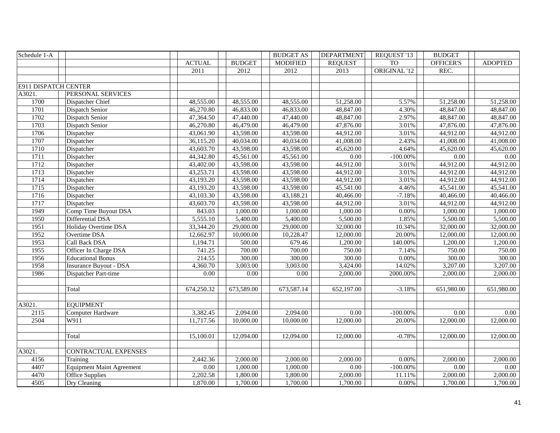| Schedule 1-A         |                                  |                        |               | <b>BUDGET AS</b> | <b>DEPARTMENT</b>      | REQUEST '13  | <b>BUDGET</b> |                |
|----------------------|----------------------------------|------------------------|---------------|------------------|------------------------|--------------|---------------|----------------|
|                      |                                  | <b>ACTUAL</b>          | <b>BUDGET</b> | <b>MODIFIED</b>  | <b>REQUEST</b>         | <b>TO</b>    | OFFICER'S     | <b>ADOPTED</b> |
|                      |                                  | 2011                   | 2012          | 2012             | $\overline{2013}$      | ORIGINAL '12 | REC.          |                |
|                      |                                  |                        |               |                  |                        |              |               |                |
| E911 DISPATCH CENTER |                                  |                        |               |                  |                        |              |               |                |
| A3021.               | PERSONAL SERVICES                |                        |               |                  |                        |              |               |                |
| 1700                 | Dispatcher Chief                 | 48,555.00              | 48,555.00     | 48,555.00        | 51,258.00              | 5.57%        | 51,258.00     | 51,258.00      |
| 1701                 | Dispatch Senior                  | 46,270.80              | 46,833.00     | 46,833.00        | 48,847.00              | 4.30%        | 48,847.00     | 48,847.00      |
| 1702                 | Dispatch Senior                  | 47,364.50              | 47,440.00     | 47,440.00        | 48,847.00              | 2.97%        | 48,847.00     | 48,847.00      |
| 1703                 | Dispatch Senior                  | 46,270.80              | 46,479.00     | 46,479.00        | 47,876.00              | 3.01%        | 47,876.00     | 47,876.00      |
| 1706                 | Dispatcher                       | $\overline{43,061.90}$ | 43,598.00     | 43,598.00        | $\overline{44,9}12.00$ | 3.01%        | 44,912.00     | 44,912.00      |
| 1707                 | Dispatcher                       | 36,115.20              | 40,034.00     | 40,034.00        | 41,008.00              | 2.43%        | 41,008.00     | 41,008.00      |
| 1710                 | Dispatcher                       | 43,603.70              | 43,598.00     | 43,598.00        | 45,620.00              | 4.64%        | 45,620.00     | 45,620.00      |
| 1711                 | Dispatcher                       | 44,342.80              | 45,561.00     | 45,561.00        | 0.00                   | $-100.00\%$  | 0.00          | $0.00\,$       |
| 1712                 | Dispatcher                       | 43,402.00              | 43,598.00     | 43,598.00        | 44,912.00              | 3.01%        | 44,912.00     | 44,912.00      |
| 1713                 | Dispatcher                       | 43,253.71              | 43,598.00     | 43,598.00        | 44,912.00              | 3.01%        | 44,912.00     | 44,912.00      |
| 1714                 | Dispatcher                       | 43,193.20              | 43,598.00     | 43,598.00        | 44,912.00              | 3.01%        | 44,912.00     | 44,912.00      |
| 1715                 | Dispatcher                       | 43,193.20              | 43,598.00     | 43,598.00        | 45,541.00              | 4.46%        | 45,541.00     | 45,541.00      |
| 1716                 | Dispatcher                       | 43,103.30              | 43,598.00     | 43,188.21        | 40,466.00              | $-7.18%$     | 40,466.00     | 40,466.00      |
| 1717                 | Dispatcher                       | 43,603.70              | 43,598.00     | 43,598.00        | 44,912.00              | 3.01%        | 44,912.00     | 44,912.00      |
| 1949                 | Comp Time Buyout DSA             | 843.03                 | 1,000.00      | 1,000.00         | 1,000.00               | 0.00%        | 1,000.00      | 1,000.00       |
| 1950                 | Differential DSA                 | 5,555.10               | 5,400.00      | 5,400.00         | 5,500.00               | 1.85%        | 5,500.00      | 5,500.00       |
| 1951                 | <b>Holiday Overtime DSA</b>      | 33,344.20              | 29,000.00     | 29,000.00        | 32,000.00              | 10.34%       | 32,000.00     | 32,000.00      |
| 1952                 | Overtime DSA                     | 12,662.97              | 10,000.00     | 10,228.47        | 12,000.00              | 20.00%       | 12,000.00     | 12,000.00      |
| 1953                 | Call Back DSA                    | 1,194.71               | 500.00        | 679.46           | 1,200.00               | 140.00%      | 1,200.00      | 1,200.00       |
| 1955                 | Officer In Charge DSA            | 741.25                 | 700.00        | 700.00           | 750.00                 | 7.14%        | 750.00        | 750.00         |
| 1956                 | <b>Educational Bonus</b>         | 214.55                 | 300.00        | 300.00           | 300.00                 | 0.00%        | 300.00        | 300.00         |
| 1958                 | Insurance Buyout - DSA           | 4,360.70               | 3,003.00      | 3,003.00         | 3,424.00               | 14.02%       | 3,207.00      | 3,207.00       |
| 1986                 | Dispatcher Part-time             | 0.00                   | $0.00\,$      | 0.00             | 2,000.00               | 2000.00%     | 2,000.00      | 2,000.00       |
|                      |                                  |                        |               |                  |                        |              |               |                |
|                      | Total                            | 674,250.32             | 673,589.00    | 673,587.14       | 652,197.00             | $-3.18%$     | 651,980.00    | 651,980.00     |
|                      |                                  |                        |               |                  |                        |              |               |                |
| A3021.               | <b>EQUIPMENT</b>                 |                        |               |                  |                        |              |               |                |
| 2115                 | Computer Hardware                | 3,382.45               | 2,094.00      | 2,094.00         | 0.00                   | $-100.00\%$  | 0.00          | $0.00\,$       |
| 2504                 | W911                             | 11,717.56              | 10,000.00     | 10,000.00        | 12,000.00              | 20.00%       | 12,000.00     | 12,000.00      |
|                      |                                  |                        |               |                  |                        |              |               |                |
|                      | Total                            | 15,100.01              | 12,094.00     | 12,094.00        | 12,000.00              | $-0.78%$     | 12,000.00     | 12,000.00      |
|                      |                                  |                        |               |                  |                        |              |               |                |
| A3021.               | CONTRACTUAL EXPENSES             |                        |               |                  |                        |              |               |                |
| 4156                 | Training                         | 2,442.36               | 2,000.00      | 2,000.00         | 2,000.00               | 0.00%        | 2,000.00      | 2,000.00       |
| 4407                 | <b>Equipment Maint Agreement</b> | 0.00                   | 1,000.00      | 1,000.00         | 0.00                   | $-100.00\%$  | 0.00          | 0.00           |
| 4470                 | <b>Office Supplies</b>           | 2,202.58               | 1,800.00      | 1,800.00         | 2,000.00               | 11.11%       | 2,000.00      | 2,000.00       |
| 4505                 | Dry Cleaning                     | 1,870.00               | 1,700.00      | 1,700.00         | 1,700.00               | 0.00%        | 1,700.00      | 1,700.00       |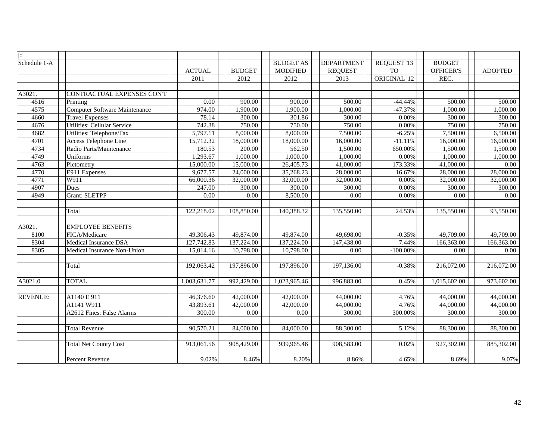| $\mathbb{R}$    |                                      |                        |               |                  |                |              |               |                |
|-----------------|--------------------------------------|------------------------|---------------|------------------|----------------|--------------|---------------|----------------|
| Schedule 1-A    |                                      |                        |               | <b>BUDGET AS</b> | DEPARTMENT     | REQUEST '13  | <b>BUDGET</b> |                |
|                 |                                      | <b>ACTUAL</b>          | <b>BUDGET</b> | <b>MODIFIED</b>  | <b>REQUEST</b> | <b>TO</b>    | OFFICER'S     | <b>ADOPTED</b> |
|                 |                                      | 2011                   | 2012          | 2012             | 2013           | ORIGINAL '12 | REC.          |                |
|                 |                                      |                        |               |                  |                |              |               |                |
| A3021.          | CONTRACTUAL EXPENSES CON'T           |                        |               |                  |                |              |               |                |
| 4516            | Printing                             | 0.00                   | 900.00        | 900.00           | 500.00         | $-44.44%$    | 500.00        | 500.00         |
| 4575            | <b>Computer Software Maintenance</b> | 974.00                 | 1,900.00      | 1,900.00         | 1,000.00       | $-47.37%$    | 1,000.00      | 1,000.00       |
| 4660            | <b>Travel Expenses</b>               | 78.14                  | 300.00        | 301.86           | 300.00         | 0.00%        | 300.00        | 300.00         |
| 4676            | <b>Utilities: Cellular Service</b>   | 742.38                 | 750.00        | 750.00           | 750.00         | 0.00%        | 750.00        | 750.00         |
| 4682            | Utilities: Telephone/Fax             | 5,797.11               | 8,000.00      | 8,000.00         | 7,500.00       | $-6.25%$     | 7,500.00      | 6,500.00       |
| 4701            | Access Telephone Line                | 15,712.32              | 18,000.00     | 18,000.00        | 16,000.00      | $-11.11%$    | 16,000.00     | 16,000.00      |
| 4734            | Radio Parts/Maintenance              | 180.53                 | 200.00        | 562.50           | 1,500.00       | 650.00%      | 1,500.00      | 1,500.00       |
| 4749            | Uniforms                             | 1,293.67               | 1,000.00      | 1,000.00         | 1,000.00       | 0.00%        | 1,000.00      | 1,000.00       |
| 4763            | Pictometry                           | 15,000.00              | 15,000.00     | 26,405.73        | 41,000.00      | 173.33%      | 41,000.00     | 0.00           |
| 4770            | E911 Expenses                        | 9,677.57               | 24,000.00     | 35,268.23        | 28,000.00      | 16.67%       | 28,000.00     | 28,000.00      |
| 4771            | W911                                 | 66,000.36              | 32,000.00     | 32,000.00        | 32,000.00      | 0.00%        | 32,000.00     | 32,000.00      |
| 4907            | Dues                                 | 247.00                 | 300.00        | 300.00           | 300.00         | 0.00%        | 300.00        | 300.00         |
| 4949            | <b>Grant: SLETPP</b>                 | 0.00                   | 0.00          | 8,500.00         | 0.00           | 0.00%        | 0.00          | 0.00           |
|                 |                                      |                        |               |                  |                |              |               |                |
|                 | Total                                | 122,218.02             | 108,850.00    | 140,388.32       | 135,550.00     | 24.53%       | 135,550.00    | 93,550.00      |
|                 |                                      |                        |               |                  |                |              |               |                |
| A3021.          | <b>EMPLOYEE BENEFITS</b>             |                        |               |                  |                |              |               |                |
| 8100            | FICA/Medicare                        | 49,306.43              | 49,874.00     | 49,874.00        | 49,698.00      | $-0.35%$     | 49,709.00     | 49,709.00      |
| 8304            | Medical Insurance DSA                | 127,742.83             | 137,224.00    | 137,224.00       | 147,438.00     | 7.44%        | 166,363.00    | 166,363.00     |
| 8305            | Medical Insurance Non-Union          | 15,014.16              | 10,798.00     | 10,798.00        | 0.00           | $-100.00\%$  | 0.00          | 0.00           |
|                 |                                      |                        |               |                  |                |              |               |                |
|                 | Total                                | 192,063.42             | 197,896.00    | 197,896.00       | 197,136.00     | $-0.38%$     | 216,072.00    | 216,072.00     |
|                 |                                      |                        |               |                  |                |              |               |                |
| A3021.0         | <b>TOTAL</b>                         | 1,003,631.77           | 992,429.00    | 1,023,965.46     | 996,883.00     | 0.45%        | 1,015,602.00  | 973,602.00     |
|                 |                                      |                        |               |                  |                |              |               |                |
| <b>REVENUE:</b> | A1140 E 911                          | 46,376.60              | 42,000.00     | 42,000.00        | 44,000.00      | 4.76%        | 44,000.00     | 44,000.00      |
|                 | A1141 W911                           | 43,893.61              | 42,000.00     | 42,000.00        | 44,000.00      | 4.76%        | 44,000.00     | 44,000.00      |
|                 | A2612 Fines: False Alarms            | 300.00                 | 0.00          | 0.00             | 300.00         | 300.00%      | 300.00        | 300.00         |
|                 |                                      |                        |               |                  |                |              |               |                |
|                 | <b>Total Revenue</b>                 | $\overline{90,570.21}$ | 84,000.00     | 84,000.00        | 88,300.00      | 5.12%        | 88,300.00     | 88,300.00      |
|                 |                                      |                        |               |                  |                |              |               |                |
|                 | <b>Total Net County Cost</b>         | 913,061.56             | 908,429.00    | 939,965.46       | 908,583.00     | 0.02%        | 927,302.00    | 885,302.00     |
|                 |                                      |                        |               |                  |                |              |               |                |
|                 | Percent Revenue                      | 9.02%                  | 8.46%         | 8.20%            | 8.86%          | 4.65%        | 8.69%         | 9.07%          |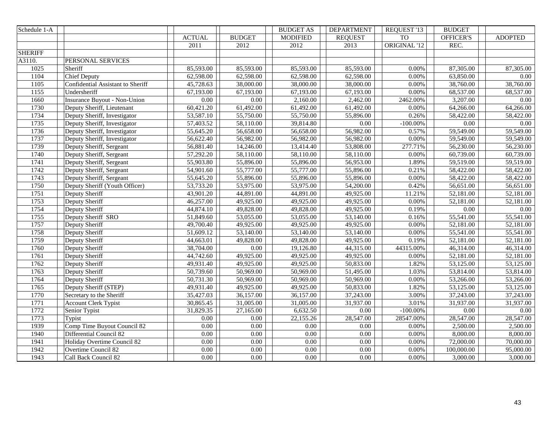| Schedule 1-A   |                                     |               |               | <b>BUDGET AS</b> | <b>DEPARTMENT</b> | REQUEST '13  | <b>BUDGET</b> |                |
|----------------|-------------------------------------|---------------|---------------|------------------|-------------------|--------------|---------------|----------------|
|                |                                     | <b>ACTUAL</b> | <b>BUDGET</b> | <b>MODIFIED</b>  | <b>REQUEST</b>    | <b>TO</b>    | OFFICER'S     | <b>ADOPTED</b> |
|                |                                     | 2011          | 2012          | 2012             | 2013              | ORIGINAL '12 | REC.          |                |
| <b>SHERIFF</b> |                                     |               |               |                  |                   |              |               |                |
| A3110.         | PERSONAL SERVICES                   |               |               |                  |                   |              |               |                |
| 1025           | Sheriff                             | 85,593.00     | 85,593.00     | 85,593.00        | 85,593.00         | 0.00%        | 87,305.00     | 87,305.00      |
| 1104           | <b>Chief Deputy</b>                 | 62,598.00     | 62,598.00     | 62,598.00        | 62,598.00         | 0.00%        | 63,850.00     | 0.00           |
| 1105           | Confidential Assistant to Sheriff   | 45,728.63     | 38,000.00     | 38,000.00        | 38,000.00         | 0.00%        | 38,760.00     | 38,760.00      |
| 1155           | Undersheriff                        | 67,193.00     | 67,193.00     | 67,193.00        | 67,193.00         | 0.00%        | 68,537.00     | 68,537.00      |
| 1660           | <b>Insurance Buyout - Non-Union</b> | $0.00\,$      | $0.00\,$      | 2,160.00         | 2,462.00          | 2462.00%     | 3,207.00      | 0.00           |
| 1730           | Deputy Sheriff, Lieutenant          | 60,421.20     | 61,492.00     | 61,492.00        | 61,492.00         | 0.00%        | 64,266.00     | 64,266.00      |
| 1734           | Deputy Sheriff, Investigator        | 53,587.10     | 55,750.00     | 55,750.00        | 55,896.00         | 0.26%        | 58,422.00     | 58,422.00      |
| 1735           | Deputy Sheriff, Investigator        | 57,403.52     | 58,110.00     | 39,814.80        | 0.00              | $-100.00\%$  | 0.00          | $0.00\,$       |
| 1736           | Deputy Sheriff, Investigator        | 55,645.20     | 56,658.00     | 56,658.00        | 56,982.00         | 0.57%        | 59,549.00     | 59,549.00      |
| 1737           | Deputy Sheriff, Investigator        | 56,622.40     | 56,982.00     | 56,982.00        | 56,982.00         | 0.00%        | 59,549.00     | 59,549.00      |
| 1739           | Deputy Sheriff, Sergeant            | 56,881.40     | 14,246.00     | 13,414.40        | 53,808.00         | 277.71%      | 56,230.00     | 56,230.00      |
| 1740           | Deputy Sheriff, Sergeant            | 57,292.20     | 58,110.00     | 58,110.00        | 58,110.00         | 0.00%        | 60,739.00     | 60,739.00      |
| 1741           | Deputy Sheriff, Sergeant            | 55,903.80     | 55,896.00     | 55,896.00        | 56,953.00         | 1.89%        | 59,519.00     | 59,519.00      |
| 1742           | Deputy Sheriff, Sergeant            | 54,901.60     | 55,777.00     | 55,777.00        | 55,896.00         | 0.21%        | 58,422.00     | 58,422.00      |
| 1743           | Deputy Sheriff, Sergeant            | 55,645.20     | 55,896.00     | 55,896.00        | 55,896.00         | 0.00%        | 58,422.00     | 58,422.00      |
| 1750           | Deputy Sheriff (Youth Officer)      | 53,733.20     | 53,975.00     | 53,975.00        | 54,200.00         | 0.42%        | 56,651.00     | 56,651.00      |
| 1751           | Deputy Sheriff                      | 43,901.20     | 44,891.00     | 44,891.00        | 49,925.00         | 11.21%       | 52,181.00     | 52,181.00      |
| 1753           | Deputy Sheriff                      | 46,257.00     | 49,925.00     | 49,925.00        | 49,925.00         | 0.00%        | 52,181.00     | 52,181.00      |
| 1754           | Deputy Sheriff                      | 44,874.10     | 49,828.00     | 49,828.00        | 49,925.00         | 0.19%        | 0.00          | 0.00           |
| 1755           | Deputy Sheriff SRO                  | 51,849.60     | 53,055.00     | 53,055.00        | 53,140.00         | 0.16%        | 55,541.00     | 55,541.00      |
| 1757           | Deputy Sheriff                      | 49,700.40     | 49,925.00     | 49,925.00        | 49,925.00         | 0.00%        | 52,181.00     | 52,181.00      |
| 1758           | Deputy Sheriff                      | 51,609.12     | 53,140.00     | 53,140.00        | 53,140.00         | 0.00%        | 55,541.00     | 55,541.00      |
| 1759           | Deputy Sheriff                      | 44,663.01     | 49,828.00     | 49,828.00        | 49,925.00         | 0.19%        | 52,181.00     | 52,181.00      |
| 1760           | Deputy Sheriff                      | 38,704.00     | 0.00          | 19,126.80        | 44,315.00         | 44315.00%    | 46,314.00     | 46,314.00      |
| 1761           | Deputy Sheriff                      | 44,742.60     | 49,925.00     | 49,925.00        | 49,925.00         | 0.00%        | 52,181.00     | 52,181.00      |
| 1762           | Deputy Sheriff                      | 49,931.40     | 49,925.00     | 49,925.00        | 50,833.00         | 1.82%        | 53,125.00     | 53,125.00      |
| 1763           | Deputy Sheriff                      | 50,739.60     | 50,969.00     | 50,969.00        | 51,495.00         | 1.03%        | 53,814.00     | 53,814.00      |
| 1764           | Deputy Sheriff                      | 50,731.30     | 50,969.00     | 50,969.00        | 50,969.00         | 0.00%        | 53,266.00     | 53,266.00      |
| 1765           | Deputy Sheriff (STEP)               | 49,931.40     | 49,925.00     | 49,925.00        | 50,833.00         | 1.82%        | 53,125.00     | 53,125.00      |
| 1770           | Secretary to the Sheriff            | 35,427.03     | 36,157.00     | 36,157.00        | 37,243.00         | 3.00%        | 37,243.00     | 37,243.00      |
| 1771           | <b>Account Clerk Typist</b>         | 30,865.45     | 31,005.00     | 31,005.00        | 31,937.00         | 3.01%        | 31,937.00     | 31,937.00      |
| 1772           | Senior Typist                       | 31,829.35     | 27,165.00     | 6,632.50         | 0.00              | $-100.00\%$  | 0.00          | 0.00           |
| 1773           | Typist                              | $0.00\,$      | 0.00          | 22,155.26        | 28,547.00         | 28547.00%    | 28,547.00     | 28,547.00      |
| 1939           | Comp Time Buyout Council 82         | 0.00          | 0.00          | $0.00\,$         | 0.00              | 0.00%        | 2,500.00      | 2,500.00       |
| 1940           | Differential Council 82             | $0.00\,$      | 0.00          | 0.00             | 0.00              | 0.00%        | 8,000.00      | 8,000.00       |
| 1941           | Holiday Overtime Council 82         | $0.00\,$      | 0.00          | $0.00\,$         | 0.00              | 0.00%        | 72,000.00     | 70,000.00      |
| 1942           | Overtime Council 82                 | $0.00\,$      | 0.00          | 0.00             | 0.00              | 0.00%        | 100,000.00    | 95,000.00      |
| 1943           | Call Back Council 82                | 0.00          | 0.00          | 0.00             | 0.00              | 0.00%        | 3,000.00      | 3,000.00       |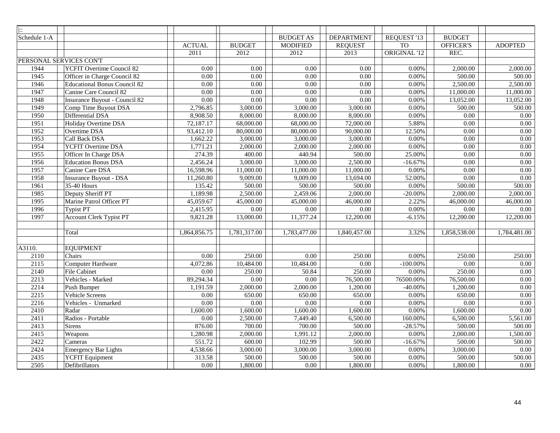| $\overline{\mathbb{R}}$ |                                     |                   |                   |                   |                   |              |               |                   |
|-------------------------|-------------------------------------|-------------------|-------------------|-------------------|-------------------|--------------|---------------|-------------------|
| Schedule 1-A            |                                     |                   |                   | <b>BUDGET AS</b>  | <b>DEPARTMENT</b> | REQUEST '13  | <b>BUDGET</b> |                   |
|                         |                                     | <b>ACTUAL</b>     | <b>BUDGET</b>     | <b>MODIFIED</b>   | <b>REQUEST</b>    | <b>TO</b>    | OFFICER'S     | <b>ADOPTED</b>    |
|                         |                                     | 2011              | 2012              | 2012              | 2013              | ORIGINAL '12 | REC.          |                   |
|                         | PERSONAL SERVICES CON'T             |                   |                   |                   |                   |              |               |                   |
| 1944                    | <b>YCFIT</b> Overtime Council 82    | 0.00              | 0.00              | 0.00              | 0.00              | 0.00%        | 2,000.00      | 2,000.00          |
| 1945                    | Officer in Charge Council 82        | 0.00              | 0.00              | 0.00              | 0.00              | 0.00%        | 500.00        | 500.00            |
| 1946                    | <b>Educational Bonus Council 82</b> | $\overline{0.00}$ | 0.00              | 0.00              | $\overline{0.00}$ | 0.00%        | 2,500.00      | 2,500.00          |
| 1947                    | Canine Care Council 82              | 0.00              | 0.00              | 0.00              | 0.00              | 0.00%        | 11,000.00     | 11,000.00         |
| 1948                    | Insurance Buyout - Council 82       | $0.00\,$          | 0.00              | 0.00              | 0.00              | 0.00%        | 13,052.00     | 13,052.00         |
| 1949                    | Comp Time Buyout DSA                | 2,796.85          | 3,000.00          | 3,000.00          | 3,000.00          | 0.00%        | 500.00        | 500.00            |
| 1950                    | Differential DSA                    | 8,908.50          | 8,000.00          | 8,000.00          | 8,000.00          | 0.00%        | 0.00          | 0.00              |
| 1951                    | Holiday Overtime DSA                | 72,187.17         | 68,000.00         | 68,000.00         | 72,000.00         | 5.88%        | 0.00          | $0.00\,$          |
| 1952                    | Overtime DSA                        | 93,412.10         | 80,000.00         | 80,000.00         | 90,000.00         | 12.50%       | 0.00          | $0.00\,$          |
| 1953                    | Call Back DSA                       | 1,662.22          | 3,000.00          | 3,000.00          | 3,000.00          | 0.00%        | 0.00          | $\overline{0.00}$ |
| 1954                    | YCFIT Overtime DSA                  | 1,771.21          | 2,000.00          | 2,000.00          | 2,000.00          | 0.00%        | 0.00          | 0.00              |
| 1955                    | Officer In Charge DSA               | 274.39            | 400.00            | 440.94            | 500.00            | 25.00%       | 0.00          | $\overline{0.00}$ |
| 1956                    | <b>Education Bonus DSA</b>          | 2,456.24          | 3,000.00          | 3,000.00          | 2,500.00          | $-16.67%$    | 0.00          | $\overline{0.00}$ |
| 1957                    | Canine Care DSA                     | 16,598.96         | 11,000.00         | 11,000.00         | 11,000.00         | 0.00%        | 0.00          | 0.00              |
| 1958                    | Insurance Buyout - DSA              | 11,260.80         | 9,009.00          | 9,009.00          | 13,694.00         | 52.00%       | 0.00          | $\overline{0.00}$ |
| 1961                    | 35-40 Hours                         | 135.42            | 500.00            | 500.00            | 500.00            | 0.00%        | 500.00        | 500.00            |
| 1985                    | Deputy Sheriff PT                   | 1,189.98          | 2,500.00          | 2,459.06          | 2,000.00          | $-20.00%$    | 2,000.00      | 2,000.00          |
| 1995                    | Marine Patrol Officer PT            | 45,059.67         | 45,000.00         | 45,000.00         | 46,000.00         | 2.22%        | 46,000.00     | 46,000.00         |
| 1996                    | <b>Typist PT</b>                    | 2,415.95          | 0.00              | $\overline{0.00}$ | 0.00              | 0.00%        | 0.00          | 0.00              |
| 1997                    | <b>Account Clerk Typist PT</b>      | 9,821.28          | 13,000.00         | 11,377.24         | 12,200.00         | $-6.15%$     | 12,200.00     | 12,200.00         |
|                         |                                     |                   |                   |                   |                   |              |               |                   |
|                         | Total                               | 1,864,856.75      | 1,781,317.00      | 1,783,477.00      | 1,840,457.00      | 3.32%        | 1,858,538.00  | 1,784,481.00      |
|                         |                                     |                   |                   |                   |                   |              |               |                   |
| A3110.                  | <b>EQUIPMENT</b>                    |                   |                   |                   |                   |              |               |                   |
| 2110                    | Chairs                              | $0.00\,$          | 250.00            | 0.00              | 250.00            | 0.00%        | 250.00        | 250.00            |
| 2115                    | Computer Hardware                   | 4,072.86          | 10,484.00         | 10,484.00         | $\overline{0.00}$ | $-100.00\%$  | 0.00          | $\overline{0.00}$ |
| 2140                    | <b>File Cabinet</b>                 | 0.00              | 250.00            | 50.84             | 250.00            | 0.00%        | 250.00        | 0.00              |
| 2213                    | Vehicles - Marked                   | 89,294.34         | $\overline{0.00}$ | 0.00              | 76,500.00         | 76500.00%    | 76,500.00     | 0.00              |
| 2214                    | Push Bumper                         | 1,191.59          | 2,000.00          | 2,000.00          | 1,200.00          | $-40.00%$    | 1,200.00      | 0.00              |
| 2215                    | Vehicle Screens                     | 0.00              | 650.00            | 650.00            | 650.00            | 0.00%        | 650.00        | 0.00              |
| 2216                    | Vehicles - Unmarked                 | 0.00              | 0.00              | 0.00              | 0.00              | 0.00%        | 0.00          | $\overline{0.00}$ |
| 2410                    | Radar                               | 1,600.00          | 1,600.00          | 1,600.00          | 1,600.00          | 0.00%        | 1,600.00      | 0.00              |
| 2411                    | Radios - Portable                   | 0.00              | 2,500.00          | 7,449.40          | 6,500.00          | 160.00%      | 6,500.00      | 5,561.00          |
| 2413                    | <b>Sirens</b>                       | 876.00            | 700.00            | 700.00            | 500.00            | $-28.57%$    | 500.00        | 500.00            |
| 2415                    | Weapons                             | 1,280.98          | 2,000.00          | 1,991.12          | 2,000.00          | 0.00%        | 2,000.00      | 1,500.00          |
| 2422                    | Cameras                             | 551.72            | 600.00            | 102.99            | 500.00            | $-16.67%$    | 500.00        | 500.00            |
| 2424                    | <b>Emergency Bar Lights</b>         | 4,538.66          | 3,000.00          | 3,000.00          | 3,000.00          | 0.00%        | 3,000.00      | 0.00              |
| 2435                    | <b>YCFIT</b> Equipment              | 313.58            | 500.00            | 500.00            | 500.00            | 0.00%        | 500.00        | 500.00            |
| 2505                    | Defibrillators                      | 0.00              | 1,800.00          | 0.00              | 1,800.00          | $0.00\%$     | 1,800.00      | 0.00              |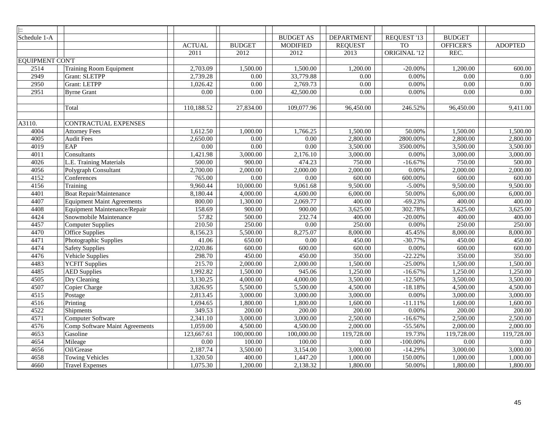| $\left\vert \cdot\right\rangle$ |                                   |               |               |                   |                   |              |               |                |
|---------------------------------|-----------------------------------|---------------|---------------|-------------------|-------------------|--------------|---------------|----------------|
| Schedule 1-A                    |                                   |               |               | <b>BUDGET AS</b>  | <b>DEPARTMENT</b> | REQUEST '13  | <b>BUDGET</b> |                |
|                                 |                                   | <b>ACTUAL</b> | <b>BUDGET</b> | <b>MODIFIED</b>   | <b>REQUEST</b>    | <b>TO</b>    | OFFICER'S     | <b>ADOPTED</b> |
|                                 |                                   | 2011          | 2012          | 2012              | 2013              | ORIGINAL '12 | REC.          |                |
| <b>EQUIPMENT CON'T</b>          |                                   |               |               |                   |                   |              |               |                |
| 2514                            | <b>Training Room Equipment</b>    | 2,703.09      | 1,500.00      | 1,500.00          | 1,200.00          | $-20.00\%$   | 1,200.00      | 600.00         |
| 2949                            | <b>Grant: SLETPP</b>              | 2,739.28      | 0.00          | 33,779.88         | 0.00              | 0.00%        | 0.00          | 0.00           |
| 2950                            | <b>Grant: LETPP</b>               | 1,026.42      | 0.00          | 2,769.73          | 0.00              | 0.00%        | 0.00          | 0.00           |
| 2951                            | <b>Byrne Grant</b>                | 0.00          | 0.00          | 42,500.00         | 0.00              | 0.00%        | 0.00          | 0.00           |
|                                 |                                   |               |               |                   |                   |              |               |                |
|                                 | Total                             | 110,188.52    | 27,834.00     | 109,077.96        | 96,450.00         | 246.52%      | 96,450.00     | 9,411.00       |
|                                 |                                   |               |               |                   |                   |              |               |                |
| A3110.                          | <b>CONTRACTUAL EXPENSES</b>       |               |               |                   |                   |              |               |                |
| 4004                            | <b>Attorney Fees</b>              | 1,612.50      | 1,000.00      | 1,766.25          | 1,500.00          | 50.00%       | 1,500.00      | 1,500.00       |
| 4005                            | <b>Audit Fees</b>                 | 2,650.00      | 0.00          | $\overline{0.00}$ | 2,800.00          | 2800.00%     | 2,800.00      | 2,800.00       |
| 4019                            | EAP                               | 0.00          | 0.00          | 0.00              | 3,500.00          | 3500.00%     | 3,500.00      | 3,500.00       |
| 4011                            | Consultants                       | 1,421.98      | 3,000.00      | 2,176.10          | 3,000.00          | 0.00%        | 3,000.00      | 3,000.00       |
| 4026                            | L.E. Training Materials           | 500.00        | 900.00        | 474.23            | 750.00            | $-16.67%$    | 750.00        | 500.00         |
| 4056                            | Polygraph Consultant              | 2,700.00      | 2,000.00      | 2,000.00          | 2,000.00          | 0.00%        | 2,000.00      | 2,000.00       |
| 4152                            | Conferences                       | 765.00        | 0.00          | 0.00              | 600.00            | 600.00%      | 600.00        | 600.00         |
| 4156                            | Training                          | 9,960.44      | 10,000.00     | 9,061.68          | 9,500.00          | $-5.00\%$    | 9,500.00      | 9,500.00       |
| 4401                            | Boat Repair/Maintenance           | 8,180.44      | 4,000.00      | 4,600.00          | 6,000.00          | 50.00%       | 6,000.00      | 6,000.00       |
| 4407                            | <b>Equipment Maint Agreements</b> | 800.00        | 1,300.00      | 2,069.77          | 400.00            | $-69.23%$    | 400.00        | 400.00         |
| 4408                            | Equipment Maintenance/Repair      | 158.69        | 900.00        | 900.00            | 3,625.00          | 302.78%      | 3,625.00      | 3,625.00       |
| 4424                            | Snowmobile Maintenance            | 57.82         | 500.00        | 232.74            | 400.00            | $-20.00%$    | 400.00        | 400.00         |
| 4457                            | <b>Computer Supplies</b>          | 210.50        | 250.00        | 0.00              | 250.00            | 0.00%        | 250.00        | 250.00         |
| 4470                            | <b>Office Supplies</b>            | 8,156.23      | 5,500.00      | 8,275.07          | 8,000.00          | 45.45%       | 8,000.00      | 8,000.00       |
| 4471                            | Photographic Supplies             | 41.06         | 650.00        | 0.00              | 450.00            | $-30.77%$    | 450.00        | 450.00         |
| 4474                            | <b>Safety Supplies</b>            | 2,020.86      | 600.00        | 600.00            | 600.00            | 0.00%        | 600.00        | 600.00         |
| 4476                            | Vehicle Supplies                  | 298.70        | 450.00        | 450.00            | 350.00            | $-22.22%$    | 350.00        | 350.00         |
| 4483                            | <b>YCFIT Supplies</b>             | 215.70        | 2,000.00      | 2,000.00          | 1,500.00          | $-25.00%$    | 1,500.00      | 1,500.00       |
| 4485                            | <b>AED Supplies</b>               | 1,992.82      | 1,500.00      | 945.06            | 1,250.00          | $-16.67%$    | 1,250.00      | 1,250.00       |
| 4505                            | Dry Cleaning                      | 3,130.25      | 4,000.00      | 4,000.00          | 3,500.00          | $-12.50%$    | 3,500.00      | 3,500.00       |
| 4507                            | Copier Charge                     | 3,826.95      | 5,500.00      | 5,500.00          | 4,500.00          | $-18.18%$    | 4,500.00      | 4,500.00       |
| 4515                            | Postage                           | 2,813.45      | 3,000.00      | 3,000.00          | 3,000.00          | 0.00%        | 3,000.00      | 3,000.00       |
| 4516                            | Printing                          | 1,694.65      | 1,800.00      | 1,800.00          | 1,600.00          | $-11.11%$    | 1,600.00      | 1,600.00       |
| 4522                            | Shipments                         | 349.53        | 200.00        | 200.00            | 200.00            | 0.00%        | 200.00        | 200.00         |
| 4571                            | <b>Computer Software</b>          | 2,341.10      | 3,000.00      | 3,000.00          | 2,500.00          | $-16.67%$    | 2,500.00      | 2,500.00       |
| 4576                            | Comp Software Maint Agreements    | 1,059.00      | 4,500.00      | 4,500.00          | 2,000.00          | $-55.56%$    | 2,000.00      | 2,000.00       |
| 4653                            | Gasoline                          | 123,667.61    | 100,000.00    | 100,000.00        | 119,728.00        | 19.73%       | 119,728.00    | 119,728.00     |
| 4654                            | Mileage                           | 0.00          | 100.00        | 100.00            | 0.00              | $-100.00\%$  | 0.00          | 0.00           |
| 4656                            | Oil/Grease                        | 2,187.74      | 3,500.00      | 3,154.00          | 3,000.00          | $-14.29%$    | 3,000.00      | 3,000.00       |
| 4658                            | <b>Towing Vehicles</b>            | 1,320.50      | 400.00        | 1,447.20          | 1,000.00          | 150.00%      | 1,000.00      | 1,000.00       |
| 4660                            | <b>Travel Expenses</b>            | 1,075.30      | 1,200.00      | 2,138.32          | 1,800.00          | 50.00%       | 1,800.00      | 1,800.00       |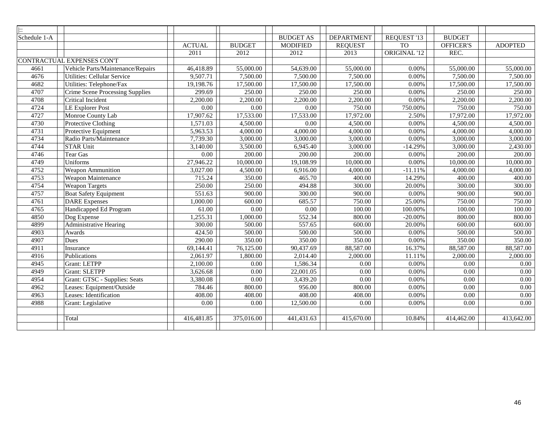| $\overline{\mathbb{R}}$ |                                    |                       |               |                   |                   |              |                  |                       |
|-------------------------|------------------------------------|-----------------------|---------------|-------------------|-------------------|--------------|------------------|-----------------------|
| Schedule 1-A            |                                    |                       |               | <b>BUDGET AS</b>  | <b>DEPARTMENT</b> | REQUEST '13  | <b>BUDGET</b>    |                       |
|                         |                                    | <b>ACTUAL</b>         | <b>BUDGET</b> | <b>MODIFIED</b>   | <b>REQUEST</b>    | TO           | <b>OFFICER'S</b> | <b>ADOPTED</b>        |
|                         |                                    | 2011                  | 2012          | 2012              | 2013              | ORIGINAL '12 | REC.             |                       |
|                         | CONTRACTUAL EXPENSES CONT          |                       |               |                   |                   |              |                  |                       |
| 4661                    | Vehicle Parts/Maintenance/Repairs  | 46,418.89             | 55,000.00     | 54,639.00         | 55,000.00         | 0.00%        | 55,000.00        | 55,000.00             |
| 4676                    | <b>Utilities: Cellular Service</b> | 9,507.71              | 7,500.00      | 7,500.00          | 7,500.00          | 0.00%        | 7,500.00         | 7,500.00              |
| 4682                    | Utilities: Telephone/Fax           | 19,198.76             | 17,500.00     | 17,500.00         | 17,500.00         | 0.00%        | 17,500.00        | 17,500.00             |
| 4707                    | Crime Scene Processing Supplies    | 299.69                | 250.00        | 250.00            | 250.00            | 0.00%        | 250.00           | 250.00                |
| 4708                    | <b>Critical Incident</b>           | 2,200.00              | 2,200.00      | 2,200.00          | 2,200.00          | 0.00%        | 2,200.00         | 2,200.00              |
| 4724                    | <b>LE Explorer Post</b>            | 0.00                  | 0.00          | 0.00              | 750.00            | 750.00%      | 750.00           | 750.00                |
| 4727                    | Monroe County Lab                  | 17,907.62             | 17,533.00     | 17,533.00         | 17,972.00         | 2.50%        | 17,972.00        | 17,972.00             |
| 4730                    | Protective Clothing                | 1,571.03              | 4,500.00      | $\overline{0.00}$ | 4,500.00          | 0.00%        | 4,500.00         | 4,500.00              |
| 4731                    | Protective Equipment               | 5,963.53              | 4,000.00      | 4,000.00          | 4,000.00          | 0.00%        | 4,000.00         | 4,000.00              |
| 4734                    | Radio Parts/Maintenance            | 7,739.30              | 3,000.00      | 3,000.00          | 3,000.00          | 0.00%        | 3,000.00         | 3,000.00              |
| 4744                    | <b>STAR Unit</b>                   | 3,140.00              | 3,500.00      | 6,945.40          | 3,000.00          | $-14.29%$    | 3,000.00         | 2,430.00              |
| 4746                    | <b>Tear Gas</b>                    | 0.00                  | 200.00        | 200.00            | 200.00            | 0.00%        | 200.00           | 200.00                |
| 4749                    | Uniforms                           | 27,946.22             | 10,000.00     | 19,108.99         | 10,000.00         | 0.00%        | 10,000.00        | 10,000.00             |
| 4752                    | Weapon Ammunition                  | $\overline{3,027.00}$ | 4,500.00      | 6,916.00          | 4,000.00          | $-11.11%$    | 4,000.00         | $\overline{4,000.00}$ |
| 4753                    | Weapon Maintenance                 | 715.24                | 350.00        | 465.70            | 400.00            | 14.29%       | 400.00           | 400.00                |
| 4754                    | <b>Weapon Targets</b>              | 250.00                | 250.00        | 494.88            | 300.00            | 20.00%       | 300.00           | 300.00                |
| 4757                    | <b>Boat Safety Equipment</b>       | 551.63                | 900.00        | 300.00            | 900.00            | 0.00%        | 900.00           | 900.00                |
| 4761                    | <b>DARE</b> Expenses               | 1,000.00              | 600.00        | 685.57            | 750.00            | 25.00%       | 750.00           | 750.00                |
| 4765                    | Handicapped Ed Program             | 61.00                 | 0.00          | $\overline{0.00}$ | 100.00            | 100.00%      | 100.00           | 100.00                |
| 4850                    | Dog Expense                        | 1,255.31              | 1,000.00      | 552.34            | 800.00            | $-20.00%$    | 800.00           | 800.00                |
| 4899                    | <b>Administrative Hearing</b>      | 300.00                | 500.00        | 557.65            | 600.00            | 20.00%       | 600.00           | 600.00                |
| 4903                    | Awards                             | 424.50                | 500.00        | 500.00            | 500.00            | 0.00%        | 500.00           | 500.00                |
| 4907                    | Dues                               | 290.00                | 350.00        | 350.00            | 350.00            | 0.00%        | 350.00           | 350.00                |
| 4911                    | Insurance                          | 69,144.41             | 76,125.00     | 90,437.69         | 88,587.00         | 16.37%       | 88,587.00        | 88,587.00             |
| 4916                    | Publications                       | 2,061.97              | 1,800.00      | 2,014.40          | 2,000.00          | 11.11%       | 2,000.00         | 2,000.00              |
| 4945                    | <b>Grant: LETPP</b>                | 2,100.00              | 0.00          | 1,586.34          | 0.00              | 0.00%        | 0.00             | 0.00                  |
| 4949                    | <b>Grant: SLETPP</b>               | 3,626.68              | 0.00          | 22,001.05         | 0.00              | 0.00%        | 0.00             | 0.00                  |
| 4954                    | Grant: GTSC - Supplies: Seats      | 3,380.08              | 0.00          | 3,439.20          | 0.00              | 0.00%        | 0.00             | 0.00                  |
| 4962                    | Leases: Equipment/Outside          | 784.46                | 800.00        | 956.00            | 800.00            | 0.00%        | 0.00             | 0.00                  |
| 4963                    | Leases: Identification             | 408.00                | 408.00        | 408.00            | 408.00            | 0.00%        | 0.00             | 0.00                  |
| 4988                    | Grant: Legislative                 | 0.00                  | 0.00          | 12,500.00         | 0.00              | 0.00%        | 0.00             | 0.00                  |
|                         |                                    |                       |               |                   |                   |              |                  |                       |
|                         | Total                              | 416,481.85            | 375,016.00    | 441,431.63        | 415,670.00        | 10.84%       | 414,462.00       | 413,642.00            |
|                         |                                    |                       |               |                   |                   |              |                  |                       |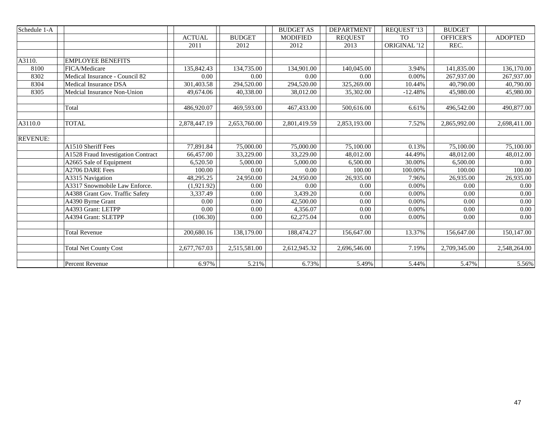| Schedule 1-A    |                                    |               |               | <b>BUDGET AS</b> | <b>DEPARTMENT</b> | REQUEST '13         | <b>BUDGET</b>    |                |
|-----------------|------------------------------------|---------------|---------------|------------------|-------------------|---------------------|------------------|----------------|
|                 |                                    | <b>ACTUAL</b> | <b>BUDGET</b> | <b>MODIFIED</b>  | <b>REQUEST</b>    | <b>TO</b>           | <b>OFFICER'S</b> | <b>ADOPTED</b> |
|                 |                                    | 2011          | 2012          | 2012             | 2013              | <b>ORIGINAL '12</b> | REC.             |                |
|                 |                                    |               |               |                  |                   |                     |                  |                |
| A3110.          | <b>EMPLOYEE BENEFITS</b>           |               |               |                  |                   |                     |                  |                |
| 8100            | FICA/Medicare                      | 135,842.43    | 134,735.00    | 134,901.00       | 140,045.00        | 3.94%               | 141,835.00       | 136,170.00     |
| 8302            | Medical Insurance - Council 82     | 0.00          | 0.00          | 0.00             | 0.00              | 0.00%               | 267,937.00       | 267,937.00     |
| 8304            | <b>Medical Insurance DSA</b>       | 301,403.58    | 294,520.00    | 294,520.00       | 325,269.00        | 10.44%              | 40,790.00        | 40,790.00      |
| 8305            | Medcial Insurance Non-Union        | 49,674.06     | 40,338.00     | 38,012.00        | 35,302.00         | $-12.48%$           | 45,980.00        | 45,980.00      |
|                 |                                    |               |               |                  |                   |                     |                  |                |
|                 | Total                              | 486,920.07    | 469,593.00    | 467,433.00       | 500,616.00        | 6.61%               | 496,542.00       | 490,877.00     |
|                 |                                    |               |               |                  |                   |                     |                  |                |
| A3110.0         | <b>TOTAL</b>                       | 2,878,447.19  | 2,653,760.00  | 2,801,419.59     | 2,853,193.00      | 7.52%               | 2,865,992.00     | 2,698,411.00   |
|                 |                                    |               |               |                  |                   |                     |                  |                |
| <b>REVENUE:</b> |                                    |               |               |                  |                   |                     |                  |                |
|                 | A1510 Sheriff Fees                 | 77.891.84     | 75,000.00     | 75,000.00        | 75,100.00         | 0.13%               | 75,100.00        | 75,100.00      |
|                 | A1528 Fraud Investigation Contract | 66,457.00     | 33,229.00     | 33,229.00        | 48.012.00         | 44.49%              | 48,012.00        | 48,012.00      |
|                 | A2665 Sale of Equipment            | 6,520.50      | 5,000.00      | 5,000.00         | 6,500.00          | 30.00%              | 6,500.00         | 0.00           |
|                 | A2706 DARE Fees                    | 100.00        | 0.00          | 0.00             | 100.00            | 100.00%             | 100.00           | 100.00         |
|                 | A3315 Navigation                   | 48,295.25     | 24,950.00     | 24,950.00        | 26,935.00         | 7.96%               | 26,935.00        | 26,935.00      |
|                 | A3317 Snowmobile Law Enforce.      | (1,921.92)    | 0.00          | 0.00             | 0.00              | 0.00%               | 0.00             | 0.00           |
|                 | A4388 Grant Gov. Traffic Safety    | 3,337.49      | 0.00          | 3,439.20         | 0.00              | 0.00%               | 0.00             | 0.00           |
|                 | A4390 Byrne Grant                  | 0.00          | 0.00          | 42,500.00        | 0.00              | 0.00%               | 0.00             | 0.00           |
|                 | A4393 Grant: LETPP                 | 0.00          | 0.00          | 4,356.07         | 0.00              | 0.00%               | 0.00             | 0.00           |
|                 | A4394 Grant: SLETPP                | (106.30)      | 0.00          | 62,275.04        | 0.00              | 0.00%               | 0.00             | 0.00           |
|                 |                                    |               |               |                  |                   |                     |                  |                |
|                 | <b>Total Revenue</b>               | 200,680.16    | 138,179.00    | 188,474.27       | 156,647.00        | 13.37%              | 156,647.00       | 150,147.00     |
|                 |                                    |               |               |                  |                   |                     |                  |                |
|                 | <b>Total Net County Cost</b>       | 2,677,767.03  | 2,515,581.00  | 2,612,945.32     | 2,696,546.00      | 7.19%               | 2,709,345.00     | 2,548,264.00   |
|                 |                                    |               |               |                  |                   |                     |                  |                |
|                 | Percent Revenue                    | 6.97%         | 5.21%         | 6.73%            | 5.49%             | 5.44%               | 5.47%            | 5.56%          |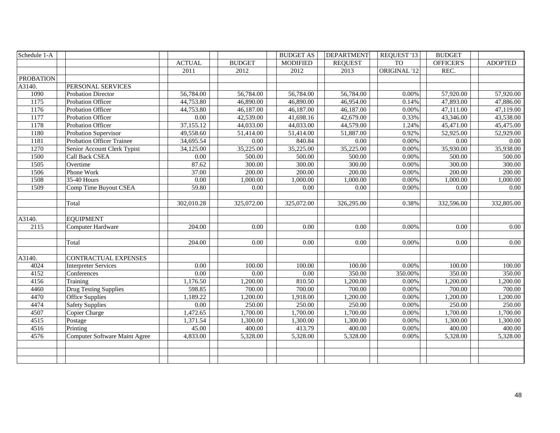| Schedule 1-A        |                               |               |                        | <b>BUDGET AS</b> | <b>DEPARTMENT</b> | REQUEST '13         | <b>BUDGET</b> |                |
|---------------------|-------------------------------|---------------|------------------------|------------------|-------------------|---------------------|---------------|----------------|
|                     |                               | <b>ACTUAL</b> | <b>BUDGET</b>          | <b>MODIFIED</b>  | <b>REQUEST</b>    | <b>TO</b>           | OFFICER'S     | <b>ADOPTED</b> |
|                     |                               | 2011          | 2012                   | 2012             | 2013              | <b>ORIGINAL '12</b> | REC.          |                |
| <b>PROBATION</b>    |                               |               |                        |                  |                   |                     |               |                |
| $\overline{A}3140.$ | PERSONAL SERVICES             |               |                        |                  |                   |                     |               |                |
| 1090                | <b>Probation Director</b>     | 56,784.00     | 56,784.00              | 56,784.00        | 56,784.00         | 0.00%               | 57,920.00     | 57,920.00      |
| 1175                | <b>Probation Officer</b>      | 44,753.80     | 46,890.00              | 46,890.00        | 46,954.00         | 0.14%               | 47,893.00     | 47,886.00      |
| 1176                | Probation Officer             | 44,753.80     | 46,187.00              | 46,187.00        | 46,187.00         | 0.00%               | 47,111.00     | 47,119.00      |
| 1177                | Probation Officer             | $0.00\,$      | 42,539.00              | 41,698.16        | 42,679.00         | 0.33%               | 43,346.00     | 43,538.00      |
| 1178                | Probation Officer             | 37,155.12     | 44,033.00              | 44,033.00        | 44,579.00         | 1.24%               | 45,471.00     | 45,475.00      |
| 1180                | Probation Supervisor          | 49,558.60     | $\overline{51,41}4.00$ | 51,414.00        | 51,887.00         | 0.92%               | 52,925.00     | 52,929.00      |
| 1181                | Probation Officer Trainee     | 34,695.54     | $0.00\,$               | 840.84           | 0.00              | 0.00%               | 0.00          | 0.00           |
| 1270                | Senior Account Clerk Typist   | 34,125.00     | 35,225.00              | 35,225.00        | 35,225.00         | 0.00%               | 35,930.00     | 35,938.00      |
| 1500                | <b>Call Back CSEA</b>         | 0.00          | 500.00                 | 500.00           | 500.00            | 0.00%               | 500.00        | 500.00         |
| 1505                | Overtime                      | 87.62         | 300.00                 | 300.00           | 300.00            | 0.00%               | 300.00        | 300.00         |
| 1506                | Phone Work                    | 37.00         | 200.00                 | 200.00           | 200.00            | 0.00%               | 200.00        | 200.00         |
| 1508                | <b>35-40 Hours</b>            | 0.00          | 1,000.00               | 1,000.00         | 1,000.00          | 0.00%               | 1,000.00      | 1,000.00       |
| 1509                | Comp Time Buyout CSEA         | 59.80         | 0.00                   | 0.00             | 0.00              | 0.00%               | 0.00          | 0.00           |
|                     |                               |               |                        |                  |                   |                     |               |                |
|                     | Total                         | 302,010.28    | 325,072.00             | 325,072.00       | 326,295.00        | 0.38%               | 332,596.00    | 332,805.00     |
|                     |                               |               |                        |                  |                   |                     |               |                |
| A3140.              | <b>EQUIPMENT</b>              |               |                        |                  |                   |                     |               |                |
| 2115                | <b>Computer Hardware</b>      | 204.00        | 0.00                   | 0.00             | 0.00              | 0.00%               | 0.00          | 0.00           |
|                     |                               |               |                        |                  |                   |                     |               |                |
|                     | Total                         | 204.00        | 0.00                   | 0.00             | 0.00              | 0.00%               | $0.00\,$      | $0.00\,$       |
|                     |                               |               |                        |                  |                   |                     |               |                |
| A3140.              | <b>CONTRACTUAL EXPENSES</b>   |               |                        |                  |                   |                     |               |                |
| 4024                | <b>Interpreter Services</b>   | 0.00          | $\overline{100.00}$    | 100.00           | 100.00            | 0.00%               | 100.00        | 100.00         |
| 4152                | Conferences                   | 0.00          | $\overline{0.00}$      | 0.00             | 350.00            | 350.00%             | 350.00        | 350.00         |
| 4156                | Training                      | 1,176.50      | 1,200.00               | 810.50           | 1,200.00          | 0.00%               | 1,200.00      | 1,200.00       |
| 4460                | <b>Drug Testing Supplies</b>  | 598.85        | 700.00                 | 700.00           | 700.00            | 0.00%               | 700.00        | 700.00         |
| 4470                | Office Supplies               | 1,189.22      | 1,200.00               | 1,918.00         | 1,200.00          | 0.00%               | 1,200.00      | 1,200.00       |
| 4474                | Safety Supplies               | 0.00          | 250.00                 | 250.00           | 250.00            | 0.00%               | 250.00        | 250.00         |
| 4507                | Copier Charge                 | 1,472.65      | 1,700.00               | 1,700.00         | 1,700.00          | 0.00%               | 1,700.00      | 1,700.00       |
| 4515                | Postage                       | 1,371.54      | 1,300.00               | 1,300.00         | 1,300.00          | 0.00%               | 1,300.00      | 1,300.00       |
| 4516                | Printing                      | 45.00         | 400.00                 | 413.79           | 400.00            | 0.00%               | 400.00        | 400.00         |
| 4576                | Computer Software Maint Agree | 4,833.00      | 5,328.00               | 5,328.00         | 5,328.00          | 0.00%               | 5,328.00      | 5,328.00       |
|                     |                               |               |                        |                  |                   |                     |               |                |
|                     |                               |               |                        |                  |                   |                     |               |                |
|                     |                               |               |                        |                  |                   |                     |               |                |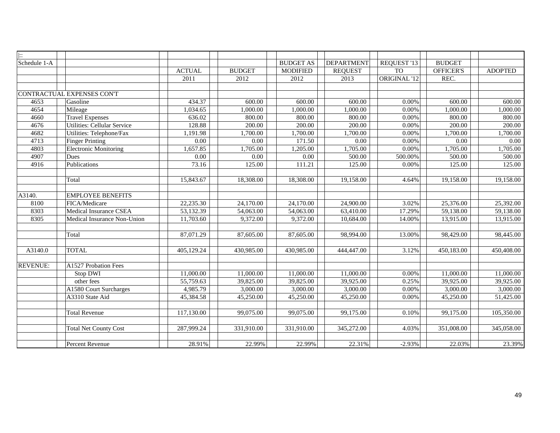| $\mathbb{R}$    |                                    |               |               |                  |                   |              |               |                |
|-----------------|------------------------------------|---------------|---------------|------------------|-------------------|--------------|---------------|----------------|
| Schedule 1-A    |                                    |               |               | <b>BUDGET AS</b> | <b>DEPARTMENT</b> | REQUEST '13  | <b>BUDGET</b> |                |
|                 |                                    | <b>ACTUAL</b> | <b>BUDGET</b> | <b>MODIFIED</b>  | <b>REQUEST</b>    | <b>TO</b>    | OFFICER'S     | <b>ADOPTED</b> |
|                 |                                    | 2011          | 2012          | 2012             | 2013              | ORIGINAL '12 | REC.          |                |
|                 |                                    |               |               |                  |                   |              |               |                |
|                 | CONTRACTUAL EXPENSES CONT          |               |               |                  |                   |              |               |                |
| 4653            | Gasoline                           | 434.37        | 600.00        | 600.00           | 600.00            | 0.00%        | 600.00        | 600.00         |
| 4654            | Mileage                            | 1,034.65      | 1,000.00      | 1,000.00         | 1,000.00          | 0.00%        | 1,000.00      | 1,000.00       |
| 4660            | <b>Travel Expenses</b>             | 636.02        | 800.00        | 800.00           | 800.00            | 0.00%        | 800.00        | 800.00         |
| 4676            | <b>Utilities: Cellular Service</b> | 128.88        | 200.00        | 200.00           | 200.00            | 0.00%        | 200.00        | 200.00         |
| 4682            | Utilities: Telephone/Fax           | 1,191.98      | 1,700.00      | 1,700.00         | 1,700.00          | 0.00%        | 1,700.00      | 1,700.00       |
| 4713            | <b>Finger Printing</b>             | 0.00          | 0.00          | 171.50           | 0.00              | 0.00%        | $0.00\,$      | 0.00           |
| 4803            | <b>Electronic Monitoring</b>       | 1,657.85      | 1,705.00      | 1,205.00         | 1,705.00          | 0.00%        | 1,705.00      | 1,705.00       |
| 4907            | Dues                               | 0.00          | 0.00          | 0.00             | 500.00            | 500.00%      | 500.00        | 500.00         |
| 4916            | Publications                       | 73.16         | 125.00        | 111.21           | 125.00            | 0.00%        | 125.00        | 125.00         |
|                 |                                    |               |               |                  |                   |              |               |                |
|                 | Total                              | 15,843.67     | 18,308.00     | 18,308.00        | 19,158.00         | 4.64%        | 19,158.00     | 19,158.00      |
|                 |                                    |               |               |                  |                   |              |               |                |
| A3140.          | <b>EMPLOYEE BENEFITS</b>           |               |               |                  |                   |              |               |                |
| 8100            | FICA/Medicare                      | 22,235.30     | 24,170.00     | 24,170.00        | 24,900.00         | 3.02%        | 25,376.00     | 25,392.00      |
| 8303            | Medical Insurance CSEA             | 53,132.39     | 54,063.00     | 54,063.00        | 63,410.00         | 17.29%       | 59,138.00     | 59,138.00      |
| 8305            | Medical Insurance Non-Union        | 11,703.60     | 9,372.00      | 9,372.00         | 10,684.00         | 14.00%       | 13,915.00     | 13,915.00      |
|                 |                                    |               |               |                  |                   |              |               |                |
|                 | Total                              | 87,071.29     | 87,605.00     | 87,605.00        | 98,994.00         | 13.00%       | 98,429.00     | 98,445.00      |
|                 |                                    |               |               |                  |                   |              |               |                |
| A3140.0         | <b>TOTAL</b>                       | 405,129.24    | 430,985.00    | 430,985.00       | 444,447.00        | 3.12%        | 450,183.00    | 450,408.00     |
|                 |                                    |               |               |                  |                   |              |               |                |
| <b>REVENUE:</b> | A1527 Probation Fees               |               |               |                  |                   |              |               |                |
|                 | Stop DWI                           | 11,000.00     | 11,000.00     | 11,000.00        | 11,000.00         | 0.00%        | 11,000.00     | 11,000.00      |
|                 | other fees                         | 55,759.63     | 39,825.00     | 39,825.00        | 39,925.00         | 0.25%        | 39,925.00     | 39,925.00      |
|                 | A1580 Court Surcharges             | 4,985.79      | 3,000.00      | 3,000.00         | 3,000.00          | 0.00%        | 3,000.00      | 3,000.00       |
|                 | A3310 State Aid                    | 45,384.58     | 45,250.00     | 45,250.00        | 45,250.00         | 0.00%        | 45,250.00     | 51,425.00      |
|                 |                                    |               |               |                  |                   |              |               |                |
|                 | <b>Total Revenue</b>               | 117,130.00    | 99,075.00     | 99,075.00        | 99,175.00         | 0.10%        | 99,175.00     | 105,350.00     |
|                 |                                    |               |               |                  |                   |              |               |                |
|                 | <b>Total Net County Cost</b>       | 287,999.24    | 331,910.00    | 331,910.00       | 345,272.00        | 4.03%        | 351,008.00    | 345,058.00     |
|                 |                                    |               |               |                  |                   |              |               |                |
|                 | Percent Revenue                    | 28.91%        | 22.99%        | 22.99%           | 22.31%            | $-2.93%$     | 22.03%        | 23.39%         |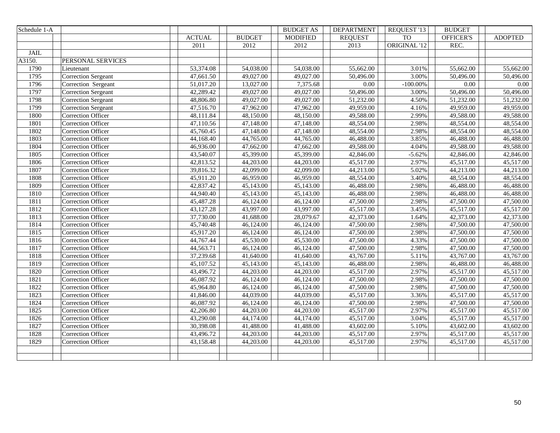| Schedule 1-A |                            |               |                        | <b>BUDGET AS</b> | <b>DEPARTMENT</b> | REQUEST '13  | <b>BUDGET</b>          |                |
|--------------|----------------------------|---------------|------------------------|------------------|-------------------|--------------|------------------------|----------------|
|              |                            | <b>ACTUAL</b> | <b>BUDGET</b>          | <b>MODIFIED</b>  | <b>REQUEST</b>    | <b>TO</b>    | OFFICER'S              | <b>ADOPTED</b> |
|              |                            | 2011          | 2012                   | 2012             | 2013              | ORIGINAL '12 | REC.                   |                |
| <b>JAIL</b>  |                            |               |                        |                  |                   |              |                        |                |
| A3150.       | PERSONAL SERVICES          |               |                        |                  |                   |              |                        |                |
| 1790         | Lieutenant                 | 53,374.08     | 54,038.00              | 54,038.00        | 55,662.00         | 3.01%        | 55,662.00              | 55,662.00      |
| 1795         | <b>Correction Sergeant</b> | 47,661.50     | 49,027.00              | 49,027.00        | 50,496.00         | 3.00%        | 50,496.00              | 50,496.00      |
| 1796         | Correction Sergeant        | 51,017.20     | 13,027.00              | 7,375.68         | $0.00\,$          | $-100.00\%$  | $0.00\,$               | 0.00           |
| 1797         | <b>Correction Sergeant</b> | 42,289.42     | 49,027.00              | 49,027.00        | 50,496.00         | 3.00%        | 50,496.00              | 50,496.00      |
| 1798         | <b>Correction Sergeant</b> | 48,806.80     | 49,027.00              | 49,027.00        | 51,232.00         | 4.50%        | 51,232.00              | 51,232.00      |
| 1799         | <b>Correction Sergeant</b> | 47,516.70     | 47,962.00              | 47,962.00        | 49,959.00         | 4.16%        | 49,959.00              | 49,959.00      |
| 1800         | Correction Officer         | 48,111.84     | 48,150.00              | 48,150.00        | 49,588.00         | 2.99%        | 49,588.00              | 49,588.00      |
| 1801         | Correction Officer         | 47,110.56     | 47,148.00              | 47,148.00        | 48,554.00         | 2.98%        | 48,554.00              | 48,554.00      |
| 1802         | Correction Officer         | 45,760.45     | 47,148.00              | 47,148.00        | 48,554.00         | 2.98%        | 48,554.00              | 48,554.00      |
| 1803         | Correction Officer         | 44,168.40     | 44,765.00              | 44,765.00        | 46,488.00         | 3.85%        | 46,488.00              | 46,488.00      |
| 1804         | Correction Officer         | 46,936.00     | 47,662.00              | 47,662.00        | 49,588.00         | 4.04%        | 49,588.00              | 49,588.00      |
| 1805         | <b>Correction Officer</b>  | 43,540.07     | 45,399.00              | 45,399.00        | 42,846.00         | $-5.62%$     | 42,846.00              | 42,846.00      |
| 1806         | Correction Officer         | 42,813.52     | $\overline{44,203.00}$ | 44,203.00        | 45,517.00         | 2.97%        | $\overline{45,517.00}$ | 45,517.00      |
| 1807         | Correction Officer         | 39,816.32     | 42,099.00              | 42,099.00        | 44,213.00         | 5.02%        | 44,213.00              | 44,213.00      |
| 1808         | Correction Officer         | 45,911.20     | 46,959.00              | 46,959.00        | 48,554.00         | 3.40%        | 48,554.00              | 48,554.00      |
| 1809         | <b>Correction Officer</b>  | 42,837.42     | 45,143.00              | 45,143.00        | 46,488.00         | 2.98%        | 46,488.00              | 46,488.00      |
| 1810         | Correction Officer         | 44,940.40     | 45,143.00              | 45,143.00        | 46,488.00         | 2.98%        | 46,488.00              | 46,488.00      |
| 1811         | <b>Correction Officer</b>  | 45,487.28     | 46,124.00              | 46,124.00        | 47,500.00         | 2.98%        | 47,500.00              | 47,500.00      |
| 1812         | Correction Officer         | 43,127.28     | 43,997.00              | 43,997.00        | 45,517.00         | 3.45%        | 45,517.00              | 45,517.00      |
| 1813         | Correction Officer         | 37,730.00     | 41,688.00              | 28,079.67        | 42,373.00         | 1.64%        | 42,373.00              | 42,373.00      |
| 1814         | Correction Officer         | 45,740.48     | 46,124.00              | 46,124.00        | 47,500.00         | 2.98%        | 47,500.00              | 47,500.00      |
| 1815         | Correction Officer         | 45,917.20     | 46,124.00              | 46,124.00        | 47,500.00         | 2.98%        | 47,500.00              | 47,500.00      |
| 1816         | Correction Officer         | 44,767.44     | 45,530.00              | 45,530.00        | 47,500.00         | 4.33%        | 47,500.00              | 47,500.00      |
| 1817         | Correction Officer         | 44,563.71     | 46,124.00              | 46,124.00        | 47,500.00         | 2.98%        | 47,500.00              | 47,500.00      |
| 1818         | Correction Officer         | 37,239.68     | 41,640.00              | 41,640.00        | 43,767.00         | 5.11%        | 43,767.00              | 43,767.00      |
| 1819         | Correction Officer         | 45,107.52     | 45,143.00              | 45,143.00        | 46,488.00         | 2.98%        | 46,488.00              | 46,488.00      |
| 1820         | Correction Officer         | 43,496.72     | 44,203.00              | 44,203.00        | 45,517.00         | 2.97%        | 45,517.00              | 45,517.00      |
| 1821         | Correction Officer         | 46,087.92     | 46,124.00              | 46,124.00        | 47,500.00         | 2.98%        | 47,500.00              | 47,500.00      |
| 1822         | Correction Officer         | 45,964.80     | 46,124.00              | 46,124.00        | 47,500.00         | 2.98%        | 47,500.00              | 47,500.00      |
| 1823         | Correction Officer         | 41,846.00     | 44,039.00              | 44,039.00        | 45,517.00         | 3.36%        | 45,517.00              | 45,517.00      |
| 1824         | Correction Officer         | 46,087.92     | 46,124.00              | 46,124.00        | 47,500.00         | 2.98%        | 47,500.00              | 47,500.00      |
| 1825         | Correction Officer         | 42,206.80     | 44,203.00              | 44,203.00        | 45,517.00         | 2.97%        | 45,517.00              | 45,517.00      |
| 1826         | Correction Officer         | 43,290.08     | 44,174.00              | 44,174.00        | 45,517.00         | 3.04%        | 45,517.00              | 45,517.00      |
| 1827         | Correction Officer         | 30,398.08     | 41,488.00              | 41,488.00        | 43,602.00         | 5.10%        | 43,602.00              | 43,602.00      |
| 1828         | Correction Officer         | 43,496.72     | 44,203.00              | 44,203.00        | 45,517.00         | 2.97%        | 45,517.00              | 45,517.00      |
| 1829         | Correction Officer         | 43,158.48     | 44,203.00              | 44,203.00        | 45,517.00         | 2.97%        | 45,517.00              | 45,517.00      |
|              |                            |               |                        |                  |                   |              |                        |                |
|              |                            |               |                        |                  |                   |              |                        |                |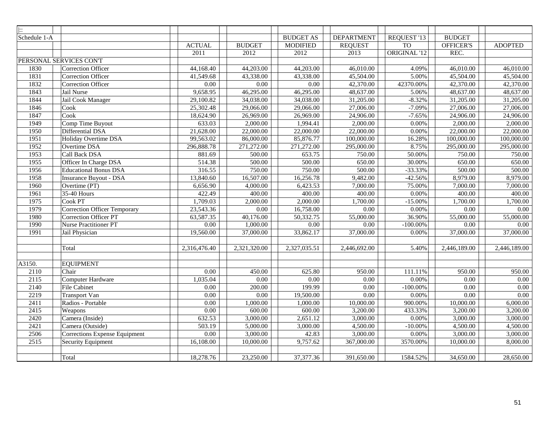| $\overline{ \cdots}$ |                               |               |                   |                  |                   |              |                   |                |
|----------------------|-------------------------------|---------------|-------------------|------------------|-------------------|--------------|-------------------|----------------|
| Schedule 1-A         |                               |               |                   | <b>BUDGET AS</b> | <b>DEPARTMENT</b> | REQUEST '13  | <b>BUDGET</b>     |                |
|                      |                               | <b>ACTUAL</b> | <b>BUDGET</b>     | <b>MODIFIED</b>  | <b>REQUEST</b>    | <b>TO</b>    | <b>OFFICER'S</b>  | <b>ADOPTED</b> |
|                      |                               | 2011          | 2012              | 2012             | 2013              | ORIGINAL '12 | REC.              |                |
|                      | PERSONAL SERVICES CON'T       |               |                   |                  |                   |              |                   |                |
| 1830                 | <b>Correction Officer</b>     | 44,168.40     | 44,203.00         | 44,203.00        | 46,010.00         | 4.09%        | 46,010.00         | 46,010.00      |
| 1831                 | <b>Correction Officer</b>     | 41,549.68     | 43,338.00         | 43,338.00        | 45,504.00         | 5.00%        | 45,504.00         | 45,504.00      |
| 1832                 | Correction Officer            | 0.00          | 0.00              | 0.00             | 42,370.00         | 42370.00%    | 42,370.00         | 42,370.00      |
| 1843                 | Jail Nurse                    | 9,658.95      | 46,295.00         | 46,295.00        | 48,637.00         | 5.06%        | 48,637.00         | 48,637.00      |
| 1844                 | Jail Cook Manager             | 29,100.82     | 34,038.00         | 34,038.00        | 31,205.00         | $-8.32%$     | 31,205.00         | 31,205.00      |
| 1846                 | Cook                          | 25,302.48     | 29,066.00         | 29,066.00        | 27,006.00         | $-7.09%$     | 27,006.00         | 27,006.00      |
| 1847                 | Cook                          | 18,624.90     | 26,969.00         | 26,969.00        | 24,906.00         | $-7.65%$     | 24,906.00         | 24,906.00      |
| 1949                 | Comp Time Buyout              | 633.03        | 2,000.00          | 1,994.41         | 2,000.00          | 0.00%        | 2,000.00          | 2,000.00       |
| 1950                 | Differential DSA              | 21,628.00     | 22,000.00         | 22,000.00        | 22,000.00         | 0.00%        | 22,000.00         | 22,000.00      |
| 1951                 | Holiday Overtime DSA          | 99,563.02     | 86,000.00         | 85,876.77        | 100,000.00        | 16.28%       | 100,000.00        | 100,000.00     |
| 1952                 | Overtime DSA                  | 296,888.78    | 271,272.00        | 271,272.00       | 295,000.00        | 8.75%        | 295,000.00        | 295,000.00     |
| 1953                 | Call Back DSA                 | 881.69        | 500.00            | 653.75           | 750.00            | 50.00%       | 750.00            | 750.00         |
| 1955                 | Officer In Charge DSA         | 514.38        | 500.00            | 500.00           | 650.00            | 30.00%       | 650.00            | 650.00         |
| 1956                 | <b>Educational Bonus DSA</b>  | 316.55        | 750.00            | 750.00           | 500.00            | $-33.33%$    | 500.00            | 500.00         |
| 1958                 | <b>Insurance Buyout - DSA</b> | 13,840.60     | 16,507.00         | 16,256.78        | 9,482.00          | $-42.56%$    | 8,979.00          | 8,979.00       |
| 1960                 | Overtime (PT)                 | 6,656.90      | 4,000.00          | 6,423.53         | 7,000.00          | 75.00%       | 7,000.00          | 7,000.00       |
| 1961                 | 35-40 Hours                   | 422.49        | 400.00            | 400.00           | 400.00            | 0.00%        | 400.00            | 400.00         |
| 1975                 | $\overline{\text{Cook PT}}$   | 1,709.03      | 2,000.00          | 2,000.00         | 1,700.00          | $-15.00%$    | 1,700.00          | 1,700.00       |
| 1979                 | Correction Officer Temporary  | 23,543.36     | $\overline{0.00}$ | 16,758.00        | 0.00              | $0.00\%$     | $\overline{0.00}$ | 0.00           |
| 1980                 | <b>Correction Officer PT</b>  | 63,587.35     | 40,176.00         | 50,332.75        | 55,000.00         | 36.90%       | 55,000.00         | 55,000.00      |
| 1990                 | <b>Nurse Practitioner PT</b>  | 0.00          | 1,000.00          | 0.00             | 0.00              | $-100.00\%$  | 0.00              | 0.00           |
| 1991                 | Jail Physician                | 19,560.00     | 37,000.00         | 33,862.17        | 37,000.00         | 0.00%        | 37,000.00         | 37,000.00      |
|                      |                               |               |                   |                  |                   |              |                   |                |
|                      | Total                         | 2,316,476.40  | 2,321,320.00      | 2,327,035.51     | 2,446,692.00      | 5.40%        | 2,446,189.00      | 2,446,189.00   |
|                      |                               |               |                   |                  |                   |              |                   |                |
| A3150.               | <b>EQUIPMENT</b>              |               |                   |                  |                   |              |                   |                |
| 2110                 | Chair                         | 0.00          | 450.00            | 625.80           | 950.00            | 111.11%      | 950.00            | 950.00         |
| 2115                 | Computer Hardware             | 1,035.04      | 0.00              | 0.00             | 0.00              | 0.00%        | 0.00              | 0.00           |
| 2140                 | <b>File Cabinet</b>           | 0.00          | 200.00            | 199.99           | 0.00              | $-100.00\%$  | 0.00              | $0.00\,$       |
| 2219                 | Transport Van                 | 0.00          | 0.00              | 19,500.00        | 0.00              | 0.00%        | 0.00              | 0.00           |
| 2411                 | Radios - Portable             | 0.00          | 1,000.00          | 1,000.00         | 10,000.00         | 900.00%      | 10,000.00         | 6,000.00       |
| 2415                 | Weapons                       | 0.00          | 600.00            | 600.00           | 3,200.00          | 433.33%      | 3,200.00          | 3,200.00       |
| 2420                 | Camera (Inside)               | 632.53        | 3,000.00          | 2,651.12         | 3,000.00          | 0.00%        | 3,000.00          | 3,000.00       |
| 2421                 | Camera (Outside)              | 503.19        | 5,000.00          | 3,000.00         | 4,500.00          | $-10.00\%$   | 4,500.00          | 4,500.00       |
| 2506                 | Corrections Expense Equipment | 0.00          | 3,000.00          | 42.83            | 3,000.00          | 0.00%        | 3,000.00          | 3,000.00       |
| 2515                 | <b>Security Equipment</b>     | 16,108.00     | 10,000.00         | 9,757.62         | 367,000.00        | 3570.00%     | 10,000.00         | 8,000.00       |
|                      |                               |               |                   |                  |                   |              |                   |                |
|                      | Total                         | 18,278.76     | 23,250.00         | 37, 377. 36      | 391,650.00        | 1584.52%     | 34,650.00         | 28,650.00      |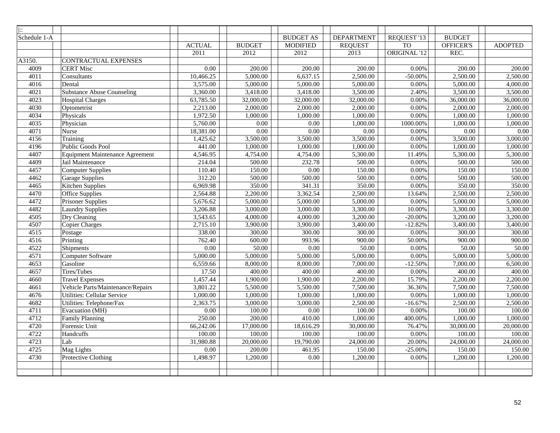| $\mathbb{R}^2$ |                                        |                   |                       |                  |                   |              |               |                |
|----------------|----------------------------------------|-------------------|-----------------------|------------------|-------------------|--------------|---------------|----------------|
| Schedule 1-A   |                                        |                   |                       | <b>BUDGET AS</b> | <b>DEPARTMENT</b> | REQUEST '13  | <b>BUDGET</b> |                |
|                |                                        | <b>ACTUAL</b>     | <b>BUDGET</b>         | <b>MODIFIED</b>  | <b>REQUEST</b>    | <b>TO</b>    | OFFICER'S     | <b>ADOPTED</b> |
|                |                                        | 2011              | 2012                  | 2012             | 2013              | ORIGINAL '12 | REC.          |                |
| A3150.         | <b>CONTRACTUAL EXPENSES</b>            |                   |                       |                  |                   |              |               |                |
| 4009           | <b>CERT Misc</b>                       | 0.00              | 200.00                | 200.00           | 200.00            | 0.00%        | 200.00        | 200.00         |
| 4011           | Consultants                            | 10,466.25         | 5,000.00              | 6,637.15         | 2,500.00          | $-50.00\%$   | 2,500.00      | 2,500.00       |
| 4016           | Dental                                 | 3,575.00          | 5,000.00              | 5,000.00         | 5,000.00          | 0.00%        | 5,000.00      | 4,000.00       |
| 4021           | <b>Substance Abuse Counseling</b>      | 3,360.00          | 3,418.00              | 3,418.00         | 3,500.00          | 2.40%        | 3,500.00      | 3,500.00       |
| 4023           | Hospital Charges                       | 63,785.50         | 32,000.00             | 32,000.00        | 32,000.00         | 0.00%        | 36,000.00     | 36,000.00      |
| 4030           | Optometrist                            | 2,213.00          | 2,000.00              | 2,000.00         | 2,000.00          | 0.00%        | 2,000.00      | 2,000.00       |
| 4034           | Physicals                              | 1,972.50          | 1,000.00              | 1,000.00         | 1,000.00          | 0.00%        | 1,000.00      | 1,000.00       |
| 4035           | Physician                              | 5,760.00          | 0.00                  | 0.00             | 1,000.00          | 1000.00%     | 1,000.00      | 1,000.00       |
| 4071           | Nurse                                  | 18,381.00         | 0.00                  | 0.00             | 0.00              | 0.00%        | $0.00\,$      | 0.00           |
| 4156           | Training                               | 1,425.62          | 3,500.00              | 3,500.00         | 3,500.00          | 0.00%        | 3,500.00      | 3,000.00       |
| 4196           | Public Goods Pool                      | 441.00            | 1,000.00              | 1,000.00         | 1,000.00          | 0.00%        | 1,000.00      | 1,000.00       |
| 4407           | <b>Equipment Maintenance Agreement</b> | 4,546.95          | 4,754.00              | 4,754.00         | 5,300.00          | 11.49%       | 5,300.00      | 5,300.00       |
| 4409           | Jail Maintenance                       | 214.04            | 500.00                | 232.78           | 500.00            | 0.00%        | 500.00        | 500.00         |
| 4457           | <b>Computer Supplies</b>               | 110.40            | 150.00                | 0.00             | 150.00            | 0.00%        | 150.00        | 150.00         |
| 4462           | <b>Garage Supplies</b>                 | 312.20            | 500.00                | 500.00           | 500.00            | 0.00%        | 500.00        | 500.00         |
| 4465           | Kitchen Supplies                       | 6,969.98          | 350.00                | 341.31           | 350.00            | 0.00%        | 350.00        | 350.00         |
| 4470           | <b>Office Supplies</b>                 | 2,564.88          | 2,200.00              | 3,362.54         | 2,500.00          | 13.64%       | 2,500.00      | 2,500.00       |
| 4472           | Prisoner Supplies                      | 5,676.62          | $\overline{5,000.00}$ | 5,000.00         | 5,000.00          | 0.00%        | 5,000.00      | 5,000.00       |
| 4482           | <b>Laundry Supplies</b>                | 3,206.88          | 3,000.00              | 3,000.00         | 3,300.00          | 10.00%       | 3,300.00      | 3,300.00       |
| 4505           | Dry Cleaning                           | 3,543.65          | 4,000.00              | 4,000.00         | 3,200.00          | $-20.00\%$   | 3,200.00      | 3,200.00       |
| 4507           | Copier Charges                         | 2,715.10          | 3,900.00              | 3,900.00         | 3,400.00          | $-12.82%$    | 3,400.00      | 3,400.00       |
| 4515           | Postage                                | 338.00            | 300.00                | 300.00           | 300.00            | 0.00%        | 300.00        | 300.00         |
| 4516           | Printing                               | 762.40            | 600.00                | 993.96           | 900.00            | 50.00%       | 900.00        | 900.00         |
| 4522           | <b>Shipments</b>                       | 0.00              | 50.00                 | 0.00             | 50.00             | 0.00%        | 50.00         | 50.00          |
| 4571           | Computer Software                      | 5,000.00          | 5,000.00              | 5,000.00         | 5,000.00          | 0.00%        | 5,000.00      | 5,000.00       |
| 4653           | Gasoline                               | 6,559.66          | 8,000.00              | 8,000.00         | 7,000.00          | $-12.50%$    | 7,000.00      | 6,500.00       |
| 4657           | Tires/Tubes                            | 17.50             | 400.00                | 400.00           | 400.00            | 0.00%        | 400.00        | 400.00         |
| 4660           | <b>Travel Expenses</b>                 | 1,457.44          | 1,900.00              | 1,900.00         | 2,200.00          | 15.79%       | 2,200.00      | 2,200.00       |
| 4661           | Vehicle Parts/Maintenance/Repairs      | 3,801.22          | 5,500.00              | 5,500.00         | 7,500.00          | 36.36%       | 7,500.00      | 7,500.00       |
| 4676           | <b>Utilities: Cellular Service</b>     | 1,000.00          | 1,000.00              | 1,000.00         | 1,000.00          | 0.00%        | 1,000.00      | 1,000.00       |
| 4682           | Utilities: Telephone/Fax               | 2,363.75          | 3,000.00              | 3,000.00         | 2,500.00          | $-16.67%$    | 2,500.00      | 2,500.00       |
| 4711           | Evacuation (MH)                        | 0.00              | 100.00                | 0.00             | 100.00            | 0.00%        | 100.00        | 100.00         |
| 4712           | <b>Family Planning</b>                 | 250.00            | 200.00                | 410.00           | 1,000.00          | 400.00%      | 1,000.00      | 1,000.00       |
| 4720           | Forensic Unit                          | 66,242.06         | 17,000.00             | 18,616.29        | 30,000.00         | 76.47%       | 30,000.00     | 20,000.00      |
| 4722           | Handcuffs                              | 100.00            | 100.00                | 100.00           | 100.00            | $0.00\%$     | 100.00        | 100.00         |
| 4723           | Lab                                    | 31,980.88         | 20,000.00             | 19,790.00        | 24,000.00         | 20.00%       | 24,000.00     | 24,000.00      |
| 4725           | Mag Lights                             | $\overline{0.00}$ | 200.00                | 461.95           | 150.00            | $-25.00%$    | 150.00        | 150.00         |
| 4730           | Protective Clothing                    | 1,498.97          | 1,200.00              | 0.00             | 1,200.00          | 0.00%        | 1,200.00      | 1,200.00       |
|                |                                        |                   |                       |                  |                   |              |               |                |
|                |                                        |                   |                       |                  |                   |              |               |                |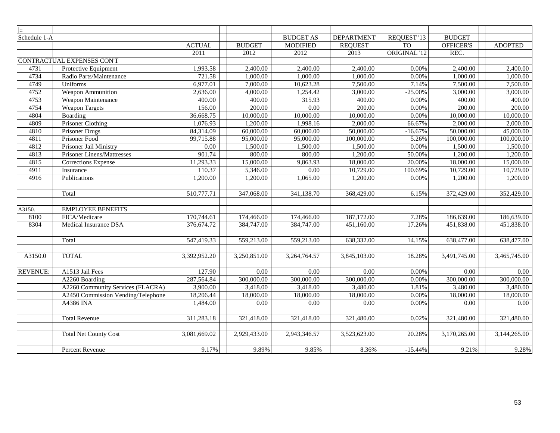| $\pm$           |                                    |                       |               |                       |                   |                |               |                |
|-----------------|------------------------------------|-----------------------|---------------|-----------------------|-------------------|----------------|---------------|----------------|
| Schedule 1-A    |                                    |                       |               | <b>BUDGET AS</b>      | <b>DEPARTMENT</b> | REQUEST '13    | <b>BUDGET</b> |                |
|                 |                                    | <b>ACTUAL</b>         | <b>BUDGET</b> | <b>MODIFIED</b>       | <b>REQUEST</b>    | T <sub>O</sub> | OFFICER'S     | <b>ADOPTED</b> |
|                 |                                    | 2011                  | 2012          | 2012                  | 2013              | ORIGINAL '12   | REC.          |                |
|                 | CONTRACTUAL EXPENSES CONT          |                       |               |                       |                   |                |               |                |
| 4731            | Protective Equipment               | 1,993.58              | 2,400.00      | $\overline{2,}400.00$ | 2,400.00          | 0.00%          | 2,400.00      | 2,400.00       |
| 4734            | Radio Parts/Maintenance            | 721.58                | 1,000.00      | 1,000.00              | 1,000.00          | 0.00%          | 1,000.00      | 1,000.00       |
| 4749            | Uniforms                           | 6,977.01              | 7,000.00      | 10,623.28             | 7,500.00          | 7.14%          | 7,500.00      | 7,500.00       |
| 4752            | Weapon Ammunition                  | 2,636.00              | 4,000.00      | 1,254.42              | 3,000.00          | $-25.00\%$     | 3,000.00      | 3,000.00       |
| 4753            | Weapon Maintenance                 | 400.00                | 400.00        | 315.93                | 400.00            | 0.00%          | 400.00        | 400.00         |
| 4754            | <b>Weapon Targets</b>              | 156.00                | 200.00        | $\overline{0.00}$     | 200.00            | 0.00%          | 200.00        | 200.00         |
| 4804            | Boarding                           | 36,668.75             | 10,000.00     | 10,000.00             | 10,000.00         | 0.00%          | 10,000.00     | 10,000.00      |
| 4809            | <b>Prisoner Clothing</b>           | 1,076.93              | 1,200.00      | 1,998.16              | 2,000.00          | 66.67%         | 2,000.00      | 2,000.00       |
| 4810            | Prisoner Drugs                     | 84,314.09             | 60,000.00     | 60,000.00             | 50,000.00         | $-16.67%$      | 50,000.00     | 45,000.00      |
| 4811            | Prisoner Food                      | 99,715.88             | 95,000.00     | 95,000.00             | 100,000.00        | 5.26%          | 100,000.00    | 100,000.00     |
| 4812            | Prisoner Jail Ministry             | 0.00                  | 1,500.00      | 1,500.00              | 1,500.00          | 0.00%          | 1,500.00      | 1,500.00       |
| 4813            | <b>Prisoner Linens/Mattresses</b>  | 901.74                | 800.00        | 800.00                | 1,200.00          | 50.00%         | 1,200.00      | 1,200.00       |
| 4815            | <b>Corrections Expense</b>         | 11,293.33             | 15,000.00     | 9,863.93              | 18,000.00         | 20.00%         | 18,000.00     | 15,000.00      |
| 4911            | Insurance                          | 110.37                | 5,346.00      | $\overline{0.00}$     | 10,729.00         | 100.69%        | 10,729.00     | 10,729.00      |
| 4916            | Publications                       | 1,200.00              | 1,200.00      | 1,065.00              | 1,200.00          | 0.00%          | 1,200.00      | 1,200.00       |
|                 |                                    |                       |               |                       |                   |                |               |                |
|                 | Total                              | 510,777.71            | 347,068.00    | 341,138.70            | 368,429.00        | 6.15%          | 372,429.00    | 352,429.00     |
|                 |                                    |                       |               |                       |                   |                |               |                |
| A3150.          | <b>EMPLOYEE BENEFITS</b>           |                       |               |                       |                   |                |               |                |
| 8100            | FICA/Medicare                      | 170,744.61            | 174,466.00    | 174,466.00            | 187,172.00        | 7.28%          | 186,639.00    | 186,639.00     |
| 8304            | Medical Insurance DSA              | 376,674.72            | 384,747.00    | 384,747.00            | 451,160.00        | 17.26%         | 451,838.00    | 451,838.00     |
|                 |                                    |                       |               |                       |                   |                |               |                |
|                 | Total                              | 547,419.33            | 559,213.00    | 559,213.00            | 638,332.00        | 14.15%         | 638,477.00    | 638,477.00     |
|                 |                                    |                       |               |                       |                   |                |               |                |
| A3150.0         | <b>TOTAL</b>                       | 3,392,952.20          | 3,250,851.00  | 3,264,764.57          | 3,845,103.00      | 18.28%         | 3,491,745.00  | 3,465,745.00   |
|                 |                                    |                       |               |                       |                   |                |               |                |
| <b>REVENUE:</b> | A1513 Jail Fees                    | 127.90                | 0.00          | 0.00                  | 0.00              | 0.00%          | 0.00          | 0.00           |
|                 | A2260 Boarding                     | 287,564.84            | 300,000.00    | 300,000.00            | 300,000.00        | 0.00%          | 300,000.00    | 300,000.00     |
|                 | A2260 Community Services (FLACRA)  | $\overline{3,900.00}$ | 3,418.00      | 3,418.00              | 3,480.00          | 1.81%          | 3,480.00      | 3,480.00       |
|                 | A2450 Commission Vending/Telephone | 18,206.44             | 18,000.00     | 18,000.00             | 18,000.00         | 0.00%          | 18,000.00     | 18,000.00      |
|                 | A4386 INA                          | 1,484.00              | 0.00          | 0.00                  | 0.00              | 0.00%          | 0.00          | 0.00           |
|                 |                                    |                       |               |                       |                   |                |               |                |
|                 | <b>Total Revenue</b>               | 311,283.18            | 321,418.00    | 321,418.00            | 321,480.00        | 0.02%          | 321,480.00    | 321,480.00     |
|                 |                                    |                       |               |                       |                   |                |               |                |
|                 | <b>Total Net County Cost</b>       | 3,081,669.02          | 2,929,433.00  | 2,943,346.57          | 3,523,623.00      | 20.28%         | 3,170,265.00  | 3,144,265.00   |
|                 |                                    |                       |               |                       |                   |                |               |                |
|                 | Percent Revenue                    | 9.17%                 | 9.89%         | 9.85%                 | 8.36%             | $-15.44%$      | 9.21%         | 9.28%          |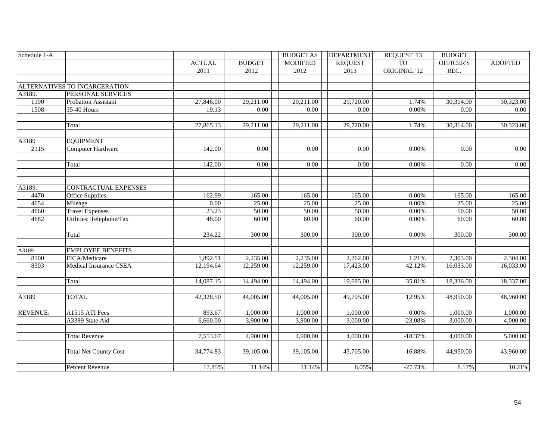| Schedule 1-A    |                               |                   |               | <b>BUDGET AS</b> | <b>DEPARTMENT</b> | REQUEST '13  | <b>BUDGET</b> |                |
|-----------------|-------------------------------|-------------------|---------------|------------------|-------------------|--------------|---------------|----------------|
|                 |                               | <b>ACTUAL</b>     | <b>BUDGET</b> | <b>MODIFIED</b>  | <b>REQUEST</b>    | <b>TO</b>    | OFFICER'S     | <b>ADOPTED</b> |
|                 |                               | $\overline{2011}$ | 2012          | 2012             | 2013              | ORIGINAL '12 | REC.          |                |
|                 |                               |                   |               |                  |                   |              |               |                |
|                 | ALTERNATIVES TO INCARCERATION |                   |               |                  |                   |              |               |                |
| A3189.          | PERSONAL SERVICES             |                   |               |                  |                   |              |               |                |
| 1190            | Probation Assistant           | 27,846.00         | 29,211.00     | 29,211.00        | 29,720.00         | 1.74%        | 30,314.00     | 30,323.00      |
| 1508            | 35-40 Hours                   | 19.13             | 0.00          | 0.00             | 0.00              | 0.00%        | 0.00          | $0.00\,$       |
|                 |                               |                   |               |                  |                   |              |               |                |
|                 | Total                         | 27,865.13         | 29,211.00     | 29,211.00        | 29,720.00         | 1.74%        | 30,314.00     | 30,323.00      |
| A3189           | <b>EQUIPMENT</b>              |                   |               |                  |                   |              |               |                |
| 2115            | Computer Hardware             | 142.00            | 0.00          | 0.00             | 0.00              | 0.00%        | 0.00          | $0.00\,$       |
|                 |                               |                   |               |                  |                   |              |               |                |
|                 | Total                         | 142.00            | 0.00          | 0.00             | 0.00              | 0.00%        | 0.00          | $0.00\,$       |
|                 |                               |                   |               |                  |                   |              |               |                |
| A3189.          | CONTRACTUAL EXPENSES          |                   |               |                  |                   |              |               |                |
| 4470            | Office Supplies               | 162.99            | 165.00        | 165.00           | 165.00            | 0.00%        | 165.00        | 165.00         |
| 4654            | Mileage                       | $0.00\,$          | 25.00         | 25.00            | 25.00             | 0.00%        | 25.00         | 25.00          |
| 4660            | <b>Travel Expenses</b>        | 23.23             | 50.00         | 50.00            | 50.00             | 0.00%        | 50.00         | 50.00          |
| 4682            | Utilities: Telephone/Fax      | 48.00             | 60.00         | 60.00            | 60.00             | 0.00%        | 60.00         | 60.00          |
|                 |                               |                   |               |                  |                   |              |               |                |
|                 | Total                         | 234.22            | 300.00        | 300.00           | 300.00            | 0.00%        | 300.00        | 300.00         |
|                 | <b>EMPLOYEE BENEFITS</b>      |                   |               |                  |                   |              |               |                |
| A3189.<br>8100  | FICA/Medicare                 | 1,892.51          | 2,235.00      | 2,235.00         | 2,262.00          | 1.21%        | 2,303.00      | 2,304.00       |
| 8303            | Medical Insurance CSEA        | 12,194.64         | 12,259.00     | 12,259.00        | 17,423.00         | 42.12%       | 16,033.00     | 16,033.00      |
|                 |                               |                   |               |                  |                   |              |               |                |
|                 | Total                         | 14,087.15         | 14,494.00     | 14,494.00        | 19,685.00         | 35.81%       | 18,336.00     | 18,337.00      |
|                 |                               |                   |               |                  |                   |              |               |                |
| A3189           | <b>TOTAL</b>                  | 42,328.50         | 44,005.00     | 44,005.00        | 49,705.00         | 12.95%       | 48,950.00     | 48,960.00      |
|                 |                               |                   |               |                  |                   |              |               |                |
| <b>REVENUE:</b> | A1515 ATI Fees                | 893.67            | 1,000.00      | 1,000.00         | 1,000.00          | $0.00\%$     | 1,000.00      | 1,000.00       |
|                 | A3389 State Aid               | 6,660.00          | 3,900.00      | 3,900.00         | 3,000.00          | $-23.08%$    | 3,000.00      | 4,000.00       |
|                 | <b>Total Revenue</b>          | 7,553.67          | 4,900.00      | 4,900.00         | 4,000.00          | $-18.37%$    | 4,000.00      | 5,000.00       |
|                 |                               |                   |               |                  |                   |              |               |                |
|                 | <b>Total Net County Cost</b>  | 34,774.83         | 39,105.00     | 39,105.00        | 45,705.00         | 16.88%       | 44,950.00     | 43,960.00      |
|                 |                               |                   |               |                  |                   |              |               |                |
|                 | Percent Revenue               | 17.85%            | 11.14%        | 11.14%           | 8.05%             | $-27.73%$    | 8.17%         | 10.21%         |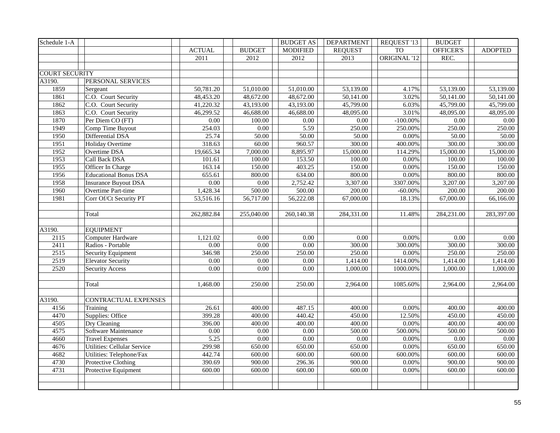| Schedule 1-A          |                              |                   |               | <b>BUDGET AS</b> | <b>DEPARTMENT</b> | REQUEST '13  | <b>BUDGET</b> |                |
|-----------------------|------------------------------|-------------------|---------------|------------------|-------------------|--------------|---------------|----------------|
|                       |                              | <b>ACTUAL</b>     | <b>BUDGET</b> | <b>MODIFIED</b>  | <b>REQUEST</b>    | <b>TO</b>    | OFFICER'S     | <b>ADOPTED</b> |
|                       |                              | 2011              | 2012          | 2012             | 2013              | ORIGINAL '12 | REC.          |                |
|                       |                              |                   |               |                  |                   |              |               |                |
| <b>COURT SECURITY</b> |                              |                   |               |                  |                   |              |               |                |
| A3190.                | PERSONAL SERVICES            |                   |               |                  |                   |              |               |                |
| 1859                  | Sergeant                     | 50,781.20         | 51,010.00     | 51,010.00        | 53,139.00         | 4.17%        | 53,139.00     | 53,139.00      |
| 1861                  | C.O. Court Security          | 48,453.20         | 48,672.00     | 48,672.00        | 50,141.00         | 3.02%        | 50,141.00     | 50,141.00      |
| 1862                  | C.O. Court Security          | 41,220.32         | 43,193.00     | 43,193.00        | 45,799.00         | 6.03%        | 45,799.00     | 45,799.00      |
| 1863                  | C.O. Court Security          | 46,299.52         | 46,688.00     | 46,688.00        | 48,095.00         | 3.01%        | 48,095.00     | 48,095.00      |
| 1870                  | Per Diem CO (FT)             | 0.00              | 100.00        | 0.00             | 0.00              | $-100.00\%$  | 0.00          | 0.00           |
| 1949                  | Comp Time Buyout             | 254.03            | $0.00\,$      | 5.59             | 250.00            | 250.00%      | 250.00        | 250.00         |
| 1950                  | Differential DSA             | 25.74             | 50.00         | 50.00            | 50.00             | 0.00%        | 50.00         | 50.00          |
| 1951                  | Holiday Overtime             | 318.63            | 60.00         | 960.57           | 300.00            | 400.00%      | 300.00        | 300.00         |
| 1952                  | Overtime DSA                 | 19,665.34         | 7,000.00      | 8,895.97         | 15,000.00         | 114.29%      | 15,000.00     | 15,000.00      |
| 1953                  | Call Back DSA                | 101.61            | 100.00        | 153.50           | 100.00            | 0.00%        | 100.00        | 100.00         |
| 1955                  | Officer In Charge            | 163.14            | 150.00        | 403.25           | 150.00            | 0.00%        | 150.00        | 150.00         |
| 1956                  | <b>Educational Bonus DSA</b> | 655.61            | 800.00        | 634.00           | 800.00            | $0.00\%$     | 800.00        | 800.00         |
| 1958                  | <b>Insurance Buyout DSA</b>  | $\overline{0.00}$ | 0.00          | 2,752.42         | 3,307.00          | 3307.00%     | 3,207.00      | 3,207.00       |
| 1960                  | Overtime Part-time           | 1,428.34          | 500.00        | 500.00           | 200.00            | $-60.00\%$   | 200.00        | 200.00         |
| 1981                  | Corr Of/Ct Security PT       | 53,516.16         | 56,717.00     | 56,222.08        | 67,000.00         | 18.13%       | 67,000.00     | 66,166.00      |
|                       |                              |                   |               |                  |                   |              |               |                |
|                       | Total                        | 262,882.84        | 255,040.00    | 260,140.38       | 284,331.00        | 11.48%       | 284,231.00    | 283,397.00     |
|                       |                              |                   |               |                  |                   |              |               |                |
| A3190.                | <b>EQUIPMENT</b>             |                   |               |                  |                   |              |               |                |
| 2115                  | Computer Hardware            | 1,121.02          | 0.00          | 0.00             | 0.00              | 0.00%        | 0.00          | 0.00           |
| 2411                  | Radios - Portable            | 0.00              | 0.00          | 0.00             | 300.00            | 300.00%      | 300.00        | 300.00         |
| 2515                  | <b>Security Equipment</b>    | 346.98            | 250.00        | 250.00           | 250.00            | 0.00%        | 250.00        | 250.00         |
| 2519                  | <b>Elevator Security</b>     | 0.00              | 0.00          | 0.00             | 1,414.00          | 1414.00%     | 1,414.00      | 1,414.00       |
| 2520                  | <b>Security Access</b>       | 0.00              | 0.00          | 0.00             | 1,000.00          | 1000.00%     | 1,000.00      | 1,000.00       |
|                       |                              |                   |               |                  |                   |              |               |                |
|                       | Total                        | 1,468.00          | 250.00        | 250.00           | 2,964.00          | 1085.60%     | 2,964.00      | 2,964.00       |
|                       |                              |                   |               |                  |                   |              |               |                |
| A3190.                | CONTRACTUAL EXPENSES         |                   |               |                  |                   |              |               |                |
| 4156                  | Training                     | 26.61             | 400.00        | 487.15           | 400.00            | $0.00\%$     | 400.00        | 400.00         |
| 4470                  | Supplies: Office             | 399.28            | 400.00        | 440.42           | 450.00            | 12.50%       | 450.00        | 450.00         |
| 4505                  | Dry Cleaning                 | 396.00            | 400.00        | 400.00           | 400.00            | 0.00%        | 400.00        | 400.00         |
| 4575                  | Software Maintenance         | $0.00\,$          | $0.00\,$      | 0.00             | 500.00            | 500.00%      | 500.00        | 500.00         |
| 4660                  | <b>Travel Expenses</b>       | 5.25              | 0.00          | 0.00             | 0.00              | 0.00%        | 0.00          | 0.00           |
| 4676                  | Utilities: Cellular Service  | 299.98            | 650.00        | 650.00           | 650.00            | $0.00\%$     | 650.00        | 650.00         |
| 4682                  | Utilities: Telephone/Fax     | 442.74            | 600.00        | 600.00           | 600.00            | 600.00%      | 600.00        | 600.00         |
| 4730                  | <b>Protective Clothing</b>   | 390.69            | 900.00        | 296.36           | 900.00            | 0.00%        | 900.00        | 900.00         |
| 4731                  | Protective Equipment         | 600.00            | 600.00        | 600.00           | 600.00            | 0.00%        | 600.00        | 600.00         |
|                       |                              |                   |               |                  |                   |              |               |                |
|                       |                              |                   |               |                  |                   |              |               |                |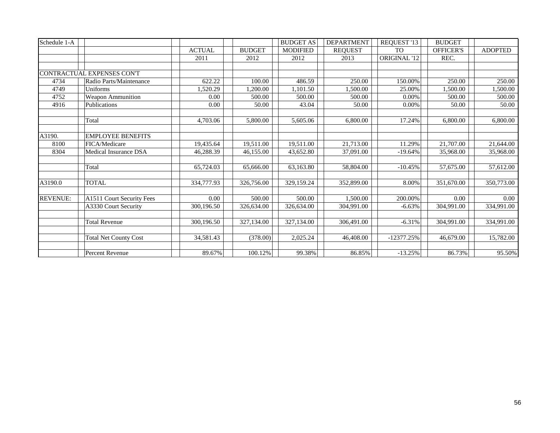| Schedule 1-A    |                              |               |               | <b>BUDGET AS</b> | <b>DEPARTMENT</b> | REQUEST '13    | <b>BUDGET</b>    |                |
|-----------------|------------------------------|---------------|---------------|------------------|-------------------|----------------|------------------|----------------|
|                 |                              | <b>ACTUAL</b> | <b>BUDGET</b> | <b>MODIFIED</b>  | <b>REQUEST</b>    | T <sub>O</sub> | <b>OFFICER'S</b> | <b>ADOPTED</b> |
|                 |                              | 2011          | 2012          | 2012             | 2013              | ORIGINAL '12   | REC.             |                |
|                 |                              |               |               |                  |                   |                |                  |                |
|                 | CONTRACTUAL EXPENSES CON'T   |               |               |                  |                   |                |                  |                |
| 4734            | Radio Parts/Maintenance      | 622.22        | 100.00        | 486.59           | 250.00            | 150.00%        | 250.00           | 250.00         |
| 4749            | Uniforms                     | 1,520.29      | .200.00       | 1.101.50         | 1.500.00          | 25.00%         | 1.500.00         | 1,500.00       |
| 4752            | Weapon Ammunition            | 0.00          | 500.00        | 500.00           | 500.00            | 0.00%          | 500.00           | 500.00         |
| 4916            | Publications                 | 0.00          | 50.00         | 43.04            | 50.00             | 0.00%          | 50.00            | 50.00          |
|                 | Total                        | 4,703.06      | 5,800.00      | 5,605.06         | 6,800.00          | 17.24%         | 6,800.00         | 6,800.00       |
|                 |                              |               |               |                  |                   |                |                  |                |
| A3190.          | <b>EMPLOYEE BENEFITS</b>     |               |               |                  |                   |                |                  |                |
| 8100            | FICA/Medicare                | 19,435.64     | 19,511.00     | 19,511.00        | 21,713.00         | 11.29%         | 21,707.00        | 21,644.00      |
| 8304            | Medical Insurance DSA        | 46.288.39     | 46,155.00     | 43,652.80        | 37,091.00         | $-19.64%$      | 35,968.00        | 35,968.00      |
|                 | Total                        | 65,724.03     | 65,666.00     | 63,163.80        | 58,804.00         | $-10.45%$      | 57,675.00        | 57,612.00      |
| A3190.0         | <b>TOTAL</b>                 | 334,777.93    | 326,756.00    | 329,159.24       | 352,899.00        | 8.00%          | 351,670.00       | 350,773.00     |
| <b>REVENUE:</b> | A1511 Court Security Fees    | 0.00          | 500.00        | 500.00           | 1,500.00          | 200.00%        | 0.00             | 0.00           |
|                 | A3330 Court Security         | 300,196.50    | 326,634.00    | 326,634.00       | 304,991.00        | $-6.63%$       | 304,991.00       | 334,991.00     |
|                 | <b>Total Revenue</b>         | 300.196.50    | 327,134.00    | 327,134.00       | 306,491.00        | $-6.31%$       | 304,991.00       | 334,991.00     |
|                 | <b>Total Net County Cost</b> | 34,581.43     | (378.00)      | 2,025.24         | 46,408.00         | $-12377.25%$   | 46,679.00        | 15,782.00      |
|                 | <b>Percent Revenue</b>       | 89.67%        | 100.12%       | 99.38%           | 86.85%            | $-13.25%$      | 86.73%           | 95.50%         |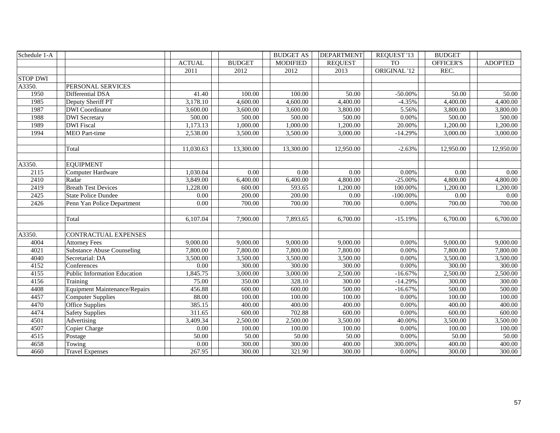| Schedule 1-A    |                                      |               |               | <b>BUDGET AS</b> | <b>DEPARTMENT</b> | REQUEST '13  | <b>BUDGET</b>    |                |
|-----------------|--------------------------------------|---------------|---------------|------------------|-------------------|--------------|------------------|----------------|
|                 |                                      | <b>ACTUAL</b> | <b>BUDGET</b> | <b>MODIFIED</b>  | <b>REQUEST</b>    | <b>TO</b>    | <b>OFFICER'S</b> | <b>ADOPTED</b> |
|                 |                                      | 2011          | 2012          | 2012             | 2013              | ORIGINAL '12 | REC.             |                |
| <b>STOP DWI</b> |                                      |               |               |                  |                   |              |                  |                |
| A3350.          | PERSONAL SERVICES                    |               |               |                  |                   |              |                  |                |
| 1950            | Differential DSA                     | 41.40         | 100.00        | 100.00           | 50.00             | $-50.00\%$   | 50.00            | 50.00          |
| 1985            | Deputy Sheriff PT                    | 3,178.10      | 4,600.00      | 4,600.00         | 4,400.00          | $-4.35%$     | 4,400.00         | 4,400.00       |
| 1987            | <b>DWI</b> Coordinator               | 3.600.00      | 3,600.00      | 3,600.00         | 3,800.00          | 5.56%        | 3,800.00         | 3,800.00       |
| 1988            | <b>DWI</b> Secretary                 | 500.00        | 500.00        | 500.00           | 500.00            | 0.00%        | 500.00           | 500.00         |
| 1989            | <b>DWI</b> Fiscal                    | 1,173.13      | 1,000.00      | 1,000.00         | 1,200.00          | 20.00%       | 1,200.00         | 1,200.00       |
| 1994            | MEO Part-time                        | 2,538.00      | 3,500.00      | 3,500.00         | 3,000.00          | $-14.29%$    | 3,000.00         | 3,000.00       |
|                 |                                      |               |               |                  |                   |              |                  |                |
|                 | Total                                | 11,030.63     | 13,300.00     | 13,300.00        | 12,950.00         | $-2.63%$     | 12,950.00        | 12,950.00      |
| A3350.          | <b>EQUIPMENT</b>                     |               |               |                  |                   |              |                  |                |
| 2115            |                                      | 1,030.04      | 0.00          | 0.00             | 0.00              | 0.00%        | 0.00             | $0.00\,$       |
| 2410            | Computer Hardware<br>Radar           | 3,849.00      | 6,400.00      | 6,400.00         | 4,800.00          | $-25.00\%$   | 4,800.00         | 4,800.00       |
| 2419            | <b>Breath Test Devices</b>           |               | 600.00        |                  |                   |              |                  |                |
|                 |                                      | 1,228.00      |               | 593.65           | 1,200.00          | 100.00%      | 1,200.00         | 1,200.00       |
| 2425            | <b>State Police Dundee</b>           | 0.00          | 200.00        | 200.00           | 0.00              | $-100.00\%$  | 0.00             | 0.00           |
| 2426            | Penn Yan Police Department           | 0.00          | 700.00        | 700.00           | 700.00            | 0.00%        | 700.00           | 700.00         |
|                 |                                      |               |               |                  |                   |              |                  |                |
|                 | Total                                | 6,107.04      | 7,900.00      | 7,893.65         | 6,700.00          | $-15.19%$    | 6,700.00         | 6,700.00       |
| A3350.          | <b>CONTRACTUAL EXPENSES</b>          |               |               |                  |                   |              |                  |                |
| 4004            | <b>Attorney Fees</b>                 | 9,000.00      | 9,000.00      | 9,000.00         | 9,000.00          | 0.00%        | 9,000.00         | 9,000.00       |
| 4021            | <b>Substance Abuse Counseling</b>    | 7,800.00      | 7,800.00      | 7,800.00         | 7,800.00          | 0.00%        | 7,800.00         | 7,800.00       |
| 4040            | Secretarial: DA                      | 3,500.00      | 3,500.00      | 3,500.00         | 3,500.00          | 0.00%        | 3,500.00         | 3,500.00       |
| 4152            | Conferences                          | 0.00          | 300.00        | 300.00           | 300.00            | 0.00%        | 300.00           | 300.00         |
| 4155            | <b>Public Information Education</b>  | 1,845.75      | 3,000.00      | 3,000.00         | 2,500.00          | $-16.67%$    | 2,500.00         | 2,500.00       |
| 4156            | Training                             | 75.00         | 350.00        | 328.10           | 300.00            | $-14.29%$    | 300.00           | 300.00         |
| 4408            | <b>Equipment Maintenance/Repairs</b> | 456.88        | 600.00        | 600.00           | 500.00            | $-16.67%$    | 500.00           | 500.00         |
| 4457            | <b>Computer Supplies</b>             | 88.00         | 100.00        | 100.00           | 100.00            | 0.00%        | 100.00           | 100.00         |
| 4470            | <b>Office Supplies</b>               | 385.15        | 400.00        | 400.00           | 400.00            | 0.00%        | 400.00           | 400.00         |
| 4474            | <b>Safety Supplies</b>               | 311.65        | 600.00        | 702.88           | 600.00            | 0.00%        | 600.00           | 600.00         |
| 4501            | Advertising                          | 3,409.34      | 2,500.00      | 2,500.00         | 3,500.00          | 40.00%       | 3,500.00         | 3,500.00       |
| 4507            | Copier Charge                        | 0.00          | 100.00        | 100.00           | 100.00            | 0.00%        | 100.00           | 100.00         |
| 4515            | Postage                              | 50.00         | 50.00         | 50.00            | 50.00             | 0.00%        | 50.00            | 50.00          |
| 4658            | Towing                               | 0.00          | 300.00        | 300.00           | 400.00            | 300.00%      | 400.00           | 400.00         |
| 4660            | <b>Travel Expenses</b>               | 267.95        | 300.00        | 321.90           | 300.00            | 0.00%        | 300.00           | 300.00         |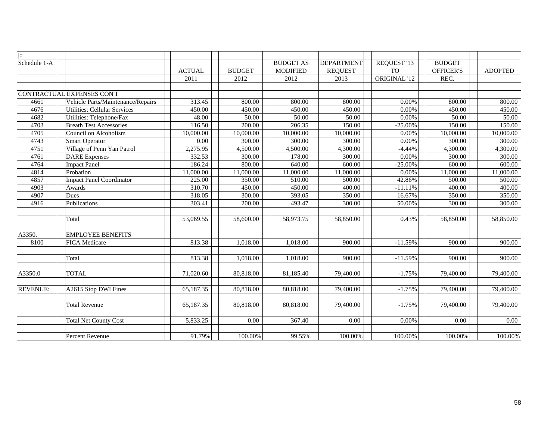| $\left  \cdot \right $ |                                   |               |               |                  |                   |              |                  |                |
|------------------------|-----------------------------------|---------------|---------------|------------------|-------------------|--------------|------------------|----------------|
| Schedule 1-A           |                                   |               |               | <b>BUDGET AS</b> | <b>DEPARTMENT</b> | REQUEST '13  | <b>BUDGET</b>    |                |
|                        |                                   | <b>ACTUAL</b> | <b>BUDGET</b> | <b>MODIFIED</b>  | <b>REQUEST</b>    | <b>TO</b>    | <b>OFFICER'S</b> | <b>ADOPTED</b> |
|                        |                                   | 2011          | 2012          | 2012             | 2013              | ORIGINAL '12 | REC.             |                |
|                        |                                   |               |               |                  |                   |              |                  |                |
|                        | CONTRACTUAL EXPENSES CON'T        |               |               |                  |                   |              |                  |                |
| 4661                   | Vehicle Parts/Maintenance/Repairs | 313.45        | 800.00        | 800.00           | 800.00            | 0.00%        | 800.00           | 800.00         |
| 4676                   | Utilities: Cellular Services      | 450.00        | 450.00        | 450.00           | 450.00            | $0.00\%$     | 450.00           | 450.00         |
| 4682                   | Utilities: Telephone/Fax          | 48.00         | 50.00         | 50.00            | 50.00             | $0.00\%$     | 50.00            | 50.00          |
| 4703                   | <b>Breath Test Accessories</b>    | 116.50        | 200.00        | 206.35           | 150.00            | $-25.00\%$   | 150.00           | 150.00         |
| 4705                   | Council on Alcoholism             | 10,000.00     | 10,000.00     | 10,000.00        | 10,000.00         | 0.00%        | 10,000.00        | 10,000.00      |
| 4743                   | <b>Smart Operator</b>             | 0.00          | 300.00        | 300.00           | 300.00            | $0.00\%$     | 300.00           | 300.00         |
| 4751                   | Village of Penn Yan Patrol        | 2,275.95      | 4,500.00      | 4,500.00         | 4,300.00          | $-4.44%$     | 4,300.00         | 4,300.00       |
| 4761                   | <b>DARE</b> Expenses              | 332.53        | 300.00        | 178.00           | 300.00            | 0.00%        | 300.00           | 300.00         |
| 4764                   | <b>Impact Panel</b>               | 186.24        | 800.00        | 640.00           | 600.00            | $-25.00\%$   | 600.00           | 600.00         |
| 4814                   | Probation                         | 11,000.00     | 11,000.00     | 11,000.00        | 11,000.00         | 0.00%        | 11,000.00        | 11,000.00      |
| 4857                   | <b>Impact Panel Coordinator</b>   | 225.00        | 350.00        | 510.00           | 500.00            | 42.86%       | 500.00           | 500.00         |
| 4903                   | Awards                            | 310.70        | 450.00        | 450.00           | 400.00            | $-11.11%$    | 400.00           | 400.00         |
| 4907                   | Dues                              | 318.05        | 300.00        | 393.05           | 350.00            | 16.67%       | 350.00           | 350.00         |
| 4916                   | Publications                      | 303.41        | 200.00        | 493.47           | 300.00            | 50.00%       | 300.00           | 300.00         |
|                        |                                   |               |               |                  |                   |              |                  |                |
|                        | Total                             | 53,069.55     | 58,600.00     | 58,973.75        | 58,850.00         | 0.43%        | 58,850.00        | 58,850.00      |
|                        |                                   |               |               |                  |                   |              |                  |                |
| A3350.                 | <b>EMPLOYEE BENEFITS</b>          |               |               |                  |                   |              |                  |                |
| 8100                   | FICA Medicare                     | 813.38        | 1,018.00      | 1,018.00         | 900.00            | $-11.59%$    | 900.00           | 900.00         |
|                        |                                   |               |               |                  |                   |              |                  |                |
|                        | Total                             | 813.38        | 1,018.00      | 1,018.00         | 900.00            | $-11.59%$    | 900.00           | 900.00         |
|                        |                                   |               |               |                  |                   |              |                  |                |
| A3350.0                | <b>TOTAL</b>                      | 71,020.60     | 80,818.00     | 81,185.40        | 79,400.00         | $-1.75%$     | 79,400.00        | 79,400.00      |
|                        |                                   |               |               |                  |                   |              |                  |                |
| <b>REVENUE:</b>        | A2615 Stop DWI Fines              | 65,187.35     | 80,818.00     | 80,818.00        | 79,400.00         | $-1.75%$     | 79,400.00        | 79,400.00      |
|                        |                                   |               |               |                  |                   |              |                  |                |
|                        | <b>Total Revenue</b>              | 65,187.35     | 80,818.00     | 80,818.00        | 79,400.00         | $-1.75%$     | 79,400.00        | 79,400.00      |
|                        |                                   |               |               |                  |                   |              |                  |                |
|                        | <b>Total Net County Cost</b>      | 5,833.25      | 0.00          | 367.40           | 0.00              | $0.00\%$     | 0.00             | 0.00           |
|                        |                                   |               |               |                  |                   |              |                  |                |
|                        | Percent Revenue                   | 91.79%        | 100.00%       | 99.55%           | 100.00%           | 100.00%      | 100.00%          | 100.00%        |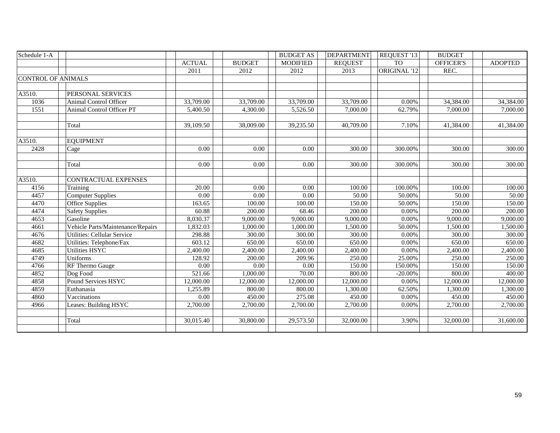| Schedule 1-A              |                                   |               |               | <b>BUDGET AS</b> | <b>DEPARTMENT</b> | REQUEST '13  | <b>BUDGET</b>    |                |
|---------------------------|-----------------------------------|---------------|---------------|------------------|-------------------|--------------|------------------|----------------|
|                           |                                   | <b>ACTUAL</b> | <b>BUDGET</b> | <b>MODIFIED</b>  | <b>REQUEST</b>    | <b>TO</b>    | <b>OFFICER'S</b> | <b>ADOPTED</b> |
|                           |                                   | 2011          | 2012          | 2012             | 2013              | ORIGINAL '12 | REC.             |                |
| <b>CONTROL OF ANIMALS</b> |                                   |               |               |                  |                   |              |                  |                |
|                           |                                   |               |               |                  |                   |              |                  |                |
| A3510.                    | PERSONAL SERVICES                 |               |               |                  |                   |              |                  |                |
| 1036                      | Animal Control Officer            | 33,709.00     | 33,709.00     | 33,709.00        | 33,709.00         | 0.00%        | 34,384.00        | 34,384.00      |
| 1551                      | Animal Control Officer PT         | 5,400.50      | 4.300.00      | 5,526.50         | 7,000.00          | 62.79%       | 7,000.00         | 7,000.00       |
|                           |                                   |               |               |                  |                   |              |                  |                |
|                           | Total                             | 39,109.50     | 38,009.00     | 39,235.50        | 40,709.00         | 7.10%        | 41,384.00        | 41,384.00      |
|                           |                                   |               |               |                  |                   |              |                  |                |
| A3510.                    | <b>EQUIPMENT</b>                  |               |               |                  |                   |              |                  |                |
| 2428                      | Cage                              | 0.00          | 0.00          | 0.00             | 300.00            | 300.00%      | 300.00           | 300.00         |
|                           |                                   |               |               |                  |                   |              |                  |                |
|                           | Total                             | 0.00          | 0.00          | 0.00             | 300.00            | 300.00%      | 300.00           | 300.00         |
|                           |                                   |               |               |                  |                   |              |                  |                |
| A3510.                    | CONTRACTUAL EXPENSES              |               |               |                  |                   |              |                  |                |
| 4156                      | Training                          | 20.00         | 0.00          | 0.00             | 100.00            | 100.00%      | 100.00           | 100.00         |
| 4457                      | <b>Computer Supplies</b>          | 0.00          | 0.00          | 0.00             | 50.00             | 50.00%       | 50.00            | 50.00          |
| 4470                      | <b>Office Supplies</b>            | 163.65        | 100.00        | 100.00           | 150.00            | 50.00%       | 150.00           | 150.00         |
| 4474                      | <b>Safety Supplies</b>            | 60.88         | 200.00        | 68.46            | 200.00            | 0.00%        | 200.00           | 200.00         |
| 4653                      | Gasoline                          | 8,030.37      | 9,000.00      | 9,000.00         | 9,000.00          | 0.00%        | 9,000.00         | 9,000.00       |
| 4661                      | Vehicle Parts/Maintenance/Repairs | 1,832.03      | 1,000.00      | 1,000.00         | 1.500.00          | 50.00%       | 1,500.00         | 1,500.00       |
| 4676                      | Utilities: Cellular Service       | 298.88        | 300.00        | 300.00           | 300.00            | 0.00%        | 300.00           | 300.00         |
| 4682                      | Utilities: Telephone/Fax          | 603.12        | 650.00        | 650.00           | 650.00            | 0.00%        | 650.00           | 650.00         |
| 4685                      | <b>Utilities HSYC</b>             | 2,400.00      | 2,400.00      | 2,400.00         | 2,400.00          | 0.00%        | 2,400.00         | 2,400.00       |
| 4749                      | Uniforms                          | 128.92        | 200.00        | 209.96           | 250.00            | 25.00%       | 250.00           | 250.00         |
| 4766                      | RF Thermo Gauge                   | 0.00          | 0.00          | 0.00             | 150.00            | 150.00%      | 150.00           | 150.00         |
| 4852                      | Dog Food                          | 521.66        | 1,000.00      | 70.00            | 800.00            | $-20.00\%$   | 800.00           | 400.00         |
| 4858                      | Pound Services HSYC               | 12,000.00     | 12,000.00     | 12,000.00        | 12,000.00         | 0.00%        | 12,000.00        | 12,000.00      |
| 4859                      | Euthanasia                        | 1,255.89      | 800.00        | 800.00           | 1.300.00          | 62.50%       | 1,300.00         | 1,300.00       |
| 4860                      | Vaccinations                      | 0.00          | 450.00        | 275.08           | 450.00            | 0.00%        | 450.00           | 450.00         |
| 4966                      | Leases: Building HSYC             | 2,700.00      | 2,700.00      | 2,700.00         | 2,700.00          | 0.00%        | 2,700.00         | 2,700.00       |
|                           |                                   |               |               |                  |                   |              |                  |                |
|                           | Total                             | 30,015.40     | 30,800.00     | 29,573.50        | 32,000.00         | 3.90%        | 32,000.00        | 31,600.00      |
|                           |                                   |               |               |                  |                   |              |                  |                |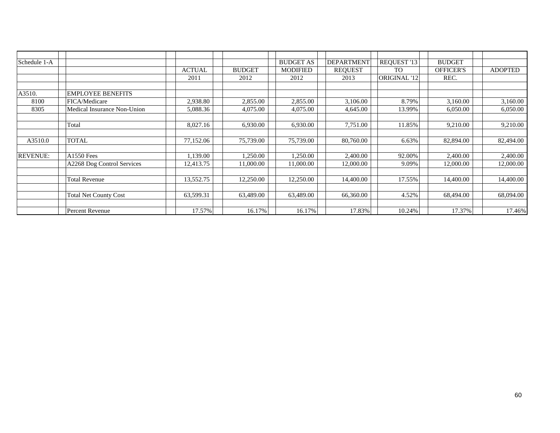| Schedule 1-A    |                              |               |               | <b>BUDGET AS</b> | <b>DEPARTMENT</b> | REQUEST '13    | <b>BUDGET</b>    |                |
|-----------------|------------------------------|---------------|---------------|------------------|-------------------|----------------|------------------|----------------|
|                 |                              | <b>ACTUAL</b> | <b>BUDGET</b> | <b>MODIFIED</b>  | <b>REQUEST</b>    | T <sub>O</sub> | <b>OFFICER'S</b> | <b>ADOPTED</b> |
|                 |                              | 2011          | 2012          | 2012             | 2013              | ORIGINAL '12   | REC.             |                |
|                 |                              |               |               |                  |                   |                |                  |                |
| A3510.          | <b>EMPLOYEE BENEFITS</b>     |               |               |                  |                   |                |                  |                |
| 8100            | FICA/Medicare                | 2,938.80      | 2,855.00      | 2,855.00         | 3,106.00          | 8.79%          | 3,160.00         | 3,160.00       |
| 8305            | Medical Insurance Non-Union  | 5,088.36      | 4,075.00      | 4,075.00         | 4,645.00          | 13.99%         | 6,050.00         | 6,050.00       |
|                 |                              |               |               |                  |                   |                |                  |                |
|                 | Total                        | 8,027.16      | 6,930.00      | 6,930.00         | 7,751.00          | 11.85%         | 9,210.00         | 9,210.00       |
|                 |                              |               |               |                  |                   |                |                  |                |
| A3510.0         | <b>TOTAL</b>                 | 77,152.06     | 75,739.00     | 75,739.00        | 80,760.00         | 6.63%          | 82,894.00        | 82,494.00      |
|                 |                              |               |               |                  |                   |                |                  |                |
| <b>REVENUE:</b> | <b>A1550 Fees</b>            | 1,139.00      | 1,250.00      | 1,250.00         | 2,400.00          | 92.00%         | 2,400.00         | 2,400.00       |
|                 | A2268 Dog Control Services   | 12,413.75     | 11,000.00     | 11,000.00        | 12,000.00         | 9.09%          | 12,000.00        | 12,000.00      |
|                 |                              |               |               |                  |                   |                |                  |                |
|                 | <b>Total Revenue</b>         | 13,552.75     | 12,250.00     | 12,250.00        | 14,400.00         | 17.55%         | 14,400.00        | 14,400.00      |
|                 |                              |               |               |                  |                   |                |                  |                |
|                 | <b>Total Net County Cost</b> | 63,599.31     | 63,489.00     | 63,489.00        | 66,360.00         | 4.52%          | 68,494.00        | 68,094.00      |
|                 |                              |               |               |                  |                   |                |                  |                |
|                 | Percent Revenue              | 17.57%        | 16.17%        | 16.17%           | 17.83%            | 10.24%         | 17.37%           | 17.46%         |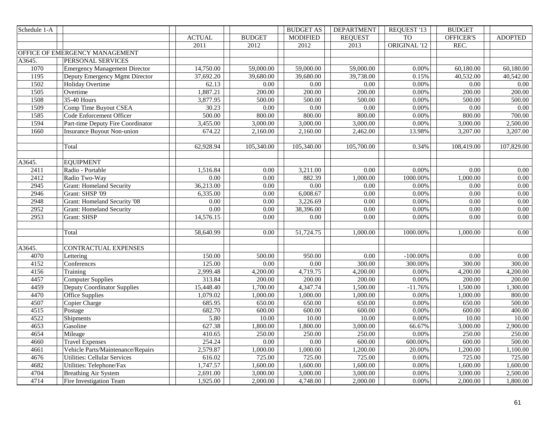| Schedule 1-A |                                      |               |                   | <b>BUDGET AS</b>  | <b>DEPARTMENT</b> | REQUEST '13  | <b>BUDGET</b>     |                   |
|--------------|--------------------------------------|---------------|-------------------|-------------------|-------------------|--------------|-------------------|-------------------|
|              |                                      | <b>ACTUAL</b> | <b>BUDGET</b>     | <b>MODIFIED</b>   | <b>REQUEST</b>    | <b>TO</b>    | OFFICER'S         | <b>ADOPTED</b>    |
|              |                                      | 2011          | 2012              | 2012              | 2013              | ORIGINAL '12 | REC.              |                   |
|              | OFFICE OF EMERGENCY MANAGEMENT       |               |                   |                   |                   |              |                   |                   |
| A3645.       | PERSONAL SERVICES                    |               |                   |                   |                   |              |                   |                   |
| 1070         | <b>Emergency Management Director</b> | 14,750.00     | 59,000.00         | 59,000.00         | 59,000.00         | $0.00\%$     | 60,180.00         | 60,180.00         |
| 1195         | Deputy Emergency Mgmt Director       | 37,692.20     | 39,680.00         | 39,680.00         | 39,738.00         | 0.15%        | 40,532.00         | 40,542.00         |
| 1502         | <b>Holiday Overtime</b>              | 62.13         | $0.00\,$          | 0.00              | 0.00              | 0.00%        | 0.00              | $0.00\,$          |
| 1505         | Overtime                             | 1,887.21      | 200.00            | 200.00            | 200.00            | $0.00\%$     | 200.00            | 200.00            |
| 1508         | 35-40 Hours                          | 3,877.95      | 500.00            | 500.00            | 500.00            | 0.00%        | 500.00            | 500.00            |
| 1509         | Comp Time Buyout CSEA                | 30.23         | $\overline{0.00}$ | $0.00\,$          | 0.00              | $0.00\%$     | $\overline{0.00}$ | $0.00\,$          |
| 1585         | Code Enforcement Officer             | 500.00        | 800.00            | 800.00            | 800.00            | 0.00%        | 800.00            | 700.00            |
| 1594         | Part-time Deputy Fire Coordinator    | 3,455.00      | 3,000.00          | 3,000.00          | 3,000.00          | 0.00%        | 3,000.00          | 2,500.00          |
| 1660         | <b>Insurance Buyout Non-union</b>    | 674.22        | 2,160.00          | 2,160.00          | 2,462.00          | 13.98%       | 3,207.00          | 3,207.00          |
|              |                                      | 62,928.94     |                   | 105,340.00        |                   |              | 108,419.00        | 107,829.00        |
|              | Total                                |               | 105,340.00        |                   | 105,700.00        | 0.34%        |                   |                   |
| A3645.       | <b>EQUIPMENT</b>                     |               |                   |                   |                   |              |                   |                   |
| 2411         | Radio - Portable                     | 1,516.84      | $0.00\,$          | 3,211.00          | 0.00              | $0.00\%$     | $0.00\,$          | 0.00              |
| 2412         | Radio Two-Way                        | 0.00          | $\overline{0.00}$ | 882.39            | 1,000.00          | 1000.00%     | 1,000.00          | $\overline{0.00}$ |
| 2945         | <b>Grant: Homeland Security</b>      | 36,213.00     | $0.00\,$          | 0.00              | 0.00              | 0.00%        | 0.00              | $0.00\,$          |
| 2946         | Grant: SHSP '09                      | 6,335.00      | 0.00              | 6,008.67          | 0.00              | $0.00\%$     | 0.00              | 0.00              |
| 2948         | Grant: Homeland Security '08         | 0.00          | 0.00              | 3,226.69          | 0.00              | 0.00%        | 0.00              | 0.00              |
| 2952         | <b>Grant: Homeland Security</b>      | 0.00          | $0.00\,$          | 38,396.00         | 0.00              | $0.00\%$     | $0.00\,$          | $\overline{0.00}$ |
| 2953         | <b>Grant: SHSP</b>                   | 14,576.15     | 0.00              | 0.00              | 0.00              | 0.00%        | 0.00              | 0.00              |
|              | Total                                | 58,640.99     | 0.00              | 51,724.75         | 1,000.00          | 1000.00%     | 1,000.00          | 0.00              |
|              |                                      |               |                   |                   |                   |              |                   |                   |
| A3645.       | <b>CONTRACTUAL EXPENSES</b>          |               |                   |                   |                   |              |                   |                   |
| 4070         | Lettering                            | 150.00        | 500.00            | 950.00            | 0.00              | $-100.00\%$  | 0.00              | 0.00              |
| 4152         | Conferences                          | 125.00        | $\overline{0.00}$ | $\overline{0.00}$ | 300.00            | 300.00%      | 300.00            | 300.00            |
| 4156         | Training                             | 2,999.48      | 4,200.00          | 4,719.75          | 4,200.00          | $0.00\%$     | 4,200.00          | 4,200.00          |
| 4457         | <b>Computer Supplies</b>             | 313.84        | 200.00            | 200.00            | 200.00            | 0.00%        | 200.00            | 200.00            |
| 4459         | Deputy Coordinator Supplies          | 15,448.40     | 1,700.00          | 4,347.74          | 1,500.00          | $-11.76%$    | 1,500.00          | 1,300.00          |
| 4470         | Office Supplies                      | 1,079.02      | 1,000.00          | 1,000.00          | 1,000.00          | $0.00\%$     | 1,000.00          | 800.00            |
| 4507         | Copier Charge                        | 685.95        | 650.00            | 650.00            | 650.00            | $0.00\%$     | 650.00            | 500.00            |
| 4515         | Postage                              | 682.70        | 600.00            | 600.00            | 600.00            | $0.00\%$     | 600.00            | 400.00            |
| 4522         | Shipments                            | 5.80          | 10.00             | 10.00             | 10.00             | $0.00\%$     | 10.00             | 10.00             |
| 4653         | Gasoline                             | 627.38        | 1,800.00          | 1,800.00          | 3,000.00          | 66.67%       | 3,000.00          | 2,900.00          |
| 4654         | Mileage                              | 410.65        | 250.00            | 250.00            | 250.00            | $0.00\%$     | 250.00            | 250.00            |
| 4660         | <b>Travel Expenses</b>               | 254.24        | 0.00              | 0.00              | 600.00            | 600.00%      | 600.00            | 500.00            |
| 4661         | Vehicle Parts/Maintenance/Repairs    | 2,579.87      | 1,000.00          | 1,000.00          | 1,200.00          | 20.00%       | 1,200.00          | 1,100.00          |
| 4676         | <b>Utilities: Cellular Services</b>  | 616.02        | 725.00            | 725.00            | 725.00            | 0.00%        | 725.00            | 725.00            |
| 4682         | Utilities: Telephone/Fax             | 1,747.57      | 1,600.00          | 1,600.00          | 1,600.00          | 0.00%        | 1,600.00          | 1,600.00          |
| 4704         | <b>Breathing Air System</b>          | 2,691.00      | 3,000.00          | 3,000.00          | 3,000.00          | $0.00\%$     | 3,000.00          | 2,500.00          |
| 4714         | Fire Investigation Team              | 1,925.00      | 2,000.00          | 4,748.00          | 2,000.00          | $0.00\%$     | 2,000.00          | 1,800.00          |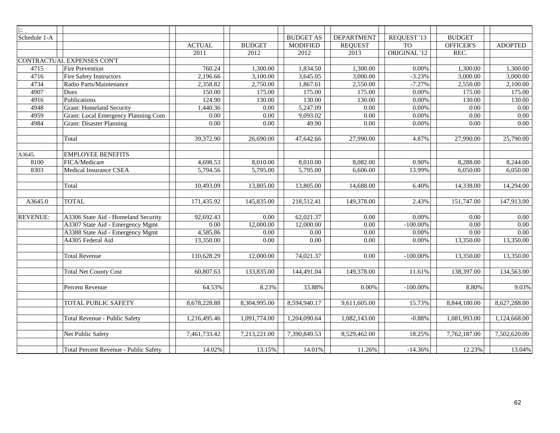| $\pm$           |                                       |               |               |                  |                   |                 |                           |                |
|-----------------|---------------------------------------|---------------|---------------|------------------|-------------------|-----------------|---------------------------|----------------|
| Schedule 1-A    |                                       |               |               | <b>BUDGET AS</b> | <b>DEPARTMENT</b> | REQUEST '13     | <b>BUDGET</b>             |                |
|                 |                                       | <b>ACTUAL</b> | <b>BUDGET</b> | <b>MODIFIED</b>  | <b>REQUEST</b>    | TO <sub>1</sub> | OFFICER'S                 | <b>ADOPTED</b> |
|                 |                                       | 2011          | 2012          | 2012             | 2013              | ORIGINAL '12    | REC.                      |                |
|                 | CONTRACTUAL EXPENSES CON'T            |               |               |                  |                   |                 |                           |                |
| 4715            | <b>Fire Prevention</b>                | 760.24        | 1,300.00      | 1,834.50         | 1,300.00          | $0.00\%$        | 1,300.00                  | 1,300.00       |
| 4716            | <b>Fire Safety Instructors</b>        | 2,196.66      | 3,100.00      | 3,645.05         | 3,000.00          | $-3.23%$        | 3,000.00                  | 3,000.00       |
| 4734            | Radio Parts/Maintenance               | 2,358.82      | 2,750.00      | 1,867.61         | 2,550.00          | $-7.27%$        | 2,550.00                  | 2,100.00       |
| 4907            | <b>Dues</b>                           | 150.00        | 175.00        | 175.00           | 175.00            | $0.00\%$        | 175.00                    | 175.00         |
| 4916            | Publications                          | 124.90        | 130.00        | 130.00           | 130.00            | $0.00\%$        | 130.00                    | 130.00         |
| 4948            | <b>Grant: Homeland Security</b>       | 1,440.36      | 0.00          | 5,247.09         | 0.00              | $0.00\%$        | 0.00                      | 0.00           |
| 4959            | Grant: Local Emergency Planning Com   | 0.00          | 0.00          | 9,093.02         | 0.00              | $0.00\%$        | 0.00                      | 0.00           |
| 4984            | <b>Grant: Disaster Planning</b>       | 0.00          | 0.00          | 49.90            | 0.00              | $0.00\%$        | 0.00                      | $0.00\,$       |
|                 |                                       |               |               |                  |                   |                 |                           |                |
|                 | Total                                 | 39,372.90     | 26,690.00     | 47,642.66        | 27,990.00         | 4.87%           | 27,990.00                 | 25,790.00      |
|                 |                                       |               |               |                  |                   |                 |                           |                |
| A3645.          | <b>EMPLOYEE BENEFITS</b>              |               |               |                  |                   |                 |                           |                |
| 8100            | FICA/Medicare                         | 4,698.53      | 8,010.00      | 8,010.00         | 8,082.00          | 0.90%           | 8,288.00                  | 8,244.00       |
| 8303            | Medical Insurance CSEA                | 5,794.56      | 5,795.00      | 5,795.00         | 6,606.00          | 13.99%          | 6,050.00                  | 6,050.00       |
|                 |                                       |               |               |                  |                   |                 |                           |                |
|                 | Total                                 | 10,493.09     | 13,805.00     | 13,805.00        | 14,688.00         | 6.40%           | 14,338.00                 | 14,294.00      |
|                 |                                       |               |               |                  |                   |                 |                           |                |
| A3645.0         | <b>TOTAL</b>                          | 171,435.92    | 145,835.00    | 218,512.41       | 149,378.00        | 2.43%           | 151,747.00                | 147,913.00     |
|                 |                                       |               |               |                  |                   |                 |                           |                |
| <b>REVENUE:</b> | A3306 State Aid - Homeland Security   | 92,692.43     | 0.00          | 62,021.37        | 0.00              | 0.00%           | 0.00                      | 0.00           |
|                 | A3307 State Aid - Emergency Mgmt      | 0.00          | 12,000.00     | 12,000.00        | 0.00              | $-100.00\%$     | 0.00                      | 0.00           |
|                 | A3388 State Aid - Emergency Mgmt      | 4,585.86      | 0.00          | 0.00             | $0.00\,$          | $0.00\%$        | 0.00                      | 0.00           |
|                 | A4305 Federal Aid                     | 13,350.00     | 0.00          | 0.00             | 0.00              | $0.00\%$        | 13,350.00                 | 13,350.00      |
|                 |                                       |               |               |                  |                   |                 |                           |                |
|                 | <b>Total Revenue</b>                  | 110,628.29    | 12,000.00     | 74,021.37        | 0.00              | $-100.00\%$     | 13,350.00                 | 13,350.00      |
|                 |                                       |               |               |                  |                   |                 |                           |                |
|                 | <b>Total Net County Cost</b>          | 60,807.63     | 133,835.00    | 144,491.04       | 149,378.00        | 11.61%          | 138,397.00                | 134,563.00     |
|                 |                                       |               |               |                  |                   |                 |                           |                |
|                 | Percent Revenue                       | 64.53%        | 8.23%         | 33.88%           | 0.00%             | $-100.00\%$     | 8.80%                     | 9.03%          |
|                 |                                       |               |               |                  |                   |                 |                           |                |
|                 | <b>TOTAL PUBLIC SAFETY</b>            | 8,678,228.88  | 8,304,995.00  | 8,594,940.17     | 9,611,605.00      | 15.73%          | 8,844,180.00              | 8,627,288.00   |
|                 |                                       |               |               |                  |                   |                 |                           |                |
|                 | <b>Total Revenue - Public Safety</b>  | 1,216,495.46  | 1,091,774.00  | 1,204,090.64     | 1,082,143.00      | $-0.88%$        | $\overline{1,081,993.00}$ | 1,124,668.00   |
|                 |                                       |               |               |                  |                   |                 |                           |                |
|                 | Net Public Safety                     | 7,461,733.42  | 7,213,221.00  | 7,390,849.53     | 8,529,462.00      | 18.25%          | 7,762,187.00              | 7,502,620.00   |
|                 |                                       |               |               |                  |                   |                 |                           |                |
|                 | Total Percent Revenue - Public Safety | 14.02%        | 13.15%        | 14.01%           | 11.26%            | $-14.36%$       | 12.23%                    | 13.04%         |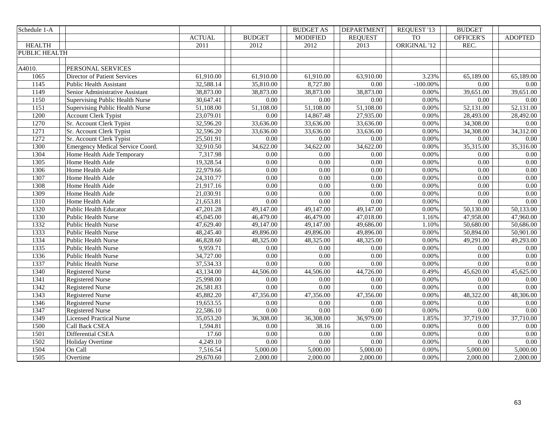| Schedule 1-A         |                                         |               |                   | <b>BUDGET AS</b> | <b>DEPARTMENT</b> | REQUEST '13  | <b>BUDGET</b>     |                   |
|----------------------|-----------------------------------------|---------------|-------------------|------------------|-------------------|--------------|-------------------|-------------------|
|                      |                                         | <b>ACTUAL</b> | <b>BUDGET</b>     | <b>MODIFIED</b>  | <b>REQUEST</b>    | <b>TO</b>    | <b>OFFICER'S</b>  | <b>ADOPTED</b>    |
| <b>HEALTH</b>        |                                         | 2011          | 2012              | 2012             | 2013              | ORIGINAL '12 | REC.              |                   |
| <b>PUBLIC HEALTH</b> |                                         |               |                   |                  |                   |              |                   |                   |
|                      |                                         |               |                   |                  |                   |              |                   |                   |
| A4010.               | PERSONAL SERVICES                       |               |                   |                  |                   |              |                   |                   |
| 1065                 | Director of Patient Services            | 61,910.00     | 61,910.00         | 61,910.00        | 63,910.00         | 3.23%        | 65,189.00         | 65,189.00         |
| 1145                 | <b>Public Health Assistant</b>          | 32,588.14     | 35,810.00         | 8,727.80         | 0.00              | $-100.00\%$  | $0.00\,$          | 0.00              |
| 1149                 | Senior Administrative Assistant         | 38,873.00     | 38,873.00         | 38,873.00        | 38,873.00         | 0.00%        | 39,651.00         | 39,651.00         |
| 1150                 | Supervising Public Health Nurse         | 30,647.41     | 0.00              | $0.00\,$         | $0.00\,$          | 0.00%        | $0.00\,$          | 0.00              |
| 1151                 | Supervising Public Health Nurse         | 51,108.00     | 51,108.00         | 51,108.00        | 51,108.00         | 0.00%        | 52,131.00         | 52,131.00         |
| 1200                 | <b>Account Clerk Typist</b>             | 23,079.01     | 0.00              | 14,867.48        | 27,935.00         | 0.00%        | 28,493.00         | 28,492.00         |
| 1270                 | Sr. Account Clerk Typist                | 32,596.20     | 33,636.00         | 33,636.00        | 33,636.00         | 0.00%        | 34,308.00         | 0.00              |
| 1271                 | Sr. Account Clerk Typist                | 32,596.20     | 33,636.00         | 33,636.00        | 33,636.00         | 0.00%        | 34,308.00         | 34,312.00         |
| 1272                 | Sr. Account Clerk Typist                | 25,501.91     | 0.00              | $0.00\,$         | $0.00\,$          | 0.00%        | 0.00              | 0.00              |
| 1300                 | <b>Emergency Medical Service Coord.</b> | 32,910.50     | 34,622.00         | 34,622.00        | 34,622.00         | $0.00\%$     | 35,315.00         | 35,316.00         |
| 1304                 | Home Health Aide Temporary              | 7,317.98      | 0.00              | 0.00             | 0.00              | 0.00%        | 0.00              | 0.00              |
| 1305                 | Home Health Aide                        | 19,328.54     | $\overline{0.00}$ | 0.00             | $\overline{0.00}$ | 0.00%        | $\overline{0.00}$ | $\overline{0.00}$ |
| 1306                 | Home Health Aide                        | 22,979.66     | 0.00              | 0.00             | $\overline{0.00}$ | 0.00%        | 0.00              | 0.00              |
| 1307                 | Home Health Aide                        | 24,310.77     | 0.00              | 0.00             | $\overline{0.00}$ | 0.00%        | $0.00\,$          | $\overline{0.00}$ |
| 1308                 | Home Health Aide                        | 21,917.16     | 0.00              | 0.00             | $0.00\,$          | 0.00%        | 0.00              | 0.00              |
| 1309                 | Home Health Aide                        | 21,030.91     | $\overline{0.00}$ | 0.00             | $\overline{0.00}$ | 0.00%        | $\overline{0.00}$ | $\overline{0.00}$ |
| 1310                 | Home Health Aide                        | 21,653.81     | 0.00              | 0.00             | $0.00\,$          | 0.00%        | $0.00\,$          | 0.00              |
| 1320                 | Public Health Educator                  | 47,201.28     | 49,147.00         | 49,147.00        | 49,147.00         | 0.00%        | 50,130.00         | 50,133.00         |
| 1330                 | Public Health Nurse                     | 45,045.00     | 46,479.00         | 46,479.00        | 47,018.00         | 1.16%        | 47,958.00         | 47,960.00         |
| 1332                 | Public Health Nurse                     | 47,629.40     | 49,147.00         | 49,147.00        | 49,686.00         | 1.10%        | 50,680.00         | 50,686.00         |
| 1333                 | Public Health Nurse                     | 48,245.40     | 49,896.00         | 49,896.00        | 49,896.00         | 0.00%        | 50,894.00         | 50,901.00         |
| 1334                 | Public Health Nurse                     | 46,828.60     | 48,325.00         | 48,325.00        | 48,325.00         | 0.00%        | 49,291.00         | 49,293.00         |
| 1335                 | <b>Public Health Nurse</b>              | 9,959.71      | 0.00              | 0.00             | 0.00              | 0.00%        | $\overline{0.00}$ | 0.00              |
| 1336                 | <b>Public Health Nurse</b>              | 34,727.00     | 0.00              | 0.00             | $0.00\,$          | 0.00%        | 0.00              | $0.00\,$          |
| 1337                 | <b>Public Health Nurse</b>              | 37,534.33     | 0.00              | 0.00             | 0.00              | 0.00%        | $0.00\,$          | 0.00              |
| 1340                 | <b>Registered Nurse</b>                 | 43,134.00     | 44,506.00         | 44,506.00        | 44,726.00         | 0.49%        | 45,620.00         | 45,625.00         |
| 1341                 | <b>Registered Nurse</b>                 | 25,998.00     | 0.00              | 0.00             | 0.00              | 0.00%        | 0.00              | 0.00              |
| 1342                 | <b>Registered Nurse</b>                 | 26,581.83     | 0.00              | 0.00             | 0.00              | 0.00%        | 0.00              | 0.00              |
| 1343                 | <b>Registered Nurse</b>                 | 45,882.20     | 47,356.00         | 47,356.00        | 47,356.00         | $0.00\%$     | 48,322.00         | 48,306.00         |
| 1346                 | <b>Registered Nurse</b>                 | 19,653.55     | 0.00              | 0.00             | 0.00              | $0.00\%$     | $0.00\,$          | 0.00              |
| 1347                 | <b>Registered Nurse</b>                 | 22,586.10     | 0.00              | 0.00             | 0.00              | $0.00\%$     | 0.00              | 0.00              |
| 1349                 | <b>Licensed Practical Nurse</b>         | 35,053.20     | 36,308.00         | 36,308.00        | 36,979.00         | 1.85%        | 37,719.00         | 37,710.00         |
| 1500                 | Call Back CSEA                          | 1,594.81      | 0.00              | 38.16            | 0.00              | $0.00\%$     | $0.00\,$          | 0.00              |
| 1501                 | Differential CSEA                       | 17.60         | 0.00              | 0.00             | $0.00\,$          | 0.00%        | 0.00              | 0.00              |
| 1502                 | Holiday Overtime                        | 4,249.10      | $0.00\,$          | 0.00             | $0.00\,$          | 0.00%        | $0.00\,$          | 0.00              |
| 1504                 | On Call                                 | 7,516.54      | 5,000.00          | 5,000.00         | 5,000.00          | $0.00\%$     | 5,000.00          | 5,000.00          |
| 1505                 | Overtime                                | 29,670.60     | 2,000.00          | 2,000.00         | 2,000.00          | 0.00%        | 2,000.00          | 2,000.00          |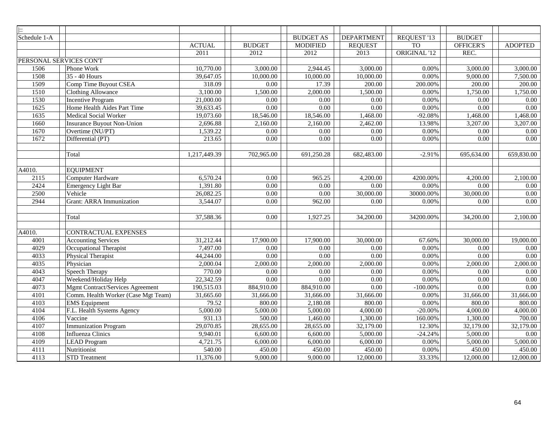| $ \colon$               |                                     |               |                   |                  |                   |                 |                  |                   |
|-------------------------|-------------------------------------|---------------|-------------------|------------------|-------------------|-----------------|------------------|-------------------|
| Schedule 1-A            |                                     |               |                   | <b>BUDGET AS</b> | <b>DEPARTMENT</b> | REQUEST '13     | <b>BUDGET</b>    |                   |
|                         |                                     | <b>ACTUAL</b> | <b>BUDGET</b>     | <b>MODIFIED</b>  | <b>REQUEST</b>    | TO <sub>1</sub> | <b>OFFICER'S</b> | <b>ADOPTED</b>    |
|                         |                                     | 2011          | 2012              | 2012             | 2013              | ORIGINAL '12    | REC.             |                   |
| PERSONAL SERVICES CON'T |                                     |               |                   |                  |                   |                 |                  |                   |
| 1506                    | Phone Work                          | 10,770.00     | 3,000.00          | 2,944.45         | 3,000.00          | 0.00%           | 3,000.00         | 3,000.00          |
| 1508                    | 35 - 40 Hours                       | 39,647.05     | 10,000.00         | 10,000.00        | 10,000.00         | 0.00%           | 9,000.00         | 7,500.00          |
| 1509                    | Comp Time Buyout CSEA               | 318.09        | 0.00              | 17.39            | 200.00            | 200.00%         | 200.00           | 200.00            |
| 1510                    | <b>Clothing Allowance</b>           | 3,100.00      | 1,500.00          | 2,000.00         | 1,500.00          | 0.00%           | 1,750.00         | 1,750.00          |
| 1530                    | Incentive Program                   | 21,000.00     | 0.00              | 0.00             | 0.00              | 0.00%           | 0.00             | $\overline{0.00}$ |
| 1625                    | Home Health Aides Part Time         | 39,633.45     | 0.00              | 0.00             | $\overline{0.00}$ | 0.00%           | 0.00             | $\overline{0.00}$ |
| 1635                    | Medical Social Worker               | 19,073.60     | 18,546.00         | 18,546.00        | 1,468.00          | $-92.08%$       | 1,468.00         | 1,468.00          |
| 1660                    | Insurance Buyout Non-Union          | 2,696.88      | 2,160.00          | 2,160.00         | 2,462.00          | 13.98%          | 3,207.00         | 3,207.00          |
| 1670                    | Overtime (NU/PT)                    | 1,539.22      | 0.00              | 0.00             | $0.00\,$          | $0.00\%$        | 0.00             | 0.00              |
| 1672                    | Differential (PT)                   | 213.65        | 0.00              | 0.00             | $0.00\,$          | $0.00\%$        | 0.00             | 0.00              |
|                         |                                     |               |                   |                  |                   |                 |                  |                   |
|                         | Total                               | 1,217,449.39  | 702,965.00        | 691,250.28       | 682,483.00        | $-2.91%$        | 695,634.00       | 659,830.00        |
|                         |                                     |               |                   |                  |                   |                 |                  |                   |
| A4010.                  | <b>EOUIPMENT</b>                    |               |                   |                  |                   |                 |                  |                   |
| 2115                    | Computer Hardware                   | 6,570.24      | 0.00              | 965.25           | 4,200.00          | 4200.00%        | 4,200.00         | 2,100.00          |
| 2424                    | Emergency Light Bar                 | 1,391.80      | 0.00              | 0.00             | 0.00              | 0.00%           | 0.00             | 0.00              |
| 2500                    | Vehicle                             | 26,082.25     | $\overline{0.00}$ | 0.00             | 30,000.00         | 30000.00%       | 30,000.00        | $\overline{0.00}$ |
| 2944                    | <b>Grant: ARRA Immunization</b>     | 3,544.07      | $0.00\,$          | 962.00           | 0.00              | $0.00\%$        | 0.00             | 0.00              |
|                         |                                     |               |                   |                  |                   |                 |                  |                   |
|                         | Total                               | 37,588.36     | 0.00              | 1,927.25         | 34,200.00         | 34200.00%       | 34,200.00        | 2,100.00          |
|                         |                                     |               |                   |                  |                   |                 |                  |                   |
| A4010.                  | CONTRACTUAL EXPENSES                |               |                   |                  |                   |                 |                  |                   |
| 4001                    | <b>Accounting Services</b>          | 31,212.44     | 17,900.00         | 17,900.00        | 30,000.00         | 67.60%          | 30,000.00        | 19,000.00         |
| 4029                    | Occupational Therapist              | 7,497.00      | 0.00              | 0.00             | 0.00              | 0.00%           | 0.00             | 0.00              |
| 4033                    | Physical Therapist                  | 44,244.00     | 0.00              | 0.00             | 0.00              | 0.00%           | 0.00             | 0.00              |
| 4035                    | Physician                           | 2,000.04      | 2,000.00          | 2,000.00         | 2,000.00          | $0.00\%$        | 2,000.00         | 2,000.00          |
| 4043                    | Speech Therapy                      | 770.00        | 0.00              | 0.00             | 0.00              | 0.00%           | 0.00             | 0.00              |
| 4047                    | Weekend/Holiday Help                | 22,342.59     | 0.00              | 0.00             | $\overline{0.00}$ | 0.00%           | 0.00             | $\overline{0.00}$ |
| 4073                    | Mgmt Contract/Services Agreement    | 190,515.03    | 884,910.00        | 884,910.00       | 0.00              | $-100.00\%$     | $0.00\,$         | 0.00              |
| 4101                    | Comm. Health Worker (Case Mgt Team) | 31,665.60     | 31,666.00         | 31,666.00        | 31,666.00         | 0.00%           | 31,666.00        | 31,666.00         |
| 4103                    | <b>EMS</b> Equipment                | 79.52         | 800.00            | 2,180.08         | 800.00            | 0.00%           | 800.00           | 800.00            |
| 4104                    | F.L. Health Systems Agency          | 5,000.00      | 5,000.00          | 5,000.00         | 4,000.00          | $-20.00%$       | 4,000.00         | 4,000.00          |
| 4106                    | Vaccine                             | 931.13        | 500.00            | 1,460.00         | 1,300.00          | 160.00%         | 1,300.00         | 700.00            |
| 4107                    | Immunization Program                | 29,070.85     | 28,655.00         | 28,655.00        | 32,179.00         | 12.30%          | 32,179.00        | 32,179.00         |
| 4108                    | Influenza Clinics                   | 9,940.01      | 6,600.00          | 6,600.00         | 5,000.00          | $-24.24%$       | 5,000.00         | 0.00              |
| 4109                    | <b>LEAD Program</b>                 | 4,721.75      | 6,000.00          | 6,000.00         | 6,000.00          | 0.00%           | 5,000.00         | 5,000.00          |
| 4111                    | Nutritionist                        | 540.00        | 450.00            | 450.00           | 450.00            | 0.00%           | 450.00           | 450.00            |
| 4113                    | <b>STD</b> Treatment                | 11,376.00     | 9,000.00          | 9,000.00         | 12,000.00         | 33.33%          | 12,000.00        | 12,000.00         |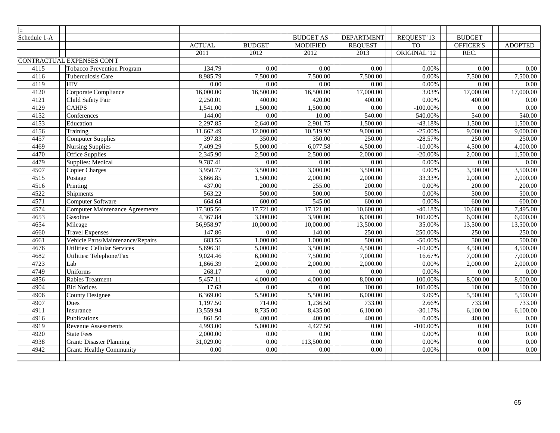| $\left  \cdot \right $ |                                        |               |               |                  |                   |              |                  |                   |
|------------------------|----------------------------------------|---------------|---------------|------------------|-------------------|--------------|------------------|-------------------|
| Schedule 1-A           |                                        |               |               | <b>BUDGET AS</b> | <b>DEPARTMENT</b> | REQUEST '13  | <b>BUDGET</b>    |                   |
|                        |                                        | <b>ACTUAL</b> | <b>BUDGET</b> | <b>MODIFIED</b>  | <b>REQUEST</b>    | <b>TO</b>    | <b>OFFICER'S</b> | <b>ADOPTED</b>    |
|                        |                                        | 2011          | 2012          | 2012             | 2013              | ORIGINAL '12 | REC.             |                   |
|                        | CONTRACTUAL EXPENSES CONT              |               |               |                  |                   |              |                  |                   |
| 4115                   | Tobacco Prevention Program             | 134.79        | 0.00          | 0.00             | 0.00              | 0.00%        | 0.00             | 0.00              |
| 4116                   | Tuberculosis Care                      | 8,985.79      | 7,500.00      | 7,500.00         | 7,500.00          | 0.00%        | 7,500.00         | 7,500.00          |
| 4119                   | <b>HIV</b>                             | 0.00          | 0.00          | 0.00             | 0.00              | 0.00%        | 0.00             | 0.00              |
| 4120                   | Corporate Compliance                   | 16,000.00     | 16,500.00     | 16,500.00        | 17,000.00         | 3.03%        | 17,000.00        | 17,000.00         |
| 4121                   | Child Safety Fair                      | 2,250.01      | 400.00        | 420.00           | 400.00            | 0.00%        | 400.00           | 0.00              |
| 4129                   | <b>CAHPS</b>                           | 1,541.00      | 1,500.00      | 1,500.00         | 0.00              | $-100.00\%$  | 0.00             | 0.00              |
| 4152                   | Conferences                            | 144.00        | 0.00          | 10.00            | 540.00            | 540.00%      | 540.00           | 540.00            |
| 4153                   | Education                              | 2,297.85      | 2,640.00      | 2,901.75         | 1,500.00          | $-43.18%$    | 1,500.00         | 1,500.00          |
| 4156                   | Training                               | 11,662.49     | 12,000.00     | 10,519.92        | 9,000.00          | $-25.00\%$   | 9,000.00         | 9,000.00          |
| 4457                   | Computer Supplies                      | 397.83        | 350.00        | 350.00           | 250.00            | $-28.57%$    | 250.00           | 250.00            |
| 4469                   | Nursing Supplies                       | 7,409.29      | 5,000.00      | 6,077.58         | 4,500.00          | $-10.00\%$   | 4,500.00         | 4,000.00          |
| 4470                   | Office Supplies                        | 2,345.90      | 2,500.00      | 2,500.00         | 2,000.00          | $-20.00%$    | 2,000.00         | 1,500.00          |
| 4479                   | Supplies: Medical                      | 9,787.41      | 0.00          | 0.00             | 0.00              | 0.00%        | 0.00             | $\overline{0.00}$ |
| 4507                   | Copier Charges                         | 3,950.77      | 3,500.00      | 3,000.00         | 3,500.00          | 0.00%        | 3,500.00         | 3,500.00          |
| 4515                   | Postage                                | 3,666.85      | 1,500.00      | 2,000.00         | 2,000.00          | 33.33%       | 2,000.00         | 2,000.00          |
| 4516                   | Printing                               | 437.00        | 200.00        | 255.00           | 200.00            | 0.00%        | 200.00           | 200.00            |
| 4522                   | Shipments                              | 563.22        | 500.00        | 500.00           | 500.00            | 0.00%        | 500.00           | 500.00            |
| 4571                   | Computer Software                      | 664.64        | 600.00        | 545.00           | 600.00            | 0.00%        | 600.00           | 600.00            |
| 4574                   | <b>Computer Maintenance Agreements</b> | 17,305.56     | 17,721.00     | 17,121.00        | 10,600.00         | $-40.18%$    | 10,600.00        | 7,495.00          |
| 4653                   | Gasoline                               | 4,367.84      | 3,000.00      | 3,900.00         | 6,000.00          | 100.00%      | 6,000.00         | 6,000.00          |
| 4654                   | Mileage                                | 56,958.97     | 10,000.00     | 10,000.00        | 13,500.00         | 35.00%       | 13,500.00        | 13,500.00         |
| 4660                   | <b>Travel Expenses</b>                 | 147.86        | 0.00          | 140.00           | 250.00            | 250.00%      | 250.00           | 250.00            |
| 4661                   | Vehicle Parts/Maintenance/Repairs      | 683.55        | 1,000.00      | 1,000.00         | 500.00            | $-50.00\%$   | 500.00           | 500.00            |
| 4676                   | Utilities: Cellular Services           | 5,696.31      | 5,000.00      | 3,500.00         | 4,500.00          | $-10.00\%$   | 4,500.00         | 4,500.00          |
| 4682                   | Utilities: Telephone/Fax               | 9,024.46      | 6,000.00      | 7,500.00         | 7,000.00          | 16.67%       | 7,000.00         | 7,000.00          |
| 4723                   | Lab                                    | 1,866.39      | 2,000.00      | 2,000.00         | 2,000.00          | 0.00%        | 2,000.00         | 2,000.00          |
| 4749                   | Uniforms                               | 268.17        | 0.00          | 0.00             | 0.00              | $0.00\%$     | 0.00             | 0.00              |
| 4856                   | <b>Rabies Treatment</b>                | 5,457.11      | 4,000.00      | 4,000.00         | 8,000.00          | 100.00%      | 8,000.00         | 8,000.00          |
| 4904                   | <b>Bid Notices</b>                     | 17.63         | 0.00          | 0.00             | 100.00            | 100.00%      | 100.00           | 100.00            |
| 4906                   | <b>County Designee</b>                 | 6,369.00      | 5,500.00      | 5,500.00         | 6,000.00          | 9.09%        | 5,500.00         | 5,500.00          |
| 4907                   | Dues                                   | 1,197.50      | 714.00        | 1,236.50         | 733.00            | 2.66%        | 733.00           | 733.00            |
| 4911                   | Insurance                              | 13,559.94     | 8,735.00      | 8,435.00         | 6,100.00          | $-30.17%$    | 6,100.00         | 6,100.00          |
| 4916                   | Publications                           | 861.50        | 400.00        | 400.00           | 400.00            | 0.00%        | 400.00           | 0.00              |
| 4919                   | <b>Revenue Assessments</b>             | 4,993.00      | 5,000.00      | 4,427.50         | 0.00              | $-100.00\%$  | $0.00\,$         | 0.00              |
| 4920                   | <b>State Fees</b>                      | 2,000.00      | 0.00          | 0.00             | $0.00\,$          | $0.00\%$     | 0.00             | 0.00              |
| 4938                   | <b>Grant: Disaster Planning</b>        | 31,029.00     | 0.00          | 113,500.00       | 0.00              | 0.00%        | 0.00             | 0.00              |
| 4942                   | <b>Grant: Healthy Community</b>        | $0.00\,$      | 0.00          | 0.00             | 0.00              | 0.00%        | 0.00             | $\overline{0.00}$ |
|                        |                                        |               |               |                  |                   |              |                  |                   |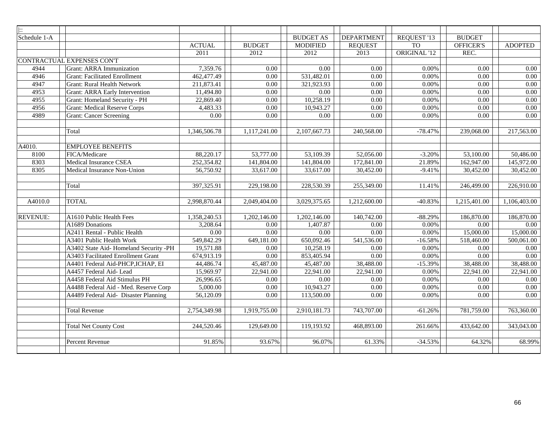| $ \colon$       |                                       |               |                   |                        |                   |                |                  |                   |
|-----------------|---------------------------------------|---------------|-------------------|------------------------|-------------------|----------------|------------------|-------------------|
| Schedule 1-A    |                                       |               |                   | <b>BUDGET AS</b>       | <b>DEPARTMENT</b> | REQUEST '13    | <b>BUDGET</b>    |                   |
|                 |                                       | <b>ACTUAL</b> | <b>BUDGET</b>     | <b>MODIFIED</b>        | <b>REQUEST</b>    | T <sub>O</sub> | <b>OFFICER'S</b> | <b>ADOPTED</b>    |
|                 |                                       | 2011          | 2012              | 2012                   | 2013              | ORIGINAL '12   | REC.             |                   |
|                 | CONTRACTUAL EXPENSES CON'T            |               |                   |                        |                   |                |                  |                   |
| 4944            | Grant: ARRA Immunization              | 7,359.76      | 0.00              | 0.00                   | 0.00              | 0.00%          | 0.00             | 0.00              |
| 4946            | <b>Grant: Facilitated Enrollment</b>  | 462,477.49    | 0.00              | 531,482.01             | 0.00              | 0.00%          | 0.00             | 0.00              |
| 4947            | <b>Grant: Rural Health Network</b>    | 211,873.41    | 0.00              | 321,923.93             | 0.00              | 0.00%          | 0.00             | 0.00              |
| 4953            | Grant: ARRA Early Intervention        | 11,494.80     | 0.00              | 0.00                   | $0.00\,$          | $0.00\%$       | 0.00             | 0.00              |
| 4955            | Grant: Homeland Security - PH         | 22,869.40     | $0.00\,$          | 10,258.19              | 0.00              | 0.00%          | 0.00             | 0.00              |
| 4956            | <b>Grant: Medical Reserve Corps</b>   | 4,483.33      | $\overline{0.00}$ | $10,943.\overline{27}$ | $\overline{0.00}$ | $0.00\%$       | $0.00\,$         | $\overline{0.00}$ |
| 4989            | <b>Grant: Cancer Screening</b>        | 0.00          | 0.00              | 0.00                   | 0.00              | 0.00%          | 0.00             | 0.00              |
|                 |                                       |               |                   |                        |                   |                |                  |                   |
|                 | Total                                 | 1,346,506.78  | 1,117,241.00      | 2,107,667.73           | 240,568.00        | $-78.47%$      | 239,068.00       | 217,563.00        |
|                 |                                       |               |                   |                        |                   |                |                  |                   |
| A4010.          | <b>EMPLOYEE BENEFITS</b>              |               |                   |                        |                   |                |                  |                   |
| 8100            | FICA/Medicare                         | 88.220.17     | 53,777.00         | 53,109.39              | 52,056.00         | $-3.20%$       | 53,100.00        | 50,486.00         |
| 8303            | Medical Insurance CSEA                | 252,354.82    | 141,804.00        | 141,804.00             | 172,841.00        | 21.89%         | 162,947.00       | 145,972.00        |
| 8305            | Medical Insurance Non-Union           | 56,750.92     | 33,617.00         | 33,617.00              | 30,452.00         | $-9.41%$       | 30,452.00        | 30,452.00         |
|                 |                                       |               |                   |                        |                   |                |                  |                   |
|                 | Total                                 | 397,325.91    | 229,198.00        | 228,530.39             | 255,349.00        | 11.41%         | 246,499.00       | 226,910.00        |
|                 |                                       |               |                   |                        |                   |                |                  |                   |
| A4010.0         | <b>TOTAL</b>                          | 2,998,870.44  | 2,049,404.00      | 3,029,375.65           | 1,212,600.00      | $-40.83%$      | 1,215,401.00     | 1,106,403.00      |
|                 |                                       |               |                   |                        |                   |                |                  |                   |
| <b>REVENUE:</b> | A1610 Public Health Fees              | 1,358,240.53  | 1,202,146.00      | 1,202,146.00           | 140,742.00        | $-88.29%$      | 186,870.00       | 186,870.00        |
|                 | A1689 Donations                       | 3,208.64      | 0.00              | 1,407.87               | 0.00              | 0.00%          | 0.00             | 0.00              |
|                 | A2411 Rental - Public Health          | 0.00          | 0.00              | 0.00                   | $0.00\,$          | 0.00%          | 15,000.00        | 15,000.00         |
|                 | A3401 Public Health Work              | 549,842.29    | 649,181.00        | 650,092.46             | 541,536.00        | $-16.58%$      | 518,460.00       | 500,061.00        |
|                 | A3402 State Aid-Homeland Security -PH | 19,571.88     | 0.00              | 10,258.19              | 0.00              | 0.00%          | 0.00             | 0.00              |
|                 | A3403 Facilitated Enrollment Grant    | 674,913.19    | 0.00              | 853,405.94             | $0.00\,$          | 0.00%          | 0.00             | 0.00              |
|                 | A4401 Federal Aid-PHCP, ICHAP, EI     | 44,486.74     | 45,487.00         | 45,487.00              | 38,488.00         | $-15.39%$      | 38,488.00        | 38,488.00         |
|                 | A4457 Federal Aid-Lead                | 15,969.97     | 22,941.00         | 22,941.00              | 22,941.00         | 0.00%          | 22,941.00        | 22,941.00         |
|                 | A4458 Federal Aid Stimulus PH         | 26,996.65     | $0.00\,$          | 0.00                   | $\overline{0.00}$ | 0.00%          | 0.00             | 0.00              |
|                 | A4488 Federal Aid - Med. Reserve Corp | 5,000.00      | 0.00              | 10,943.27              | 0.00              | 0.00%          | 0.00             | 0.00              |
|                 | A4489 Federal Aid- Disaster Planning  | 56,120.09     | 0.00              | 113,500.00             | 0.00              | 0.00%          | 0.00             | 0.00              |
|                 |                                       |               |                   |                        |                   |                |                  |                   |
|                 | <b>Total Revenue</b>                  | 2,754,349.98  | 1,919,755.00      | 2,910,181.73           | 743,707.00        | $-61.26%$      | 781,759.00       | 763,360.00        |
|                 |                                       |               |                   |                        |                   |                |                  |                   |
|                 | <b>Total Net County Cost</b>          | 244,520.46    | 129,649.00        | 119,193.92             | 468,893.00        | 261.66%        | 433,642.00       | 343,043.00        |
|                 |                                       |               |                   |                        |                   |                |                  |                   |
|                 | Percent Revenue                       | 91.85%        | 93.67%            | 96.07%                 | 61.33%            | $-34.53%$      | 64.32%           | 68.99%            |
|                 |                                       |               |                   |                        |                   |                |                  |                   |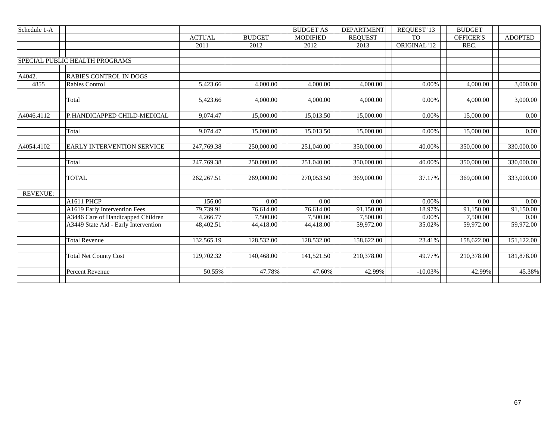| Schedule 1-A    |                                      |               |               | <b>BUDGET AS</b> | <b>DEPARTMENT</b> | REQUEST '13  | <b>BUDGET</b>    |                |
|-----------------|--------------------------------------|---------------|---------------|------------------|-------------------|--------------|------------------|----------------|
|                 |                                      | <b>ACTUAL</b> | <b>BUDGET</b> | <b>MODIFIED</b>  | <b>REQUEST</b>    | <b>TO</b>    | <b>OFFICER'S</b> | <b>ADOPTED</b> |
|                 |                                      | 2011          | 2012          | 2012             | 2013              | ORIGINAL '12 | REC.             |                |
|                 |                                      |               |               |                  |                   |              |                  |                |
|                 | SPECIAL PUBLIC HEALTH PROGRAMS       |               |               |                  |                   |              |                  |                |
|                 |                                      |               |               |                  |                   |              |                  |                |
| A4042.          | <b>RABIES CONTROL IN DOGS</b>        |               |               |                  |                   |              |                  |                |
| 4855            | Rabies Control                       | 5,423.66      | 4,000.00      | 4,000.00         | 4,000.00          | 0.00%        | 4,000.00         | 3,000.00       |
|                 |                                      |               |               |                  |                   |              |                  |                |
|                 | Total                                | 5,423.66      | 4.000.00      | 4.000.00         | 4,000.00          | 0.00%        | 4,000.00         | 3,000.00       |
|                 |                                      |               |               |                  |                   |              |                  |                |
| A4046.4112      | P.HANDICAPPED CHILD-MEDICAL          | 9,074.47      | 15,000.00     | 15,013.50        | 15,000.00         | 0.00%        | 15,000.00        | 0.00           |
|                 |                                      |               |               |                  |                   |              |                  |                |
|                 | Total                                | 9,074.47      | 15,000.00     | 15,013.50        | 15,000.00         | 0.00%        | 15,000.00        | 0.00           |
|                 |                                      |               |               |                  |                   |              |                  |                |
| A4054.4102      | EARLY INTERVENTION SERVICE           | 247,769.38    | 250,000.00    | 251,040.00       | 350,000.00        | 40.00%       | 350,000.00       | 330,000.00     |
|                 |                                      |               |               |                  |                   |              |                  |                |
|                 | Total                                | 247,769.38    | 250,000.00    | 251,040.00       | 350,000.00        | 40.00%       | 350,000.00       | 330,000.00     |
|                 | <b>TOTAL</b>                         |               |               |                  |                   | 37.17%       |                  |                |
|                 |                                      | 262, 267.51   | 269,000.00    | 270,053.50       | 369,000.00        |              | 369,000.00       | 333,000.00     |
| <b>REVENUE:</b> |                                      |               |               |                  |                   |              |                  |                |
|                 | A1611 PHCP                           | 156.00        | 0.00          | 0.00             | 0.00              | 0.00%        | 0.00             | 0.00           |
|                 | A1619 Early Intervention Fees        | 79,739.91     | 76.614.00     | 76,614.00        | 91.150.00         | 18.97%       | 91,150.00        | 91,150.00      |
|                 | A3446 Care of Handicapped Children   | 4,266.77      | 7,500.00      | 7,500.00         | 7,500.00          | 0.00%        | 7,500.00         | 0.00           |
|                 | A3449 State Aid - Early Intervention | 48,402.51     | 44,418.00     | 44,418.00        | 59,972.00         | 35.02%       | 59,972.00        | 59,972.00      |
|                 |                                      |               |               |                  |                   |              |                  |                |
|                 | <b>Total Revenue</b>                 | 132,565.19    | 128,532.00    | 128,532.00       | 158,622.00        | 23.41%       | 158,622.00       | 151,122.00     |
|                 |                                      |               |               |                  |                   |              |                  |                |
|                 | <b>Total Net County Cost</b>         | 129,702.32    | 140,468.00    | 141,521.50       | 210,378.00        | 49.77%       | 210,378.00       | 181,878.00     |
|                 |                                      |               |               |                  |                   |              |                  |                |
|                 | Percent Revenue                      | 50.55%        | 47.78%        | 47.60%           | 42.99%            | $-10.03%$    | 42.99%           | 45.38%         |
|                 |                                      |               |               |                  |                   |              |                  |                |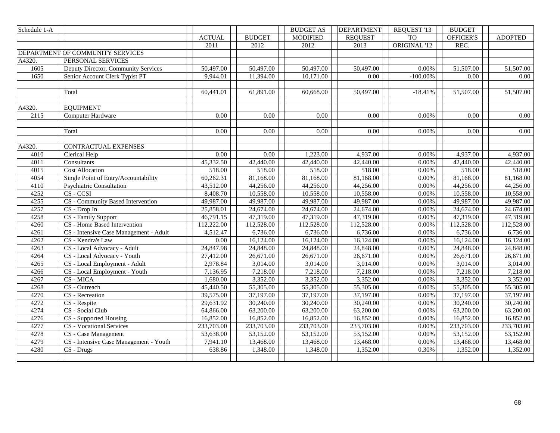| Schedule 1-A   |                                              |                   |                   | <b>BUDGET AS</b> | <b>DEPARTMENT</b> | REQUEST '13  | <b>BUDGET</b> |                |
|----------------|----------------------------------------------|-------------------|-------------------|------------------|-------------------|--------------|---------------|----------------|
|                |                                              | <b>ACTUAL</b>     | <b>BUDGET</b>     | <b>MODIFIED</b>  | <b>REQUEST</b>    | <b>TO</b>    | OFFICER'S     | <b>ADOPTED</b> |
|                |                                              | 2011              | 2012              | 2012             | 2013              | ORIGINAL '12 | REC.          |                |
|                | DEPARTMENT OF COMMUNITY SERVICES             |                   |                   |                  |                   |              |               |                |
| A4320.         | <b>PERSONAL SERVICES</b>                     |                   |                   |                  |                   |              |               |                |
| 1605           | Deputy Director, Community Services          | 50,497.00         | 50,497.00         | 50,497.00        | 50,497.00         | $0.00\%$     | 51,507.00     | 51,507.00      |
| 1650           | Senior Account Clerk Typist PT               | 9,944.01          | 11,394.00         | 10,171.00        | 0.00              | $-100.00\%$  | 0.00          | 0.00           |
|                |                                              |                   |                   |                  |                   |              |               |                |
|                | Total                                        | 60,441.01         | 61,891.00         | 60,668.00        | 50,497.00         | $-18.41%$    | 51,507.00     | 51,507.00      |
|                |                                              |                   |                   |                  |                   |              |               |                |
| A4320.         | <b>EQUIPMENT</b>                             |                   |                   |                  |                   |              |               |                |
| 2115           | Computer Hardware                            | 0.00              | 0.00              | 0.00             | 0.00              | 0.00%        | 0.00          | 0.00           |
|                |                                              |                   |                   |                  |                   |              |               |                |
|                | Total                                        | 0.00              | 0.00              | 0.00             | 0.00              | 0.00%        | 0.00          | 0.00           |
|                |                                              |                   |                   |                  |                   |              |               |                |
| A4320.<br>4010 | <b>CONTRACTUAL EXPENSES</b><br>Clerical Help | 0.00              | $\overline{0.00}$ | 1,223.00         | 4,937.00          | 0.00%        | 4,937.00      | 4,937.00       |
| 4011           | Consultants                                  | 45,332.50         | 42,440.00         | 42,440.00        | 42,440.00         | $0.00\%$     | 42,440.00     | 42,440.00      |
| 4015           | <b>Cost Allocation</b>                       | 518.00            | 518.00            | 518.00           | 518.00            | $0.00\%$     | 518.00        | 518.00         |
| 4054           | Single Point of Entry/Accountability         | 60,262.31         | 81,168.00         | 81,168.00        | 81,168.00         | $0.00\%$     | 81,168.00     | 81,168.00      |
| 4110           | <b>Psychiatric Consultation</b>              | 43,512.00         | 44,256.00         | 44,256.00        | 44,256.00         | 0.00%        | 44,256.00     | 44,256.00      |
| 4252           | CS - CCSI                                    | 8,408.70          | 10,558.00         | 10,558.00        | 10,558.00         | 0.00%        | 10,558.00     | 10,558.00      |
| 4255           | CS - Community Based Intervention            | 49,987.00         | 49,987.00         | 49,987.00        | 49,987.00         | $0.00\%$     | 49,987.00     | 49,987.00      |
| 4257           | CS - Drop In                                 | 25,858.01         | 24,674.00         | 24,674.00        | 24,674.00         | $0.00\%$     | 24,674.00     | 24,674.00      |
| 4258           | CS - Family Support                          | 46,791.15         | 47,319.00         | 47,319.00        | 47,319.00         | $0.00\%$     | 47,319.00     | 47,319.00      |
| 4260           | CS - Home Based Intervention                 | 112,222.00        | 112,528.00        | 112,528.00       | 112,528.00        | 0.00%        | 112,528.00    | 112,528.00     |
| 4261           | CS - Intensive Case Management - Adult       | 4,512.47          | 6,736.00          | 6,736.00         | 6,736.00          | $0.00\%$     | 6,736.00      | 6,736.00       |
| 4262           | CS - Kendra's Law                            | $\overline{0.00}$ | 16,124.00         | 16,124.00        | 16,124.00         | 0.00%        | 16,124.00     | 16,124.00      |
| 4263           | CS - Local Advocacy - Adult                  | 24,847.98         | 24,848.00         | 24,848.00        | 24,848.00         | $0.00\%$     | 24,848.00     | 24,848.00      |
| 4264           | CS - Local Advocacy - Youth                  | 27,412.00         | 26,671.00         | 26,671.00        | 26,671.00         | 0.00%        | 26,671.00     | 26,671.00      |
| 4265           | CS - Local Employment - Adult                | 2,978.84          | 3,014.00          | 3,014.00         | 3,014.00          | $0.00\%$     | 3,014.00      | 3,014.00       |
| 4266           | CS - Local Employment - Youth                | 7,136.95          | 7,218.00          | 7,218.00         | 7,218.00          | 0.00%        | 7,218.00      | 7,218.00       |
| 4267           | CS - MICA                                    | 1,680.00          | 3,352.00          | 3,352.00         | 3,352.00          | $0.00\%$     | 3,352.00      | 3,352.00       |
| 4268           | $\overline{\text{CS}}$ - Outreach            | 45,440.50         | 55,305.00         | 55,305.00        | 55,305.00         | $0.00\%$     | 55,305.00     | 55,305.00      |
| 4270           | CS - Recreation                              | 39,575.00         | 37,197.00         | 37,197.00        | 37,197.00         | 0.00%        | 37,197.00     | 37,197.00      |
| 4272           | CS - Respite                                 | 29,631.92         | 30,240.00         | 30,240.00        | 30,240.00         | 0.00%        | 30,240.00     | 30,240.00      |
| 4274           | CS - Social Club                             | 64,866.00         | 63,200.00         | 63,200.00        | 63,200.00         | $0.00\%$     | 63,200.00     | 63,200.00      |
| 4276           | CS - Supported Housing                       | 16,852.00         | 16,852.00         | 16,852.00        | 16,852.00         | 0.00%        | 16,852.00     | 16,852.00      |
| 4277           | <b>CS</b> - Vocational Services              | 233,703.00        | 233,703.00        | 233,703.00       | 233,703.00        | 0.00%        | 233,703.00    | 233,703.00     |
| 4278           | CS - Case Management                         | 53,638.00         | 53,152.00         | 53,152.00        | 53,152.00         | $0.00\%$     | 53,152.00     | 53,152.00      |
| 4279           | CS - Intensive Case Management - Youth       | 7,941.10          | 13,468.00         | 13,468.00        | 13,468.00         | $0.00\%$     | 13,468.00     | 13,468.00      |
| 4280           | CS - Drugs                                   | 638.86            | 1,348.00          | 1,348.00         | 1,352.00          | 0.30%        | 1,352.00      | 1,352.00       |
|                |                                              |                   |                   |                  |                   |              |               |                |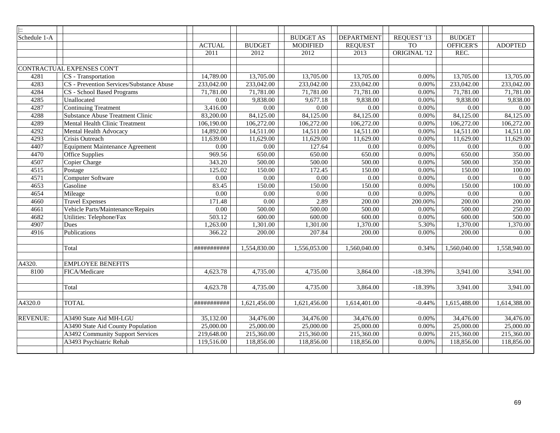| $\left  \cdot \right $ |                                          |               |               |                  |                   |              |               |                   |
|------------------------|------------------------------------------|---------------|---------------|------------------|-------------------|--------------|---------------|-------------------|
| Schedule 1-A           |                                          |               |               | <b>BUDGET AS</b> | <b>DEPARTMENT</b> | REQUEST '13  | <b>BUDGET</b> |                   |
|                        |                                          | <b>ACTUAL</b> | <b>BUDGET</b> | <b>MODIFIED</b>  | <b>REQUEST</b>    | <b>TO</b>    | OFFICER'S     | <b>ADOPTED</b>    |
|                        |                                          | 2011          | 2012          | 2012             | 2013              | ORIGINAL '12 | REC.          |                   |
|                        |                                          |               |               |                  |                   |              |               |                   |
|                        | CONTRACTUAL EXPENSES CONT                |               |               |                  |                   |              |               |                   |
| 4281                   | CS - Transportation                      | 14,789.00     | 13,705.00     | 13,705.00        | 13,705.00         | 0.00%        | 13,705.00     | 13,705.00         |
| 4283                   | CS - Prevention Services/Substance Abuse | 233,042.00    | 233,042.00    | 233,042.00       | 233,042.00        | $0.00\%$     | 233,042.00    | 233,042.00        |
| 4284                   | CS - School Based Programs               | 71,781.00     | 71,781.00     | 71,781.00        | 71,781.00         | $0.00\%$     | 71,781.00     | 71,781.00         |
| 4285                   | Unallocated                              | 0.00          | 9,838.00      | 9,677.18         | 9,838.00          | $0.00\%$     | 9,838.00      | 9,838.00          |
| 4287                   | Continuing Treatment                     | 3,416.00      | 0.00          | 0.00             | 0.00              | $0.00\%$     | 0.00          | $0.00\,$          |
| 4288                   | Substance Abuse Treatment Clinic         | 83,200.00     | 84,125.00     | 84,125.00        | 84,125.00         | $0.00\%$     | 84,125.00     | 84,125.00         |
| 4289                   | Mental Health Clinic Treatment           | 106,190.00    | 106,272.00    | 106,272.00       | 106,272.00        | $0.00\%$     | 106,272.00    | 106,272.00        |
| 4292                   | Mental Health Advocacy                   | 14,892.00     | 14,511.00     | 14,511.00        | 14,511.00         | 0.00%        | 14,511.00     | 14,511.00         |
| 4293                   | Crisis Outreach                          | 11,639.00     | 11,629.00     | 11,629.00        | 11,629.00         | 0.00%        | 11,629.00     | 11,629.00         |
| 4407                   | Equipment Maintenance Agreement          | $0.00\,$      | 0.00          | 127.64           | 0.00              | $0.00\%$     | 0.00          | 0.00              |
| 4470                   | Office Supplies                          | 969.56        | 650.00        | 650.00           | 650.00            | $0.00\%$     | 650.00        | 350.00            |
| 4507                   | Copier Charge                            | 343.20        | 500.00        | 500.00           | 500.00            | $0.00\%$     | 500.00        | 350.00            |
| 4515                   | Postage                                  | 125.02        | 150.00        | 172.45           | 150.00            | $0.00\%$     | 150.00        | 100.00            |
| 4571                   | Computer Software                        | 0.00          | 0.00          | 0.00             | 0.00              | 0.00%        | 0.00          | $\overline{0.00}$ |
| 4653                   | Gasoline                                 | 83.45         | 150.00        | 150.00           | 150.00            | 0.00%        | 150.00        | 100.00            |
| 4654                   | Mileage                                  | 0.00          | 0.00          | 0.00             | 0.00              | $0.00\%$     | 0.00          | $0.00\,$          |
| 4660                   | <b>Travel Expenses</b>                   | 171.48        | 0.00          | 2.89             | 200.00            | 200.00%      | 200.00        | 200.00            |
| 4661                   | Vehicle Parts/Maintenance/Repairs        | 0.00          | 500.00        | 500.00           | 500.00            | $0.00\%$     | 500.00        | 250.00            |
| 4682                   | Utilities: Telephone/Fax                 | 503.12        | 600.00        | 600.00           | 600.00            | $0.00\%$     | 600.00        | 500.00            |
| 4907                   | Dues                                     | 1,263.00      | 1,301.00      | 1,301.00         | 1,370.00          | 5.30%        | 1,370.00      | 1,370.00          |
| 4916                   | Publications                             | 366.22        | 200.00        | 207.84           | 200.00            | $0.00\%$     | 200.00        | $0.00\,$          |
|                        |                                          |               |               |                  |                   |              |               |                   |
|                        | Total                                    | ###########   | 1,554,830.00  | 1.556.053.00     | 1.560.040.00      | 0.34%        | 1,560,040.00  | 1,558,940.00      |
| A4320.                 | <b>EMPLOYEE BENEFITS</b>                 |               |               |                  |                   |              |               |                   |
| 8100                   | FICA/Medicare                            | 4,623.78      | 4,735.00      | 4,735.00         | 3,864.00          | $-18.39%$    | 3,941.00      | 3,941.00          |
|                        | Total                                    | 4,623.78      | 4,735.00      | 4,735.00         | 3,864.00          | $-18.39%$    | 3,941.00      | 3,941.00          |
| A4320.0                | <b>TOTAL</b>                             | ###########   | 1,621,456.00  | 1,621,456.00     | 1,614,401.00      | $-0.44%$     | 1,615,488.00  | 1,614,388.00      |
| <b>REVENUE:</b>        | A3490 State Aid MH-LGU                   | 35,132.00     | 34,476.00     | 34,476.00        | 34,476.00         | $0.00\%$     | 34,476.00     | 34,476.00         |
|                        | A3490 State Aid County Population        | 25,000.00     | 25,000.00     | 25,000.00        | 25,000.00         | $0.00\%$     | 25,000.00     | 25,000.00         |
|                        | A3492 Community Support Services         | 219,648.00    | 215,360.00    | 215,360.00       | 215,360.00        | $0.00\%$     | 215,360.00    | 215,360.00        |
|                        | A3493 Psychiatric Rehab                  | 119,516.00    | 118,856.00    | 118,856.00       | 118,856.00        | $0.00\%$     | 118,856.00    | 118,856.00        |
|                        |                                          |               |               |                  |                   |              |               |                   |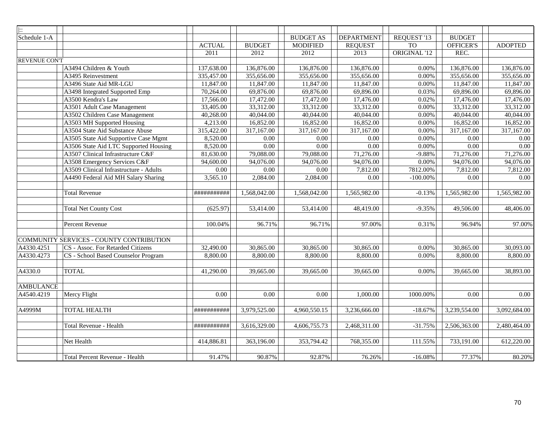| $\left  \cdot \right $ |                                          |               |               |                  |                   |                         |               |                |
|------------------------|------------------------------------------|---------------|---------------|------------------|-------------------|-------------------------|---------------|----------------|
| Schedule 1-A           |                                          |               |               | <b>BUDGET AS</b> | <b>DEPARTMENT</b> | REQUEST '13             | <b>BUDGET</b> |                |
|                        |                                          | <b>ACTUAL</b> | <b>BUDGET</b> | <b>MODIFIED</b>  | <b>REQUEST</b>    | <b>TO</b>               | OFFICER'S     | <b>ADOPTED</b> |
|                        |                                          | 2011          | 2012          | 2012             | 2013              | ORIGINAL <sup>'12</sup> | REC.          |                |
| <b>REVENUE CONT</b>    |                                          |               |               |                  |                   |                         |               |                |
|                        | A3494 Children & Youth                   | 137,638.00    | 136,876.00    | 136,876.00       | 136,876.00        | $0.00\%$                | 136,876.00    | 136,876.00     |
|                        | A3495 Reinvestment                       | 335,457.00    | 355,656.00    | 355,656.00       | 355,656.00        | 0.00%                   | 355,656.00    | 355,656.00     |
|                        | A3496 State Aid MR-LGU                   | 11,847.00     | 11,847.00     | 11,847.00        | 11,847.00         | $0.00\%$                | 11,847.00     | 11,847.00      |
|                        | A3498 Integrated Supported Emp           | 70,264.00     | 69,876.00     | 69,876.00        | 69,896.00         | 0.03%                   | 69,896.00     | 69,896.00      |
|                        | A3500 Kendra's Law                       | 17,566.00     | 17,472.00     | 17,472.00        | 17,476.00         | 0.02%                   | 17,476.00     | 17,476.00      |
|                        | A3501 Adult Case Management              | 33,405.00     | 33,312.00     | 33,312.00        | 33,312.00         | $0.00\%$                | 33,312.00     | 33,312.00      |
|                        | A3502 Children Case Management           | 40,268.00     | 40,044.00     | 40,044.00        | 40,044.00         | 0.00%                   | 40,044.00     | 40,044.00      |
|                        | A3503 MH Supported Housing               | 4,213.00      | 16,852.00     | 16,852.00        | 16,852.00         | 0.00%                   | 16,852.00     | 16,852.00      |
|                        | A3504 State Aid Substance Abuse          | 315,422.00    | 317,167.00    | 317,167.00       | 317,167.00        | 0.00%                   | 317,167.00    | 317,167.00     |
|                        | A3505 State Aid Supportive Case Mgmt     | 8,520.00      | 0.00          | 0.00             | $0.00\,$          | $0.00\%$                | 0.00          | 0.00           |
|                        | A3506 State Aid LTC Supported Housing    | 8,520.00      | 0.00          | 0.00             | 0.00              | $0.00\%$                | 0.00          | 0.00           |
|                        | A3507 Clinical Infrastructure C&F        | 81,630.00     | 79,088.00     | 79,088.00        | 71,276.00         | $-9.88%$                | 71,276.00     | 71,276.00      |
|                        | A3508 Emergency Services C&F             | 94,600.00     | 94,076.00     | 94,076.00        | 94,076.00         | 0.00%                   | 94,076.00     | 94,076.00      |
|                        | A3509 Clinical Infrastructure - Adults   | $0.00\,$      | $0.00\,$      | 0.00             | 7,812.00          | 7812.00%                | 7,812.00      | 7,812.00       |
|                        | A4490 Federal Aid MH Salary Sharing      | 3,565.10      | 2,084.00      | 2,084.00         | $0.00\,$          | $-100.00\%$             | 0.00          | $0.00\,$       |
|                        |                                          |               |               |                  |                   |                         |               |                |
|                        | <b>Total Revenue</b>                     | ###########   | 1,568,042.00  | 1,568,042.00     | 1,565,982.00      | $-0.13%$                | 1,565,982.00  | 1,565,982.00   |
|                        |                                          |               |               |                  |                   |                         |               |                |
|                        | <b>Total Net County Cost</b>             | (625.97)      | 53,414.00     | 53,414.00        | 48,419.00         | $-9.35%$                | 49,506.00     | 48,406.00      |
|                        |                                          |               |               |                  |                   |                         |               |                |
|                        | Percent Revenue                          | 100.04%       | 96.71%        | 96.71%           | 97.00%            | 0.31%                   | 96.94%        | 97.00%         |
|                        |                                          |               |               |                  |                   |                         |               |                |
|                        | COMMUNITY SERVICES - COUNTY CONTRIBUTION |               |               |                  |                   |                         |               |                |
| A4330.4251             | CS - Assoc. For Retarded Citizens        | 32,490.00     | 30,865.00     | 30,865.00        | 30,865.00         | 0.00%                   | 30,865.00     | 30,093.00      |
| A4330.4273             | CS - School Based Counselor Program      | 8,800.00      | 8,800.00      | 8,800.00         | 8,800.00          | 0.00%                   | 8,800.00      | 8,800.00       |
|                        |                                          |               |               |                  |                   |                         |               |                |
| A4330.0                | <b>TOTAL</b>                             | 41,290.00     | 39,665.00     | 39,665.00        | 39,665.00         | 0.00%                   | 39,665.00     | 38,893.00      |
|                        |                                          |               |               |                  |                   |                         |               |                |
| <b>AMBULANCE</b>       |                                          |               |               |                  |                   |                         |               |                |
| A4540.4219             | Mercy Flight                             | 0.00          | 0.00          | 0.00             | 1,000.00          | 1000.00%                | 0.00          | 0.00           |
|                        |                                          |               |               |                  |                   |                         |               |                |
| A4999M                 | <b>TOTAL HEALTH</b>                      | ###########   | 3,979,525.00  | 4,960,550.15     | 3,236,666.00      | $-18.67%$               | 3,239,554.00  | 3,092,684.00   |
|                        |                                          |               |               |                  |                   |                         |               |                |
|                        | Total Revenue - Health                   | ###########   | 3,616,329.00  | 4,606,755.73     | 2,468,311.00      | $-31.75%$               | 2,506,363.00  | 2,480,464.00   |
|                        |                                          |               |               |                  |                   |                         |               |                |
|                        | Net Health                               | 414,886.81    | 363,196.00    | 353,794.42       | 768,355.00        | 111.55%                 | 733,191.00    | 612,220.00     |
|                        |                                          |               |               |                  |                   |                         |               |                |
|                        | Total Percent Revenue - Health           | 91.47%        | 90.87%        | 92.87%           | 76.26%            | $-16.08%$               | 77.37%        | 80.20%         |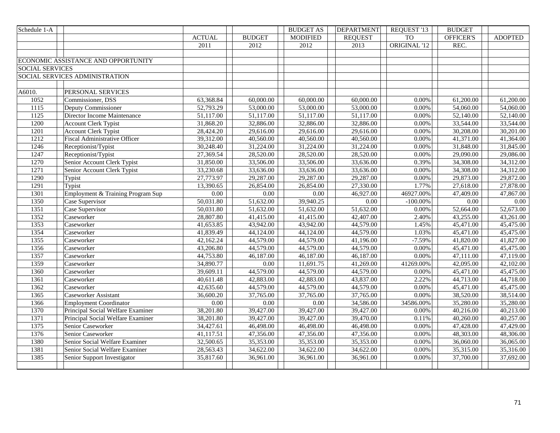| Schedule 1-A           |                                      |               |               | <b>BUDGET AS</b> | <b>DEPARTMENT</b> | REQUEST '13  | <b>BUDGET</b> |                |
|------------------------|--------------------------------------|---------------|---------------|------------------|-------------------|--------------|---------------|----------------|
|                        |                                      | <b>ACTUAL</b> | <b>BUDGET</b> | <b>MODIFIED</b>  | <b>REQUEST</b>    | <b>TO</b>    | OFFICER'S     | <b>ADOPTED</b> |
|                        |                                      | 2011          | 2012          | 2012             | 2013              | ORIGINAL '12 | REC.          |                |
|                        |                                      |               |               |                  |                   |              |               |                |
|                        | ECONOMIC ASSISTANCE AND OPPORTUNITY  |               |               |                  |                   |              |               |                |
| <b>SOCIAL SERVICES</b> |                                      |               |               |                  |                   |              |               |                |
|                        | SOCIAL SERVICES ADMINISTRATION       |               |               |                  |                   |              |               |                |
|                        |                                      |               |               |                  |                   |              |               |                |
| A6010.                 | PERSONAL SERVICES                    |               |               |                  |                   |              |               |                |
| 1052                   | Commissioner, DSS                    | 63,368.84     | 60,000.00     | 60,000.00        | 60,000.00         | 0.00%        | 61,200.00     | 61,200.00      |
| 1115                   | Deputy Commissioner                  | 52,793.29     | 53,000.00     | 53,000.00        | 53,000.00         | 0.00%        | 54,060.00     | 54,060.00      |
| 1125                   | Director Income Maintenance          | 51,117.00     | 51,117.00     | 51,117.00        | 51,117.00         | 0.00%        | 52,140.00     | 52,140.00      |
| 1200                   | <b>Account Clerk Typist</b>          | 31,868.20     | 32,886.00     | 32,886.00        | 32,886.00         | 0.00%        | 33,544.00     | 33,544.00      |
| 1201                   | <b>Account Clerk Typist</b>          | 28,424.20     | 29,616.00     | 29,616.00        | 29,616.00         | 0.00%        | 30,208.00     | 30,201.00      |
| 1212                   | <b>Fiscal Administrative Officer</b> | 39,312.00     | 40,560.00     | 40,560.00        | 40,560.00         | 0.00%        | 41,371.00     | 41,364.00      |
| 1246                   | Receptionist/Typist                  | 30,248.40     | 31,224.00     | 31,224.00        | 31,224.00         | 0.00%        | 31,848.00     | 31,845.00      |
| 1247                   | Receptionist/Typist                  | 27,369.54     | 28,520.00     | 28,520.00        | 28,520.00         | $0.00\%$     | 29,090.00     | 29,086.00      |
| 1270                   | Senior Account Clerk Typist          | 31,850.00     | 33,506.00     | 33,506.00        | 33,636.00         | 0.39%        | 34,308.00     | 34,312.00      |
| 1271                   | Senior Account Clerk Typist          | 33,230.68     | 33,636.00     | 33,636.00        | 33,636.00         | $0.00\%$     | 34,308.00     | 34,312.00      |
| 1290                   | Typist                               | 27,773.97     | 29,287.00     | 29,287.00        | 29,287.00         | $0.00\%$     | 29,873.00     | 29,872.00      |
| 1291                   | Typist                               | 13,390.65     | 26,854.00     | 26,854.00        | 27,330.00         | 1.77%        | 27,618.00     | 27,878.00      |
| 1301                   | Employment & Training Program Sup    | 0.00          | 0.00          | $0.00\,$         | 46,927.00         | 46927.00%    | 47,409.00     | 47,867.00      |
| 1350                   | Case Supervisor                      | 50,031.80     | 51,632.00     | 39,940.25        | 0.00              | $-100.00\%$  | 0.00          | 0.00           |
| 1351                   | Case Supervisor                      | 50,031.80     | 51,632.00     | 51,632.00        | 51,632.00         | 0.00%        | 52,664.00     | 52,673.00      |
| 1352                   | Caseworker                           | 28,807.80     | 41,415.00     | 41,415.00        | 42,407.00         | 2.40%        | 43,255.00     | 43,261.00      |
| 1353                   | Caseworker                           | 41,653.85     | 43,942.00     | 43,942.00        | 44,579.00         | 1.45%        | 45,471.00     | 45,475.00      |
| 1354                   | Caseworker                           | 41,839.49     | 44,124.00     | 44,124.00        | 44,579.00         | 1.03%        | 45,471.00     | 45,475.00      |
| 1355                   | Caseworker                           | 42,162.24     | 44,579.00     | 44,579.00        | 41,196.00         | $-7.59%$     | 41,820.00     | 41,827.00      |
| 1356                   | Caseworker                           | 43,206.80     | 44,579.00     | 44,579.00        | 44,579.00         | 0.00%        | 45,471.00     | 45,475.00      |
| 1357                   | Caseworker                           | 44,753.80     | 46,187.00     | 46,187.00        | 46,187.00         | 0.00%        | 47,111.00     | 47,119.00      |
| 1359                   | Caseworker                           | 34,890.77     | 0.00          | 11,691.75        | 41,269.00         | 41269.00%    | 42,095.00     | 42,102.00      |
| 1360                   | Caseworker                           | 39,609.11     | 44,579.00     | 44,579.00        | 44,579.00         | 0.00%        | 45,471.00     | 45,475.00      |
| 1361                   | Caseworker                           | 40,611.48     | 42,883.00     | 42,883.00        | 43,837.00         | 2.22%        | 44,713.00     | 44,718.00      |
| 1362                   | Caseworker                           | 42,635.60     | 44,579.00     | 44,579.00        | 44,579.00         | 0.00%        | 45,471.00     | 45,475.00      |
| 1365                   | Caseworker Assistant                 | 36,600.20     | 37,765.00     | 37,765.00        | 37,765.00         | 0.00%        | 38,520.00     | 38,514.00      |
| 1366                   | <b>Employment Coordinator</b>        | 0.00          | 0.00          | $0.00\,$         | 34,586.00         | 34586.00%    | 35,280.00     | 35,280.00      |
| 1370                   | Principal Social Welfare Examiner    | 38,201.80     | 39,427.00     | 39,427.00        | 39,427.00         | 0.00%        | 40,216.00     | 40,213.00      |
| 1371                   | Principal Social Welfare Examiner    | 38,201.80     | 39,427.00     | 39,427.00        | 39,470.00         | 0.11%        | 40,260.00     | 40,257.00      |
| 1375                   | Senior Caseworker                    | 34,427.61     | 46,498.00     | 46,498.00        | 46,498.00         | 0.00%        | 47,428.00     | 47,429.00      |
| 1376                   | Senior Caseworker                    | 41,117.51     | 47,356.00     | 47,356.00        | 47,356.00         | $0.00\%$     | 48,303.00     | 48,306.00      |
| 1380                   | Senior Social Welfare Examiner       | 32,500.65     | 35,353.00     | 35,353.00        | 35,353.00         | 0.00%        | 36,060.00     | 36,065.00      |
| 1381                   | Senior Social Welfare Examiner       | 28,563.43     | 34,622.00     | 34,622.00        | 34,622.00         | 0.00%        | 35,315.00     | 35,316.00      |
| 1385                   | Senior Support Investigator          | 35,817.60     | 36,961.00     | 36,961.00        | 36,961.00         | 0.00%        | 37,700.00     | 37,692.00      |
|                        |                                      |               |               |                  |                   |              |               |                |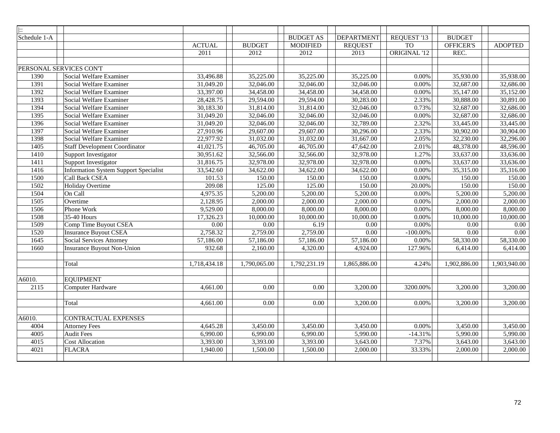| $\left  \cdot \right\rangle$ |                                              |               |               |                  |                   |              |                  |                |
|------------------------------|----------------------------------------------|---------------|---------------|------------------|-------------------|--------------|------------------|----------------|
| Schedule 1-A                 |                                              |               |               | <b>BUDGET AS</b> | <b>DEPARTMENT</b> | REQUEST '13  | <b>BUDGET</b>    |                |
|                              |                                              | <b>ACTUAL</b> | <b>BUDGET</b> | <b>MODIFIED</b>  | <b>REQUEST</b>    | <b>TO</b>    | <b>OFFICER'S</b> | <b>ADOPTED</b> |
|                              |                                              | 2011          | 2012          | 2012             | 2013              | ORIGINAL '12 | REC.             |                |
|                              |                                              |               |               |                  |                   |              |                  |                |
|                              | PERSONAL SERVICES CON'T                      |               |               |                  |                   |              |                  |                |
| 1390                         | Social Welfare Examiner                      | 33,496.88     | 35,225.00     | 35,225.00        | 35,225.00         | 0.00%        | 35,930.00        | 35,938.00      |
| 1391                         | Social Welfare Examiner                      | 31,049.20     | 32,046.00     | 32,046.00        | 32,046.00         | 0.00%        | 32,687.00        | 32,686.00      |
| 1392                         | Social Welfare Examiner                      | 33,397.00     | 34,458.00     | 34,458.00        | 34,458.00         | 0.00%        | 35,147.00        | 35,152.00      |
| 1393                         | Social Welfare Examiner                      | 28,428.75     | 29,594.00     | 29,594.00        | 30,283.00         | 2.33%        | 30,888.00        | 30,891.00      |
| 1394                         | Social Welfare Examiner                      | 30,183.30     | 31,814.00     | 31,814.00        | 32,046.00         | 0.73%        | 32,687.00        | 32,686.00      |
| 1395                         | Social Welfare Examiner                      | 31,049.20     | 32,046.00     | 32,046.00        | 32,046.00         | 0.00%        | 32,687.00        | 32,686.00      |
| 1396                         | Social Welfare Examiner                      | 31,049.20     | 32,046.00     | 32,046.00        | 32,789.00         | 2.32%        | 33,445.00        | 33,445.00      |
| 1397                         | Social Welfare Examiner                      | 27,910.96     | 29,607.00     | 29,607.00        | 30,296.00         | 2.33%        | 30,902.00        | 30,904.00      |
| 1398                         | Social Welfare Examiner                      | 22,977.92     | 31,032.00     | 31,032.00        | 31,667.00         | 2.05%        | 32,230.00        | 32,296.00      |
| 1405                         | <b>Staff Development Coordinator</b>         | 41,021.75     | 46,705.00     | 46,705.00        | 47,642.00         | 2.01%        | 48,378.00        | 48,596.00      |
| 1410                         | Support Investigator                         | 30,951.62     | 32,566.00     | 32,566.00        | 32,978.00         | 1.27%        | 33,637.00        | 33,636.00      |
| 1411                         | Support Investigator                         | 31,816.75     | 32,978.00     | 32,978.00        | 32,978.00         | 0.00%        | 33,637.00        | 33,636.00      |
| 1416                         | <b>Information System Support Specialist</b> | 33,542.60     | 34,622.00     | 34,622.00        | 34,622.00         | 0.00%        | 35,315.00        | 35,316.00      |
| 1500                         | Call Back CSEA                               | 101.53        | 150.00        | 150.00           | 150.00            | 0.00%        | 150.00           | 150.00         |
| 1502                         | <b>Holiday Overtime</b>                      | 209.08        | 125.00        | 125.00           | 150.00            | 20.00%       | 150.00           | 150.00         |
| 1504                         | On Call                                      | 4,975.35      | 5,200.00      | 5,200.00         | 5,200.00          | 0.00%        | 5,200.00         | 5,200.00       |
| 1505                         | Overtime                                     | 2,128.95      | 2,000.00      | 2,000.00         | 2,000.00          | 0.00%        | 2,000.00         | 2,000.00       |
| 1506                         | Phone Work                                   | 9,529.00      | 8,000.00      | 8,000.00         | 8,000.00          | 0.00%        | 8,000.00         | 8,000.00       |
| 1508                         | 35-40 Hours                                  | 17,326.23     | 10,000.00     | 10,000.00        | 10,000.00         | 0.00%        | 10,000.00        | 10,000.00      |
| 1509                         | Comp Time Buyout CSEA                        | 0.00          | 0.00          | 6.19             | 0.00              | 0.00%        | 0.00             | 0.00           |
| 1520                         | <b>Insurance Buyout CSEA</b>                 | 2,758.32      | 2,759.00      | 2,759.00         | 0.00              | $-100.00\%$  | $0.00\,$         | 0.00           |
| 1645                         | <b>Social Services Attorney</b>              | 57,186.00     | 57,186.00     | 57,186.00        | 57,186.00         | 0.00%        | 58,330.00        | 58,330.00      |
| 1660                         | <b>Insurance Buyout Non-Union</b>            | 932.68        | 2,160.00      | 4,320.00         | 4,924.00          | 127.96%      | 6,414.00         | 6,414.00       |
|                              |                                              |               |               |                  |                   |              |                  |                |
|                              | Total                                        | 1,718,434.18  | 1,790,065.00  | 1,792,231.19     | 1,865,886.00      | 4.24%        | 1,902,886.00     | 1,903,940.00   |
|                              |                                              |               |               |                  |                   |              |                  |                |
| A6010.                       | <b>EQUIPMENT</b>                             |               |               |                  |                   |              |                  |                |
| 2115                         | Computer Hardware                            | 4,661.00      | 0.00          | $0.00\,$         | 3,200.00          | 3200.00%     | 3,200.00         | 3,200.00       |
|                              |                                              |               |               |                  |                   |              |                  |                |
|                              | Total                                        | 4,661.00      | 0.00          | 0.00             | 3,200.00          | 0.00%        | 3,200.00         | 3,200.00       |
|                              |                                              |               |               |                  |                   |              |                  |                |
| A6010.                       | <b>CONTRACTUAL EXPENSES</b>                  |               |               |                  |                   |              |                  |                |
| 4004                         | <b>Attorney Fees</b>                         | 4,645.28      | 3,450.00      | 3,450.00         | 3,450.00          | 0.00%        | 3,450.00         | 3,450.00       |
| 4005                         | <b>Audit Fees</b>                            | 6,990.00      | 6,990.00      | 6,990.00         | 5,990.00          | $-14.31%$    | 5,990.00         | 5,990.00       |
| 4015                         | <b>Cost Allocation</b>                       | 3,393.00      | 3,393.00      | 3,393.00         | 3,643.00          | 7.37%        | 3,643.00         | 3,643.00       |
| 4021                         | <b>FLACRA</b>                                | 1,940.00      | 1,500.00      | 1,500.00         | 2,000.00          | 33.33%       | 2,000.00         | 2,000.00       |
|                              |                                              |               |               |                  |                   |              |                  |                |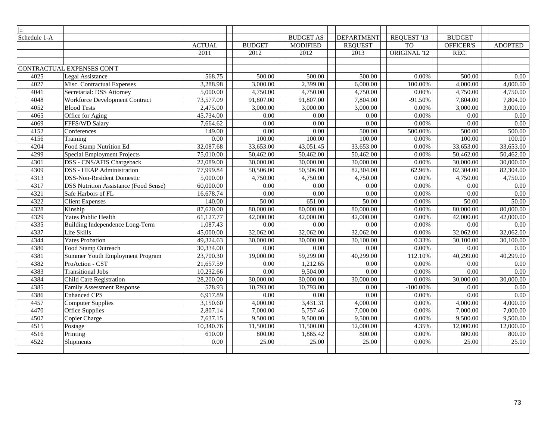| $\left  \cdot \right $ |                                              |               |               |                  |                   |              |               |                        |
|------------------------|----------------------------------------------|---------------|---------------|------------------|-------------------|--------------|---------------|------------------------|
| Schedule 1-A           |                                              |               |               | <b>BUDGET AS</b> | <b>DEPARTMENT</b> | REQUEST '13  | <b>BUDGET</b> |                        |
|                        |                                              | <b>ACTUAL</b> | <b>BUDGET</b> | <b>MODIFIED</b>  | <b>REQUEST</b>    | <b>TO</b>    | OFFICER'S     | <b>ADOPTED</b>         |
|                        |                                              | 2011          | 2012          | 2012             | 2013              | ORIGINAL '12 | REC.          |                        |
|                        |                                              |               |               |                  |                   |              |               |                        |
|                        | CONTRACTUAL EXPENSES CON'T                   |               |               |                  |                   |              |               |                        |
| 4025                   | Legal Assistance                             | 568.75        | 500.00        | 500.00           | 500.00            | 0.00%        | 500.00        | 0.00                   |
| 4027                   | Misc. Contractual Expenses                   | 3,288.98      | 3,000.00      | 2,399.00         | 6,000.00          | 100.00%      | 4,000.00      | 4,000.00               |
| 4041                   | Secretarial: DSS Attorney                    | 5,000.00      | 4,750.00      | 4,750.00         | 4,750.00          | 0.00%        | 4,750.00      | 4,750.00               |
| 4048                   | <b>Workforce Development Contract</b>        | 73,577.09     | 91,807.00     | 91,807.00        | 7,804.00          | $-91.50%$    | 7,804.00      | 7,804.00               |
| 4052                   | <b>Blood Tests</b>                           | 2,475.00      | 3,000.00      | 3,000.00         | 3,000.00          | 0.00%        | 3,000.00      | 3,000.00               |
| 4065                   | Office for Aging                             | 45,734.00     | 0.00          | 0.00             | 0.00              | 0.00%        | 0.00          | 0.00                   |
| 4069                   | FFFS/WD Salary                               | 7,664.62      | 0.00          | 0.00             | 0.00              | 0.00%        | 0.00          | 0.00                   |
| 4152                   | Conferences                                  | 149.00        | 0.00          | 0.00             | 500.00            | 500.00%      | 500.00        | 500.00                 |
| 4156                   | Training                                     | 0.00          | 100.00        | 100.00           | 100.00            | 0.00%        | 100.00        | 100.00                 |
| 4204                   | Food Stamp Nutrition Ed                      | 32,087.68     | 33,653.00     | 43,051.45        | 33,653.00         | 0.00%        | 33,653.00     | 33,653.00              |
| 4299                   | <b>Special Employment Projects</b>           | 75,010.00     | 50,462.00     | 50,462.00        | 50,462.00         | 0.00%        | 50,462.00     | 50,462.00              |
| 4301                   | DSS - CNS/AFIS Chargeback                    | 22,089.00     | 30,000.00     | 30,000.00        | 30,000.00         | 0.00%        | 30,000.00     | 30,000.00              |
| 4309                   | <b>DSS - HEAP Administration</b>             | 77,999.84     | 50,506.00     | 50,506.00        | 82,304.00         | 62.96%       | 82,304.00     | 82,304.00              |
| 4313                   | <b>DSS-Non-Resident Domestic</b>             | 5,000.00      | 4,750.00      | 4,750.00         | 4,750.00          | 0.00%        | 4,750.00      | 4,750.00               |
| 4317                   | <b>DSS Nutrition Assistance (Food Sense)</b> | 60,000.00     | 0.00          | 0.00             | 0.00              | 0.00%        | 0.00          | 0.00                   |
| 4321                   | Safe Harbors of FL                           | 16,678.74     | 0.00          | 0.00             | 0.00              | 0.00%        | 0.00          | 0.00                   |
| 4322                   | <b>Client Expenses</b>                       | 140.00        | 50.00         | 651.00           | 50.00             | 0.00%        | 50.00         | 50.00                  |
| 4328                   | Kinship                                      | 87,620.00     | 80,000.00     | 80,000.00        | 80,000.00         | 0.00%        | 80,000.00     | 80,000.00              |
| 4329                   | Yates Public Health                          | 61,127.77     | 42,000.00     | 42,000.00        | 42,000.00         | 0.00%        | 42,000.00     | 42,000.00              |
| 4335                   | Building Independence Long-Term              | 1,087.43      | 0.00          | 0.00             | 0.00              | 0.00%        | 0.00          | 0.00                   |
| 4337                   | Life Skills                                  | 45,000.00     | 32,062.00     | 32,062.00        | 32,062.00         | 0.00%        | 32,062.00     | 32,062.00              |
| 4344                   | <b>Yates Probation</b>                       | 49,324.63     | 30,000.00     | 30,000.00        | 30,100.00         | 0.33%        | 30,100.00     | 30,100.00              |
| 4380                   | Food Stamp Outreach                          | 30,334.00     | 0.00          | 0.00             | 0.00              | 0.00%        | 0.00          | 0.00                   |
| 4381                   | Summer Youth Employment Program              | 23,700.30     | 19,000.00     | 59,299.00        | 40,299.00         | 112.10%      | 40,299.00     | 40,299.00              |
| 4382                   | ProAction - CST                              | 21,657.59     | 0.00          | 1,212.65         | 0.00              | 0.00%        | 0.00          | 0.00                   |
| 4383                   | <b>Transitional Jobs</b>                     | 10,232.66     | 0.00          | 9,504.00         | 0.00              | 0.00%        | 0.00          | 0.00                   |
| 4384                   | <b>Child Care Registration</b>               | 28,200.00     | 30,000.00     | 30,000.00        | 30,000.00         | 0.00%        | 30,000.00     | 30,000.00              |
| 4385                   | <b>Family Assessment Response</b>            | 578.93        | 10,793.00     | 10,793.00        | 0.00              | $-100.00\%$  | 0.00          | 0.00                   |
| 4386                   | <b>Enhanced CPS</b>                          | 6,917.89      | 0.00          | 0.00             | 0.00              | 0.00%        | 0.00          | 0.00                   |
| 4457                   | <b>Computer Supplies</b>                     | 3,150.60      | 4,000.00      | 3,431.31         | 4,000.00          | 0.00%        | 4,000.00      | 4,000.00               |
| 4470                   | Office Supplies                              | 2,807.14      | 7,000.00      | 5,757.46         | 7,000.00          | 0.00%        | 7,000.00      | 7,000.00               |
| 4507                   | Copier Charge                                | 7,637.15      | 9,500.00      | 9,500.00         | 9,500.00          | 0.00%        | 9,500.00      | 9,500.00               |
| 4515                   | Postage                                      | 10,340.76     | 11,500.00     | 11,500.00        | 12,000.00         | 4.35%        | 12,000.00     | $\overline{12,000.00}$ |
| 4516                   | Printing                                     | 610.00        | 800.00        | 1,865.42         | 800.00            | 0.00%        | 800.00        | 800.00                 |
| 4522                   | Shipments                                    | 0.00          | 25.00         | 25.00            | 25.00             | 0.00%        | 25.00         | 25.00                  |
|                        |                                              |               |               |                  |                   |              |               |                        |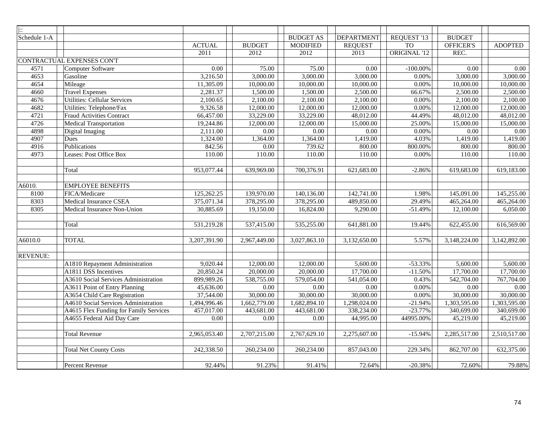| $\mathbb{R}$         |                                        |                           |               |                  |                        |                         |               |                |
|----------------------|----------------------------------------|---------------------------|---------------|------------------|------------------------|-------------------------|---------------|----------------|
| Schedule 1-A         |                                        |                           |               | <b>BUDGET AS</b> | <b>DEPARTMENT</b>      | REQUEST '13             | <b>BUDGET</b> |                |
|                      |                                        | $\operatorname{ACTUAL}$   | <b>BUDGET</b> | <b>MODIFIED</b>  | <b>REQUEST</b>         | <b>TO</b>               | OFFICER'S     | <b>ADOPTED</b> |
|                      |                                        | $\overline{2011}$         | 2012          | 2012             | 2013                   | ORIGINAL <sup>'12</sup> | REC.          |                |
|                      | CONTRACTUAL EXPENSES CON'T             |                           |               |                  |                        |                         |               |                |
| 4571                 | Computer Software                      | 0.00                      | 75.00         | 75.00            | 0.00                   | $-100.00\%$             | 0.00          | $0.00\,$       |
| 4653                 | Gasoline                               | 3,216.50                  | 3,000.00      | 3,000.00         | 3,000.00               | 0.00%                   | 3,000.00      | 3,000.00       |
| 4654                 | Mileage                                | 11,305.09                 | 10,000.00     | 10,000.00        | 10,000.00              | $0.00\%$                | 10,000.00     | 10,000.00      |
| 4660                 | <b>Travel Expenses</b>                 | 2,281.37                  | 1,500.00      | 1,500.00         | 2,500.00               | 66.67%                  | 2,500.00      | 2,500.00       |
| 4676                 | <b>Utilities: Cellular Services</b>    | 2,100.65                  | 2,100.00      | 2,100.00         | 2,100.00               | 0.00%                   | 2,100.00      | 2,100.00       |
| 4682                 | Utilities: Telephone/Fax               | 9,326.58                  | 12,000.00     | 12,000.00        | 12,000.00              | 0.00%                   | 12,000.00     | 12,000.00      |
| 4721                 | <b>Fraud Activities Contract</b>       | 66,457.00                 | 33,229.00     | 33,229.00        | $\overline{48,012.00}$ | 44.49%                  | 48,012.00     | 48,012.00      |
| 4726                 | <b>Medical Transportation</b>          | 19,244.86                 | 12,000.00     | 12,000.00        | 15,000.00              | 25.00%                  | 15,000.00     | 15,000.00      |
| 4898                 | Digital Imaging                        | 2,111.00                  | $0.00\,$      | $0.00\,$         | $0.00\,$               | 0.00%                   | $0.00\,$      | $0.00\,$       |
| 4907                 | Dues                                   | 1,324.00                  | 1,364.00      | 1,364.00         | 1,419.00               | 4.03%                   | 1,419.00      | 1,419.00       |
| 4916                 | Publications                           | 842.56                    | 0.00          | 739.62           | 800.00                 | $800.00\%$              | 800.00        | 800.00         |
| 4973                 | Leases: Post Office Box                | 110.00                    | 110.00        | 110.00           | 110.00                 | 0.00%                   | 110.00        | 110.00         |
|                      |                                        |                           |               |                  |                        |                         |               |                |
|                      | Total                                  | 953,077.44                | 639,969.00    | 700,376.91       | 621,683.00             | $-2.86%$                | 619,683.00    | 619,183.00     |
|                      |                                        |                           |               |                  |                        |                         |               |                |
| A6010.               | <b>EMPLOYEE BENEFITS</b>               |                           |               |                  |                        |                         |               |                |
| 8100                 | FICA/Medicare                          | 125,262.25                | 139,970.00    | 140,136.00       | 142,741.00             | 1.98%                   | 145,091.00    | 145,255.00     |
| 8303                 | Medical Insurance CSEA                 | 375,071.34                | 378,295.00    | 378,295.00       | 489,850.00             | 29.49%                  | 465,264.00    | 465,264.00     |
| 8305                 | Medical Insurance Non-Union            | 30,885.69                 | 19,150.00     | 16,824.00        | 9,290.00               | $-51.49%$               | 12,100.00     | 6,050.00       |
|                      |                                        |                           |               |                  |                        |                         |               |                |
|                      | Total                                  | 531,219.28                | 537,415.00    | 535,255.00       | 641,881.00             | 19.44%                  | 622,455.00    | 616,569.00     |
|                      |                                        |                           |               |                  |                        |                         |               |                |
| $\overline{A60}10.0$ | <b>TOTAL</b>                           | 3,207,391.90              | 2,967,449.00  | 3,027,863.10     | 3,132,650.00           | 5.57%                   | 3,148,224.00  | 3,142,892.00   |
|                      |                                        |                           |               |                  |                        |                         |               |                |
| <b>REVENUE:</b>      |                                        |                           |               |                  |                        |                         |               |                |
|                      | A1810 Repayment Administration         | 9,020.44                  | 12,000.00     | 12,000.00        | 5,600.00               | $-53.33%$               | 5,600.00      | 5,600.00       |
|                      | A1811 DSS Incentives                   | 20,850.24                 | 20,000.00     | 20,000.00        | 17,700.00              | $-11.50%$               | 17,700.00     | 17,700.00      |
|                      | A3610 Social Services Administration   | 899,989.26                | 538,755.00    | 579,054.00       | 541,054.00             | 0.43%                   | 542,704.00    | 767,704.00     |
|                      | A3611 Point of Entry Planning          | 45,636.00                 | $0.00\,$      | 0.00             | 0.00                   | 0.00%                   | 0.00          | 0.00           |
|                      | A3654 Child Care Registration          | 37,544.00                 | 30,000.00     | 30,000.00        | 30,000.00              | $0.00\%$                | 30,000.00     | 30,000.00      |
|                      | A4610 Social Services Administration   | 1,494,996.46              | 1,662,779.00  | 1,682,894.10     | 1,298,024.00           | $-21.94%$               | 1,303,595.00  | 1,303,595.00   |
|                      | A4615 Flex Funding for Family Services | 457,017.00                | 443,681.00    | 443,681.00       | 338,234.00             | $-23.77%$               | 340,699.00    | 340,699.00     |
|                      | A4655 Federal Aid Day Care             | 0.00                      | 0.00          | $0.00\,$         | 44,995.00              | 44995.00%               | 45,219.00     | 45,219.00      |
|                      |                                        |                           |               |                  |                        |                         |               |                |
|                      | <b>Total Revenue</b>                   | $\overline{2,965,053.40}$ | 2,707,215.00  | 2,767,629.10     | 2,275,607.00           | $-15.94%$               | 2,285,517.00  | 2,510,517.00   |
|                      |                                        |                           |               |                  |                        |                         |               |                |
|                      | <b>Total Net County Costs</b>          | 242,338.50                | 260,234.00    | 260,234.00       | 857,043.00             | 229.34%                 | 862,707.00    | 632,375.00     |
|                      |                                        |                           |               |                  |                        |                         |               |                |
|                      | Percent Revenue                        | 92.44%                    | 91.23%        | 91.41%           | 72.64%                 | $-20.38%$               | 72.60%        | 79.88%         |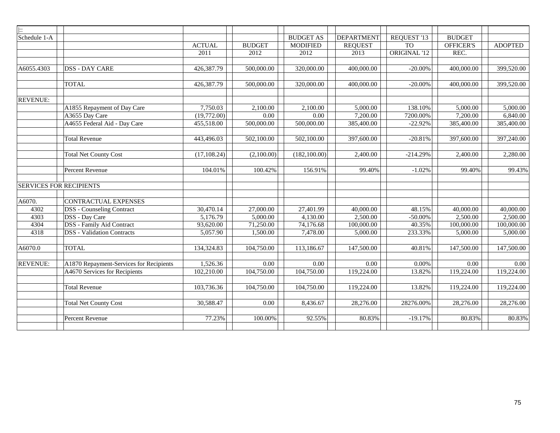| $\left  \cdot \right $ |                                         |               |               |                  |                   |                         |               |                |
|------------------------|-----------------------------------------|---------------|---------------|------------------|-------------------|-------------------------|---------------|----------------|
| Schedule 1-A           |                                         |               |               | <b>BUDGET AS</b> | <b>DEPARTMENT</b> | REQUEST '13             | <b>BUDGET</b> |                |
|                        |                                         | <b>ACTUAL</b> | <b>BUDGET</b> | <b>MODIFIED</b>  | <b>REQUEST</b>    | <b>TO</b>               | OFFICER'S     | <b>ADOPTED</b> |
|                        |                                         | 2011          | 2012          | 2012             | 2013              | ORIGINAL <sup>'12</sup> | REC.          |                |
|                        |                                         |               |               |                  |                   |                         |               |                |
| A6055.4303             | <b>DSS - DAY CARE</b>                   | 426,387.79    | 500,000.00    | 320,000.00       | 400,000.00        | $-20.00%$               | 400,000.00    | 399,520.00     |
|                        |                                         |               |               |                  |                   |                         |               |                |
|                        | <b>TOTAL</b>                            | 426,387.79    | 500,000.00    | 320,000.00       | 400,000.00        | $-20.00%$               | 400,000.00    | 399,520.00     |
|                        |                                         |               |               |                  |                   |                         |               |                |
| <b>REVENUE:</b>        |                                         |               |               |                  |                   |                         |               |                |
|                        | A1855 Repayment of Day Care             | 7,750.03      | 2,100.00      | 2,100.00         | 5,000.00          | 138.10%                 | 5,000.00      | 5,000.00       |
|                        | A3655 Day Care                          | (19,772.00)   | $0.00\,$      | 0.00             | 7,200.00          | 7200.00%                | 7,200.00      | 6,840.00       |
|                        | A4655 Federal Aid - Day Care            | 455,518.00    | 500,000.00    | 500,000.00       | 385,400.00        | $-22.92%$               | 385,400.00    | 385,400.00     |
|                        |                                         |               |               |                  |                   |                         |               |                |
|                        | <b>Total Revenue</b>                    | 443,496.03    | 502,100.00    | 502,100.00       | 397,600.00        | $-20.81%$               | 397,600.00    | 397,240.00     |
|                        |                                         |               |               |                  |                   |                         |               |                |
|                        | <b>Total Net County Cost</b>            | (17, 108.24)  | (2,100.00)    | (182, 100.00)    | 2,400.00          | $-214.29%$              | 2,400.00      | 2,280.00       |
|                        |                                         |               |               |                  |                   |                         |               |                |
|                        | Percent Revenue                         | 104.01%       | 100.42%       | 156.91%          | 99.40%            | $-1.02%$                | 99.40%        | 99.43%         |
|                        |                                         |               |               |                  |                   |                         |               |                |
|                        | <b>SERVICES FOR RECIPIENTS</b>          |               |               |                  |                   |                         |               |                |
|                        |                                         |               |               |                  |                   |                         |               |                |
| A6070.                 | <b>CONTRACTUAL EXPENSES</b>             |               |               |                  |                   |                         |               |                |
| 4302                   | <b>DSS</b> - Counseling Contract        | 30,470.14     | 27,000.00     | 27,401.99        | 40,000.00         | 48.15%                  | 40,000.00     | 40,000.00      |
| 4303                   | DSS - Day Care                          | 5,176.79      | 5,000.00      | 4,130.00         | 2,500.00          | $-50.00\%$              | 2,500.00      | 2,500.00       |
| 4304                   | DSS - Family Aid Contract               | 93,620.00     | 71,250.00     | 74,176.68        | 100,000.00        | 40.35%                  | 100,000.00    | 100,000.00     |
| 4318                   | <b>DSS</b> - Validation Contracts       | 5,057.90      | 1,500.00      | 7,478.00         | 5,000.00          | 233.33%                 | 5,000.00      | 5,000.00       |
|                        |                                         |               |               |                  |                   |                         |               |                |
| A6070.0                | <b>TOTAL</b>                            | 134,324.83    | 104,750.00    | 113,186.67       | 147,500.00        | 40.81%                  | 147,500.00    | 147,500.00     |
|                        |                                         |               |               |                  |                   |                         |               |                |
| <b>REVENUE:</b>        | A1870 Repayment-Services for Recipients | 1,526.36      | 0.00          | 0.00             | 0.00              | 0.00%                   | 0.00          | $0.00\,$       |
|                        | A4670 Services for Recipients           | 102,210.00    | 104,750.00    | 104,750.00       | 119,224.00        | 13.82%                  | 119,224.00    | 119,224.00     |
|                        |                                         |               |               |                  |                   |                         |               |                |
|                        | <b>Total Revenue</b>                    | 103,736.36    | 104,750.00    | 104,750.00       | 119,224.00        | 13.82%                  | 119,224.00    | 119,224.00     |
|                        |                                         |               |               |                  |                   |                         |               |                |
|                        | <b>Total Net County Cost</b>            | 30,588.47     | 0.00          | 8,436.67         | 28,276.00         | 28276.00%               | 28,276.00     | 28,276.00      |
|                        |                                         |               |               |                  |                   |                         |               |                |
|                        | Percent Revenue                         | 77.23%        | 100.00%       | 92.55%           | 80.83%            | $-19.17%$               | 80.83%        | 80.83%         |
|                        |                                         |               |               |                  |                   |                         |               |                |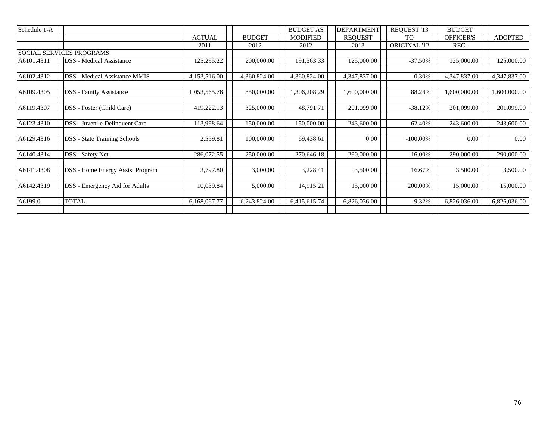| Schedule 1-A |                                         |               |               | <b>BUDGET AS</b> | <b>DEPARTMENT</b> | REQUEST '13  | <b>BUDGET</b>    |                |
|--------------|-----------------------------------------|---------------|---------------|------------------|-------------------|--------------|------------------|----------------|
|              |                                         | <b>ACTUAL</b> | <b>BUDGET</b> | <b>MODIFIED</b>  | <b>REQUEST</b>    | <b>TO</b>    | <b>OFFICER'S</b> | <b>ADOPTED</b> |
|              |                                         | 2011          | 2012          | 2012             | 2013              | ORIGINAL '12 | REC.             |                |
|              | <b>SOCIAL SERVICES PROGRAMS</b>         |               |               |                  |                   |              |                  |                |
| A6101.4311   | <b>DSS</b> - Medical Assistance         | 125,295.22    | 200,000.00    | 191,563.33       | 125,000.00        | $-37.50%$    | 125,000.00       | 125,000.00     |
|              |                                         |               |               |                  |                   |              |                  |                |
| A6102.4312   | <b>DSS</b> - Medical Assistance MMIS    | 4,153,516.00  | 4,360,824.00  | 4,360,824.00     | 4,347,837.00      | $-0.30%$     | 4,347,837.00     | 4,347,837.00   |
|              |                                         |               |               |                  |                   |              |                  |                |
| A6109.4305   | <b>DSS</b> - Family Assistance          | 1,053,565.78  | 850,000.00    | ,306,208.29      | 1,600,000.00      | 88.24%       | 1,600,000.00     | 1,600,000.00   |
|              |                                         |               |               |                  |                   |              |                  |                |
| A6119.4307   | DSS - Foster (Child Care)               | 419,222.13    | 325,000.00    | 48,791.71        | 201,099.00        | $-38.12%$    | 201,099.00       | 201,099.00     |
|              |                                         |               |               |                  |                   |              |                  |                |
| A6123.4310   | DSS - Juvenile Delinquent Care          | 113,998.64    | 150,000.00    | 150,000.00       | 243,600.00        | 62.40%       | 243,600.00       | 243,600.00     |
|              |                                         |               |               |                  |                   |              |                  |                |
| A6129.4316   | <b>DSS</b> - State Training Schools     | 2,559.81      | 100,000.00    | 69,438.61        | 0.00              | $-100.00\%$  | 0.00             | $0.00\,$       |
|              |                                         |               |               |                  |                   |              |                  |                |
| A6140.4314   | DSS - Safety Net                        | 286,072.55    | 250,000.00    | 270,646.18       | 290,000.00        | 16.00%       | 290,000.00       | 290,000.00     |
|              |                                         |               |               |                  |                   |              |                  |                |
| A6141.4308   | <b>DSS</b> - Home Energy Assist Program | 3,797.80      | 3,000.00      | 3,228.41         | 3,500.00          | 16.67%       | 3,500.00         | 3,500.00       |
|              |                                         |               |               |                  |                   |              |                  |                |
| A6142.4319   | DSS - Emergency Aid for Adults          | 10,039.84     | 5,000.00      | 14,915.21        | 15,000.00         | 200.00%      | 15,000.00        | 15,000.00      |
|              |                                         |               |               |                  |                   |              |                  |                |
| A6199.0      | <b>TOTAL</b>                            | 6,168,067.77  | 6,243,824.00  | 6,415,615.74     | 6,826,036.00      | 9.32%        | 6,826,036.00     | 6,826,036.00   |
|              |                                         |               |               |                  |                   |              |                  |                |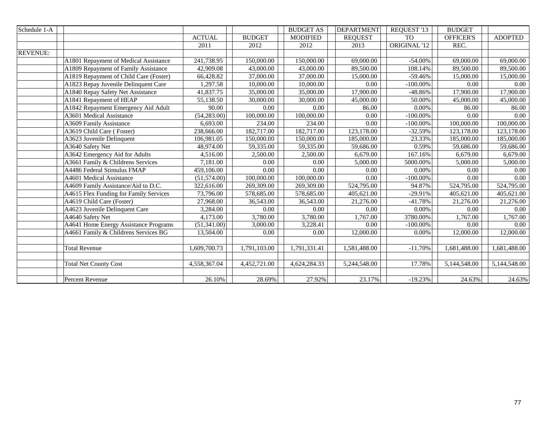| Schedule 1-A    |                                        |               |               | <b>BUDGET AS</b> | <b>DEPARTMENT</b> | REQUEST '13  | <b>BUDGET</b>    |                |
|-----------------|----------------------------------------|---------------|---------------|------------------|-------------------|--------------|------------------|----------------|
|                 |                                        | <b>ACTUAL</b> | <b>BUDGET</b> | <b>MODIFIED</b>  | <b>REQUEST</b>    | <b>TO</b>    | <b>OFFICER'S</b> | <b>ADOPTED</b> |
|                 |                                        | 2011          | 2012          | 2012             | 2013              | ORIGINAL '12 | REC.             |                |
| <b>REVENUE:</b> |                                        |               |               |                  |                   |              |                  |                |
|                 | A1801 Repayment of Medical Assistance  | 241,738.95    | 150,000.00    | 150,000.00       | 69,000.00         | $-54.00%$    | 69,000.00        | 69,000.00      |
|                 | A1809 Repayment of Family Assistance   | 42,909.08     | 43,000.00     | 43,000.00        | 89,500.00         | 108.14%      | 89,500.00        | 89,500.00      |
|                 | A1819 Repayment of Child Care (Foster) | 66,428.82     | 37,000.00     | 37,000.00        | 15,000.00         | $-59.46%$    | 15,000.00        | 15,000.00      |
|                 | A1823 Repay Juvenile Delinquent Care   | 1,297.58      | 10,000.00     | 10,000.00        | 0.00              | $-100.00\%$  | 0.00             | 0.00           |
|                 | A1840 Repay Safety Net Assistance      | 41,837.75     | 35,000.00     | 35,000.00        | 17,900.00         | $-48.86%$    | 17,900.00        | 17,900.00      |
|                 | A1841 Repayment of HEAP                | 55,138.50     | 30,000.00     | 30,000.00        | 45,000.00         | 50.00%       | 45,000.00        | 45,000.00      |
|                 | A1842 Repayment Emergency Aid Adult    | 90.00         | 0.00          | 0.00             | 86.00             | $0.00\%$     | 86.00            | 86.00          |
|                 | A3601 Medical Assistance               | (54, 283.00)  | 100,000.00    | 100,000.00       | 0.00              | $-100.00\%$  | 0.00             | 0.00           |
|                 | A3609 Family Assistance                | 6,693.00      | 234.00        | 234.00           | 0.00              | $-100.00\%$  | 100,000.00       | 100,000.00     |
|                 | A3619 Child Care (Foster)              | 238,666.00    | 182,717.00    | 182,717.00       | 123,178.00        | $-32.59%$    | 123,178.00       | 123,178.00     |
|                 | A3623 Juvenile Delinquent              | 106,981.05    | 150,000.00    | 150,000.00       | 185,000.00        | 23.33%       | 185,000.00       | 185,000.00     |
|                 | A3640 Safety Net                       | 48,974.00     | 59,335.00     | 59,335.00        | 59,686.00         | 0.59%        | 59,686.00        | 59,686.00      |
|                 | A3642 Emergency Aid for Adults         | 4,516.00      | 2.500.00      | 2,500.00         | 6,679.00          | 167.16%      | 6,679.00         | 6,679.00       |
|                 | A3661 Family & Childrens Services      | 7,181.00      | 0.00          | 0.00             | 5,000.00          | 5000.00%     | 5,000.00         | 5,000.00       |
|                 | A4486 Federal Stimulus FMAP            | 459,106.00    | 0.00          | 0.00             | 0.00              | 0.00%        | 0.00             | 0.00           |
|                 | A4601 Medical Assistance               | (51, 574.00)  | 100,000.00    | 100,000.00       | 0.00              | $-100.00\%$  | 0.00             | 0.00           |
|                 | A4609 Family Assistance/Aid to D.C.    | 322,616.00    | 269,309.00    | 269,309.00       | 524,795.00        | 94.87%       | 524,795.00       | 524,795.00     |
|                 | A4615 Flex Funding for Family Services | 73,796.00     | 578,685.00    | 578,685.00       | 405,621.00        | $-29.91%$    | 405,621.00       | 405,621.00     |
|                 | A4619 Child Care (Foster)              | 27,968.00     | 36,543.00     | 36,543.00        | 21,276.00         | $-41.78%$    | 21,276.00        | 21,276.00      |
|                 | A4623 Juvenile Delinquent Care         | 3,284.00      | 0.00          | 0.00             | 0.00              | 0.00%        | 0.00             | 0.00           |
|                 | A4640 Safety Net                       | 4,173.00      | 3,780.00      | 3,780.00         | 1,767.00          | 3780.00%     | 1,767.00         | 1,767.00       |
|                 | A4641 Home Energy Assistance Programs  | (51, 341.00)  | 3,000.00      | 3,228.41         | 0.00              | $-100.00\%$  | 0.00             | 0.00           |
|                 | A4661 Family & Childrens Services BG   | 13,504.00     | 0.00          | 0.00             | 12,000.00         | 0.00%        | 12,000.00        | 12,000.00      |
|                 |                                        |               |               |                  |                   |              |                  |                |
|                 | <b>Total Revenue</b>                   | 1,609,700.73  | 1,791,103.00  | 1,791,331.41     | 1,581,488.00      | $-11.70%$    | 1,681,488.00     | 1,681,488.00   |
|                 |                                        |               |               |                  |                   |              |                  |                |
|                 | <b>Total Net County Cost</b>           | 4,558,367.04  | 4,452,721.00  | 4,624,284.33     | 5,244,548.00      | 17.78%       | 5,144,548.00     | 5,144,548.00   |
|                 |                                        |               |               |                  |                   |              |                  |                |
|                 | Percent Revenue                        | 26.10%        | 28.69%        | 27.92%           | 23.17%            | $-19.23%$    | 24.63%           | 24.63%         |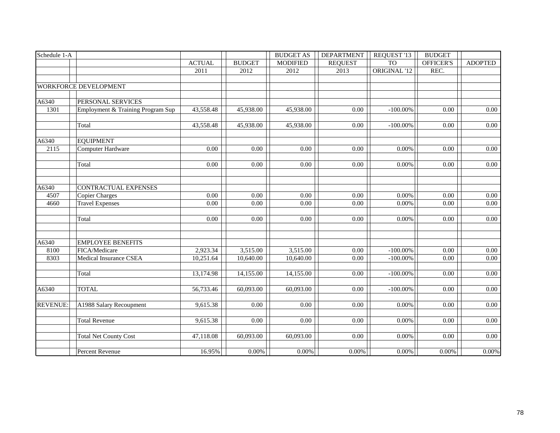| Schedule 1-A    |                                   |               |               | <b>BUDGET AS</b> | DEPARTMENT     | REQUEST '13     | <b>BUDGET</b> |                   |
|-----------------|-----------------------------------|---------------|---------------|------------------|----------------|-----------------|---------------|-------------------|
|                 |                                   | <b>ACTUAL</b> | <b>BUDGET</b> | <b>MODIFIED</b>  | <b>REQUEST</b> | TO <sub>1</sub> | OFFICER'S     | <b>ADOPTED</b>    |
|                 |                                   | 2011          | 2012          | 2012             | 2013           | ORIGINAL '12    | REC.          |                   |
|                 |                                   |               |               |                  |                |                 |               |                   |
|                 | WORKFORCE DEVELOPMENT             |               |               |                  |                |                 |               |                   |
|                 |                                   |               |               |                  |                |                 |               |                   |
| A6340           | PERSONAL SERVICES                 |               |               |                  |                |                 |               |                   |
| 1301            | Employment & Training Program Sup | 43,558.48     | 45,938.00     | 45,938.00        | 0.00           | $-100.00\%$     | 0.00          | 0.00              |
|                 | Total                             | 43,558.48     | 45,938.00     | 45,938.00        | 0.00           | $-100.00\%$     | 0.00          | 0.00              |
| A6340           | <b>EQUIPMENT</b>                  |               |               |                  |                |                 |               |                   |
| 2115            | Computer Hardware                 | 0.00          | 0.00          | 0.00             | 0.00           | 0.00%           | 0.00          | 0.00              |
|                 | Total                             | 0.00          | 0.00          | 0.00             | 0.00           | 0.00%           | 0.00          | 0.00              |
| A6340           | CONTRACTUAL EXPENSES              |               |               |                  |                |                 |               |                   |
| 4507            | <b>Copier Charges</b>             | 0.00          | 0.00          | 0.00             | 0.00           | 0.00%           | 0.00          | 0.00              |
| 4660            | <b>Travel Expenses</b>            | 0.00          | 0.00          | 0.00             | 0.00           | 0.00%           | 0.00          | 0.00              |
|                 | Total                             | 0.00          | 0.00          | 0.00             | 0.00           | 0.00%           | 0.00          | 0.00              |
| A6340           | <b>EMPLOYEE BENEFITS</b>          |               |               |                  |                |                 |               |                   |
| 8100            | FICA/Medicare                     | 2,923.34      | 3,515.00      | 3,515.00         | 0.00           | $-100.00\%$     | 0.00          | 0.00              |
| 8303            | Medical Insurance CSEA            | 10,251.64     | 10,640.00     | 10,640.00        | 0.00           | $-100.00\%$     | 0.00          | $\overline{0.00}$ |
|                 | Total                             | 13,174.98     | 14,155.00     | 14,155.00        | 0.00           | $-100.00\%$     | 0.00          | 0.00              |
| A6340           | <b>TOTAL</b>                      | 56,733.46     | 60,093.00     | 60,093.00        | 0.00           | $-100.00\%$     | 0.00          | 0.00              |
| <b>REVENUE:</b> | A1988 Salary Recoupment           | 9,615.38      | 0.00          | 0.00             | 0.00           | 0.00%           | 0.00          | 0.00              |
|                 | <b>Total Revenue</b>              | 9,615.38      | 0.00          | 0.00             | 0.00           | 0.00%           | 0.00          | 0.00              |
|                 | <b>Total Net County Cost</b>      | 47,118.08     | 60,093.00     | 60,093.00        | 0.00           | 0.00%           | 0.00          | 0.00              |
|                 | <b>Percent Revenue</b>            | 16.95%        | $0.00\%$      | $0.00\%$         | $0.00\%$       | $0.00\%$        | $0.00\%$      | $0.00\%$          |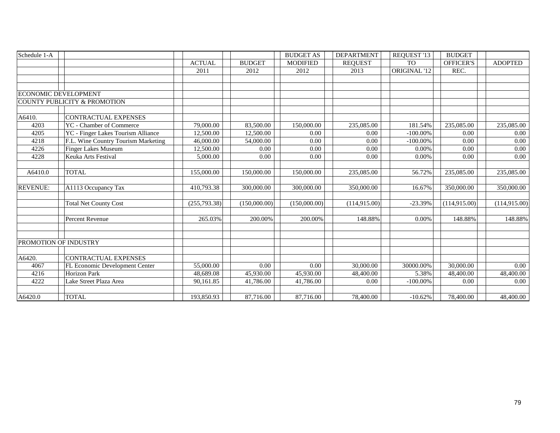| Schedule 1-A    |                                         |               |               | <b>BUDGET AS</b> | <b>DEPARTMENT</b> | <b>REQUEST '13</b> | <b>BUDGET</b> |                |
|-----------------|-----------------------------------------|---------------|---------------|------------------|-------------------|--------------------|---------------|----------------|
|                 |                                         | <b>ACTUAL</b> | <b>BUDGET</b> | <b>MODIFIED</b>  | <b>REQUEST</b>    | <b>TO</b>          | OFFICER'S     | <b>ADOPTED</b> |
|                 |                                         | 2011          | 2012          | 2012             | 2013              | ORIGINAL '12       | REC.          |                |
|                 |                                         |               |               |                  |                   |                    |               |                |
|                 |                                         |               |               |                  |                   |                    |               |                |
|                 | ECONOMIC DEVELOPMENT                    |               |               |                  |                   |                    |               |                |
|                 | <b>COUNTY PUBLICITY &amp; PROMOTION</b> |               |               |                  |                   |                    |               |                |
|                 |                                         |               |               |                  |                   |                    |               |                |
| A6410.          | <b>CONTRACTUAL EXPENSES</b>             |               |               |                  |                   |                    |               |                |
| 4203            | YC - Chamber of Commerce                | 79,000.00     | 83,500.00     | 150,000.00       | 235,085.00        | 181.54%            | 235,085.00    | 235,085.00     |
| 4205            | YC - Finger Lakes Tourism Alliance      | 12,500.00     | 12,500.00     | 0.00             | 0.00              | $-100.00\%$        | 0.00          | 0.00           |
| 4218            | F.L. Wine Country Tourism Marketing     | 46,000.00     | 54,000.00     | 0.00             | 0.00              | $-100.00\%$        | 0.00          | 0.00           |
| 4226            | <b>Finger Lakes Museum</b>              | 12,500.00     | 0.00          | 0.00             | 0.00              | 0.00%              | 0.00          | 0.00           |
| 4228            | Keuka Arts Festival                     | 5,000.00      | 0.00          | 0.00             | 0.00              | 0.00%              | 0.00          | 0.00           |
|                 |                                         |               |               |                  |                   |                    |               |                |
| A6410.0         | <b>TOTAL</b>                            | 155,000.00    | 150,000.00    | 150,000.00       | 235,085.00        | 56.72%             | 235,085.00    | 235,085.00     |
|                 |                                         |               |               |                  |                   |                    |               |                |
| <b>REVENUE:</b> | A1113 Occupancy Tax                     | 410,793.38    | 300,000.00    | 300,000.00       | 350,000.00        | 16.67%             | 350,000.00    | 350,000.00     |
|                 |                                         |               |               |                  |                   |                    |               |                |
|                 | <b>Total Net County Cost</b>            | (255,793.38)  | (150,000.00)  | (150,000.00)     | (114, 915.00)     | $-23.39%$          | (114,915.00)  | (114, 915.00)  |
|                 |                                         |               |               |                  |                   |                    |               |                |
|                 | Percent Revenue                         | 265.03%       | 200.00%       | 200.00%          | 148.88%           | 0.00%              | 148.88%       | 148.88%        |
|                 |                                         |               |               |                  |                   |                    |               |                |
|                 |                                         |               |               |                  |                   |                    |               |                |
|                 | PROMOTION OF INDUSTRY                   |               |               |                  |                   |                    |               |                |
|                 |                                         |               |               |                  |                   |                    |               |                |
| A6420.          | <b>CONTRACTUAL EXPENSES</b>             |               |               |                  |                   |                    |               |                |
| 4067            | FL Economic Development Center          | 55,000.00     | 0.00          | 0.00             | 30,000.00         | 30000.00%          | 30,000.00     | $0.00\,$       |
| 4216            | <b>Horizon Park</b>                     | 48,689.08     | 45,930.00     | 45,930.00        | 48,400.00         | 5.38%              | 48,400.00     | 48,400.00      |
| 4222            | Lake Street Plaza Area                  | 90,161.85     | 41,786.00     | 41,786.00        | 0.00              | $-100.00\%$        | 0.00          | $0.00\,$       |
|                 |                                         |               |               |                  |                   |                    |               |                |
| A6420.0         | <b>TOTAL</b>                            | 193,850.93    | 87,716.00     | 87,716.00        | 78,400.00         | $-10.62%$          | 78,400.00     | 48,400.00      |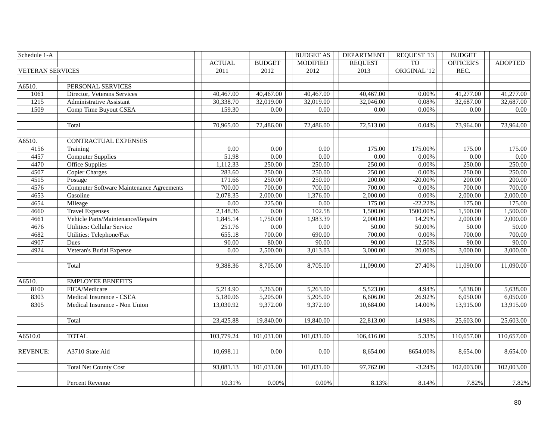| Schedule 1-A            |                                          |                   |               | <b>BUDGET AS</b>      | <b>DEPARTMENT</b> | REQUEST '13  | <b>BUDGET</b> |                |
|-------------------------|------------------------------------------|-------------------|---------------|-----------------------|-------------------|--------------|---------------|----------------|
|                         |                                          | <b>ACTUAL</b>     | <b>BUDGET</b> | <b>MODIFIED</b>       | <b>REQUEST</b>    | <b>TO</b>    | OFFICER'S     | <b>ADOPTED</b> |
| <b>VETERAN SERVICES</b> |                                          | $\overline{2011}$ | 2012          | 2012                  | 2013              | ORIGINAL '12 | REC.          |                |
|                         |                                          |                   |               |                       |                   |              |               |                |
| A6510.                  | PERSONAL SERVICES                        |                   |               |                       |                   |              |               |                |
| 1061                    | Director, Veterans Services              | 40,467.00         | 40,467.00     | 40,467.00             | 40,467.00         | $0.00\%$     | 41,277.00     | 41,277.00      |
| 1215                    | <b>Administrative Assistant</b>          | 30,338.70         | 32,019.00     | 32,019.00             | 32,046.00         | 0.08%        | 32,687.00     | 32,687.00      |
| 1509                    | Comp Time Buyout CSEA                    | 159.30            | $0.00\,$      | 0.00                  | 0.00              | 0.00%        | 0.00          | 0.00           |
|                         |                                          |                   |               |                       |                   |              |               |                |
|                         | Total                                    | 70,965.00         | 72,486.00     | 72,486.00             | 72,513.00         | 0.04%        | 73,964.00     | 73,964.00      |
|                         |                                          |                   |               |                       |                   |              |               |                |
| A6510.                  | CONTRACTUAL EXPENSES                     |                   |               |                       |                   |              |               |                |
| 4156                    | Training                                 | 0.00              | 0.00          | 0.00                  | 175.00            | 175.00%      | 175.00        | 175.00         |
| 4457                    | <b>Computer Supplies</b>                 | 51.98             | 0.00          | 0.00                  | 0.00              | $0.00\%$     | 0.00          | 0.00           |
| 4470                    | Office Supplies                          | 1,112.33          | 250.00        | 250.00                | 250.00            | 0.00%        | 250.00        | 250.00         |
| 4507                    | <b>Copier Charges</b>                    | 283.60            | 250.00        | 250.00                | 250.00            | 0.00%        | 250.00        | 250.00         |
| 4515                    | Postage                                  | 171.66            | 250.00        | 250.00                | 200.00            | $-20.00\%$   | 200.00        | 200.00         |
| 4576                    | Computer Software Maintenance Agreements | 700.00            | 700.00        | 700.00                | 700.00            | $0.00\%$     | 700.00        | 700.00         |
| 4653                    | Gasoline                                 | 2,078.35          | 2,000.00      | $\overline{1,376.00}$ | 2,000.00          | $0.00\%$     | 2,000.00      | 2,000.00       |
| 4654                    | Mileage                                  | $\overline{0.00}$ | 225.00        | 0.00                  | 175.00            | $-22.22%$    | 175.00        | 175.00         |
| 4660                    | <b>Travel Expenses</b>                   | 2,148.36          | 0.00          | 102.58                | 1,500.00          | 1500.00%     | 1,500.00      | 1,500.00       |
| 4661                    | Vehicle Parts/Maintenance/Repairs        | 1,845.14          | 1,750.00      | 1,983.39              | 2,000.00          | 14.29%       | 2,000.00      | 2,000.00       |
| 4676                    | <b>Utilities: Cellular Service</b>       | 251.76            | 0.00          | 0.00                  | 50.00             | 50.00%       | 50.00         | 50.00          |
| 4682                    | Utilities: Telephone/Fax                 | 655.18            | 700.00        | 690.00                | 700.00            | $0.00\%$     | 700.00        | 700.00         |
| 4907                    | Dues                                     | 90.00             | 80.00         | 90.00                 | 90.00             | 12.50%       | 90.00         | 90.00          |
| 4924                    | Veteran's Burial Expense                 | 0.00              | 2,500.00      | 3,013.03              | 3,000.00          | 20.00%       | 3,000.00      | 3,000.00       |
|                         |                                          |                   |               |                       |                   |              |               |                |
|                         | Total                                    | 9,388.36          | 8,705.00      | 8,705.00              | 11,090.00         | 27.40%       | 11,090.00     | 11,090.00      |
|                         |                                          |                   |               |                       |                   |              |               |                |
| A6510.                  | <b>EMPLOYEE BENEFITS</b>                 |                   |               |                       |                   |              |               |                |
| 8100                    | FICA/Medicare                            | 5,214.90          | 5,263.00      | 5,263.00              | 5,523.00          | 4.94%        | 5,638.00      | 5,638.00       |
| 8303                    | Medical Insurance - CSEA                 | 5,180.06          | 5,205.00      | 5,205.00              | 6,606.00          | 26.92%       | 6,050.00      | 6,050.00       |
| 8305                    | Medical Insurance - Non Union            | 13,030.92         | 9,372.00      | 9,372.00              | 10,684.00         | 14.00%       | 13,915.00     | 13,915.00      |
|                         |                                          |                   |               |                       |                   |              |               |                |
|                         | Total                                    | 23,425.88         | 19,840.00     | 19,840.00             | 22,813.00         | 14.98%       | 25,603.00     | 25,603.00      |
|                         |                                          |                   |               |                       |                   |              |               |                |
| A6510.0                 | <b>TOTAL</b>                             | 103,779.24        | 101,031.00    | 101,031.00            | 106,416.00        | 5.33%        | 110,657.00    | 110,657.00     |
|                         |                                          |                   |               |                       |                   |              |               |                |
| <b>REVENUE:</b>         | A3710 State Aid                          | 10,698.11         | $0.00\,$      | 0.00                  | 8,654.00          | 8654.00%     | 8,654.00      | 8,654.00       |
|                         |                                          |                   |               |                       |                   |              |               |                |
|                         | <b>Total Net County Cost</b>             | 93,081.13         | 101,031.00    | 101,031.00            | 97,762.00         | $-3.24%$     | 102,003.00    | 102,003.00     |
|                         |                                          |                   |               |                       |                   |              |               |                |
|                         | Percent Revenue                          | 10.31%            | 0.00%         | 0.00%                 | 8.13%             | 8.14%        | 7.82%         | 7.82%          |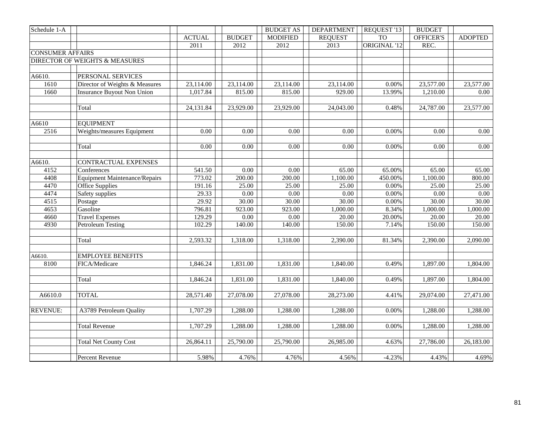| Schedule 1-A            |                                      |                        |                   | <b>BUDGET AS</b>  | <b>DEPARTMENT</b> | REQUEST '13         | <b>BUDGET</b>    |                |
|-------------------------|--------------------------------------|------------------------|-------------------|-------------------|-------------------|---------------------|------------------|----------------|
|                         |                                      | <b>ACTUAL</b>          | <b>BUDGET</b>     | <b>MODIFIED</b>   | <b>REQUEST</b>    | <b>TO</b>           | <b>OFFICER'S</b> | <b>ADOPTED</b> |
|                         |                                      | 2011                   | $\overline{2012}$ | $\overline{2012}$ | 2013              | <b>ORIGINAL '12</b> | REC.             |                |
| <b>CONSUMER AFFAIRS</b> |                                      |                        |                   |                   |                   |                     |                  |                |
|                         | DIRECTOR OF WEIGHTS & MEASURES       |                        |                   |                   |                   |                     |                  |                |
|                         |                                      |                        |                   |                   |                   |                     |                  |                |
| A6610.                  | PERSONAL SERVICES                    |                        |                   |                   |                   |                     |                  |                |
| 1610                    | Director of Weights & Measures       | 23,114.00              | 23,114.00         | 23,114.00         | 23,114.00         | 0.00%               | 23,577.00        | 23,577.00      |
| 1660                    | <b>Insurance Buyout Non Union</b>    | 1,017.84               | 815.00            | 815.00            | 929.00            | 13.99%              | 1,210.00         | 0.00           |
|                         |                                      |                        |                   |                   |                   |                     |                  |                |
|                         | Total                                | 24,131.84              | 23,929.00         | 23,929.00         | 24,043.00         | 0.48%               | 24,787.00        | 23,577.00      |
|                         |                                      |                        |                   |                   |                   |                     |                  |                |
| A6610                   | <b>EQUIPMENT</b>                     |                        |                   |                   |                   |                     |                  |                |
| 2516                    | Weights/measures Equipment           | 0.00                   | 0.00              | 0.00              | 0.00              | 0.00%               | 0.00             | 0.00           |
|                         | Total                                | 0.00                   | 0.00              | 0.00              | 0.00              | 0.00%               | 0.00             | 0.00           |
| A6610.                  | CONTRACTUAL EXPENSES                 |                        |                   |                   |                   |                     |                  |                |
| 4152                    | Conferences                          | 541.50                 | 0.00              | 0.00              | 65.00             | 65.00%              | 65.00            | 65.00          |
| 4408                    | <b>Equipment Maintenance/Repairs</b> | 773.02                 | 200.00            | 200.00            | 1,100.00          | 450.00%             | 1,100.00         | 800.00         |
| 4470                    | Office Supplies                      | 191.16                 | 25.00             | 25.00             | 25.00             | 0.00%               | 25.00            | 25.00          |
| 4474                    | Safety supplies                      | 29.33                  | $\overline{0.00}$ | 0.00              | $\overline{0.00}$ | 0.00%               | 0.00             | 0.00           |
| 4515                    | Postage                              | 29.92                  | 30.00             | 30.00             | 30.00             | 0.00%               | 30.00            | 30.00          |
| 4653                    | Gasoline                             | 796.81                 | 923.00            | 923.00            | 1,000.00          | 8.34%               | 1,000.00         | 1,000.00       |
| 4660                    | <b>Travel Expenses</b>               | 129.29                 | 0.00              | 0.00              | 20.00             | 20.00%              | 20.00            | 20.00          |
| 4930                    | Petroleum Testing                    | 102.29                 | 140.00            | 140.00            | 150.00            | 7.14%               | 150.00           | 150.00         |
|                         | Total                                | 2,593.32               | 1,318.00          | 1,318.00          | 2,390.00          | 81.34%              | 2,390.00         | 2,090.00       |
|                         |                                      |                        |                   |                   |                   |                     |                  |                |
| A6610.                  | <b>EMPLOYEE BENEFITS</b>             |                        |                   |                   |                   |                     |                  |                |
| 8100                    | FICA/Medicare                        | 1,846.24               | 1,831.00          | 1,831.00          | 1,840.00          | 0.49%               | 1,897.00         | 1,804.00       |
|                         | Total                                | 1,846.24               | 1,831.00          | 1,831.00          | 1,840.00          | 0.49%               | 1,897.00         | 1,804.00       |
|                         |                                      |                        |                   |                   |                   |                     |                  |                |
| A6610.0                 | <b>TOTAL</b>                         | $\overline{28,571.40}$ | 27,078.00         | 27,078.00         | 28,273.00         | 4.41%               | 29,074.00        | 27,471.00      |
| <b>REVENUE:</b>         | A3789 Petroleum Quality              | 1,707.29               | 1,288.00          | 1,288.00          | 1,288.00          | 0.00%               | 1,288.00         | 1,288.00       |
|                         |                                      |                        |                   |                   |                   |                     |                  |                |
|                         | <b>Total Revenue</b>                 | 1,707.29               | 1,288.00          | 1,288.00          | 1,288.00          | 0.00%               | 1,288.00         | 1,288.00       |
|                         | <b>Total Net County Cost</b>         | 26,864.11              | 25,790.00         | 25,790.00         | 26,985.00         | 4.63%               | 27,786.00        | 26,183.00      |
|                         | Percent Revenue                      | 5.98%                  | 4.76%             | 4.76%             | 4.56%             | $-4.23%$            | 4.43%            | 4.69%          |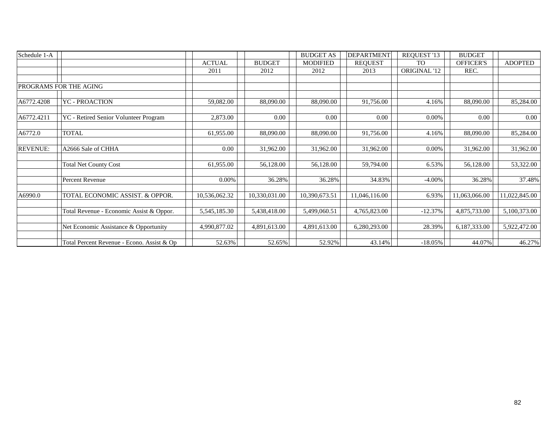| Schedule 1-A    |                                            |               |               | <b>BUDGET AS</b> | <b>DEPARTMENT</b> | REQUEST '13  | <b>BUDGET</b>    |                |
|-----------------|--------------------------------------------|---------------|---------------|------------------|-------------------|--------------|------------------|----------------|
|                 |                                            | <b>ACTUAL</b> | <b>BUDGET</b> | <b>MODIFIED</b>  | <b>REQUEST</b>    | <b>TO</b>    | <b>OFFICER'S</b> | <b>ADOPTED</b> |
|                 |                                            | 2011          | 2012          | 2012             | 2013              | ORIGINAL '12 | REC.             |                |
|                 |                                            |               |               |                  |                   |              |                  |                |
|                 | PROGRAMS FOR THE AGING                     |               |               |                  |                   |              |                  |                |
|                 |                                            |               |               |                  |                   |              |                  |                |
| A6772.4208      | YC - PROACTION                             | 59,082.00     | 88,090.00     | 88,090.00        | 91,756.00         | 4.16%        | 88,090.00        | 85,284.00      |
|                 |                                            |               |               |                  |                   |              |                  |                |
| A6772.4211      | YC - Retired Senior Volunteer Program      | 2,873.00      | 0.00          | 0.00             | 0.00              | 0.00%        | 0.00             | 0.00           |
| A6772.0         | <b>TOTAL</b>                               | 61,955.00     | 88,090.00     | 88,090.00        | 91,756.00         | 4.16%        | 88,090.00        | 85,284.00      |
|                 |                                            |               |               |                  |                   |              |                  |                |
| <b>REVENUE:</b> | A2666 Sale of CHHA                         | 0.00          | 31,962.00     | 31,962.00        | 31,962.00         | $0.00\%$     | 31,962.00        | 31,962.00      |
|                 |                                            |               |               |                  |                   |              |                  |                |
|                 | <b>Total Net County Cost</b>               | 61,955.00     | 56,128.00     | 56,128.00        | 59,794.00         | 6.53%        | 56,128.00        | 53,322.00      |
|                 |                                            |               |               |                  |                   |              |                  |                |
|                 | <b>Percent Revenue</b>                     | 0.00%         | 36.28%        | 36.28%           | 34.83%            | $-4.00\%$    | 36.28%           | 37.48%         |
|                 |                                            |               |               |                  |                   |              |                  |                |
| A6990.0         | TOTAL ECONOMIC ASSIST. & OPPOR.            | 10,536,062.32 | 10,330,031.00 | 10,390,673.51    | 11,046,116.00     | 6.93%        | 11,063,066.00    | 11,022,845.00  |
|                 |                                            |               |               |                  |                   |              |                  |                |
|                 | Total Revenue - Economic Assist & Oppor.   | 5,545,185.30  | 5,438,418.00  | 5,499,060.51     | 4,765,823.00      | $-12.37%$    | 4,875,733.00     | 5,100,373.00   |
|                 |                                            |               |               |                  |                   |              |                  |                |
|                 | Net Economic Assistance & Opportunity      | 4,990,877.02  | 4,891,613.00  | 4,891,613.00     | 6,280,293.00      | 28.39%       | 6,187,333.00     | 5,922,472.00   |
|                 |                                            |               |               |                  |                   |              |                  |                |
|                 | Total Percent Revenue - Econo. Assist & Op | 52.63%        | 52.65%        | 52.92%           | 43.14%            | $-18.05%$    | 44.07%           | 46.27%         |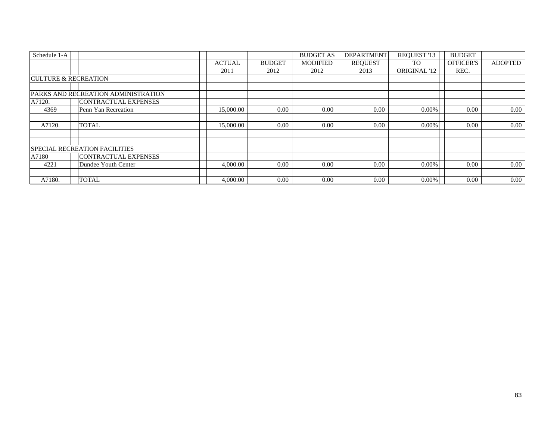| Schedule 1-A                    |                                      |               |               | <b>BUDGET AS</b> | <b>DEPARTMENT</b> | <b>REQUEST '13</b> | <b>BUDGET</b>    |                |
|---------------------------------|--------------------------------------|---------------|---------------|------------------|-------------------|--------------------|------------------|----------------|
|                                 |                                      | <b>ACTUAL</b> | <b>BUDGET</b> | <b>MODIFIED</b>  | <b>REOUEST</b>    | T <sub>O</sub>     | <b>OFFICER'S</b> | <b>ADOPTED</b> |
|                                 |                                      | 2011          | 2012          | 2012             | 2013              | ORIGINAL '12       | REC.             |                |
| <b>CULTURE &amp; RECREATION</b> |                                      |               |               |                  |                   |                    |                  |                |
|                                 |                                      |               |               |                  |                   |                    |                  |                |
|                                 | PARKS AND RECREATION ADMINISTRATION  |               |               |                  |                   |                    |                  |                |
| A7120.                          | <b>CONTRACTUAL EXPENSES</b>          |               |               |                  |                   |                    |                  |                |
| 4369                            | Penn Yan Recreation                  | 15,000.00     | 0.00          | 0.00             | 0.00              | $0.00\%$           | 0.00             | 0.00           |
| A7120.                          | <b>TOTAL</b>                         | 15,000.00     | 0.00          | 0.00             | 0.00              | $0.00\%$           | 0.00             | 0.00           |
|                                 |                                      |               |               |                  |                   |                    |                  |                |
|                                 | <b>SPECIAL RECREATION FACILITIES</b> |               |               |                  |                   |                    |                  |                |
| A7180                           | <b>CONTRACTUAL EXPENSES</b>          |               |               |                  |                   |                    |                  |                |
| 4221                            | Dundee Youth Center                  | 4,000.00      | 0.00          | 0.00             | 0.00              | $0.00\%$           | 0.00             | 0.00           |
| A7180.                          | <b>TOTAL</b>                         | 4,000.00      | 0.00          | 0.00             | 0.00              | $0.00\%$           | 0.00             | $0.00\,$       |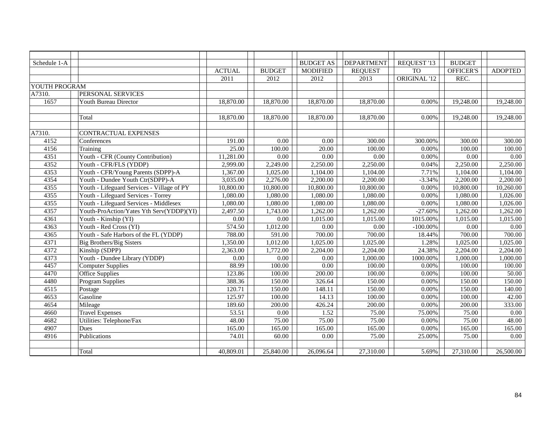| Schedule 1-A  |                                            |               |               | <b>BUDGET AS</b> | DEPARTMENT     | REQUEST '13  | <b>BUDGET</b>    |                |
|---------------|--------------------------------------------|---------------|---------------|------------------|----------------|--------------|------------------|----------------|
|               |                                            | <b>ACTUAL</b> | <b>BUDGET</b> | <b>MODIFIED</b>  | <b>REQUEST</b> | <b>TO</b>    | <b>OFFICER'S</b> | <b>ADOPTED</b> |
|               |                                            | 2011          | 2012          | 2012             | 2013           | ORIGINAL '12 | REC.             |                |
| YOUTH PROGRAM |                                            |               |               |                  |                |              |                  |                |
| A7310.        | PERSONAL SERVICES                          |               |               |                  |                |              |                  |                |
| 1657          | Youth Bureau Director                      | 18,870.00     | 18,870.00     | 18,870.00        | 18,870.00      | 0.00%        | 19,248.00        | 19,248.00      |
|               |                                            |               |               |                  |                |              |                  |                |
|               | Total                                      | 18,870.00     | 18,870.00     | 18,870.00        | 18,870.00      | 0.00%        | 19,248.00        | 19,248.00      |
|               |                                            |               |               |                  |                |              |                  |                |
| A7310.        | CONTRACTUAL EXPENSES                       |               |               |                  |                |              |                  |                |
| 4152          | Conferences                                | 191.00        | 0.00          | 0.00             | 300.00         | 300.00%      | 300.00           | 300.00         |
| 4156          | Training                                   | 25.00         | 100.00        | 20.00            | 100.00         | 0.00%        | 100.00           | 100.00         |
| 4351          | Youth - CFR (County Contribution)          | 11,281.00     | 0.00          | 0.00             | 0.00           | 0.00%        | 0.00             | 0.00           |
| 4352          | Youth - CFR/FLS (YDDP)                     | 2,999.00      | 2,249.00      | 2,250.00         | 2,250.00       | 0.04%        | 2,250.00         | 2,250.00       |
| 4353          | Youth - CFR/Young Parents (SDPP)-A         | 1,367.00      | 1,025.00      | 1,104.00         | 1,104.00       | 7.71%        | 1,104.00         | 1,104.00       |
| 4354          | Youth - Dundee Youth Ctr(SDPP)-A           | 3,035.00      | 2,276.00      | 2,200.00         | 2,200.00       | $-3.34%$     | 2,200.00         | 2,200.00       |
| 4355          | Youth - Lifeguard Services - Village of PY | 10,800.00     | 10,800.00     | 10,800.00        | 10,800.00      | 0.00%        | 10,800.00        | 10,260.00      |
| 4355          | Youth - Lifeguard Services - Torrey        | 1,080.00      | 1,080.00      | 1,080.00         | 1,080.00       | 0.00%        | 1,080.00         | 1,026.00       |
| 4355          | Youth - Lifeguard Services - Middlesex     | 1,080.00      | 1,080.00      | 1,080.00         | 1,080.00       | 0.00%        | 1,080.00         | 1,026.00       |
| 4357          | Youth-ProAction/Yates Yth Serv(YDDP)(YI)   | 2,497.50      | 1,743.00      | 1,262.00         | 1,262.00       | $-27.60%$    | 1,262.00         | 1,262.00       |
| 4361          | Youth - Kinship (YI)                       | 0.00          | 0.00          | 1,015.00         | 1,015.00       | 1015.00%     | 1,015.00         | 1,015.00       |
| 4363          | Youth - Red Cross (YI)                     | 574.50        | 1,012.00      | 0.00             | 0.00           | $-100.00\%$  | 0.00             | 0.00           |
| 4365          | Youth - Safe Harbors of the FL (YDDP)      | 788.00        | 591.00        | 700.00           | 700.00         | 18.44%       | 700.00           | 700.00         |
| 4371          | <b>Big Brothers/Big Sisters</b>            | 1,350.00      | 1,012.00      | 1,025.00         | 1,025.00       | 1.28%        | 1,025.00         | 1,025.00       |
| 4372          | Kinship (SDPP)                             | 2,363.00      | 1,772.00      | 2,204.00         | 2,204.00       | 24.38%       | 2,204.00         | 2,204.00       |
| 4373          | Youth - Dundee Library (YDDP)              | 0.00          | 0.00          | 0.00             | 1,000.00       | 1000.00%     | 1,000.00         | 1,000.00       |
| 4457          | <b>Computer Supplies</b>                   | 88.99         | 100.00        | 0.00             | 100.00         | 0.00%        | 100.00           | 100.00         |
| 4470          | Office Supplies                            | 123.86        | 100.00        | 200.00           | 100.00         | 0.00%        | 100.00           | 50.00          |
| 4480          | <b>Program Supplies</b>                    | 388.36        | 150.00        | 326.64           | 150.00         | $0.00\%$     | 150.00           | 150.00         |
| 4515          | Postage                                    | 120.71        | 150.00        | 148.11           | 150.00         | 0.00%        | 150.00           | 140.00         |
| 4653          | Gasoline                                   | 125.97        | 100.00        | 14.13            | 100.00         | 0.00%        | 100.00           | 42.00          |
| 4654          | Mileage                                    | 189.60        | 200.00        | 426.24           | 200.00         | 0.00%        | 200.00           | 333.00         |
| 4660          | Travel Expenses                            | 53.51         | 0.00          | 1.52             | 75.00          | 75.00%       | 75.00            | 0.00           |
| 4682          | Utilities: Telephone/Fax                   | 48.00         | 75.00         | 75.00            | 75.00          | 0.00%        | 75.00            | 48.00          |
| 4907          | Dues                                       | 165.00        | 165.00        | 165.00           | 165.00         | 0.00%        | 165.00           | 165.00         |
| 4916          | Publications                               | 74.01         | 60.00         | 0.00             | 75.00          | 25.00%       | 75.00            | 0.00           |
|               |                                            |               |               |                  |                |              |                  |                |
|               | Total                                      | 40,809.01     | 25,840.00     | 26,096.64        | 27,310.00      | 5.69%        | 27,310.00        | 26,500.00      |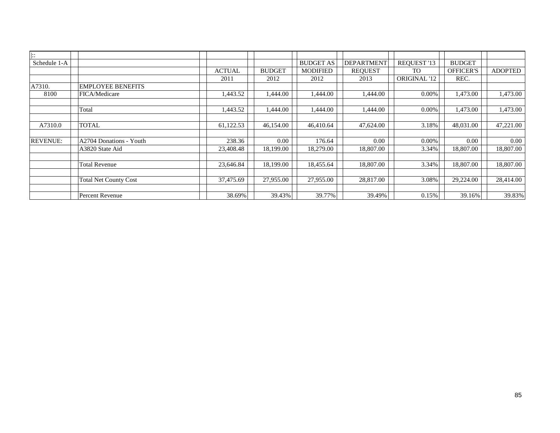| $\mathbf{L}$ :  |                              |               |               |                  |                   |              |                  |                |
|-----------------|------------------------------|---------------|---------------|------------------|-------------------|--------------|------------------|----------------|
| Schedule 1-A    |                              |               |               | <b>BUDGET AS</b> | <b>DEPARTMENT</b> | REQUEST '13  | <b>BUDGET</b>    |                |
|                 |                              | <b>ACTUAL</b> | <b>BUDGET</b> | <b>MODIFIED</b>  | <b>REQUEST</b>    | <b>TO</b>    | <b>OFFICER'S</b> | <b>ADOPTED</b> |
|                 |                              | 2011          | 2012          | 2012             | 2013              | ORIGINAL '12 | REC.             |                |
| A7310.          | <b>EMPLOYEE BENEFITS</b>     |               |               |                  |                   |              |                  |                |
| 8100            | FICA/Medicare                | 1,443.52      | 1,444.00      | 1.444.00         | 1.444.00          | $0.00\%$     | 1.473.00         | 1,473.00       |
|                 |                              |               |               |                  |                   |              |                  |                |
|                 | Total                        | 1,443.52      | 1,444.00      | 1,444.00         | 1.444.00          | $0.00\%$     | 1.473.00         | 1,473.00       |
|                 |                              |               |               |                  |                   |              |                  |                |
| A7310.0         | <b>TOTAL</b>                 | 61,122.53     | 46,154.00     | 46,410.64        | 47,624.00         | 3.18%        | 48,031.00        | 47,221.00      |
|                 |                              |               |               |                  |                   |              |                  |                |
| <b>REVENUE:</b> | A2704 Donations - Youth      | 238.36        | 0.00          | 176.64           | 0.00              | $0.00\%$     | 0.00             | 0.00           |
|                 | A3820 State Aid              | 23,408.48     | 18,199.00     | 18,279.00        | 18,807.00         | 3.34%        | 18,807.00        | 18,807.00      |
|                 |                              |               |               |                  |                   |              |                  |                |
|                 | <b>Total Revenue</b>         | 23,646.84     | 18,199.00     | 18,455.64        | 18,807.00         | 3.34%        | 18,807.00        | 18,807.00      |
|                 |                              |               |               |                  |                   |              |                  |                |
|                 | <b>Total Net County Cost</b> | 37,475.69     | 27,955.00     | 27,955.00        | 28,817.00         | 3.08%        | 29,224.00        | 28,414.00      |
|                 |                              |               |               |                  |                   |              |                  |                |
|                 | Percent Revenue              | 38.69%        | 39.43%        | 39.77%           | 39.49%            | 0.15%        | 39.16%           | 39.83%         |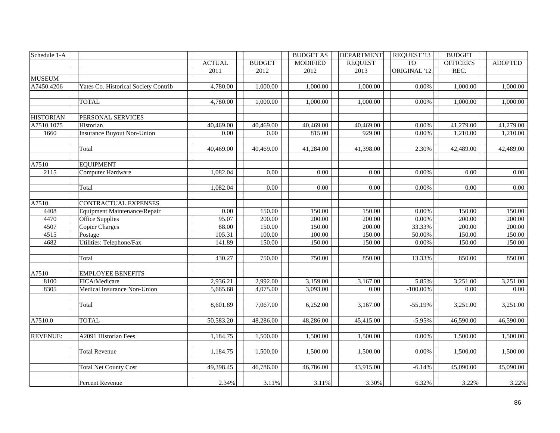| Schedule 1-A     |                                      |               |               | <b>BUDGET AS</b> | <b>DEPARTMENT</b> | REQUEST '13         | <b>BUDGET</b> |                |
|------------------|--------------------------------------|---------------|---------------|------------------|-------------------|---------------------|---------------|----------------|
|                  |                                      | <b>ACTUAL</b> | <b>BUDGET</b> | <b>MODIFIED</b>  | <b>REQUEST</b>    | <b>TO</b>           | OFFICER'S     | <b>ADOPTED</b> |
|                  |                                      | 2011          | 2012          | 2012             | 2013              | <b>ORIGINAL '12</b> | REC.          |                |
| <b>MUSEUM</b>    |                                      |               |               |                  |                   |                     |               |                |
| A7450.4206       | Yates Co. Historical Society Contrib | 4,780.00      | 1,000.00      | 1,000.00         | 1,000.00          | $0.00\%$            | 1,000.00      | 1,000.00       |
|                  |                                      |               |               |                  |                   |                     |               |                |
|                  | <b>TOTAL</b>                         | 4,780.00      | 1,000.00      | 1,000.00         | 1,000.00          | 0.00%               | 1,000.00      | 1,000.00       |
|                  |                                      |               |               |                  |                   |                     |               |                |
| <b>HISTORIAN</b> | PERSONAL SERVICES                    |               |               |                  |                   |                     |               |                |
| A7510.1075       | Historian                            | 40,469.00     | 40,469.00     | 40,469.00        | 40,469.00         | 0.00%               | 41,279.00     | 41,279.00      |
| 1660             | <b>Insurance Buyout Non-Union</b>    | 0.00          | 0.00          | 815.00           | 929.00            | $0.00\%$            | 1,210.00      | 1,210.00       |
|                  |                                      |               |               |                  |                   |                     |               |                |
|                  | Total                                | 40,469.00     | 40,469.00     | 41,284.00        | 41,398.00         | 2.30%               | 42,489.00     | 42,489.00      |
|                  |                                      |               |               |                  |                   |                     |               |                |
| A7510            | <b>EQUIPMENT</b>                     |               |               |                  |                   |                     |               |                |
| 2115             | Computer Hardware                    | 1,082.04      | $0.00\,$      | 0.00             | 0.00              | 0.00%               | 0.00          | 0.00           |
|                  | Total                                | 1,082.04      | $0.00\,$      | 0.00             | 0.00              | 0.00%               | 0.00          | 0.00           |
|                  |                                      |               |               |                  |                   |                     |               |                |
| A7510.           | CONTRACTUAL EXPENSES                 |               |               |                  |                   |                     |               |                |
| 4408             | Equipment Maintenance/Repair         | $0.00\,$      | 150.00        | 150.00           | 150.00            | $0.00\%$            | 150.00        | 150.00         |
| 4470             | <b>Office Supplies</b>               | 95.07         | 200.00        | 200.00           | 200.00            | $0.00\%$            | 200.00        | 200.00         |
| 4507             | <b>Copier Charges</b>                | 88.00         | 150.00        | 150.00           | 200.00            | 33.33%              | 200.00        | 200.00         |
| 4515             | Postage                              | 105.31        | 100.00        | 100.00           | 150.00            | 50.00%              | 150.00        | 150.00         |
| 4682             | Utilities: Telephone/Fax             | 141.89        | 150.00        | 150.00           | 150.00            | 0.00%               | 150.00        | 150.00         |
|                  |                                      |               |               |                  |                   |                     |               |                |
|                  | Total                                | 430.27        | 750.00        | 750.00           | 850.00            | 13.33%              | 850.00        | 850.00         |
|                  |                                      |               |               |                  |                   |                     |               |                |
| A7510            | <b>EMPLOYEE BENEFITS</b>             |               |               |                  |                   |                     |               |                |
| 8100             | FICA/Medicare                        | 2,936.21      | 2,992.00      | 3,159.00         | 3,167.00          | 5.85%               | 3,251.00      | 3,251.00       |
| 8305             | Medical Insurance Non-Union          | 5,665.68      | 4,075.00      | 3,093.00         | 0.00              | $-100.00\%$         | 0.00          | 0.00           |
|                  |                                      |               |               |                  |                   |                     |               |                |
|                  | Total                                | 8,601.89      | 7,067.00      | 6,252.00         | 3,167.00          | $-55.19%$           | 3,251.00      | 3,251.00       |
|                  |                                      |               |               |                  |                   |                     |               |                |
| A7510.0          | <b>TOTAL</b>                         | 50,583.20     | 48,286.00     | 48,286.00        | 45,415.00         | $-5.95%$            | 46,590.00     | 46,590.00      |
|                  |                                      |               |               |                  |                   |                     |               |                |
| <b>REVENUE:</b>  | A2091 Historian Fees                 | 1,184.75      | 1,500.00      | 1,500.00         | 1,500.00          | 0.00%               | 1,500.00      | 1,500.00       |
|                  |                                      |               |               |                  |                   |                     |               |                |
|                  | <b>Total Revenue</b>                 | 1,184.75      | 1,500.00      | 1,500.00         | 1,500.00          | 0.00%               | 1,500.00      | 1,500.00       |
|                  |                                      |               |               |                  |                   |                     |               |                |
|                  | <b>Total Net County Cost</b>         | 49,398.45     | 46,786.00     | 46,786.00        | 43,915.00         | $-6.14%$            | 45,090.00     | 45,090.00      |
|                  |                                      |               |               |                  |                   |                     |               |                |
|                  | Percent Revenue                      | 2.34%         | 3.11%         | 3.11%            | 3.30%             | 6.32%               | 3.22%         | 3.22%          |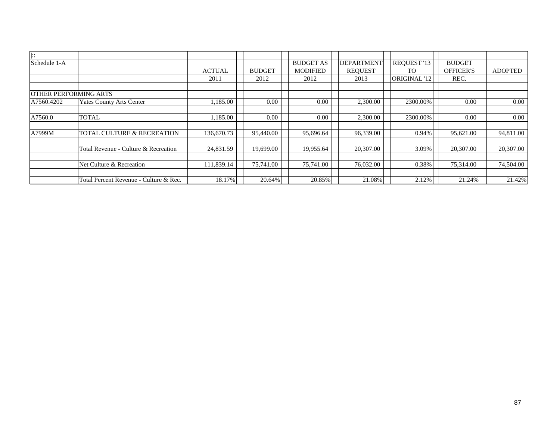| $\mathbf{E}$ |                                        |               |               |                  |                   |                     |                  |                |
|--------------|----------------------------------------|---------------|---------------|------------------|-------------------|---------------------|------------------|----------------|
| Schedule 1-A |                                        |               |               | <b>BUDGET AS</b> | <b>DEPARTMENT</b> | REQUEST '13         | <b>BUDGET</b>    |                |
|              |                                        | <b>ACTUAL</b> | <b>BUDGET</b> | <b>MODIFIED</b>  | <b>REOUEST</b>    | TO                  | <b>OFFICER'S</b> | <b>ADOPTED</b> |
|              |                                        | 2011          | 2012          | 2012             | 2013              | <b>ORIGINAL '12</b> | REC.             |                |
|              |                                        |               |               |                  |                   |                     |                  |                |
|              | <b>OTHER PERFORMING ARTS</b>           |               |               |                  |                   |                     |                  |                |
| A7560.4202   | <b>Yates County Arts Center</b>        | 1,185.00      | 0.00          | 0.00             | 2,300.00          | 2300.00%            | 0.00             | 0.00           |
|              |                                        |               |               |                  |                   |                     |                  |                |
| A7560.0      | <b>TOTAL</b>                           | 1,185.00      | 0.00          | 0.00             | 2,300.00          | 2300.00%            | 0.00             | 0.00           |
|              |                                        |               |               |                  |                   |                     |                  |                |
| A7999M       | TOTAL CULTURE & RECREATION             | 136,670.73    | 95,440.00     | 95,696.64        | 96,339.00         | 0.94%               | 95,621.00        | 94,811.00      |
|              |                                        |               |               |                  |                   |                     |                  |                |
|              | Total Revenue - Culture & Recreation   | 24,831.59     | 19,699.00     | 19,955.64        | 20,307.00         | 3.09%               | 20,307.00        | 20,307.00      |
|              |                                        |               |               |                  |                   |                     |                  |                |
|              | Net Culture & Recreation               | 111,839.14    | 75,741.00     | 75,741.00        | 76,032.00         | 0.38%               | 75,314.00        | 74,504.00      |
|              |                                        |               |               |                  |                   |                     |                  |                |
|              | Total Percent Revenue - Culture & Rec. | 18.17%        | 20.64%        | 20.85%           | 21.08%            | 2.12%               | 21.24%           | 21.42%         |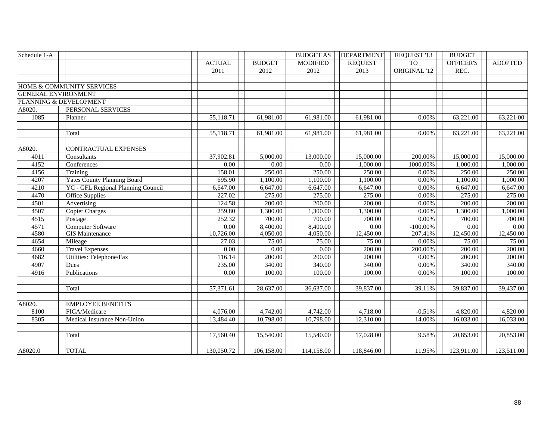| Schedule 1-A |                                    |               |               | <b>BUDGET AS</b> | <b>DEPARTMENT</b> | REQUEST '13  | <b>BUDGET</b>    |                |
|--------------|------------------------------------|---------------|---------------|------------------|-------------------|--------------|------------------|----------------|
|              |                                    | <b>ACTUAL</b> | <b>BUDGET</b> | <b>MODIFIED</b>  | <b>REQUEST</b>    | <b>TO</b>    | <b>OFFICER'S</b> | <b>ADOPTED</b> |
|              |                                    | 2011          | 2012          | 2012             | 2013              | ORIGINAL '12 | REC.             |                |
|              |                                    |               |               |                  |                   |              |                  |                |
|              | HOME & COMMUNITY SERVICES          |               |               |                  |                   |              |                  |                |
|              | <b>GENERAL ENVIRONMENT</b>         |               |               |                  |                   |              |                  |                |
|              | PLANNING & DEVELOPMENT             |               |               |                  |                   |              |                  |                |
| A8020.       | PERSONAL SERVICES                  |               |               |                  |                   |              |                  |                |
| 1085         | Planner                            | 55,118.71     | 61,981.00     | 61,981.00        | 61,981.00         | 0.00%        | 63,221.00        | 63,221.00      |
|              |                                    |               |               |                  |                   |              |                  |                |
|              | Total                              | 55,118.71     | 61,981.00     | 61,981.00        | 61,981.00         | 0.00%        | 63,221.00        | 63,221.00      |
|              |                                    |               |               |                  |                   |              |                  |                |
| A8020.       | CONTRACTUAL EXPENSES               |               |               |                  |                   |              |                  |                |
| 4011         | Consultants                        | 37,902.81     | 5,000.00      | 13,000.00        | 15,000.00         | 200.00%      | 15,000.00        | 15,000.00      |
| 4152         | Conferences                        | 0.00          | 0.00          | 0.00             | 1,000.00          | 1000.00%     | 1,000.00         | 1,000.00       |
| 4156         | Training                           | 158.01        | 250.00        | 250.00           | 250.00            | 0.00%        | 250.00           | 250.00         |
| 4207         | <b>Yates County Planning Board</b> | 695.90        | 1,100.00      | 1,100.00         | 1,100.00          | 0.00%        | 1,100.00         | 1,000.00       |
| 4210         | YC - GFL Regional Planning Council | 6,647.00      | 6,647.00      | 6,647.00         | 6,647.00          | 0.00%        | 6,647.00         | 6,647.00       |
| 4470         | <b>Office Supplies</b>             | 227.02        | 275.00        | 275.00           | 275.00            | 0.00%        | 275.00           | 275.00         |
| 4501         | Advertising                        | 124.58        | 200.00        | 200.00           | 200.00            | 0.00%        | 200.00           | 200.00         |
| 4507         | Copier Charges                     | 259.80        | 1,300.00      | 1,300.00         | 1,300.00          | 0.00%        | 1,300.00         | 1,000.00       |
| 4515         | Postage                            | 252.32        | 700.00        | 700.00           | 700.00            | 0.00%        | 700.00           | 700.00         |
| 4571         | Computer Software                  | 0.00          | 8,400.00      | 8,400.00         | 0.00              | $-100.00\%$  | 0.00             | $0.00\,$       |
| 4580         | <b>GIS</b> Maintenance             | 10,726.00     | 4,050.00      | 4,050.00         | 12,450.00         | 207.41%      | 12,450.00        | 12,450.00      |
| 4654         | Mileage                            | 27.03         | 75.00         | 75.00            | 75.00             | 0.00%        | 75.00            | 75.00          |
| 4660         | <b>Travel Expenses</b>             | 0.00          | 0.00          | 0.00             | 200.00            | 200.00%      | 200.00           | 200.00         |
| 4682         | Utilities: Telephone/Fax           | 116.14        | 200.00        | 200.00           | 200.00            | 0.00%        | 200.00           | 200.00         |
| 4907         | Dues                               | 235.00        | 340.00        | 340.00           | 340.00            | 0.00%        | 340.00           | 340.00         |
| 4916         | Publications                       | 0.00          | 100.00        | 100.00           | 100.00            | 0.00%        | 100.00           | 100.00         |
|              |                                    |               |               |                  |                   |              |                  |                |
|              | Total                              | 57,371.61     | 28,637.00     | 36,637.00        | 39,837.00         | 39.11%       | 39,837.00        | 39,437.00      |
|              |                                    |               |               |                  |                   |              |                  |                |
| A8020.       | <b>EMPLOYEE BENEFITS</b>           |               |               |                  |                   |              |                  |                |
| 8100         | FICA/Medicare                      | 4,076.00      | 4,742.00      | 4,742.00         | 4,718.00          | $-0.51%$     | 4,820.00         | 4,820.00       |
| 8305         | Medical Insurance Non-Union        | 13,484.40     | 10,798.00     | 10,798.00        | 12,310.00         | 14.00%       | 16,033.00        | 16,033.00      |
|              |                                    |               |               |                  |                   |              |                  |                |
|              | Total                              | 17,560.40     | 15,540.00     | 15,540.00        | 17,028.00         | 9.58%        | 20,853.00        | 20,853.00      |
|              |                                    |               |               |                  |                   |              |                  |                |
| A8020.0      | <b>TOTAL</b>                       | 130,050.72    | 106,158.00    | 114,158.00       | 118,846.00        | 11.95%       | 123,911.00       | 123,511.00     |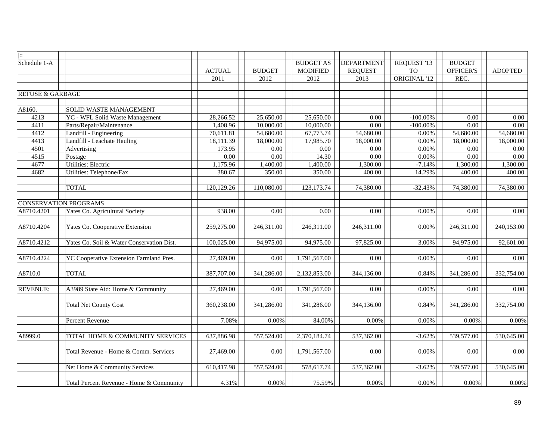| $\  \cdot \cdot \ $         |                                           |               |               |                  |                   |                 |               |                |
|-----------------------------|-------------------------------------------|---------------|---------------|------------------|-------------------|-----------------|---------------|----------------|
| Schedule 1-A                |                                           |               |               | <b>BUDGET AS</b> | <b>DEPARTMENT</b> | REQUEST '13     | <b>BUDGET</b> |                |
|                             |                                           | <b>ACTUAL</b> | <b>BUDGET</b> | <b>MODIFIED</b>  | <b>REQUEST</b>    | TO <sub>1</sub> | OFFICER'S     | <b>ADOPTED</b> |
|                             |                                           | 2011          | 2012          | 2012             | 2013              | ORIGINAL '12    | REC.          |                |
|                             |                                           |               |               |                  |                   |                 |               |                |
| <b>REFUSE &amp; GARBAGE</b> |                                           |               |               |                  |                   |                 |               |                |
|                             |                                           |               |               |                  |                   |                 |               |                |
| A8160.                      | SOLID WASTE MANAGEMENT                    |               |               |                  |                   |                 |               |                |
| 4213                        | YC - WFL Solid Waste Management           | 28,266.52     | 25,650.00     | 25,650.00        | 0.00              | $-100.00\%$     | 0.00          | $0.00\,$       |
| 4411                        | Parts/Repair/Maintenance                  | 1,408.96      | 10,000.00     | 10,000.00        | 0.00              | $-100.00\%$     | 0.00          | $0.00\,$       |
| 4412                        | Landfill - Engineering                    | 70,611.81     | 54,680.00     | 67,773.74        | 54,680.00         | 0.00%           | 54,680.00     | 54,680.00      |
| 4413                        | Landfill - Leachate Hauling               | 18,111.39     | 18,000.00     | 17,985.70        | 18,000.00         | 0.00%           | 18,000.00     | 18,000.00      |
| 4501                        | Advertising                               | 173.95        | 0.00          | 0.00             | 0.00              | 0.00%           | 0.00          | 0.00           |
| 4515                        | Postage                                   | 0.00          | 0.00          | 14.30            | 0.00              | 0.00%           | 0.00          | 0.00           |
| 4677                        | Utilities: Electric                       | 1,175.96      | 1,400.00      | 1,400.00         | 1,300.00          | $-7.14%$        | 1,300.00      | 1,300.00       |
| 4682                        | Utilities: Telephone/Fax                  | 380.67        | 350.00        | 350.00           | 400.00            | 14.29%          | 400.00        | 400.00         |
|                             |                                           |               |               |                  |                   |                 |               |                |
|                             | <b>TOTAL</b>                              | 120,129.26    | 110,080.00    | 123, 173. 74     | 74,380.00         | $-32.43%$       | 74,380.00     | 74,380.00      |
|                             |                                           |               |               |                  |                   |                 |               |                |
|                             | <b>CONSERVATION PROGRAMS</b>              |               |               |                  |                   |                 |               |                |
| A8710.4201                  | Yates Co. Agricultural Society            | 938.00        | 0.00          | 0.00             | 0.00              | 0.00%           | 0.00          | 0.00           |
|                             |                                           |               |               |                  |                   |                 |               |                |
| A8710.4204                  | Yates Co. Cooperative Extension           | 259,275.00    | 246,311.00    | 246,311.00       | 246,311.00        | 0.00%           | 246,311.00    | 240,153.00     |
|                             |                                           |               |               |                  |                   |                 |               |                |
| A8710.4212                  | Yates Co. Soil & Water Conservation Dist. | 100,025.00    | 94,975.00     | 94,975.00        | 97,825.00         | 3.00%           | 94,975.00     | 92,601.00      |
|                             |                                           |               |               |                  |                   |                 |               |                |
| A8710.4224                  | YC Cooperative Extension Farmland Pres.   | 27,469.00     | 0.00          | 1,791,567.00     | 0.00              | 0.00%           | 0.00          | 0.00           |
|                             |                                           |               |               |                  |                   |                 |               |                |
| A8710.0                     | <b>TOTAL</b>                              | 387,707.00    | 341,286.00    | 2,132,853.00     | 344,136.00        | 0.84%           | 341,286.00    | 332,754.00     |
|                             |                                           |               |               |                  |                   |                 |               |                |
| <b>REVENUE:</b>             | A3989 State Aid: Home & Community         | 27,469.00     | 0.00          | 1,791,567.00     | 0.00              | 0.00%           | 0.00          | 0.00           |
|                             |                                           |               |               |                  |                   |                 |               |                |
|                             | <b>Total Net County Cost</b>              | 360,238.00    | 341,286.00    | 341,286.00       | 344,136.00        | 0.84%           | 341,286.00    | 332,754.00     |
|                             |                                           |               |               |                  |                   |                 |               |                |
|                             | Percent Revenue                           | 7.08%         | 0.00%         | 84.00%           | 0.00%             | 0.00%           | 0.00%         | 0.00%          |
|                             |                                           |               |               |                  |                   |                 |               |                |
| A8999.0                     | TOTAL HOME & COMMUNITY SERVICES           | 637,886.98    | 557,524.00    | 2,370,184.74     | 537,362.00        | $-3.62%$        | 539,577.00    | 530,645.00     |
|                             |                                           |               |               |                  |                   |                 |               |                |
|                             | Total Revenue - Home & Comm. Services     | 27,469.00     | 0.00          | 1,791,567.00     | 0.00              | 0.00%           | 0.00          | 0.00           |
|                             |                                           |               |               |                  |                   |                 |               |                |
|                             | Net Home & Community Services             | 610,417.98    | 557,524.00    | 578,617.74       | 537,362.00        | $-3.62%$        | 539,577.00    | 530,645.00     |
|                             |                                           |               |               |                  |                   |                 |               |                |
|                             | Total Percent Revenue - Home & Community  | 4.31%         | 0.00%         | 75.59%           | 0.00%             | 0.00%           | 0.00%         | $0.00\%$       |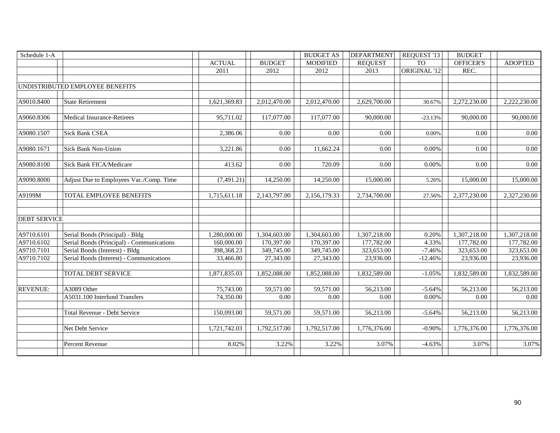| Schedule 1-A        |                                           |               |               | <b>BUDGET AS</b> | <b>DEPARTMENT</b> | REQUEST '13  | <b>BUDGET</b>    |                |
|---------------------|-------------------------------------------|---------------|---------------|------------------|-------------------|--------------|------------------|----------------|
|                     |                                           | <b>ACTUAL</b> | <b>BUDGET</b> | <b>MODIFIED</b>  | <b>REQUEST</b>    | <b>TO</b>    | <b>OFFICER'S</b> | <b>ADOPTED</b> |
|                     |                                           | 2011          | 2012          | 2012             | 2013              | ORIGINAL '12 | REC.             |                |
|                     |                                           |               |               |                  |                   |              |                  |                |
|                     | UNDISTRIBUTED EMPLOYEE BENEFITS           |               |               |                  |                   |              |                  |                |
|                     |                                           |               |               |                  |                   |              |                  |                |
| A9010.8400          | <b>State Retirement</b>                   | 1,621,369.83  | 2,012,470.00  | 2,012,470.00     | 2,629,700.00      | 30.67%       | 2,272,230.00     | 2,222,230.00   |
|                     |                                           |               |               |                  |                   |              |                  |                |
| A9060.8306          | <b>Medical Insurance-Retirees</b>         | 95,711.02     | 117,077.00    | 117,077.00       | 90,000.00         | $-23.13%$    | 90,000.00        | 90,000.00      |
|                     |                                           |               |               |                  |                   |              |                  |                |
| A9080.1507          | <b>Sick Bank CSEA</b>                     | 2,386.06      | 0.00          | 0.00             | 0.00              | 0.00%        | 0.00             | 0.00           |
|                     |                                           |               |               |                  |                   |              |                  |                |
| A9080.1671          | <b>Sick Bank Non-Union</b>                | 3,221.86      | 0.00          | 11,662.24        | 0.00              | 0.00%        | 0.00             | 0.00           |
|                     |                                           |               |               |                  |                   |              |                  |                |
| A9080.8100          | Sick Bank FICA/Medicare                   | 413.62        | 0.00          | 720.09           | 0.00              | 0.00%        | 0.00             | 0.00           |
|                     |                                           |               |               |                  |                   |              |                  |                |
| A9090.8000          | Adjust Due to Employees Vac./Comp. Time   | (7, 491.21)   | 14,250.00     | 14,250.00        | 15,000.00         | 5.26%        | 15,000.00        | 15,000.00      |
|                     |                                           |               |               |                  |                   |              |                  |                |
| A9199M              | TOTAL EMPLOYEE BENEFITS                   | 1,715,611.18  | 2,143,797.00  | 2,156,179.33     | 2,734,700.00      | 27.56%       | 2,377,230.00     | 2,327,230.00   |
|                     |                                           |               |               |                  |                   |              |                  |                |
|                     |                                           |               |               |                  |                   |              |                  |                |
| <b>DEBT SERVICE</b> |                                           |               |               |                  |                   |              |                  |                |
|                     |                                           |               |               |                  |                   |              |                  |                |
| A9710.6101          | Serial Bonds (Principal) - Bldg           | 1,280,000.00  | 1,304,603.00  | 1,304,603.00     | 1,307,218.00      | 0.20%        | 1,307,218.00     | 1,307,218.00   |
| A9710.6102          | Serial Bonds (Principal) - Communications | 160,000.00    | 170,397.00    | 170,397.00       | 177,782.00        | 4.33%        | 177,782.00       | 177,782.00     |
| A9710.7101          | Serial Bonds (Interest) - Bldg            | 398,368.23    | 349,745.00    | 349,745.00       | 323,653.00        | $-7.46%$     | 323,653.00       | 323,653.00     |
| A9710.7102          | Serial Bonds (Interest) - Communications  | 33,466.80     | 27,343.00     | 27,343.00        | 23,936.00         | $-12.46%$    | 23,936.00        | 23,936.00      |
|                     |                                           |               |               |                  |                   |              |                  |                |
|                     | TOTAL DEBT SERVICE                        | 1,871,835.03  | 1,852,088.00  | 1,852,088.00     | 1,832,589.00      | $-1.05%$     | 1,832,589.00     | 1,832,589.00   |
|                     |                                           |               |               |                  |                   |              |                  |                |
| <b>REVENUE:</b>     | A3089 Other                               | 75,743.00     | 59,571.00     | 59,571.00        | 56,213.00         | $-5.64%$     | 56,213.00        | 56,213.00      |
|                     | A5031.100 Interfund Transfers             | 74,350.00     | 0.00          | 0.00             | 0.00              | $0.00\%$     | 0.00             | 0.00           |
|                     |                                           |               |               |                  |                   |              |                  |                |
|                     | Total Revenue - Debt Service              | 150,093.00    | 59,571.00     | 59,571.00        | 56,213.00         | $-5.64%$     | 56,213.00        | 56,213.00      |
|                     |                                           |               |               |                  |                   |              |                  |                |
|                     | Net Debt Service                          | 1,721,742.03  | 1,792,517.00  | 1,792,517.00     | 1,776,376.00      | $-0.90%$     | 1,776,376.00     | 1,776,376.00   |
|                     |                                           |               |               |                  |                   |              |                  |                |
|                     | Percent Revenue                           | 8.02%         | 3.22%         | 3.22%            | 3.07%             | $-4.63%$     | 3.07%            | 3.07%          |
|                     |                                           |               |               |                  |                   |              |                  |                |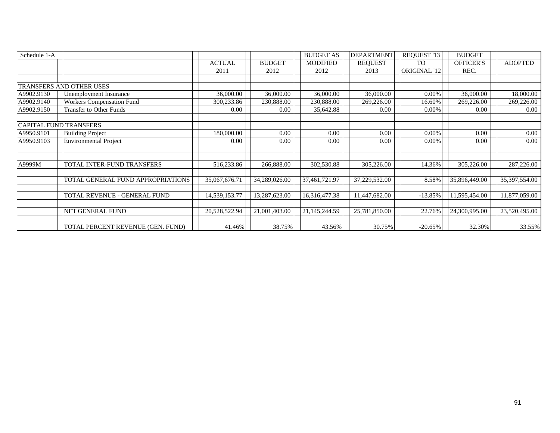| Schedule 1-A |                                   |               |               | <b>BUDGET AS</b> | <b>DEPARTMENT</b> | REQUEST '13    | <b>BUDGET</b>    |                |
|--------------|-----------------------------------|---------------|---------------|------------------|-------------------|----------------|------------------|----------------|
|              |                                   | <b>ACTUAL</b> | <b>BUDGET</b> | <b>MODIFIED</b>  | <b>REQUEST</b>    | T <sub>O</sub> | <b>OFFICER'S</b> | <b>ADOPTED</b> |
|              |                                   | 2011          | 2012          | 2012             | 2013              | ORIGINAL '12   | REC.             |                |
|              |                                   |               |               |                  |                   |                |                  |                |
|              | TRANSFERS AND OTHER USES          |               |               |                  |                   |                |                  |                |
| A9902.9130   | <b>Unemployment Insurance</b>     | 36,000.00     | 36,000.00     | 36,000.00        | 36,000.00         | $0.00\%$       | 36,000.00        | 18,000.00      |
| A9902.9140   | Workers Compensation Fund         | 300,233.86    | 230,888.00    | 230,888.00       | 269,226.00        | 16.60%         | 269,226.00       | 269,226.00     |
| A9902.9150   | <b>Transfer to Other Funds</b>    | $0.00\,$      | 0.00          | 35,642.88        | 0.00              | 0.00%          | 0.00             | 0.00           |
|              |                                   |               |               |                  |                   |                |                  |                |
|              | <b>CAPITAL FUND TRANSFERS</b>     |               |               |                  |                   |                |                  |                |
| A9950.9101   | <b>Building Project</b>           | 180,000.00    | 0.00          | 0.00             | 0.00              | $0.00\%$       | 0.00             | $0.00\,$       |
| A9950.9103   | <b>Environmental Project</b>      | 0.00          | 0.00          | 0.00             | 0.00              | $0.00\%$       | 0.00             | 0.00           |
|              |                                   |               |               |                  |                   |                |                  |                |
|              |                                   |               |               |                  |                   |                |                  |                |
| A9999M       | TOTAL INTER-FUND TRANSFERS        | 516,233.86    | 266,888.00    | 302,530.88       | 305,226.00        | 14.36%         | 305,226.00       | 287,226.00     |
|              |                                   |               |               |                  |                   |                |                  |                |
|              | TOTAL GENERAL FUND APPROPRIATIONS | 35,067,676.71 | 34,289,026.00 | 37,461,721.97    | 37,229,532.00     | 8.58%          | 35,896,449.00    | 35,397,554.00  |
|              |                                   |               |               |                  |                   |                |                  |                |
|              | TOTAL REVENUE - GENERAL FUND      | 14,539,153.77 | 13,287,623.00 | 16,316,477.38    | 11,447,682.00     | $-13.85%$      | 11,595,454.00    | 11,877,059.00  |
|              |                                   |               |               |                  |                   |                |                  |                |
|              | NET GENERAL FUND                  | 20,528,522.94 | 21,001,403.00 | 21,145,244.59    | 25,781,850.00     | 22.76%         | 24,300,995.00    | 23,520,495.00  |
|              |                                   |               |               |                  |                   |                |                  |                |
|              | TOTAL PERCENT REVENUE (GEN. FUND) | 41.46%        | 38.75%        | 43.56%           | 30.75%            | $-20.65%$      | 32.30%           | 33.55%         |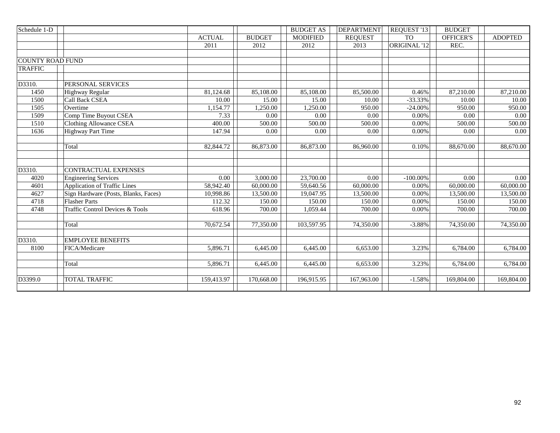| Schedule 1-D            |                                      |               |               | <b>BUDGET AS</b> | <b>DEPARTMENT</b> | REOUEST '13  | <b>BUDGET</b>    |                |
|-------------------------|--------------------------------------|---------------|---------------|------------------|-------------------|--------------|------------------|----------------|
|                         |                                      | <b>ACTUAL</b> | <b>BUDGET</b> | <b>MODIFIED</b>  | <b>REQUEST</b>    | <b>TO</b>    | <b>OFFICER'S</b> | <b>ADOPTED</b> |
|                         |                                      | 2011          | 2012          | 2012             | 2013              | ORIGINAL '12 | REC.             |                |
|                         |                                      |               |               |                  |                   |              |                  |                |
| <b>COUNTY ROAD FUND</b> |                                      |               |               |                  |                   |              |                  |                |
| <b>TRAFFIC</b>          |                                      |               |               |                  |                   |              |                  |                |
|                         |                                      |               |               |                  |                   |              |                  |                |
| D3310.                  | PERSONAL SERVICES                    |               |               |                  |                   |              |                  |                |
| 1450                    | <b>Highway Regular</b>               | 81,124.68     | 85,108.00     | 85,108.00        | 85,500.00         | 0.46%        | 87,210.00        | 87,210.00      |
| 1500                    | Call Back CSEA                       | 10.00         | 15.00         | 15.00            | 10.00             | $-33.33%$    | 10.00            | 10.00          |
| 1505                    | Overtime                             | 1,154.77      | 1,250.00      | 1,250.00         | 950.00            | $-24.00\%$   | 950.00           | 950.00         |
| 1509                    | Comp Time Buyout CSEA                | 7.33          | 0.00          | 0.00             | 0.00              | 0.00%        | 0.00             | 0.00           |
| 1510                    | <b>Clothing Allowance CSEA</b>       | 400.00        | 500.00        | 500.00           | 500.00            | 0.00%        | 500.00           | 500.00         |
| 1636                    | <b>Highway Part Time</b>             | 147.94        | 0.00          | 0.00             | 0.00              | 0.00%        | 0.00             | 0.00           |
|                         |                                      |               |               |                  |                   |              |                  |                |
|                         | Total                                | 82,844.72     | 86,873.00     | 86,873.00        | 86,960.00         | 0.10%        | 88,670.00        | 88,670.00      |
|                         |                                      |               |               |                  |                   |              |                  |                |
|                         |                                      |               |               |                  |                   |              |                  |                |
| D3310.                  | <b>CONTRACTUAL EXPENSES</b>          |               |               |                  |                   |              |                  |                |
| 4020                    | <b>Engineering Services</b>          | 0.00          | 3,000.00      | 23,700.00        | 0.00              | $-100.00\%$  | 0.00             | $0.00\,$       |
| 4601                    | Application of Traffic Lines         | 58,942.40     | 60,000.00     | 59,640.56        | 60,000.00         | 0.00%        | 60,000.00        | 60,000.00      |
| 4627                    | Sign Hardware (Posts, Blanks, Faces) | 10,998.86     | 13,500.00     | 19,047.95        | 13,500.00         | 0.00%        | 13,500.00        | 13,500.00      |
| 4718                    | <b>Flasher Parts</b>                 | 112.32        | 150.00        | 150.00           | 150.00            | 0.00%        | 150.00           | 150.00         |
| 4748                    | Traffic Control Devices & Tools      | 618.96        | 700.00        | 1,059.44         | 700.00            | 0.00%        | 700.00           | 700.00         |
|                         |                                      |               |               |                  |                   |              |                  |                |
|                         | Total                                | 70,672.54     | 77,350.00     | 103,597.95       | 74,350.00         | $-3.88%$     | 74,350.00        | 74,350.00      |
|                         |                                      |               |               |                  |                   |              |                  |                |
| D3310.                  | <b>EMPLOYEE BENEFITS</b>             |               |               |                  |                   |              |                  |                |
| 8100                    | FICA/Medicare                        | 5,896.71      | 6,445.00      | 6,445.00         | 6,653.00          | 3.23%        | 6,784.00         | 6,784.00       |
|                         |                                      |               |               |                  |                   |              |                  |                |
|                         | Total                                | 5,896.71      | 6,445.00      | 6,445.00         | 6,653.00          | 3.23%        | 6,784.00         | 6,784.00       |
|                         |                                      |               |               |                  |                   |              |                  |                |
| D3399.0                 | <b>TOTAL TRAFFIC</b>                 | 159,413.97    | 170,668.00    | 196,915.95       | 167,963.00        | $-1.58%$     | 169,804.00       | 169,804.00     |
|                         |                                      |               |               |                  |                   |              |                  |                |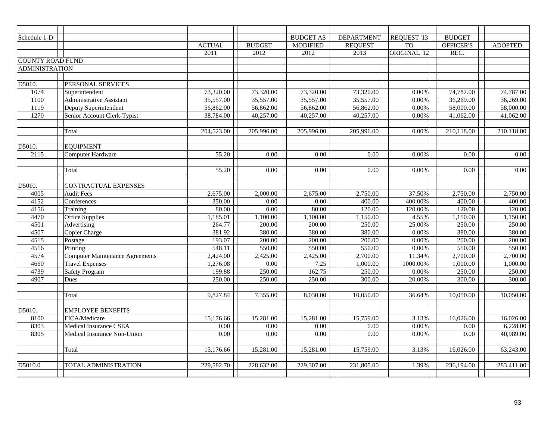| Schedule 1-D            |                                        |                    |                   | <b>BUDGET AS</b> | <b>DEPARTMENT</b>  | REQUEST '13       | <b>BUDGET</b>      |                    |
|-------------------------|----------------------------------------|--------------------|-------------------|------------------|--------------------|-------------------|--------------------|--------------------|
|                         |                                        | <b>ACTUAL</b>      | <b>BUDGET</b>     | <b>MODIFIED</b>  | <b>REQUEST</b>     | <b>TO</b>         | OFFICER'S          | <b>ADOPTED</b>     |
|                         |                                        | 2011               | 2012              | 2012             | 2013               | ORIGINAL '12      | REC.               |                    |
| <b>COUNTY ROAD FUND</b> |                                        |                    |                   |                  |                    |                   |                    |                    |
| <b>ADMINISTRATION</b>   |                                        |                    |                   |                  |                    |                   |                    |                    |
|                         |                                        |                    |                   |                  |                    |                   |                    |                    |
| D5010.                  | PERSONAL SERVICES                      |                    |                   |                  |                    |                   |                    |                    |
| 1074                    | Superintendent                         | 73,320.00          | 73,320.00         | 73,320.00        | 73,320.00          | 0.00%             | 74,787.00          | 74,787.00          |
| 1100                    | Administrative Assistant               | 35,557.00          | 35,557.00         | 35,557.00        | 35,557.00          | 0.00%             | 36,269.00          | 36,269.00          |
| 1119                    | Deputy Superintendent                  | 56,862.00          | 56,862.00         | 56,862.00        | 56,862.00          | 0.00%             | 58,000.00          | 58,000.00          |
| 1270                    | Senior Account Clerk-Typist            | 38,784.00          | 40,257.00         | 40,257.00        | 40,257.00          | 0.00%             | 41,062.00          | 41,062.00          |
|                         |                                        |                    |                   |                  |                    |                   |                    |                    |
|                         | Total                                  | 204,523.00         | 205,996.00        | 205,996.00       | 205,996.00         | 0.00%             | 210,118.00         | 210,118.00         |
| D5010.                  | <b>EQUIPMENT</b>                       |                    |                   |                  |                    |                   |                    |                    |
| 2115                    | Computer Hardware                      | 55.20              | 0.00              | 0.00             | 0.00               | $0.00\%$          | 0.00               | 0.00               |
|                         |                                        |                    |                   |                  |                    |                   |                    |                    |
|                         | Total                                  | 55.20              | 0.00              | 0.00             | 0.00               | $0.00\%$          | 0.00               | 0.00               |
|                         |                                        |                    |                   |                  |                    |                   |                    |                    |
| D5010.                  | <b>CONTRACTUAL EXPENSES</b>            |                    |                   |                  |                    |                   |                    |                    |
| 4005<br>4152            | <b>Audit Fees</b>                      | 2,675.00<br>350.00 | 2,000.00<br>0.00  | 2,675.00<br>0.00 | 2,750.00<br>400.00 | 37.50%<br>400.00% | 2,750.00<br>400.00 | 2,750.00<br>400.00 |
| 4156                    | Conferences<br>Training                | 80.00              | $0.00\,$          | 80.00            | 120.00             | 120.00%           | 120.00             | 120.00             |
| 4470                    | Office Supplies                        | 1,185.01           | 1,100.00          | 1,100.00         | 1,150.00           | 4.55%             | 1,150.00           | 1,150.00           |
| 4501                    | Advertising                            | 264.77             | 200.00            | 200.00           | 250.00             | 25.00%            | 250.00             | 250.00             |
| 4507                    | Copier Charge                          | 381.92             | 380.00            | 380.00           | 380.00             | $0.00\%$          | 380.00             | 380.00             |
| 4515                    | Postage                                | 193.07             | 200.00            | 200.00           | 200.00             | 0.00%             | 200.00             | 200.00             |
| 4516                    | Printing                               | 548.11             | 550.00            | 550.00           | 550.00             | $0.00\%$          | 550.00             | 550.00             |
| 4574                    | <b>Computer Maintenance Agreements</b> | 2,424.00           | 2,425.00          | 2,425.00         | 2,700.00           | 11.34%            | 2,700.00           | 2,700.00           |
| 4660                    | <b>Travel Expenses</b>                 | 1,276.08           | 0.00              | 7.25             | 1,000.00           | 1000.00%          | 1,000.00           | 1,000.00           |
| 4739                    | <b>Safety Program</b>                  | 199.88             | 250.00            | 162.75           | 250.00             | $0.00\%$          | 250.00             | 250.00             |
| 4907                    | Dues                                   | 250.00             | 250.00            | 250.00           | 300.00             | 20.00%            | 300.00             | 300.00             |
|                         |                                        |                    |                   |                  |                    |                   |                    |                    |
|                         | Total                                  | 9,827.84           | 7,355.00          | 8,030.00         | 10,050.00          | 36.64%            | 10,050.00          | 10,050.00          |
| D5010.                  | <b>EMPLOYEE BENEFITS</b>               |                    |                   |                  |                    |                   |                    |                    |
| 8100                    | FICA/Medicare                          | 15,176.66          | 15,281.00         | 15,281.00        | 15,759.00          | 3.13%             | 16,026.00          | 16,026.00          |
| 8303                    | Medical Insurance CSEA                 | 0.00               | 0.00              | 0.00             | 0.00               | 0.00%             | 0.00               | 6,228.00           |
| 8305                    | Medical Insurance Non-Union            | $0.00\,$           | $\overline{0.00}$ | $0.00\,$         | 0.00               | $0.00\%$          | 0.00               | 40,989.00          |
|                         |                                        |                    |                   |                  |                    |                   |                    |                    |
|                         | Total                                  | 15,176.66          | 15,281.00         | 15,281.00        | 15,759.00          | 3.13%             | 16,026.00          | 63,243.00          |
|                         |                                        |                    |                   |                  |                    |                   |                    |                    |
| D5010.0                 | TOTAL ADMINISTRATION                   | 229,582.70         | 228,632.00        | 229,307.00       | 231,805.00         | 1.39%             | 236,194.00         | 283,411.00         |
|                         |                                        |                    |                   |                  |                    |                   |                    |                    |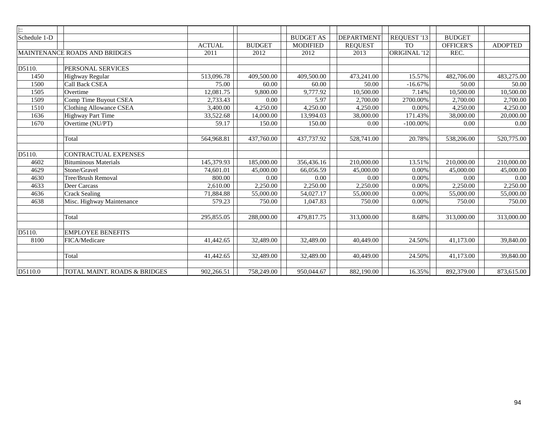| $\mathbb{R}$ |                                         |               |               |                  |                |              |                  |                |
|--------------|-----------------------------------------|---------------|---------------|------------------|----------------|--------------|------------------|----------------|
| Schedule 1-D |                                         |               |               | <b>BUDGET AS</b> | DEPARTMENT     | REQUEST '13  | <b>BUDGET</b>    |                |
|              |                                         | <b>ACTUAL</b> | <b>BUDGET</b> | <b>MODIFIED</b>  | <b>REQUEST</b> | <b>TO</b>    | <b>OFFICER'S</b> | <b>ADOPTED</b> |
|              | <b>MAINTENANCE ROADS AND BRIDGES</b>    | 2011          | 2012          | 2012             | 2013           | ORIGINAL '12 | REC.             |                |
|              |                                         |               |               |                  |                |              |                  |                |
| D5110.       | PERSONAL SERVICES                       |               |               |                  |                |              |                  |                |
| 1450         | <b>Highway Regular</b>                  | 513,096.78    | 409,500.00    | 409,500.00       | 473,241.00     | 15.57%       | 482,706.00       | 483,275.00     |
| 1500         | <b>Call Back CSEA</b>                   | 75.00         | 60.00         | 60.00            | 50.00          | $-16.67%$    | 50.00            | 50.00          |
| 1505         | Overtime                                | 12,081.75     | 9,800.00      | 9,777.92         | 10,500.00      | 7.14%        | 10,500.00        | 10,500.00      |
| 1509         | Comp Time Buyout CSEA                   | 2,733.43      | 0.00          | 5.97             | 2,700.00       | 2700.00%     | 2,700.00         | 2,700.00       |
| 1510         | <b>Clothing Allowance CSEA</b>          | 3,400.00      | 4,250.00      | 4,250.00         | 4,250.00       | 0.00%        | 4,250.00         | 4,250.00       |
| 1636         | <b>Highway Part Time</b>                | 33,522.68     | 14,000.00     | 13,994.03        | 38,000.00      | 171.43%      | 38,000.00        | 20,000.00      |
| 1670         | Overtime (NU/PT)                        | 59.17         | 150.00        | 150.00           | 0.00           | $-100.00\%$  | 0.00             | 0.00           |
|              |                                         |               |               |                  |                |              |                  |                |
|              | Total                                   | 564,968.81    | 437,760.00    | 437,737.92       | 528,741.00     | 20.78%       | 538,206.00       | 520,775.00     |
|              |                                         |               |               |                  |                |              |                  |                |
| D5110.       | <b>CONTRACTUAL EXPENSES</b>             |               |               |                  |                |              |                  |                |
| 4602         | <b>Bituminous Materials</b>             | 145,379.93    | 185,000.00    | 356,436.16       | 210,000.00     | 13.51%       | 210,000.00       | 210,000.00     |
| 4629         | Stone/Gravel                            | 74,601.01     | 45,000.00     | 66.056.59        | 45,000.00      | 0.00%        | 45,000.00        | 45,000.00      |
| 4630         | Tree/Brush Removal                      | 800.00        | 0.00          | 0.00             | 0.00           | 0.00%        | 0.00             | 0.00           |
| 4633         | Deer Carcass                            | 2,610.00      | 2,250.00      | 2,250.00         | 2,250.00       | 0.00%        | 2,250.00         | 2,250.00       |
| 4636         | <b>Crack Sealing</b>                    | 71,884.88     | 55,000.00     | 54,027.17        | 55,000.00      | 0.00%        | 55,000.00        | 55,000.00      |
| 4638         | Misc. Highway Maintenance               | 579.23        | 750.00        | 1,047.83         | 750.00         | 0.00%        | 750.00           | 750.00         |
|              |                                         |               |               |                  |                |              |                  |                |
|              | Total                                   | 295,855.05    | 288,000.00    | 479.817.75       | 313,000.00     | 8.68%        | 313,000.00       | 313,000.00     |
|              |                                         |               |               |                  |                |              |                  |                |
| D5110.       | <b>EMPLOYEE BENEFITS</b>                |               |               |                  |                |              |                  |                |
| 8100         | FICA/Medicare                           | 41,442.65     | 32,489.00     | 32,489.00        | 40,449.00      | 24.50%       | 41,173.00        | 39,840.00      |
|              |                                         |               |               |                  |                |              |                  |                |
|              | Total                                   | 41,442.65     | 32,489.00     | 32,489.00        | 40,449.00      | 24.50%       | 41,173.00        | 39,840.00      |
|              |                                         |               |               |                  |                |              |                  |                |
| D5110.0      | <b>TOTAL MAINT. ROADS &amp; BRIDGES</b> | 902,266.51    | 758,249.00    | 950,044.67       | 882,190.00     | 16.35%       | 892,379.00       | 873,615.00     |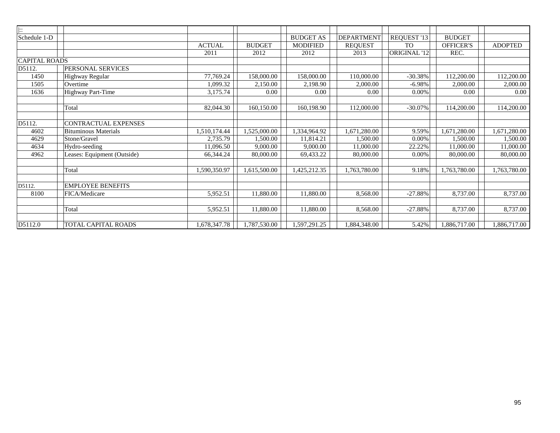| $\overline{\mathbb{R}}$ |                             |               |               |                  |                   |              |                  |                |
|-------------------------|-----------------------------|---------------|---------------|------------------|-------------------|--------------|------------------|----------------|
| Schedule 1-D            |                             |               |               | <b>BUDGET AS</b> | <b>DEPARTMENT</b> | REQUEST '13  | <b>BUDGET</b>    |                |
|                         |                             | <b>ACTUAL</b> | <b>BUDGET</b> | <b>MODIFIED</b>  | <b>REQUEST</b>    | <b>TO</b>    | <b>OFFICER'S</b> | <b>ADOPTED</b> |
|                         |                             | 2011          | 2012          | 2012             | 2013              | ORIGINAL '12 | REC.             |                |
| <b>CAPITAL ROADS</b>    |                             |               |               |                  |                   |              |                  |                |
| D5112.                  | PERSONAL SERVICES           |               |               |                  |                   |              |                  |                |
| 1450                    | Highway Regular             | 77,769.24     | 158,000.00    | 158,000.00       | 110,000.00        | $-30.38%$    | 112,200.00       | 112,200.00     |
| 1505                    | Overtime                    | 1,099.32      | 2,150.00      | 2,198.90         | 2,000.00          | $-6.98%$     | 2,000.00         | 2,000.00       |
| 1636                    | Highway Part-Time           | 3,175.74      | 0.00          | 0.00             | 0.00              | $0.00\%$     | 0.00             | $0.00\,$       |
|                         |                             |               |               |                  |                   |              |                  |                |
|                         | Total                       | 82,044.30     | 160,150.00    | 160,198.90       | 112,000.00        | $-30.07\%$   | 114,200.00       | 114,200.00     |
|                         |                             |               |               |                  |                   |              |                  |                |
| D5112.                  | <b>CONTRACTUAL EXPENSES</b> |               |               |                  |                   |              |                  |                |
| 4602                    | <b>Bituminous Materials</b> | 1,510,174.44  | 1,525,000.00  | 1,334,964.92     | 1,671,280.00      | 9.59%        | 1,671,280.00     | 1,671,280.00   |
| 4629                    | Stone/Gravel                | 2,735.79      | 1,500.00      | 11,814.21        | 1,500.00          | 0.00%        | 1,500.00         | 1,500.00       |
| 4634                    | Hydro-seeding               | 11,096.50     | 9,000.00      | 9,000.00         | 11,000.00         | 22.22%       | 11,000.00        | 11,000.00      |
| 4962                    | Leases: Equipment (Outside) | 66,344.24     | 80,000.00     | 69,433.22        | 80,000.00         | 0.00%        | 80,000.00        | 80,000.00      |
|                         |                             |               |               |                  |                   |              |                  |                |
|                         | Total                       | 1,590,350.97  | 1,615,500.00  | 1,425,212.35     | 1,763,780.00      | 9.18%        | 1,763,780.00     | 1,763,780.00   |
|                         |                             |               |               |                  |                   |              |                  |                |
| D5112.                  | <b>EMPLOYEE BENEFITS</b>    |               |               |                  |                   |              |                  |                |
| 8100                    | FICA/Medicare               | 5,952.51      | 11,880.00     | 11,880.00        | 8,568.00          | $-27.88%$    | 8,737.00         | 8,737.00       |
|                         |                             |               |               |                  |                   |              |                  |                |
|                         | Total                       | 5,952.51      | 11,880.00     | 11,880.00        | 8,568.00          | $-27.88%$    | 8,737.00         | 8,737.00       |
|                         |                             |               |               |                  |                   |              |                  |                |
| D5112.0                 | TOTAL CAPITAL ROADS         | 1,678,347.78  | 1,787,530.00  | 1,597,291.25     | 1,884,348.00      | 5.42%        | 1,886,717.00     | 1,886,717.00   |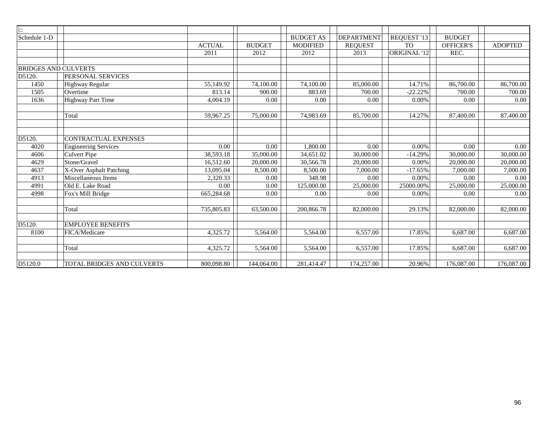| $\overline{ \colon}$ |                             |               |                        |                  |                   |                |                  |                |
|----------------------|-----------------------------|---------------|------------------------|------------------|-------------------|----------------|------------------|----------------|
| Schedule 1-D         |                             |               |                        | <b>BUDGET AS</b> | <b>DEPARTMENT</b> | REQUEST '13    | <b>BUDGET</b>    |                |
|                      |                             | <b>ACTUAL</b> | <b>BUDGET</b>          | <b>MODIFIED</b>  | <b>REOUEST</b>    | T <sub>O</sub> | <b>OFFICER'S</b> | <b>ADOPTED</b> |
|                      |                             | 2011          | 2012                   | 2012             | 2013              | ORIGINAL '12   | REC.             |                |
|                      |                             |               |                        |                  |                   |                |                  |                |
|                      | <b>BRIDGES AND CULVERTS</b> |               |                        |                  |                   |                |                  |                |
| D5120.               | PERSONAL SERVICES           |               |                        |                  |                   |                |                  |                |
| 1450                 | Highway Regular             | 55,149.92     | 74,100.00              | 74,100.00        | 85,000.00         | 14.71%         | 86,700.00        | 86,700.00      |
| 1505                 | Overtime                    | 813.14        | 900.00                 | 883.69           | 700.00            | $-22.22%$      | 700.00           | 700.00         |
| 1636                 | <b>Highway Part Time</b>    | 4,004.19      | 0.00                   | 0.00             | 0.00              | 0.00%          | 0.00             | 0.00           |
|                      |                             |               |                        |                  |                   |                |                  |                |
|                      | Total                       | 59,967.25     | 75,000.00              | 74,983.69        | 85,700.00         | 14.27%         | 87,400.00        | 87,400.00      |
|                      |                             |               |                        |                  |                   |                |                  |                |
|                      |                             |               |                        |                  |                   |                |                  |                |
| D5120.               | CONTRACTUAL EXPENSES        |               |                        |                  |                   |                |                  |                |
| 4020                 | <b>Engineering Services</b> | 0.00          | 0.00                   | 1.800.00         | 0.00              | 0.00%          | 0.00             | 0.00           |
| 4606                 | <b>Culvert Pipe</b>         | 38,593.18     | $\overline{35,000.00}$ | 34,651.02        | 30,000.00         | $-14.29%$      | 30,000.00        | 30,000.00      |
| 4629                 | Stone/Gravel                | 16,512.60     | 20,000.00              | 30,566.78        | 20,000.00         | 0.00%          | 20,000.00        | 20,000.00      |
| 4637                 | X-Over Asphalt Patching     | 13,095.04     | 8,500.00               | 8,500.00         | 7,000.00          | $-17.65%$      | 7,000.00         | 7,000.00       |
| 4913                 | Miscellaneous Items         | 2,320.33      | 0.00                   | 348.98           | 0.00              | 0.00%          | 0.00             | 0.00           |
| 4991                 | Old E. Lake Road            | 0.00          | 0.00                   | 125,000.00       | 25,000.00         | 25000.00%      | 25,000.00        | 25,000.00      |
| 4998                 | Fox's Mill Bridge           | 665,284.68    | 0.00                   | 0.00             | 0.00              | 0.00%          | 0.00             | 0.00           |
|                      |                             |               |                        |                  |                   |                |                  |                |
|                      | Total                       | 735,805.83    | 63,500.00              | 200,866.78       | 82,000.00         | 29.13%         | 82,000.00        | 82,000.00      |
|                      |                             |               |                        |                  |                   |                |                  |                |
| D5120.               | <b>EMPLOYEE BENEFITS</b>    |               |                        |                  |                   |                |                  |                |
| 8100                 | FICA/Medicare               | 4,325.72      | 5,564.00               | 5,564.00         | 6,557.00          | 17.85%         | 6.687.00         | 6,687.00       |
|                      |                             |               |                        |                  |                   |                |                  |                |
|                      | Total                       | 4,325.72      | 5,564.00               | 5,564.00         | 6,557.00          | 17.85%         | 6,687.00         | 6,687.00       |
|                      |                             |               |                        |                  |                   |                |                  |                |
| D5120.0              | TOTAL BRIDGES AND CULVERTS  | 800,098.80    | 144,064.00             | 281,414.47       | 174,257.00        | 20.96%         | 176,087.00       | 176,087.00     |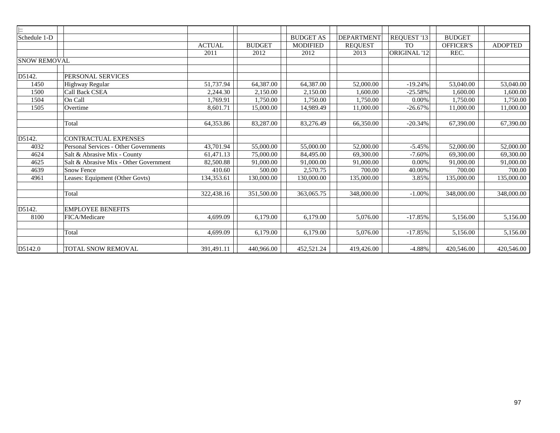| $\  \cdot$          |                                        |               |               |                  |                   |              |                  |                |
|---------------------|----------------------------------------|---------------|---------------|------------------|-------------------|--------------|------------------|----------------|
| Schedule 1-D        |                                        |               |               | <b>BUDGET AS</b> | <b>DEPARTMENT</b> | REQUEST '13  | <b>BUDGET</b>    |                |
|                     |                                        | <b>ACTUAL</b> | <b>BUDGET</b> | <b>MODIFIED</b>  | <b>REQUEST</b>    | <b>TO</b>    | <b>OFFICER'S</b> | <b>ADOPTED</b> |
|                     |                                        | 2011          | 2012          | 2012             | 2013              | ORIGINAL '12 | REC.             |                |
| <b>SNOW REMOVAL</b> |                                        |               |               |                  |                   |              |                  |                |
|                     |                                        |               |               |                  |                   |              |                  |                |
| D5142.              | PERSONAL SERVICES                      |               |               |                  |                   |              |                  |                |
| 1450                | Highway Regular                        | 51,737.94     | 64,387.00     | 64,387.00        | 52,000.00         | $-19.24%$    | 53,040.00        | 53,040.00      |
| 1500                | <b>Call Back CSEA</b>                  | 2,244.30      | 2.150.00      | 2.150.00         | 1,600.00          | $-25.58%$    | 1,600.00         | 1,600.00       |
| 1504                | On Call                                | 1.769.91      | 1.750.00      | 1.750.00         | 1.750.00          | 0.00%        | 1.750.00         | 1,750.00       |
| 1505                | Overtime                               | 8,601.71      | 15,000.00     | 14,989.49        | 11,000.00         | $-26.67%$    | 11,000.00        | 11,000.00      |
|                     |                                        |               |               |                  |                   |              |                  |                |
|                     | Total                                  | 64,353.86     | 83,287.00     | 83,276.49        | 66,350.00         | $-20.34%$    | 67,390.00        | 67,390.00      |
|                     |                                        |               |               |                  |                   |              |                  |                |
| D5142.              | <b>CONTRACTUAL EXPENSES</b>            |               |               |                  |                   |              |                  |                |
| 4032                | Personal Services - Other Governments  | 43,701.94     | 55,000.00     | 55,000.00        | 52,000.00         | $-5.45%$     | 52,000.00        | 52,000.00      |
| 4624                | Salt & Abrasive Mix - County           | 61,471.13     | 75,000.00     | 84,495.00        | 69,300.00         | $-7.60%$     | 69,300.00        | 69,300.00      |
| 4625                | Salt & Abrasive Mix - Other Government | 82,500.88     | 91,000.00     | 91,000.00        | 91,000.00         | 0.00%        | 91,000.00        | 91,000.00      |
| 4639                | <b>Snow Fence</b>                      | 410.60        | 500.00        | 2,570.75         | 700.00            | 40.00%       | 700.00           | 700.00         |
| 4961                | Leases: Equipment (Other Govts)        | 134,353.61    | 130,000.00    | 130,000.00       | 135,000.00        | 3.85%        | 135,000.00       | 135,000.00     |
|                     | Total                                  | 322,438.16    | 351,500.00    | 363,065.75       | 348,000.00        | $-1.00%$     | 348,000.00       | 348,000.00     |
|                     |                                        |               |               |                  |                   |              |                  |                |
| D5142.              | <b>EMPLOYEE BENEFITS</b>               |               |               |                  |                   |              |                  |                |
| 8100                | FICA/Medicare                          | 4.699.09      | 6,179.00      | 6,179.00         | 5,076.00          | $-17.85%$    | 5,156.00         | 5,156.00       |
|                     | Total                                  | 4,699.09      | 6,179.00      | 6,179.00         | 5,076.00          | $-17.85%$    | 5,156.00         | 5,156.00       |
| D5142.0             | TOTAL SNOW REMOVAL                     | 391,491.11    | 440,966.00    | 452,521.24       | 419,426.00        | $-4.88%$     | 420,546.00       | 420,546.00     |
|                     |                                        |               |               |                  |                   |              |                  |                |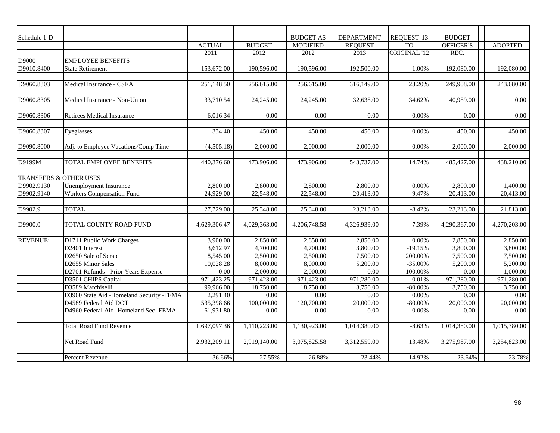| Schedule 1-D    |                                          |               |                   | <b>BUDGET AS</b>  | <b>DEPARTMENT</b> | REQUEST '13  | <b>BUDGET</b>     |                   |
|-----------------|------------------------------------------|---------------|-------------------|-------------------|-------------------|--------------|-------------------|-------------------|
|                 |                                          | <b>ACTUAL</b> | <b>BUDGET</b>     | <b>MODIFIED</b>   | <b>REQUEST</b>    | <b>TO</b>    | OFFICER'S         | <b>ADOPTED</b>    |
|                 |                                          | 2011          | 2012              | 2012              | 2013              | ORIGINAL '12 | REC.              |                   |
| D9000           | <b>EMPLOYEE BENEFITS</b>                 |               |                   |                   |                   |              |                   |                   |
| D9010.8400      | <b>State Retirement</b>                  | 153,672.00    | 190,596.00        | 190,596.00        | 192,500.00        | 1.00%        | 192,080.00        | 192,080.00        |
|                 |                                          |               |                   |                   |                   |              |                   |                   |
| D9060.8303      | Medical Insurance - CSEA                 | 251,148.50    | 256,615.00        | 256,615.00        | 316,149.00        | 23.20%       | 249,908.00        | 243,680.00        |
|                 |                                          |               |                   |                   |                   |              |                   |                   |
| D9060.8305      | Medical Insurance - Non-Union            | 33,710.54     | 24,245.00         | 24,245.00         | 32,638.00         | 34.62%       | 40,989.00         | 0.00              |
|                 |                                          |               |                   |                   |                   |              |                   |                   |
| D9060.8306      | <b>Retirees Medical Insurance</b>        | 6,016.34      | 0.00              | 0.00              | 0.00              | 0.00%        | 0.00              | 0.00              |
|                 |                                          |               |                   |                   |                   |              |                   |                   |
| D9060.8307      | Eyeglasses                               | 334.40        | 450.00            | 450.00            | 450.00            | 0.00%        | 450.00            | 450.00            |
|                 |                                          |               |                   |                   |                   |              |                   |                   |
| D9090.8000      | Adj. to Employee Vacations/Comp Time     | (4,505.18)    | 2,000.00          | 2,000.00          | 2,000.00          | 0.00%        | 2,000.00          | 2,000.00          |
| D9199M          | TOTAL EMPLOYEE BENEFITS                  | 440,376.60    | 473,906.00        | 473,906.00        | 543,737.00        | 14.74%       | 485,427.00        | 438,210.00        |
|                 |                                          |               |                   |                   |                   |              |                   |                   |
|                 | TRANSFERS & OTHER USES                   |               |                   |                   |                   |              |                   |                   |
| D9902.9130      | Unemployment Insurance                   | 2,800.00      | 2,800.00          | 2,800.00          | 2,800.00          | 0.00%        | 2,800.00          | 1,400.00          |
| D9902.9140      | Workers Compensation Fund                | 24,929.00     | 22,548.00         | 22,548.00         | 20,413.00         | $-9.47%$     | 20,413.00         | 20,413.00         |
|                 |                                          |               |                   |                   |                   |              |                   |                   |
| D9902.9         | <b>TOTAL</b>                             | 27,729.00     | 25,348.00         | 25,348.00         | 23,213.00         | $-8.42%$     | 23,213.00         | 21,813.00         |
|                 |                                          |               |                   |                   |                   |              |                   |                   |
| D9900.0         | TOTAL COUNTY ROAD FUND                   | 4,629,306.47  | 4,029,363.00      | 4,206,748.58      | 4,326,939.00      | 7.39%        | 4,290,367.00      | 4,270,203.00      |
|                 |                                          |               |                   |                   |                   |              |                   |                   |
| <b>REVENUE:</b> | D1711 Public Work Charges                | 3,900.00      | 2,850.00          | 2,850.00          | 2,850.00          | 0.00%        | 2,850.00          | 2,850.00          |
|                 | D2401 Interest                           | 3,612.97      | 4,700.00          | 4,700.00          | 3,800.00          | $-19.15%$    | 3,800.00          | 3,800.00          |
|                 | D2650 Sale of Scrap                      | 8,545.00      | 2,500.00          | 2,500.00          | 7,500.00          | 200.00%      | 7,500.00          | 7,500.00          |
|                 | D2655 Minor Sales                        | 10,028.28     | 8,000.00          | 8,000.00          | 5,200.00          | $-35.00\%$   | 5,200.00          | 5,200.00          |
|                 | D2701 Refunds - Prior Years Expense      | 0.00          | 2,000.00          | 2,000.00          | 0.00              | $-100.00\%$  | 0.00              | 1,000.00          |
|                 | D3501 CHIPS Capital                      | 971,423.25    | 971,423.00        | 971,423.00        | 971,280.00        | $-0.01%$     | 971,280.00        | 971,280.00        |
|                 | D3589 Marchiselli                        | 99,966.00     | 18,750.00         | 18,750.00         | 3,750.00          | $-80.00\%$   | 3,750.00          | 3,750.00          |
|                 | D3960 State Aid -Homeland Security -FEMA | 2,291.40      | $\overline{0.00}$ | $\overline{0.00}$ | $\overline{0.00}$ | 0.00%        | $\overline{0.00}$ | $\overline{0.00}$ |
|                 | D4589 Federal Aid DOT                    | 535,398.66    | 100,000.00        | 120,700.00        | 20,000.00         | $-80.00\%$   | 20,000.00         | 20,000.00         |
|                 | D4960 Federal Aid -Homeland Sec -FEMA    | 61,931.80     | 0.00              | 0.00              | 0.00              | 0.00%        | 0.00              | 0.00              |
|                 |                                          |               |                   |                   |                   |              |                   |                   |
|                 | <b>Total Road Fund Revenue</b>           | 1,697,097.36  | 1,110,223.00      | 1,130,923.00      | 1,014,380.00      | $-8.63%$     | 1,014,380.00      | 1,015,380.00      |
|                 |                                          |               |                   |                   |                   |              |                   |                   |
|                 | Net Road Fund                            | 2,932,209.11  | 2,919,140.00      | 3,075,825.58      | 3,312,559.00      | 13.48%       | 3,275,987.00      | 3,254,823.00      |
|                 |                                          |               |                   |                   |                   |              |                   |                   |
|                 | Percent Revenue                          | 36.66%        | 27.55%            | 26.88%            | 23.44%            | $-14.92%$    | 23.64%            | 23.78%            |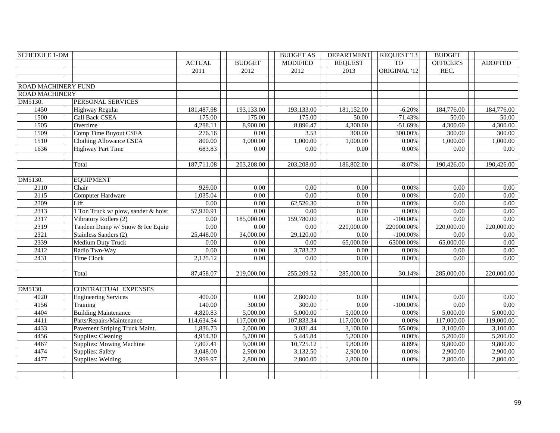| <b>SCHEDULE 1-DM</b>  |                                   |               |               | <b>BUDGET AS</b> | <b>DEPARTMENT</b> | REQUEST '13  | <b>BUDGET</b>    |                   |
|-----------------------|-----------------------------------|---------------|---------------|------------------|-------------------|--------------|------------------|-------------------|
|                       |                                   | <b>ACTUAL</b> | <b>BUDGET</b> | <b>MODIFIED</b>  | <b>REQUEST</b>    | <b>TO</b>    | <b>OFFICER'S</b> | <b>ADOPTED</b>    |
|                       |                                   | 2011          | 2012          | 2012             | 2013              | ORIGINAL '12 | REC.             |                   |
|                       |                                   |               |               |                  |                   |              |                  |                   |
| ROAD MACHINERY FUND   |                                   |               |               |                  |                   |              |                  |                   |
| <b>ROAD MACHINERY</b> |                                   |               |               |                  |                   |              |                  |                   |
| DM5130.               | PERSONAL SERVICES                 |               |               |                  |                   |              |                  |                   |
| 1450                  | Highway Regular                   | 181,487.98    | 193,133.00    | 193,133.00       | 181,152.00        | $-6.20%$     | 184,776.00       | 184,776.00        |
| 1500                  | Call Back CSEA                    | 175.00        | 175.00        | 175.00           | 50.00             | $-71.43%$    | 50.00            | 50.00             |
| 1505                  | Overtime                          | 4,288.11      | 8,900.00      | 8,896.47         | 4,300.00          | $-51.69%$    | 4,300.00         | 4,300.00          |
| 1509                  | Comp Time Buyout CSEA             | 276.16        | 0.00          | 3.53             | 300.00            | 300.00%      | 300.00           | 300.00            |
| 1510                  | Clothing Allowance CSEA           | 800.00        | 1,000.00      | 1,000.00         | 1,000.00          | 0.00%        | 1,000.00         | 1,000.00          |
| 1636                  | Highway Part Time                 | 683.83        | 0.00          | 0.00             | 0.00              | 0.00%        | 0.00             | 0.00              |
|                       |                                   |               |               |                  |                   |              |                  |                   |
|                       | Total                             | 187,711.08    | 203,208.00    | 203,208.00       | 186,802.00        | $-8.07%$     | 190,426.00       | 190,426.00        |
|                       |                                   |               |               |                  |                   |              |                  |                   |
| DM5130.               | <b>EQUIPMENT</b>                  |               |               |                  |                   |              |                  |                   |
| 2110                  | Chair                             | 929.00        | 0.00          | 0.00             | $0.00\,$          | 0.00%        | 0.00             | 0.00              |
| 2115                  | Computer Hardware                 | 1,035.04      | 0.00          | 0.00             | 0.00              | 0.00%        | 0.00             | 0.00              |
| 2309                  | Lift                              | 0.00          | 0.00          | 62,526.30        | $0.00\,$          | 0.00%        | 0.00             | $0.00\,$          |
| 2313                  | Ton Truck w/ plow, sander & hoist | 57,920.91     | 0.00          | 0.00             | 0.00              | 0.00%        | 0.00             | 0.00              |
| 2317                  | Vibratory Rollers (2)             | $0.00\,$      | 185,000.00    | 159,780.00       | 0.00              | $-100.00\%$  | 0.00             | $0.00\,$          |
| 2319                  | Tandem Dump w/ Snow & Ice Equip   | 0.00          | 0.00          | 0.00             | 220,000.00        | 220000.00%   | 220,000.00       | 220,000.00        |
| 2321                  | Stainless Sanders (2)             | 25,448.00     | 34,000.00     | 29,120.00        | 0.00              | $-100.00\%$  | 0.00             | 0.00              |
| 2339                  | Medium Duty Truck                 | 0.00          | 0.00          | 0.00             | 65,000.00         | 65000.00%    | 65,000.00        | $0.00\,$          |
| 2412                  | Radio Two-Way                     | 0.00          | 0.00          | 3,783.22         | 0.00              | 0.00%        | 0.00             | 0.00              |
| 2431                  | <b>Time Clock</b>                 | 2,125.12      | 0.00          | 0.00             | 0.00              | 0.00%        | 0.00             | 0.00              |
|                       |                                   |               |               |                  |                   |              |                  |                   |
|                       | Total                             | 87,458.07     | 219,000.00    | 255,209.52       | 285,000.00        | 30.14%       | 285,000.00       | 220,000.00        |
|                       |                                   |               |               |                  |                   |              |                  |                   |
| DM5130.               | CONTRACTUAL EXPENSES              |               |               |                  |                   |              |                  |                   |
| 4020                  | <b>Engineering Services</b>       | 400.00        | 0.00          | 2,800.00         | $0.00\,$          | 0.00%        | 0.00             | 0.00              |
| 4156                  | Training                          | 140.00        | 300.00        | 300.00           | $\overline{0.00}$ | $-100.00\%$  | 0.00             | $\overline{0.00}$ |
| 4404                  | <b>Building Maintenance</b>       | 4,820.83      | 5,000.00      | 5,000.00         | 5,000.00          | 0.00%        | 5,000.00         | 5,000.00          |
| 4411                  | Parts/Repairs/Maintenance         | 114,634.54    | 117,000.00    | 107,833.34       | 117,000.00        | 0.00%        | 117,000.00       | 119,000.00        |
| 4433                  | Pavement Striping Truck Maint.    | 1,836.73      | 2,000.00      | 3,031.44         | 3,100.00          | 55.00%       | 3,100.00         | 3,100.00          |
| 4456                  | Supplies: Cleaning                | 4,954.30      | 5,200.00      | 5,445.84         | 5,200.00          | 0.00%        | 5,200.00         | 5,200.00          |
| 4467                  | <b>Supplies: Mowing Machine</b>   | 7,807.41      | 9,000.00      | 10,725.12        | 9,800.00          | 8.89%        | 9,800.00         | 9,800.00          |
| 4474                  | Supplies: Safety                  | 3,048.00      | 2,900.00      | 3,132.50         | 2,900.00          | 0.00%        | 2,900.00         | 2,900.00          |
| 4477                  | Supplies: Welding                 | 2,999.97      | 2,800.00      | 2,800.00         | 2,800.00          | 0.00%        | 2,800.00         | 2,800.00          |
|                       |                                   |               |               |                  |                   |              |                  |                   |
|                       |                                   |               |               |                  |                   |              |                  |                   |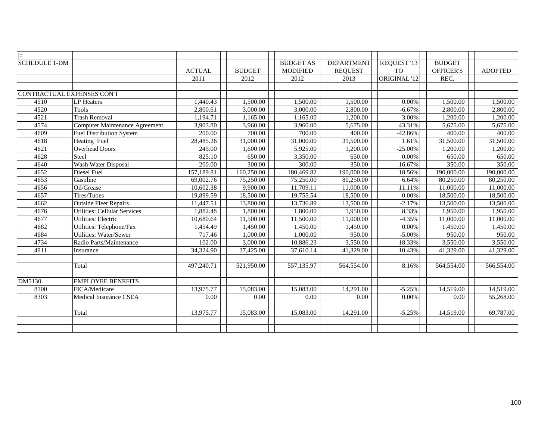| $\left  \cdot \right $ |                                     |               |               |                  |                   |              |                  |                |
|------------------------|-------------------------------------|---------------|---------------|------------------|-------------------|--------------|------------------|----------------|
| <b>SCHEDULE 1-DM</b>   |                                     |               |               | <b>BUDGET AS</b> | <b>DEPARTMENT</b> | REQUEST '13  | <b>BUDGET</b>    |                |
|                        |                                     | <b>ACTUAL</b> | <b>BUDGET</b> | <b>MODIFIED</b>  | <b>REQUEST</b>    | <b>TO</b>    | <b>OFFICER'S</b> | <b>ADOPTED</b> |
|                        |                                     | 2011          | 2012          | 2012             | 2013              | ORIGINAL '12 | REC.             |                |
|                        |                                     |               |               |                  |                   |              |                  |                |
|                        | CONTRACTUAL EXPENSES CON'T          |               |               |                  |                   |              |                  |                |
| 4510                   | <b>LP</b> Heaters                   | 1,440.43      | 1,500.00      | 1,500.00         | 1,500.00          | 0.00%        | 1,500.00         | 1,500.00       |
| 4520                   | <b>Tools</b>                        | 2,800.61      | 3,000.00      | 3,000.00         | 2,800.00          | $-6.67%$     | 2,800.00         | 2,800.00       |
| 4521                   | <b>Trash Removal</b>                | 1,194.71      | 1,165.00      | 1,165.00         | 1,200.00          | 3.00%        | 1,200.00         | 1,200.00       |
| 4574                   | Computer Maintenance Agreement      | 3,903.80      | 3,960.00      | 3,960.00         | 5,675.00          | 43.31%       | 5,675.00         | 5,675.00       |
| 4609                   | <b>Fuel Distribution System</b>     | 200.00        | 700.00        | 700.00           | 400.00            | $-42.86%$    | 400.00           | 400.00         |
| 4618                   | Heating Fuel                        | 28,485.26     | 31,000.00     | 31,000.00        | 31,500.00         | 1.61%        | 31,500.00        | 31,500.00      |
| 4621                   | <b>Overhead Doors</b>               | 245.00        | 1,600.00      | 5,925.00         | 1,200.00          | $-25.00\%$   | 1,200.00         | 1,200.00       |
| 4628                   | Steel                               | 825.10        | 650.00        | 3,350.00         | 650.00            | 0.00%        | 650.00           | 650.00         |
| 4640                   | Wash Water Disposal                 | 200.00        | 300.00        | 300.00           | 350.00            | 16.67%       | 350.00           | 350.00         |
| 4652                   | Diesel Fuel                         | 157,189.81    | 160,250.00    | 180,469.82       | 190,000.00        | 18.56%       | 190,000.00       | 190,000.00     |
| 4653                   | Gasoline                            | 69,002.76     | 75,250.00     | 75,250.00        | 80,250.00         | 6.64%        | 80,250.00        | 80,250.00      |
| 4656                   | Oil/Grease                          | 10,602.38     | 9,900.00      | 11,709.11        | 11,000.00         | 11.11%       | 11,000.00        | 11,000.00      |
| 4657                   | Tires/Tubes                         | 19,899.59     | 18,500.00     | 19,755.54        | 18,500.00         | 0.00%        | 18,500.00        | 18,500.00      |
| 4662                   | <b>Outside Fleet Repairs</b>        | 11,447.51     | 13,800.00     | 13,736.89        | 13,500.00         | $-2.17%$     | 13,500.00        | 13,500.00      |
| 4676                   | <b>Utilities: Cellular Services</b> | 1,882.48      | 1,800.00      | 1,800.00         | 1,950.00          | 8.33%        | 1,950.00         | 1,950.00       |
| 4677                   | Utilities: Electric                 | 10,680.64     | 11,500.00     | 11,500.00        | 11,000.00         | $-4.35%$     | 11,000.00        | 11,000.00      |
| 4682                   | Utilities: Telephone/Fax            | 1,454.49      | 1,450.00      | 1,450.00         | 1,450.00          | 0.00%        | 1,450.00         | 1,450.00       |
| 4684                   | Utilities: Water/Sewer              | 717.46        | 1,000.00      | 1,000.00         | 950.00            | $-5.00\%$    | 950.00           | 950.00         |
| 4734                   | Radio Parts/Maintenance             | 102.00        | 3,000.00      | 10,886.23        | 3,550.00          | 18.33%       | 3,550.00         | 3,550.00       |
| 4911                   | Insurance                           | 34,324.90     | 37,425.00     | 37,610.14        | 41,329.00         | 10.43%       | 41,329.00        | 41,329.00      |
|                        |                                     |               |               |                  |                   |              |                  |                |
|                        | Total                               | 497,240.71    | 521,950.00    | 557,135.97       | 564,554.00        | 8.16%        | 564,554.00       | 566,554.00     |
|                        |                                     |               |               |                  |                   |              |                  |                |
| DM5130.                | <b>EMPLOYEE BENEFITS</b>            |               |               |                  |                   |              |                  |                |
| 8100                   | FICA/Medicare                       | 13,975.77     | 15,083.00     | 15,083.00        | 14,291.00         | $-5.25%$     | 14,519.00        | 14,519.00      |
| 8303                   | <b>Medical Insurance CSEA</b>       | 0.00          | 0.00          | 0.00             | 0.00              | 0.00%        | 0.00             | 55,268.00      |
|                        |                                     |               |               |                  |                   |              |                  |                |
|                        | Total                               | 13,975.77     | 15,083.00     | 15,083.00        | 14,291.00         | $-5.25%$     | 14,519.00        | 69,787.00      |
|                        |                                     |               |               |                  |                   |              |                  |                |
|                        |                                     |               |               |                  |                   |              |                  |                |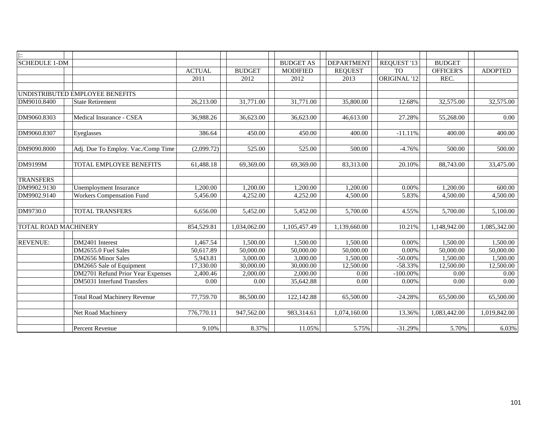| $\left  \cdot \right $ |                                     |               |               |                  |                   |                    |                  |                |
|------------------------|-------------------------------------|---------------|---------------|------------------|-------------------|--------------------|------------------|----------------|
| <b>SCHEDULE 1-DM</b>   |                                     |               |               | <b>BUDGET AS</b> | <b>DEPARTMENT</b> | <b>REOUEST '13</b> | <b>BUDGET</b>    |                |
|                        |                                     | <b>ACTUAL</b> | <b>BUDGET</b> | <b>MODIFIED</b>  | <b>REQUEST</b>    | <b>TO</b>          | <b>OFFICER'S</b> | <b>ADOPTED</b> |
|                        |                                     | 2011          | 2012          | 2012             | 2013              | ORIGINAL '12       | REC.             |                |
|                        |                                     |               |               |                  |                   |                    |                  |                |
|                        | UNDISTRIBUTED EMPLOYEE BENEFITS     |               |               |                  |                   |                    |                  |                |
| DM9010.8400            | <b>State Retirement</b>             | 26,213.00     | 31,771.00     | 31,771.00        | 35,800.00         | 12.68%             | 32,575.00        | 32,575.00      |
|                        |                                     |               |               |                  |                   |                    |                  |                |
| DM9060.8303            | Medical Insurance - CSEA            | 36,988.26     | 36,623.00     | 36,623.00        | 46,613.00         | 27.28%             | 55,268.00        | 0.00           |
|                        |                                     |               |               |                  |                   |                    |                  |                |
| DM9060.8307            | Eyeglasses                          | 386.64        | 450.00        | 450.00           | 400.00            | $-11.11%$          | 400.00           | 400.00         |
|                        |                                     |               |               |                  |                   |                    |                  |                |
| DM9090.8000            | Adj. Due To Employ. Vac./Comp Time  | (2,099.72)    | 525.00        | 525.00           | 500.00            | $-4.76%$           | 500.00           | 500.00         |
|                        |                                     |               |               |                  |                   |                    |                  |                |
| DM9199M                | TOTAL EMPLOYEE BENEFITS             | 61,488.18     | 69,369.00     | 69,369.00        | 83,313.00         | 20.10%             | 88,743.00        | 33,475.00      |
|                        |                                     |               |               |                  |                   |                    |                  |                |
| <b>TRANSFERS</b>       |                                     |               |               |                  |                   |                    |                  |                |
| DM9902.9130            | Unemployment Insurance              | 1,200.00      | 1,200.00      | 1.200.00         | 1,200.00          | 0.00%              | 1,200.00         | 600.00         |
| DM9902.9140            | <b>Workers Compensation Fund</b>    | 5,456.00      | 4,252.00      | 4,252.00         | 4,500.00          | 5.83%              | 4,500.00         | 4,500.00       |
|                        |                                     |               |               |                  |                   |                    |                  |                |
| DM9730.0               | <b>TOTAL TRANSFERS</b>              | 6,656.00      | 5,452.00      | 5,452.00         | 5,700.00          | 4.55%              | 5,700.00         | 5,100.00       |
|                        |                                     |               |               |                  |                   |                    |                  |                |
| TOTAL ROAD MACHINERY   |                                     | 854,529.81    | 1,034,062.00  | 1,105,457.49     | 1,139,660.00      | 10.21%             | 1,148,942.00     | 1,085,342.00   |
|                        |                                     |               |               |                  |                   |                    |                  |                |
| <b>REVENUE:</b>        | DM2401 Interest                     | 1,467.54      | 1,500.00      | 1,500.00         | 1,500.00          | 0.00%              | 1,500.00         | 1,500.00       |
|                        | DM2655.0 Fuel Sales                 | 50,617.89     | 50,000.00     | 50,000.00        | 50,000.00         | 0.00%              | 50,000.00        | 50,000.00      |
|                        | DM2656 Minor Sales                  | 5,943.81      | 3,000.00      | 3,000.00         | 1,500.00          | $-50.00\%$         | 1,500.00         | 1,500.00       |
|                        | DM2665 Sale of Equipment            | 17,330.00     | 30,000.00     | 30,000.00        | 12,500.00         | $-58.33%$          | 12,500.00        | 12,500.00      |
|                        | DM2701 Refund Prior Year Expenses   | 2,400.46      | 2,000.00      | 2,000.00         | 0.00              | $-100.00\%$        | 0.00             | $0.00\,$       |
|                        | DM5031 Interfund Transfers          | 0.00          | 0.00          | 35,642.88        | 0.00              | 0.00%              | 0.00             | 0.00           |
|                        |                                     |               |               |                  |                   |                    |                  |                |
|                        | <b>Total Road Machinery Revenue</b> | 77,759.70     | 86,500.00     | 122,142.88       | 65,500.00         | $-24.28%$          | 65,500.00        | 65,500.00      |
|                        |                                     |               |               |                  |                   |                    |                  |                |
|                        | Net Road Machinery                  | 776,770.11    | 947,562.00    | 983,314.61       | 1,074,160.00      | 13.36%             | 1,083,442.00     | 1,019,842.00   |
|                        |                                     |               |               |                  |                   |                    |                  |                |
|                        | Percent Revenue                     | 9.10%         | 8.37%         | 11.05%           | 5.75%             | $-31.29%$          | 5.70%            | 6.03%          |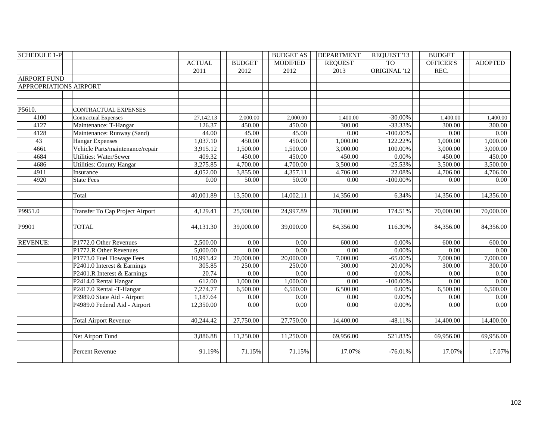| <b>SCHEDULE 1-P</b>    |                                  |               |               | <b>BUDGET AS</b>  | <b>DEPARTMENT</b> | REQUEST '13  | <b>BUDGET</b> |                |
|------------------------|----------------------------------|---------------|---------------|-------------------|-------------------|--------------|---------------|----------------|
|                        |                                  | <b>ACTUAL</b> | <b>BUDGET</b> | <b>MODIFIED</b>   | <b>REQUEST</b>    | <b>TO</b>    | OFFICER'S     | <b>ADOPTED</b> |
|                        |                                  | 2011          | 2012          | 2012              | 2013              | ORIGINAL '12 | REC.          |                |
| <b>AIRPORT FUND</b>    |                                  |               |               |                   |                   |              |               |                |
| APPROPRIATIONS AIRPORT |                                  |               |               |                   |                   |              |               |                |
|                        |                                  |               |               |                   |                   |              |               |                |
|                        |                                  |               |               |                   |                   |              |               |                |
| P5610.                 | <b>CONTRACTUAL EXPENSES</b>      |               |               |                   |                   |              |               |                |
| 4100                   | <b>Contractual Expenses</b>      | 27,142.13     | 2,000.00      | 2,000.00          | 1,400.00          | $-30.00\%$   | 1,400.00      | 1,400.00       |
| 4127                   | Maintenance: T-Hangar            | 126.37        | 450.00        | 450.00            | 300.00            | $-33.33%$    | 300.00        | 300.00         |
| 4128                   | Maintenance: Runway (Sand)       | 44.00         | 45.00         | 45.00             | $\overline{0.00}$ | $-100.00\%$  | 0.00          | 0.00           |
| 43                     | <b>Hangar Expenses</b>           | 1,037.10      | 450.00        | 450.00            | 1,000.00          | 122.22%      | 1,000.00      | 1,000.00       |
| 4661                   | Vehicle Parts/maintenance/repair | 3,915.12      | 1,500.00      | 1,500.00          | 3,000.00          | 100.00%      | 3,000.00      | 3,000.00       |
| 4684                   | Utilities: Water/Sewer           | 409.32        | 450.00        | 450.00            | 450.00            | 0.00%        | 450.00        | 450.00         |
| 4686                   | <b>Utilities: County Hangar</b>  | 3,275.85      | 4,700.00      | 4,700.00          | 3,500.00          | $-25.53%$    | 3,500.00      | 3,500.00       |
| 4911                   | Insurance                        | 4,052.00      | 3,855.00      | 4,357.11          | 4,706.00          | 22.08%       | 4,706.00      | 4,706.00       |
| 4920                   | <b>State Fees</b>                | 0.00          | 50.00         | 50.00             | 0.00              | $-100.00\%$  | 0.00          | 0.00           |
|                        |                                  |               |               |                   |                   |              |               |                |
|                        | Total                            | 40,001.89     | 13,500.00     | 14,002.11         | 14,356.00         | 6.34%        | 14,356.00     | 14,356.00      |
|                        |                                  |               |               |                   |                   |              |               |                |
| P9951.0                | Transfer To Cap Project Airport  | 4,129.41      | 25,500.00     | 24,997.89         | 70,000.00         | 174.51%      | 70,000.00     | 70,000.00      |
|                        |                                  |               |               |                   |                   |              |               |                |
| P9901                  | <b>TOTAL</b>                     | 44,131.30     | 39,000.00     | 39,000.00         | 84,356.00         | 116.30%      | 84,356.00     | 84,356.00      |
|                        |                                  |               |               |                   |                   |              |               |                |
| <b>REVENUE:</b>        | P1772.0 Other Revenues           | 2,500.00      | 0.00          | 0.00              | 600.00            | $0.00\%$     | 600.00        | 600.00         |
|                        | P1772.R Other Revenues           | 5,000.00      | 0.00          | $\overline{0.00}$ | 0.00              | $0.00\%$     | 0.00          | 0.00           |
|                        | P1773.0 Fuel Flowage Fees        | 10,993.42     | 20,000.00     | 20,000.00         | 7,000.00          | $-65.00\%$   | 7,000.00      | 7,000.00       |
|                        | P2401.0 Interest & Earnings      | 305.85        | 250.00        | 250.00            | 300.00            | 20.00%       | 300.00        | 300.00         |
|                        | P2401.R Interest & Earnings      | 20.74         | 0.00          | $\overline{0.00}$ | 0.00              | $0.00\%$     | 0.00          | $0.00\,$       |
|                        | P2414.0 Rental Hangar            | 612.00        | 1,000.00      | 1,000.00          | 0.00              | $-100.00\%$  | $0.00\,$      | 0.00           |
|                        | P2417.0 Rental -T-Hangar         | 7,274.77      | 6,500.00      | 6,500.00          | 6,500.00          | 0.00%        | 6,500.00      | 6,500.00       |
|                        | P3989.0 State Aid - Airport      | 1,187.64      | 0.00          | 0.00              | 0.00              | $0.00\%$     | 0.00          | 0.00           |
|                        | P4989.0 Federal Aid - Airport    | 12,350.00     | 0.00          | 0.00              | 0.00              | 0.00%        | 0.00          | 0.00           |
|                        |                                  |               |               |                   |                   |              |               |                |
|                        | <b>Total Airport Revenue</b>     | 40,244.42     | 27,750.00     | 27,750.00         | 14,400.00         | $-48.11%$    | 14,400.00     | 14,400.00      |
|                        |                                  |               |               |                   |                   |              |               |                |
|                        | Net Airport Fund                 | 3,886.88      | 11,250.00     | 11,250.00         | 69,956.00         | 521.83%      | 69,956.00     | 69,956.00      |
|                        |                                  |               |               |                   |                   |              |               |                |
|                        | Percent Revenue                  | 91.19%        | 71.15%        | 71.15%            | 17.07%            | $-76.01%$    | 17.07%        | 17.07%         |
|                        |                                  |               |               |                   |                   |              |               |                |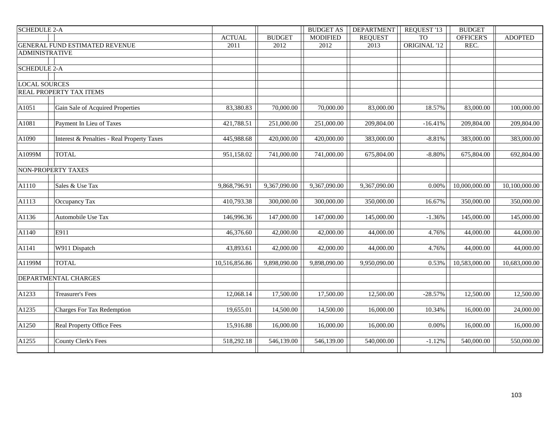| <b>SCHEDULE 2-A</b>   |                                                       |               |               | <b>BUDGET AS</b> | <b>DEPARTMENT</b> | REQUEST '13  | <b>BUDGET</b> |                         |
|-----------------------|-------------------------------------------------------|---------------|---------------|------------------|-------------------|--------------|---------------|-------------------------|
|                       |                                                       | <b>ACTUAL</b> | <b>BUDGET</b> | <b>MODIFIED</b>  | <b>REQUEST</b>    | <b>TO</b>    | OFFICER'S     | <b>ADOPTED</b>          |
|                       | GENERAL FUND ESTIMATED REVENUE                        | 2011          | 2012          | 2012             | 2013              | ORIGINAL '12 | REC.          |                         |
| <b>ADMINISTRATIVE</b> |                                                       |               |               |                  |                   |              |               |                         |
|                       |                                                       |               |               |                  |                   |              |               |                         |
| <b>SCHEDULE 2-A</b>   |                                                       |               |               |                  |                   |              |               |                         |
|                       |                                                       |               |               |                  |                   |              |               |                         |
| <b>LOCAL SOURCES</b>  |                                                       |               |               |                  |                   |              |               |                         |
|                       | REAL PROPERTY TAX ITEMS                               |               |               |                  |                   |              |               |                         |
|                       |                                                       |               |               |                  |                   |              |               |                         |
| A1051                 | Gain Sale of Acquired Properties                      | 83,380.83     | 70,000.00     | 70,000.00        | 83,000.00         | 18.57%       | 83,000.00     | $\overline{100,000.00}$ |
|                       |                                                       |               |               |                  |                   |              |               |                         |
| A1081                 | Payment In Lieu of Taxes                              | 421,788.51    | 251,000.00    | 251,000.00       | 209,804.00        | $-16.41%$    | 209,804.00    | 209,804.00              |
|                       |                                                       |               |               |                  |                   |              |               |                         |
| A1090                 | <b>Interest &amp; Penalties - Real Property Taxes</b> | 445,988.68    | 420,000.00    | 420,000.00       | 383,000.00        | $-8.81%$     | 383,000.00    | 383,000.00              |
| A1099M                | <b>TOTAL</b>                                          | 951,158.02    | 741,000.00    | 741,000.00       | 675,804.00        | $-8.80%$     | 675,804.00    | 692,804.00              |
|                       |                                                       |               |               |                  |                   |              |               |                         |
|                       | NON-PROPERTY TAXES                                    |               |               |                  |                   |              |               |                         |
|                       |                                                       |               |               |                  |                   |              |               |                         |
| A1110                 | Sales & Use Tax                                       | 9,868,796.91  | 9,367,090.00  | 9,367,090.00     | 9,367,090.00      | 0.00%        | 10,000,000.00 | 10,100,000.00           |
|                       |                                                       |               |               |                  |                   |              |               |                         |
| A1113                 | Occupancy Tax                                         | 410,793.38    | 300,000.00    | 300,000.00       | 350,000.00        | 16.67%       | 350,000.00    | 350,000.00              |
|                       |                                                       |               |               |                  |                   |              |               |                         |
| A1136                 | Automobile Use Tax                                    | 146,996.36    | 147,000.00    | 147,000.00       | 145,000.00        | $-1.36%$     | 145,000.00    | 145,000.00              |
|                       |                                                       |               |               |                  |                   |              |               |                         |
| A1140                 | E911                                                  | 46,376.60     | 42,000.00     | 42,000.00        | 44,000.00         | 4.76%        | 44,000.00     | 44,000.00               |
|                       |                                                       |               |               |                  |                   |              |               |                         |
| A1141                 | W911 Dispatch                                         | 43,893.61     | 42,000.00     | 42,000.00        | 44,000.00         | 4.76%        | 44,000.00     | 44,000.00               |
|                       |                                                       |               |               |                  |                   |              |               |                         |
| A1199M                | <b>TOTAL</b>                                          | 10,516,856.86 | 9,898,090.00  | 9,898,090.00     | 9,950,090.00      | 0.53%        | 10,583,000.00 | 10,683,000.00           |
|                       |                                                       |               |               |                  |                   |              |               |                         |
|                       | DEPARTMENTAL CHARGES                                  |               |               |                  |                   |              |               |                         |
|                       |                                                       |               |               |                  |                   |              |               |                         |
| A1233                 | <b>Treasurer's Fees</b>                               | 12,068.14     | 17,500.00     | 17,500.00        | 12,500.00         | $-28.57%$    | 12,500.00     | 12,500.00               |
|                       |                                                       |               |               |                  |                   |              |               |                         |
| A1235                 | <b>Charges For Tax Redemption</b>                     | 19,655.01     | 14,500.00     | 14,500.00        | 16,000.00         | 10.34%       | 16,000.00     | 24,000.00               |
| A1250                 | <b>Real Property Office Fees</b>                      |               |               |                  |                   |              |               | 16,000.00               |
|                       |                                                       | 15,916.88     | 16,000.00     | 16,000.00        | 16,000.00         | 0.00%        | 16,000.00     |                         |
| A1255                 | <b>County Clerk's Fees</b>                            | 518,292.18    | 546,139.00    | 546,139.00       | 540,000.00        | $-1.12%$     | 540,000.00    | 550,000.00              |
|                       |                                                       |               |               |                  |                   |              |               |                         |
|                       |                                                       |               |               |                  |                   |              |               |                         |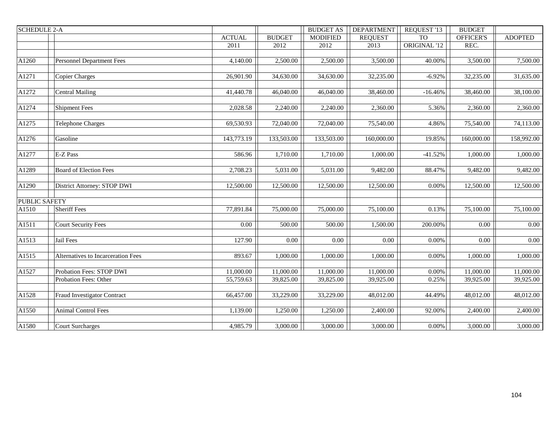| <b>SCHEDULE 2-A</b>  |                                    |               |               | <b>BUDGET AS</b> | <b>DEPARTMENT</b> | REQUEST '13  | <b>BUDGET</b>    |                |
|----------------------|------------------------------------|---------------|---------------|------------------|-------------------|--------------|------------------|----------------|
|                      |                                    | <b>ACTUAL</b> | <b>BUDGET</b> | <b>MODIFIED</b>  | <b>REQUEST</b>    | <b>TO</b>    | <b>OFFICER'S</b> | <b>ADOPTED</b> |
|                      |                                    | 2011          | 2012          | 2012             | 2013              | ORIGINAL '12 | REC.             |                |
|                      |                                    |               |               |                  |                   |              |                  |                |
| A1260                | Personnel Department Fees          | 4,140.00      | 2,500.00      | 2,500.00         | 3,500.00          | 40.00%       | 3,500.00         | 7,500.00       |
|                      |                                    |               |               |                  |                   |              |                  |                |
| A1271                | Copier Charges                     | 26,901.90     | 34,630.00     | 34,630.00        | 32,235.00         | $-6.92%$     | 32,235.00        | 31,635.00      |
|                      |                                    |               |               |                  |                   |              |                  |                |
| A1272                | <b>Central Mailing</b>             | 41,440.78     | 46,040.00     | 46,040.00        | 38,460.00         | $-16.46%$    | 38,460.00        | 38,100.00      |
|                      |                                    |               |               |                  |                   |              |                  |                |
| A1274                | <b>Shipment Fees</b>               | 2,028.58      | 2,240.00      | 2,240.00         | 2,360.00          | 5.36%        | 2,360.00         | 2,360.00       |
|                      |                                    |               |               |                  |                   |              |                  |                |
| A1275                | <b>Telephone Charges</b>           | 69,530.93     | 72,040.00     | 72,040.00        | 75,540.00         | 4.86%        | 75,540.00        | 74,113.00      |
|                      |                                    |               |               |                  |                   |              |                  |                |
| A1276                | Gasoline                           | 143,773.19    | 133,503.00    | 133,503.00       | 160,000.00        | 19.85%       | 160,000.00       | 158,992.00     |
| A1277                | E-Z Pass                           | 586.96        | 1,710.00      | 1,710.00         | 1,000.00          | $-41.52%$    | 1,000.00         | 1,000.00       |
|                      |                                    |               |               |                  |                   |              |                  |                |
| A1289                | <b>Board of Election Fees</b>      | 2,708.23      | 5,031.00      | 5,031.00         | 9,482.00          | 88.47%       | 9,482.00         | 9,482.00       |
|                      |                                    |               |               |                  |                   |              |                  |                |
| A1290                | District Attorney: STOP DWI        | 12,500.00     | 12,500.00     | 12,500.00        | 12,500.00         | $0.00\%$     | 12,500.00        | 12,500.00      |
|                      |                                    |               |               |                  |                   |              |                  |                |
| <b>PUBLIC SAFETY</b> |                                    |               |               |                  |                   |              |                  |                |
| A1510                | <b>Sheriff Fees</b>                | 77,891.84     | 75,000.00     | 75,000.00        | 75,100.00         | 0.13%        | 75,100.00        | 75,100.00      |
|                      |                                    |               |               |                  |                   |              |                  |                |
| A1511                | <b>Court Security Fees</b>         | 0.00          | 500.00        | 500.00           | 1,500.00          | 200.00%      | 0.00             | $0.00\,$       |
|                      |                                    |               |               |                  |                   |              |                  |                |
| A1513                | Jail Fees                          | 127.90        | 0.00          | 0.00             | 0.00              | $0.00\%$     | 0.00             | 0.00           |
|                      |                                    |               |               |                  |                   |              |                  |                |
| A1515                | Alternatives to Incarceration Fees | 893.67        | 1,000.00      | 1,000.00         | 1,000.00          | 0.00%        | 1,000.00         | 1,000.00       |
|                      |                                    |               |               |                  |                   |              |                  |                |
| A1527                | Probation Fees: STOP DWI           | 11,000.00     | 11,000.00     | 11,000.00        | 11,000.00         | $0.00\%$     | 11,000.00        | 11,000.00      |
|                      | Probation Fees: Other              | 55,759.63     | 39,825.00     | 39,825.00        | 39,925.00         | 0.25%        | 39,925.00        | 39,925.00      |
|                      |                                    |               |               |                  |                   |              |                  |                |
| A1528                | Fraud Investigator Contract        | 66,457.00     | 33,229.00     | 33,229.00        | 48,012.00         | 44.49%       | 48,012.00        | 48,012.00      |
|                      |                                    |               |               |                  |                   |              |                  |                |
| A1550                | Animal Control Fees                | 1,139.00      | 1,250.00      | 1,250.00         | 2,400.00          | 92.00%       | 2,400.00         | 2,400.00       |
|                      |                                    |               |               |                  |                   |              |                  |                |
| A1580                | <b>Court Surcharges</b>            | 4,985.79      | 3,000.00      | 3,000.00         | 3,000.00          | $0.00\%$     | 3,000.00         | 3,000.00       |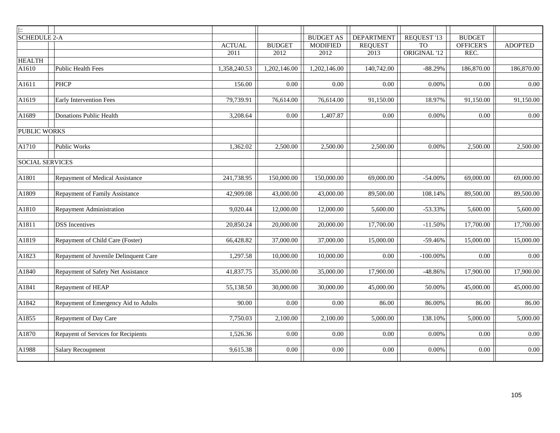| $\mathbb{R}$           |                                       |               |               |                  |                   |                 |                  |                |
|------------------------|---------------------------------------|---------------|---------------|------------------|-------------------|-----------------|------------------|----------------|
| <b>SCHEDULE 2-A</b>    |                                       |               |               | <b>BUDGET AS</b> | <b>DEPARTMENT</b> | REQUEST '13     | <b>BUDGET</b>    |                |
|                        |                                       | <b>ACTUAL</b> | <b>BUDGET</b> | <b>MODIFIED</b>  | <b>REQUEST</b>    | TO <sub>1</sub> | <b>OFFICER'S</b> | <b>ADOPTED</b> |
|                        |                                       | 2011          | 2012          | 2012             | 2013              | ORIGINAL '12    | REC.             |                |
| <b>HEALTH</b>          |                                       |               |               |                  |                   |                 |                  |                |
| A1610                  | <b>Public Health Fees</b>             | 1,358,240.53  | 1,202,146.00  | 1,202,146.00     | 140,742.00        | $-88.29%$       | 186,870.00       | 186,870.00     |
|                        |                                       |               |               |                  |                   |                 |                  |                |
| A1611                  | <b>PHCP</b>                           | 156.00        | 0.00          | 0.00             | 0.00              | 0.00%           | 0.00             | 0.00           |
|                        |                                       |               |               |                  |                   |                 |                  |                |
| A1619                  | Early Intervention Fees               | 79,739.91     | 76,614.00     | 76,614.00        | 91,150.00         | 18.97%          | 91,150.00        | 91,150.00      |
| A1689                  | <b>Donations Public Health</b>        |               | 0.00          | 1,407.87         |                   | $0.00\%$        |                  | $0.00\,$       |
|                        |                                       | 3,208.64      |               |                  | 0.00              |                 | 0.00             |                |
| <b>PUBLIC WORKS</b>    |                                       |               |               |                  |                   |                 |                  |                |
|                        |                                       |               |               |                  |                   |                 |                  |                |
| A1710                  | Public Works                          | 1,362.02      | 2,500.00      | 2,500.00         | 2,500.00          | 0.00%           | 2,500.00         | 2,500.00       |
|                        |                                       |               |               |                  |                   |                 |                  |                |
| <b>SOCIAL SERVICES</b> |                                       |               |               |                  |                   |                 |                  |                |
|                        |                                       |               |               |                  |                   |                 |                  |                |
| A1801                  | Repayment of Medical Assistance       | 241,738.95    | 150,000.00    | 150,000.00       | 69,000.00         | $-54.00\%$      | 69,000.00        | 69,000.00      |
|                        |                                       |               |               |                  |                   |                 |                  |                |
| A1809                  | Repayment of Family Assistance        | 42,909.08     | 43,000.00     | 43,000.00        | 89,500.00         | 108.14%         | 89,500.00        | 89,500.00      |
|                        |                                       |               |               |                  |                   |                 |                  |                |
| A1810                  | Repayment Administration              | 9,020.44      | 12,000.00     | 12,000.00        | 5,600.00          | $-53.33%$       | 5,600.00         | 5,600.00       |
|                        |                                       |               |               |                  |                   |                 |                  |                |
| A1811                  | <b>DSS</b> Incentives                 | 20,850.24     | 20,000.00     | 20,000.00        | 17,700.00         | $-11.50%$       | 17,700.00        | 17,700.00      |
|                        |                                       |               |               |                  |                   |                 |                  |                |
| A1819                  | Repayment of Child Care (Foster)      | 66,428.82     | 37,000.00     | 37,000.00        | 15,000.00         | $-59.46%$       | 15,000.00        | 15,000.00      |
|                        |                                       |               |               |                  |                   |                 |                  |                |
| A1823                  | Repayment of Juvenile Delinquent Care | 1,297.58      | 10,000.00     | 10,000.00        | 0.00              | $-100.00\%$     | 0.00             | $0.00\,$       |
|                        |                                       |               |               |                  |                   |                 |                  |                |
| A1840                  | Repayment of Safety Net Assistance    | 41,837.75     | 35,000.00     | 35,000.00        | 17,900.00         | $-48.86%$       | 17,900.00        | 17,900.00      |
|                        |                                       |               |               |                  |                   |                 |                  |                |
| A1841                  | Repayment of HEAP                     | 55,138.50     | 30,000.00     | 30,000.00        | 45,000.00         | 50.00%          | 45,000.00        | 45,000.00      |
|                        |                                       |               |               |                  |                   |                 |                  |                |
| A1842                  | Repayment of Emergency Aid to Adults  | 90.00         | 0.00          | 0.00             | 86.00             | 86.00%          | 86.00            | 86.00          |
| A1855                  | Repayment of Day Care                 |               |               |                  |                   |                 |                  |                |
|                        |                                       | 7,750.03      | 2,100.00      | 2,100.00         | 5,000.00          | 138.10%         | 5,000.00         | 5,000.00       |
| A1870                  | Repayent of Services for Recipients   | 1,526.36      | 0.00          | 0.00             | 0.00              | 0.00%           | 0.00             | $0.00\,$       |
|                        |                                       |               |               |                  |                   |                 |                  |                |
| A1988                  | <b>Salary Recoupment</b>              | 9,615.38      | 0.00          | 0.00             | 0.00              | 0.00%           | 0.00             | 0.00           |
|                        |                                       |               |               |                  |                   |                 |                  |                |
|                        |                                       |               |               |                  |                   |                 |                  |                |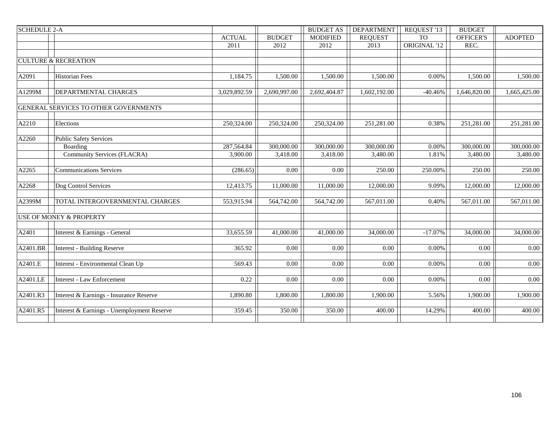| <b>SCHEDULE 2-A</b> |                                            |               |               | <b>BUDGET AS</b> | <b>DEPARTMENT</b> | REQUEST '13  | <b>BUDGET</b>    |                |
|---------------------|--------------------------------------------|---------------|---------------|------------------|-------------------|--------------|------------------|----------------|
|                     |                                            | <b>ACTUAL</b> | <b>BUDGET</b> | <b>MODIFIED</b>  | <b>REQUEST</b>    | <b>TO</b>    | <b>OFFICER'S</b> | <b>ADOPTED</b> |
|                     |                                            | 2011          | 2012          | 2012             | 2013              | ORIGINAL '12 | REC.             |                |
|                     |                                            |               |               |                  |                   |              |                  |                |
|                     | <b>CULTURE &amp; RECREATION</b>            |               |               |                  |                   |              |                  |                |
|                     |                                            |               |               |                  |                   |              |                  |                |
| A2091               | <b>Historian Fees</b>                      | 1,184.75      | 1,500.00      | 1,500.00         | 1,500.00          | 0.00%        | 1,500.00         | 1,500.00       |
|                     |                                            |               |               |                  |                   |              |                  |                |
| A1299M              | DEPARTMENTAL CHARGES                       | 3,029,892.59  | 2,690,997.00  | 2,692,404.87     | 1,602,192.00      | $-40.46%$    | 1,646,820.00     | 1,665,425.00   |
|                     | GENERAL SERVICES TO OTHER GOVERNMENTS      |               |               |                  |                   |              |                  |                |
| A2210               | Elections                                  | 250,324.00    | 250,324.00    | 250,324.00       | 251,281.00        | 0.38%        | 251,281.00       | 251,281.00     |
| A2260               | <b>Public Safety Services</b>              |               |               |                  |                   |              |                  |                |
|                     | Boarding                                   | 287,564.84    | 300,000.00    | 300,000.00       | 300,000.00        | 0.00%        | 300,000.00       | 300,000.00     |
|                     | Community Services (FLACRA)                | 3,900.00      | 3,418.00      | 3,418.00         | 3,480.00          | 1.81%        | 3,480.00         | 3,480.00       |
|                     |                                            |               |               |                  |                   |              |                  |                |
| A2265               | <b>Communications Services</b>             | (286.65)      | 0.00          | 0.00             | 250.00            | 250.00%      | 250.00           | 250.00         |
| A2268               | Dog Control Services                       | 12,413.75     | 11,000.00     | 11,000.00        | 12,000.00         | 9.09%        | 12,000.00        | 12,000.00      |
| A2399M              | TOTAL INTERGOVERNMENTAL CHARGES            | 553,915.94    | 564,742.00    | 564,742.00       | 567,011.00        | 0.40%        | 567,011.00       | 567,011.00     |
|                     | USE OF MONEY & PROPERTY                    |               |               |                  |                   |              |                  |                |
| A2401               | Interest & Earnings - General              | 33,655.59     | 41,000.00     | 41,000.00        | 34,000.00         | $-17.07%$    | 34,000.00        | 34,000.00      |
|                     |                                            |               |               |                  |                   |              |                  |                |
| A2401.BR            | <b>Interest - Building Reserve</b>         | 365.92        | 0.00          | 0.00             | 0.00              | 0.00%        | 0.00             | $0.00\,$       |
| A2401.E             | Interest - Environmental Clean Up          | 569.43        | 0.00          | 0.00             | 0.00              | $0.00\%$     | 0.00             | $0.00\,$       |
| A2401.LE            | Interest - Law Enforcement                 | 0.22          | 0.00          | 0.00             | 0.00              | $0.00\%$     | 0.00             | $0.00\,$       |
| A2401.R3            | Interest & Earnings - Insurance Reserve    | 1,890.80      | 1,800.00      | 1,800.00         | 1,900.00          | 5.56%        | 1,900.00         | 1,900.00       |
| A2401.R5            | Interest & Earnings - Unemployment Reserve | 359.45        | 350.00        | 350.00           | 400.00            | 14.29%       | 400.00           | 400.00         |
|                     |                                            |               |               |                  |                   |              |                  |                |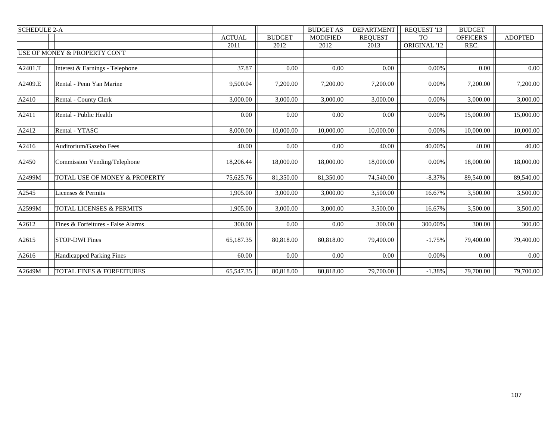| <b>SCHEDULE 2-A</b> |                                    |               |               | <b>BUDGET AS</b> | <b>DEPARTMENT</b> | REQUEST '13  | <b>BUDGET</b> |                |
|---------------------|------------------------------------|---------------|---------------|------------------|-------------------|--------------|---------------|----------------|
|                     |                                    | <b>ACTUAL</b> | <b>BUDGET</b> | <b>MODIFIED</b>  | <b>REQUEST</b>    | <b>TO</b>    | OFFICER'S     | <b>ADOPTED</b> |
|                     |                                    | 2011          | 2012          | 2012             | 2013              | ORIGINAL '12 | REC.          |                |
|                     | USE OF MONEY & PROPERTY CON'T      |               |               |                  |                   |              |               |                |
|                     |                                    |               |               |                  |                   |              |               |                |
| A2401.T             | Interest & Earnings - Telephone    | 37.87         | 0.00          | 0.00             | 0.00              | 0.00%        | 0.00          | 0.00           |
|                     |                                    |               |               |                  |                   |              |               |                |
| A2409.E             | Rental - Penn Yan Marine           | 9,500.04      | 7,200.00      | 7,200.00         | 7,200.00          | 0.00%        | 7,200.00      | 7,200.00       |
|                     |                                    |               |               |                  |                   |              |               |                |
| A2410               | Rental - County Clerk              | 3,000.00      | 3,000.00      | 3,000.00         | 3,000.00          | 0.00%        | 3,000.00      | 3,000.00       |
|                     |                                    |               |               |                  |                   |              |               |                |
| A2411               | Rental - Public Health             | 0.00          | 0.00          | 0.00             | 0.00              | 0.00%        | 15,000.00     | 15,000.00      |
|                     |                                    |               |               |                  |                   |              |               |                |
| A2412               | Rental - YTASC                     | 8,000.00      | 10,000.00     | 10,000.00        | 10,000.00         | 0.00%        | 10,000.00     | 10,000.00      |
|                     |                                    |               |               |                  |                   |              |               |                |
| A2416               | Auditorium/Gazebo Fees             | 40.00         | 0.00          | 0.00             | 40.00             | 40.00%       | 40.00         | 40.00          |
|                     |                                    |               |               |                  |                   |              |               |                |
| A2450               | Commission Vending/Telephone       | 18,206.44     | 18,000.00     | 18,000.00        | 18,000.00         | 0.00%        | 18,000.00     | 18,000.00      |
|                     |                                    |               |               |                  |                   |              |               |                |
| A2499M              | TOTAL USE OF MONEY & PROPERTY      | 75,625.76     | 81,350.00     | 81,350.00        | 74,540.00         | $-8.37%$     | 89,540.00     | 89,540.00      |
|                     |                                    |               |               |                  |                   |              |               |                |
| A2545               | Licenses & Permits                 | 1,905.00      | 3,000.00      | 3,000.00         | 3,500.00          | 16.67%       | 3,500.00      | 3,500.00       |
|                     |                                    |               |               |                  |                   |              |               |                |
| A2599M              | TOTAL LICENSES & PERMITS           | 1,905.00      | 3,000.00      | 3,000.00         | 3,500.00          | 16.67%       | 3,500.00      | 3,500.00       |
|                     |                                    |               |               |                  |                   |              |               |                |
| A2612               | Fines & Forfeitures - False Alarms | 300.00        | 0.00          | 0.00             | 300.00            | 300.00%      | 300.00        | 300.00         |
|                     |                                    |               |               |                  |                   |              |               |                |
| A <sub>2615</sub>   | <b>STOP-DWI Fines</b>              | 65,187.35     | 80,818.00     | 80,818.00        | 79,400.00         | $-1.75%$     | 79,400.00     | 79,400.00      |
|                     |                                    |               |               |                  |                   |              |               |                |
| A2616               | <b>Handicapped Parking Fines</b>   | 60.00         | 0.00          | 0.00             | 0.00              | 0.00%        | 0.00          | 0.00           |
|                     |                                    |               |               |                  |                   |              |               |                |
| A2649M              | TOTAL FINES & FORFEITURES          | 65,547.35     | 80,818.00     | 80,818.00        | 79,700.00         | $-1.38%$     | 79,700.00     | 79,700.00      |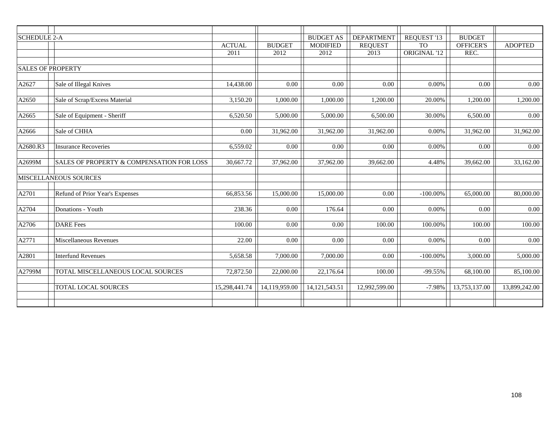| <b>SCHEDULE 2-A</b>      |                                           |               |               | <b>BUDGET AS</b> | <b>DEPARTMENT</b> | REQUEST '13  | <b>BUDGET</b>    |                |
|--------------------------|-------------------------------------------|---------------|---------------|------------------|-------------------|--------------|------------------|----------------|
|                          |                                           | <b>ACTUAL</b> | <b>BUDGET</b> | <b>MODIFIED</b>  | <b>REQUEST</b>    | <b>TO</b>    | <b>OFFICER'S</b> | <b>ADOPTED</b> |
|                          |                                           | 2011          | 2012          | 2012             | 2013              | ORIGINAL '12 | $REC$ .          |                |
|                          |                                           |               |               |                  |                   |              |                  |                |
| <b>SALES OF PROPERTY</b> |                                           |               |               |                  |                   |              |                  |                |
|                          |                                           |               |               |                  |                   |              |                  |                |
| A2627                    | Sale of Illegal Knives                    | 14,438.00     | 0.00          | 0.00             | 0.00              | 0.00%        | 0.00             | 0.00           |
|                          |                                           |               |               |                  |                   |              |                  |                |
| A2650                    | Sale of Scrap/Excess Material             | 3,150.20      | 1,000.00      | 1,000.00         | 1,200.00          | 20.00%       | 1,200.00         | 1,200.00       |
|                          |                                           |               |               |                  |                   |              |                  |                |
| A2665                    | Sale of Equipment - Sheriff               | 6,520.50      | 5,000.00      | 5,000.00         | 6,500.00          | 30.00%       | 6,500.00         | 0.00           |
|                          |                                           |               |               |                  |                   |              |                  |                |
| A2666                    | Sale of CHHA                              | 0.00          | 31,962.00     | 31,962.00        | 31,962.00         | 0.00%        | 31,962.00        | 31,962.00      |
|                          |                                           |               |               |                  |                   |              |                  |                |
| A2680.R3                 | <b>Insurance Recoveries</b>               | 6,559.02      | 0.00          | 0.00             | 0.00              | 0.00%        | 0.00             | 0.00           |
|                          |                                           |               |               |                  |                   |              |                  |                |
| A2699M                   | SALES OF PROPERTY & COMPENSATION FOR LOSS | 30,667.72     | 37,962.00     | 37,962.00        | 39,662.00         | 4.48%        | 39,662.00        | 33,162.00      |
|                          |                                           |               |               |                  |                   |              |                  |                |
|                          | <b>MISCELLANEOUS SOURCES</b>              |               |               |                  |                   |              |                  |                |
|                          |                                           |               |               |                  |                   |              |                  |                |
| A2701                    | Refund of Prior Year's Expenses           | 66,853.56     | 15,000.00     | 15,000.00        | 0.00              | $-100.00\%$  | 65,000.00        | 80,000.00      |
|                          |                                           |               |               |                  |                   |              |                  |                |
| A2704                    | Donations - Youth                         | 238.36        | 0.00          | 176.64           | 0.00              | 0.00%        | 0.00             | 0.00           |
|                          |                                           |               |               |                  |                   |              |                  |                |
| A2706                    | <b>DARE</b> Fees                          | 100.00        | 0.00          | 0.00             | 100.00            | 100.00%      | 100.00           | 100.00         |
|                          |                                           |               |               |                  |                   |              |                  |                |
| A2771                    | Miscellaneous Revenues                    | 22.00         | 0.00          | 0.00             | 0.00              | 0.00%        | 0.00             | 0.00           |
|                          |                                           |               |               |                  |                   |              |                  |                |
| A2801                    | <b>Interfund Revenues</b>                 | 5,658.58      | 7,000.00      | 7,000.00         | 0.00              | $-100.00\%$  | 3,000.00         | 5,000.00       |
|                          |                                           |               |               |                  |                   |              |                  |                |
| A2799M                   | TOTAL MISCELLANEOUS LOCAL SOURCES         | 72,872.50     | 22,000.00     | 22,176.64        | 100.00            | $-99.55%$    | 68,100.00        | 85,100.00      |
|                          |                                           |               |               |                  |                   |              |                  |                |
|                          | <b>TOTAL LOCAL SOURCES</b>                | 15,298,441.74 | 14,119,959.00 | 14, 121, 543. 51 | 12,992,599.00     | $-7.98%$     | 13,753,137.00    | 13,899,242.00  |
|                          |                                           |               |               |                  |                   |              |                  |                |
|                          |                                           |               |               |                  |                   |              |                  |                |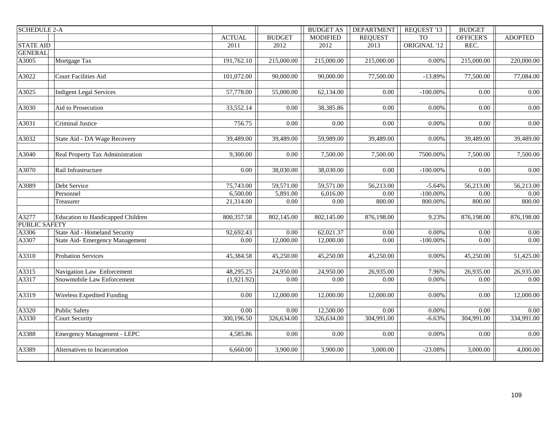| <b>SCHEDULE 2-A</b>  |                                   |               |               | <b>BUDGET AS</b>  | <b>DEPARTMENT</b> | REQUEST '13  | <b>BUDGET</b>    |                   |
|----------------------|-----------------------------------|---------------|---------------|-------------------|-------------------|--------------|------------------|-------------------|
|                      |                                   | <b>ACTUAL</b> | <b>BUDGET</b> | <b>MODIFIED</b>   | <b>REQUEST</b>    | <b>TO</b>    | <b>OFFICER'S</b> | <b>ADOPTED</b>    |
| <b>STATE AID</b>     |                                   | 2011          | 2012          | 2012              | 2013              | ORIGINAL '12 | REC.             |                   |
| <b>GENERAL</b>       |                                   |               |               |                   |                   |              |                  |                   |
| A3005                | Mortgage Tax                      | 191,762.10    | 215,000.00    | 215,000.00        | 215,000.00        | $0.00\%$     | 215,000.00       | 220,000.00        |
|                      |                                   |               |               |                   |                   |              |                  |                   |
| A3022                | Court Facilities Aid              | 101,072.00    | 90,000.00     | 90,000.00         | 77,500.00         | $-13.89%$    | 77,500.00        | 77,084.00         |
|                      |                                   |               |               |                   |                   |              |                  |                   |
| A3025                | <b>Indigent Legal Services</b>    | 57,778.00     | 55,000.00     | 62,134.00         | 0.00              | $-100.00\%$  | 0.00             | $0.00\,$          |
|                      |                                   |               |               |                   |                   |              |                  |                   |
| A3030                | Aid to Prosecution                | 33,552.14     | 0.00          | 38,385.86         | 0.00              | $0.00\%$     | 0.00             | 0.00              |
|                      |                                   |               |               |                   |                   |              |                  |                   |
| A3031                | Criminal Justice                  | 756.75        | 0.00          | $\overline{0.00}$ | 0.00              | 0.00%        | 0.00             | $\overline{0.00}$ |
|                      |                                   |               |               |                   |                   |              |                  |                   |
| A3032                | State Aid - DA Wage Recovery      | 39,489.00     | 39,489.00     | 59,989.00         | 39,489.00         | $0.00\%$     | 39,489.00        | 39,489.00         |
| A3040                | Real Property Tax Administration  | 9,300.00      | 0.00          | 7,500.00          |                   | 7500.00%     |                  | 7,500.00          |
|                      |                                   |               |               |                   | 7,500.00          |              | 7,500.00         |                   |
| A3070                | Rail Infrastructure               | 0.00          | 38,030.00     | 38,030.00         | 0.00              | $-100.00\%$  | 0.00             | 0.00              |
|                      |                                   |               |               |                   |                   |              |                  |                   |
| A3089                | Debt Service                      | 75,743.00     | 59,571.00     | 59,571.00         | 56,213.00         | $-5.64%$     | 56,213.00        | 56,213.00         |
|                      | Personnel                         | 6,500.00      | 5,891.00      | 6,016.00          | 0.00              | $-100.00\%$  | $0.00\,$         | $0.00\,$          |
|                      | Treasurer                         | 21,314.00     | $0.00\,$      | 0.00              | 800.00            | 800.00%      | 800.00           | 800.00            |
|                      |                                   |               |               |                   |                   |              |                  |                   |
| A3277                | Education to Handicapped Children | 800,357.58    | 802,145.00    | 802,145.00        | 876,198.00        | 9.23%        | 876,198.00       | 876,198.00        |
| <b>PUBLIC SAFETY</b> |                                   |               |               |                   |                   |              |                  |                   |
| A3306                | State Aid - Homeland Security     | 92,692.43     | 0.00          | 62,021.37         | 0.00              | $0.00\%$     | 0.00             | 0.00              |
| A3307                | State Aid- Emergency Management   | 0.00          | 12,000.00     | 12,000.00         | 0.00              | $-100.00\%$  | 0.00             | $0.00\,$          |
|                      |                                   |               |               |                   |                   |              |                  |                   |
| A3310                | Probation Services                | 45,384.58     | 45,250.00     | 45,250.00         | 45,250.00         | $0.00\%$     | 45,250.00        | 51,425.00         |
|                      |                                   |               |               |                   |                   |              |                  |                   |
| A3315                | Navigation Law Enforcement        | 48,295.25     | 24,950.00     | 24,950.00         | 26,935.00         | 7.96%        | 26,935.00        | 26,935.00         |
| A3317                | Snowmobile Law Enforcement        | (1,921.92)    | 0.00          | 0.00              | 0.00              | 0.00%        | 0.00             | 0.00              |
|                      |                                   |               |               |                   |                   |              |                  |                   |
| A3319                | Wireless Expedited Funding        | 0.00          | 12,000.00     | 12,000.00         | 12,000.00         | $0.00\%$     | 0.00             | 12,000.00         |
|                      |                                   |               |               |                   |                   |              |                  |                   |
| A3320                | Public Safety                     | 0.00          | 0.00          | 12,500.00         | 0.00              | $0.00\%$     | 0.00             | $0.00\,$          |
| A3330                | <b>Court Security</b>             | 300,196.50    | 326,634.00    | 326,634.00        | 304,991.00        | $-6.63%$     | 304,991.00       | 334,991.00        |
|                      |                                   |               |               |                   |                   |              |                  |                   |
| A3388                | Emergency Management - LEPC       | 4,585.86      | 0.00          | 0.00              | 0.00              | $0.00\%$     | 0.00             | 0.00              |
|                      |                                   |               |               |                   |                   |              |                  |                   |
| A3389                | Alternatives to Incarceration     | 6,660.00      | 3,900.00      | 3,900.00          | 3,000.00          | $-23.08%$    | 3,000.00         | 4,000.00          |
|                      |                                   |               |               |                   |                   |              |                  |                   |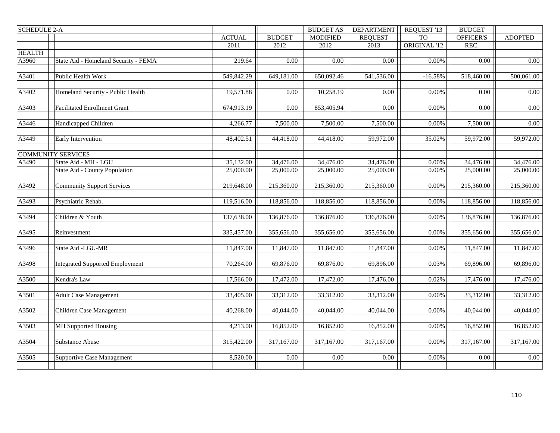| <b>SCHEDULE 2-A</b> |                                        |               |               | <b>BUDGET AS</b> | <b>DEPARTMENT</b> | REQUEST '13     | <b>BUDGET</b>    |                |
|---------------------|----------------------------------------|---------------|---------------|------------------|-------------------|-----------------|------------------|----------------|
|                     |                                        | <b>ACTUAL</b> | <b>BUDGET</b> | <b>MODIFIED</b>  | <b>REQUEST</b>    | TO <sub>1</sub> | <b>OFFICER'S</b> | <b>ADOPTED</b> |
|                     |                                        | 2011          | 2012          | 2012             | 2013              | ORIGINAL '12    | REC.             |                |
| <b>HEALTH</b>       |                                        |               |               |                  |                   |                 |                  |                |
| A3960               | State Aid - Homeland Security - FEMA   | 219.64        | 0.00          | 0.00             | 0.00              | $0.00\%$        | 0.00             | $0.00\,$       |
|                     |                                        |               |               |                  |                   |                 |                  |                |
| A3401               | Public Health Work                     | 549,842.29    | 649,181.00    | 650,092.46       | 541,536.00        | $-16.58%$       | 518,460.00       | 500,061.00     |
|                     |                                        |               |               |                  |                   |                 |                  |                |
| A3402               | Homeland Security - Public Health      | 19,571.88     | 0.00          | 10,258.19        | 0.00              | 0.00%           | 0.00             | $0.00\,$       |
|                     |                                        |               |               |                  |                   |                 |                  |                |
| A3403               | <b>Facilitated Enrollment Grant</b>    | 674,913.19    | 0.00          | 853,405.94       | 0.00              | $0.00\%$        | 0.00             | $0.00\,$       |
|                     |                                        |               |               |                  |                   |                 |                  |                |
| A3446               | Handicapped Children                   | 4,266.77      | 7,500.00      | 7,500.00         | 7,500.00          | $0.00\%$        | 7,500.00         | $0.00\,$       |
|                     |                                        |               |               |                  |                   |                 |                  |                |
| A3449               | Early Intervention                     | 48,402.51     | 44,418.00     | 44,418.00        | 59,972.00         | 35.02%          | 59,972.00        | 59,972.00      |
|                     |                                        |               |               |                  |                   |                 |                  |                |
|                     | <b>COMMUNITY SERVICES</b>              |               |               |                  |                   |                 |                  |                |
| A3490               | State Aid - MH - LGU                   | 35,132.00     | 34,476.00     | 34,476.00        | 34,476.00         | $0.00\%$        | 34,476.00        | 34,476.00      |
|                     | State Aid - County Population          | 25,000.00     | 25,000.00     | 25,000.00        | 25,000.00         | $0.00\%$        | 25,000.00        | 25,000.00      |
|                     |                                        |               |               |                  |                   |                 |                  |                |
| A3492               | <b>Community Support Services</b>      | 219,648.00    | 215,360.00    | 215,360.00       | 215,360.00        | 0.00%           | 215,360.00       | 215,360.00     |
|                     |                                        |               |               |                  |                   |                 |                  |                |
| A3493               | Psychiatric Rehab.                     | 119,516.00    | 118,856.00    | 118,856.00       | 118,856.00        | $0.00\%$        | 118,856.00       | 118,856.00     |
|                     |                                        |               |               |                  |                   |                 |                  |                |
| A3494               | Children & Youth                       | 137,638.00    | 136,876.00    | 136,876.00       | 136,876.00        | $0.00\%$        | 136,876.00       | 136,876.00     |
|                     |                                        |               |               |                  |                   |                 |                  |                |
| A3495               | Reinvestment                           | 335,457.00    | 355,656.00    | 355,656.00       | 355,656.00        | 0.00%           | 355,656.00       | 355,656.00     |
|                     |                                        |               |               |                  |                   |                 |                  |                |
| A3496               | State Aid -LGU-MR                      | 11,847.00     | 11,847.00     | 11,847.00        | 11,847.00         | $0.00\%$        | 11,847.00        | 11,847.00      |
|                     |                                        |               |               |                  |                   |                 |                  |                |
| A3498               | <b>Integrated Supported Employment</b> | 70,264.00     | 69,876.00     | 69,876.00        | 69,896.00         | 0.03%           | 69,896.00        | 69,896.00      |
|                     |                                        |               |               |                  |                   |                 |                  |                |
| A3500               | Kendra's Law                           | 17,566.00     | 17,472.00     | 17,472.00        | 17,476.00         | 0.02%           | 17,476.00        | 17,476.00      |
|                     |                                        |               |               |                  |                   |                 |                  |                |
| A3501               | <b>Adult Case Management</b>           | 33,405.00     | 33,312.00     | 33,312.00        | 33,312.00         | $0.00\%$        | 33,312.00        | 33,312.00      |
|                     |                                        |               |               |                  |                   |                 |                  |                |
| A3502               | Children Case Management               | 40,268.00     | 40,044.00     | 40,044.00        | 40,044.00         | $0.00\%$        | 40,044.00        | 40,044.00      |
|                     |                                        |               |               |                  |                   |                 |                  |                |
| A3503               | <b>MH</b> Supported Housing            | 4,213.00      | 16,852.00     | 16,852.00        | 16,852.00         | $0.00\%$        | 16,852.00        | 16,852.00      |
|                     |                                        |               |               |                  |                   |                 |                  |                |
| A3504               | <b>Substance Abuse</b>                 | 315,422.00    | 317,167.00    | 317,167.00       | 317,167.00        | $0.00\%$        | 317,167.00       | 317,167.00     |
|                     |                                        |               |               |                  |                   |                 |                  |                |
| A3505               | <b>Supportive Case Management</b>      | 8,520.00      | 0.00          | 0.00             | 0.00              | 0.00%           | 0.00             | $0.00\,$       |
|                     |                                        |               |               |                  |                   |                 |                  |                |
|                     |                                        |               |               |                  |                   |                 |                  |                |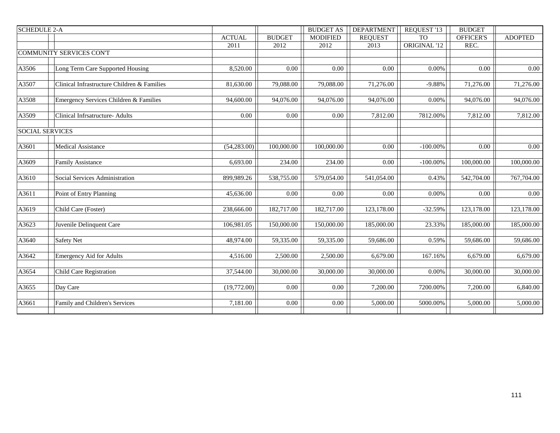| <b>SCHEDULE 2-A</b>    |                                             |               |               | <b>BUDGET AS</b> | <b>DEPARTMENT</b> | REQUEST '13  | <b>BUDGET</b>    |                |
|------------------------|---------------------------------------------|---------------|---------------|------------------|-------------------|--------------|------------------|----------------|
|                        |                                             | <b>ACTUAL</b> | <b>BUDGET</b> | <b>MODIFIED</b>  | <b>REQUEST</b>    | <b>TO</b>    | <b>OFFICER'S</b> | <b>ADOPTED</b> |
|                        |                                             | 2011          | 2012          | 2012             | 2013              | ORIGINAL '12 | REC.             |                |
|                        | <b>COMMUNITY SERVICES CON'T</b>             |               |               |                  |                   |              |                  |                |
|                        |                                             |               |               |                  |                   |              |                  |                |
| A3506                  | Long Term Care Supported Housing            | 8,520.00      | 0.00          | 0.00             | 0.00              | $0.00\%$     | 0.00             | $0.00\,$       |
|                        |                                             |               |               |                  |                   |              |                  |                |
| A3507                  | Clinical Infrastructure Children & Families | 81,630.00     | 79,088.00     | 79,088.00        | 71,276.00         | $-9.88%$     | 71,276.00        | 71,276.00      |
|                        |                                             |               |               |                  |                   |              |                  |                |
| A3508                  | Emergency Services Children & Families      | 94,600.00     | 94,076.00     | 94,076.00        | 94,076.00         | 0.00%        | 94,076.00        | 94,076.00      |
|                        |                                             |               |               |                  |                   |              |                  |                |
| A3509                  | Clinical Infrsatructure- Adults             | 0.00          | 0.00          | 0.00             | 7,812.00          | 7812.00%     | 7,812.00         | 7,812.00       |
|                        |                                             |               |               |                  |                   |              |                  |                |
| <b>SOCIAL SERVICES</b> |                                             |               |               |                  |                   |              |                  |                |
|                        |                                             |               |               |                  |                   |              |                  |                |
| A3601                  | <b>Medical Assistance</b>                   | (54, 283.00)  | 100,000.00    | 100,000.00       | 0.00              | $-100.00\%$  | 0.00             | $0.00\,$       |
|                        |                                             |               |               |                  |                   |              |                  |                |
| A3609                  | <b>Family Assistance</b>                    | 6,693.00      | 234.00        | 234.00           | 0.00              | $-100.00\%$  | 100,000.00       | 100,000.00     |
|                        |                                             |               |               |                  |                   |              |                  |                |
| A3610                  | Social Services Administration              | 899,989.26    | 538,755.00    | 579,054.00       | 541,054.00        | 0.43%        | 542,704.00       | 767,704.00     |
|                        |                                             |               |               |                  |                   |              |                  |                |
| A3611                  | Point of Entry Planning                     | 45,636.00     | 0.00          | 0.00             | 0.00              | 0.00%        | 0.00             | $0.00\,$       |
| A3619                  | Child Care (Foster)                         | 238,666.00    | 182,717.00    | 182,717.00       | 123,178.00        | $-32.59%$    | 123,178.00       | 123,178.00     |
|                        |                                             |               |               |                  |                   |              |                  |                |
| A3623                  | Juvenile Delinquent Care                    | 106,981.05    | 150,000.00    | 150,000.00       | 185,000.00        | 23.33%       | 185,000.00       | 185,000.00     |
|                        |                                             |               |               |                  |                   |              |                  |                |
| A3640                  | <b>Safety Net</b>                           | 48,974.00     | 59,335.00     | 59,335.00        | 59,686.00         | 0.59%        | 59,686.00        | 59,686.00      |
|                        |                                             |               |               |                  |                   |              |                  |                |
| A3642                  | <b>Emergency Aid for Adults</b>             | 4,516.00      | 2,500.00      | 2,500.00         | 6,679.00          | 167.16%      | 6,679.00         | 6,679.00       |
|                        |                                             |               |               |                  |                   |              |                  |                |
| A3654                  | Child Care Registration                     | 37,544.00     | 30,000.00     | 30,000.00        | 30,000.00         | $0.00\%$     | 30,000.00        | 30,000.00      |
|                        |                                             |               |               |                  |                   |              |                  |                |
| A3655                  | Day Care                                    | (19,772.00)   | 0.00          | 0.00             | 7,200.00          | 7200.00%     | 7,200.00         | 6,840.00       |
|                        |                                             |               |               |                  |                   |              |                  |                |
| A3661                  | Family and Children's Services              | 7,181.00      | 0.00          | 0.00             | 5,000.00          | 5000.00%     | 5,000.00         | 5,000.00       |
|                        |                                             |               |               |                  |                   |              |                  |                |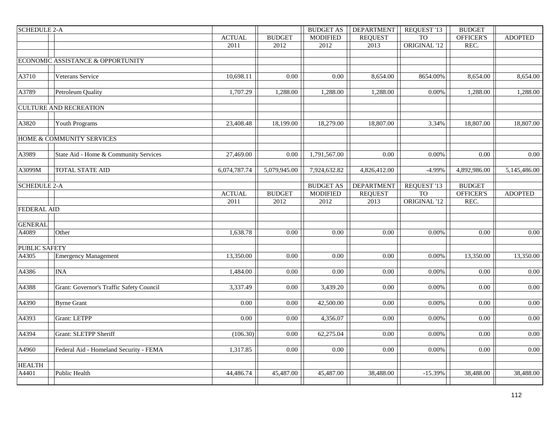| <b>SCHEDULE 2-A</b>  |                                          |                         |               | <b>BUDGET AS</b> | <b>DEPARTMENT</b> | REQUEST '13     | <b>BUDGET</b>    |                |
|----------------------|------------------------------------------|-------------------------|---------------|------------------|-------------------|-----------------|------------------|----------------|
|                      |                                          | <b>ACTUAL</b>           | <b>BUDGET</b> | <b>MODIFIED</b>  | <b>REQUEST</b>    | TO <sub>1</sub> | OFFICER'S        | <b>ADOPTED</b> |
|                      |                                          | 2011                    | 2012          | 2012             | 2013              | ORIGINAL '12    | REC.             |                |
|                      |                                          |                         |               |                  |                   |                 |                  |                |
|                      | ECONOMIC ASSISTANCE & OPPORTUNITY        |                         |               |                  |                   |                 |                  |                |
|                      |                                          |                         |               |                  |                   |                 |                  |                |
| A3710                | Veterans Service                         | 10,698.11               | 0.00          | 0.00             | 8,654.00          | 8654.00%        | 8,654.00         | 8,654.00       |
| A3789                | Petroleum Quality                        | 1,707.29                | 1,288.00      | 1,288.00         | 1,288.00          | 0.00%           | 1,288.00         | 1,288.00       |
|                      |                                          |                         |               |                  |                   |                 |                  |                |
|                      | <b>CULTURE AND RECREATION</b>            |                         |               |                  |                   |                 |                  |                |
|                      |                                          |                         |               |                  |                   |                 |                  |                |
| A3820                | <b>Youth Programs</b>                    | 23,408.48               | 18,199.00     | 18,279.00        | 18,807.00         | 3.34%           | 18,807.00        | 18,807.00      |
|                      |                                          |                         |               |                  |                   |                 |                  |                |
|                      | HOME & COMMUNITY SERVICES                |                         |               |                  |                   |                 |                  |                |
|                      |                                          |                         |               |                  |                   |                 |                  |                |
| A3989                | State Aid - Home & Community Services    | 27,469.00               | 0.00          | 1,791,567.00     | 0.00              | $0.00\%$        | 0.00             | 0.00           |
| A3099M               | TOTAL STATE AID                          | 6,074,787.74            | 5,079,945.00  | 7,924,632.82     | 4,826,412.00      | $-4.99\%$       | 4,892,986.00     | 5,145,486.00   |
|                      |                                          |                         |               |                  |                   |                 |                  |                |
| <b>SCHEDULE 2-A</b>  |                                          |                         |               | <b>BUDGET AS</b> | <b>DEPARTMENT</b> | REQUEST '13     | <b>BUDGET</b>    |                |
|                      |                                          | $\operatorname{ACTUAL}$ | <b>BUDGET</b> | <b>MODIFIED</b>  | <b>REQUEST</b>    | TO              | <b>OFFICER'S</b> | <b>ADOPTED</b> |
|                      |                                          | 2011                    | 2012          | 2012             | 2013              | ORIGINAL '12    | REC.             |                |
| <b>FEDERAL AID</b>   |                                          |                         |               |                  |                   |                 |                  |                |
|                      |                                          |                         |               |                  |                   |                 |                  |                |
| <b>GENERAL</b>       |                                          |                         |               |                  |                   |                 |                  |                |
| A4089                | Other                                    | 1,638.78                | 0.00          | 0.00             | 0.00              | 0.00%           | 0.00             | 0.00           |
|                      |                                          |                         |               |                  |                   |                 |                  |                |
| <b>PUBLIC SAFETY</b> |                                          |                         |               |                  |                   |                 |                  |                |
| A4305                | <b>Emergency Management</b>              | 13,350.00               | 0.00          | 0.00             | 0.00              | 0.00%           | 13,350.00        | 13,350.00      |
|                      | <b>INA</b>                               | 1,484.00                | 0.00          | 0.00             | 0.00              | $0.00\%$        | 0.00             | $0.00\,$       |
| A4386                |                                          |                         |               |                  |                   |                 |                  |                |
| A4388                | Grant: Governor's Traffic Safety Council | 3,337.49                | 0.00          | 3,439.20         | 0.00              | 0.00%           | 0.00             | 0.00           |
|                      |                                          |                         |               |                  |                   |                 |                  |                |
| A4390                | <b>Byrne Grant</b>                       | 0.00                    | 0.00          | 42,500.00        | 0.00              | $0.00\%$        | 0.00             | $0.00\,$       |
|                      |                                          |                         |               |                  |                   |                 |                  |                |
| A4393                | <b>Grant: LETPP</b>                      | 0.00                    | 0.00          | 4,356.07         | 0.00              | 0.00%           | 0.00             | 0.00           |
|                      |                                          |                         |               |                  |                   |                 |                  |                |
| A4394                | <b>Grant: SLETPP Sheriff</b>             | (106.30)                | 0.00          | 62,275.04        | 0.00              | 0.00%           | 0.00             | 0.00           |
|                      |                                          |                         |               |                  |                   |                 |                  |                |
| A4960                | Federal Aid - Homeland Security - FEMA   | 1,317.85                | 0.00          | 0.00             | 0.00              | $0.00\%$        | 0.00             | $0.00\,$       |
| <b>HEALTH</b>        |                                          |                         |               |                  |                   |                 |                  |                |
| A4401                | Public Health                            | 44,486.74               | 45,487.00     | 45,487.00        | 38,488.00         | $-15.39%$       | 38,488.00        | 38,488.00      |
|                      |                                          |                         |               |                  |                   |                 |                  |                |
|                      |                                          |                         |               |                  |                   |                 |                  |                |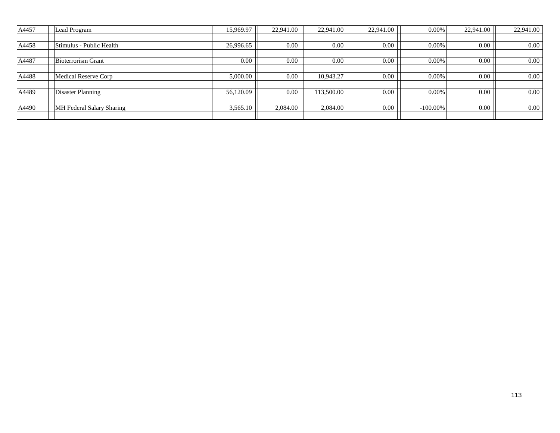| A4457 | Lead Program              | 15,969.97 | 22,941.00 | 22,941.00  | 22,941.00 | $0.00\%$    | 22,941.00 | 22,941.00 |
|-------|---------------------------|-----------|-----------|------------|-----------|-------------|-----------|-----------|
|       |                           |           |           |            |           |             |           |           |
| A4458 | Stimulus - Public Health  | 26,996.65 | 0.00      | 0.00       | 0.00      | $0.00\%$    | 0.00      | $0.00\,$  |
|       |                           |           |           |            |           |             |           |           |
| A4487 | <b>Bioterrorism Grant</b> | 0.00      | 0.00      | 0.00       | 0.00      | $0.00\%$    | 0.00      | 0.00      |
|       |                           |           |           |            |           |             |           |           |
| A4488 | Medical Reserve Corp      | 5,000.00  | 0.00      | 10,943.27  | 0.00      | $0.00\%$    | 0.00      | 0.00      |
|       |                           |           |           |            |           |             |           |           |
| A4489 | Disaster Planning         | 56,120.09 | 0.00      | 113,500.00 | 0.00      | $0.00\%$    | 0.00      | 0.00      |
|       |                           |           |           |            |           |             |           |           |
| A4490 | MH Federal Salary Sharing | 3,565.10  | 2,084.00  | 2,084.00   | 0.00      | $-100.00\%$ | 0.00      | 0.00      |
|       |                           |           |           |            |           |             |           |           |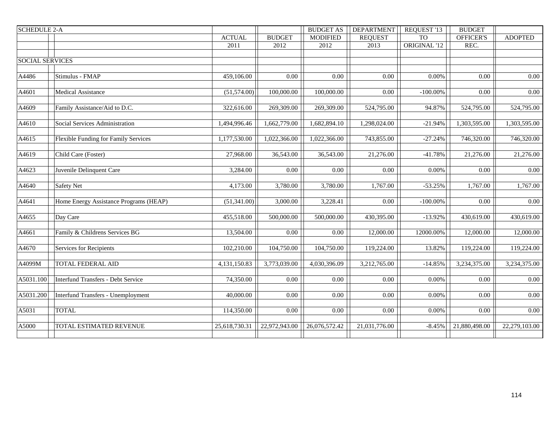| <b>SCHEDULE 2-A</b>    |                                        |               |               | <b>BUDGET AS</b> | <b>DEPARTMENT</b> | REQUEST '13  | <b>BUDGET</b> |                |
|------------------------|----------------------------------------|---------------|---------------|------------------|-------------------|--------------|---------------|----------------|
|                        |                                        | <b>ACTUAL</b> | <b>BUDGET</b> | <b>MODIFIED</b>  | <b>REQUEST</b>    | <b>TO</b>    | OFFICER'S     | <b>ADOPTED</b> |
|                        |                                        | 2011          | 2012          | 2012             | 2013              | ORIGINAL '12 | REC.          |                |
|                        |                                        |               |               |                  |                   |              |               |                |
| <b>SOCIAL SERVICES</b> |                                        |               |               |                  |                   |              |               |                |
|                        |                                        |               |               |                  |                   |              |               |                |
| A4486                  | Stimulus - FMAP                        | 459,106.00    | 0.00          | 0.00             | 0.00              | $0.00\%$     | 0.00          | 0.00           |
|                        |                                        |               |               |                  |                   |              |               |                |
| A4601                  | <b>Medical Assistance</b>              | (51, 574.00)  | 100,000.00    | 100,000.00       | 0.00              | $-100.00\%$  | 0.00          | 0.00           |
|                        |                                        |               |               |                  |                   |              |               |                |
| A4609                  | Family Assistance/Aid to D.C.          | 322,616.00    | 269,309.00    | 269,309.00       | 524,795.00        | 94.87%       | 524,795.00    | 524,795.00     |
|                        |                                        |               |               |                  |                   |              |               |                |
| A4610                  | Social Services Administration         | 1,494,996.46  | 1,662,779.00  | 1,682,894.10     | 1,298,024.00      | $-21.94%$    | 1,303,595.00  | 1,303,595.00   |
|                        |                                        |               |               |                  |                   |              |               |                |
| A4615                  | Flexible Funding for Family Services   | 1,177,530.00  | 1,022,366.00  | 1,022,366.00     | 743,855.00        | $-27.24%$    | 746,320.00    | 746,320.00     |
|                        |                                        |               |               |                  |                   |              |               |                |
| A4619                  | Child Care (Foster)                    | 27,968.00     | 36,543.00     | 36,543.00        | 21,276.00         | $-41.78%$    | 21,276.00     | 21,276.00      |
|                        |                                        |               |               |                  |                   |              |               |                |
| A4623                  | Juvenile Delinquent Care               | 3,284.00      | 0.00          | 0.00             | 0.00              | 0.00%        | 0.00          | 0.00           |
|                        |                                        |               |               |                  |                   |              |               |                |
| A4640                  | <b>Safety Net</b>                      | 4,173.00      | 3,780.00      | 3,780.00         | 1,767.00          | $-53.25%$    | 1,767.00      | 1,767.00       |
|                        |                                        |               |               |                  |                   |              |               |                |
| A4641                  | Home Energy Assistance Programs (HEAP) | (51,341.00)   | 3,000.00      | 3,228.41         | 0.00              | $-100.00\%$  | 0.00          | $0.00\,$       |
|                        |                                        |               |               |                  |                   |              |               |                |
| A4655                  | Day Care                               | 455,518.00    | 500,000.00    | 500,000.00       | 430,395.00        | $-13.92%$    | 430,619.00    | 430,619.00     |
|                        |                                        |               |               |                  |                   |              |               |                |
| A4661                  | Family & Childrens Services BG         | 13,504.00     | 0.00          | 0.00             | 12,000.00         | 12000.00%    | 12,000.00     | 12,000.00      |
|                        |                                        |               |               |                  |                   |              |               |                |
| A4670                  | Services for Recipients                | 102,210.00    | 104,750.00    | 104,750.00       | 119,224.00        | 13.82%       | 119,224.00    | 119,224.00     |
|                        |                                        |               |               |                  |                   |              |               |                |
| A4099M                 | TOTAL FEDERAL AID                      | 4,131,150.83  | 3,773,039.00  | 4,030,396.09     | 3,212,765.00      | $-14.85%$    | 3,234,375.00  | 3,234,375.00   |
|                        | Interfund Transfers - Debt Service     | 74,350.00     | 0.00          | 0.00             | 0.00              | $0.00\%$     | 0.00          | $0.00\,$       |
| A5031.100              |                                        |               |               |                  |                   |              |               |                |
|                        |                                        |               | 0.00          |                  |                   |              |               |                |
| A5031.200              | Interfund Transfers - Unemployment     | 40,000.00     |               | 0.00             | 0.00              | 0.00%        | 0.00          | 0.00           |
|                        |                                        |               |               |                  |                   |              |               |                |
| A5031                  | <b>TOTAL</b>                           | 114,350.00    | 0.00          | 0.00             | 0.00              | $0.00\%$     | 0.00          | $0.00\,$       |
| A5000                  | TOTAL ESTIMATED REVENUE                | 25,618,730.31 | 22,972,943.00 | 26,076,572.42    | 21,031,776.00     | $-8.45%$     | 21,880,498.00 | 22,279,103.00  |
|                        |                                        |               |               |                  |                   |              |               |                |
|                        |                                        |               |               |                  |                   |              |               |                |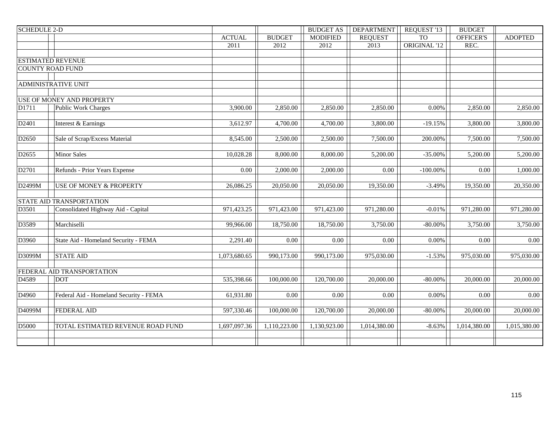| <b>SCHEDULE 2-D</b> |                                        |                        |               | <b>BUDGET AS</b> | <b>DEPARTMENT</b> | REQUEST <sup>'</sup> 13 | <b>BUDGET</b>    |                |
|---------------------|----------------------------------------|------------------------|---------------|------------------|-------------------|-------------------------|------------------|----------------|
|                     |                                        | <b>ACTUAL</b>          | <b>BUDGET</b> | <b>MODIFIED</b>  | <b>REQUEST</b>    | <b>TO</b>               | <b>OFFICER'S</b> | <b>ADOPTED</b> |
|                     |                                        | $\overline{2011}$      | 2012          | 2012             | 2013              | ORIGINAL '12            | REC.             |                |
|                     |                                        |                        |               |                  |                   |                         |                  |                |
|                     | <b>ESTIMATED REVENUE</b>               |                        |               |                  |                   |                         |                  |                |
|                     | <b>COUNTY ROAD FUND</b>                |                        |               |                  |                   |                         |                  |                |
|                     |                                        |                        |               |                  |                   |                         |                  |                |
|                     | ADMINISTRATIVE UNIT                    |                        |               |                  |                   |                         |                  |                |
|                     |                                        |                        |               |                  |                   |                         |                  |                |
|                     | USE OF MONEY AND PROPERTY              |                        |               |                  |                   |                         |                  |                |
| D1711               | Public Work Charges                    | 3,900.00               | 2,850.00      | 2,850.00         | 2,850.00          | $0.00\%$                | 2,850.00         | 2,850.00       |
|                     |                                        |                        |               |                  |                   |                         |                  |                |
| D <sub>2401</sub>   | Interest & Earnings                    | 3,612.97               | 4,700.00      | 4,700.00         | 3,800.00          | $-19.15%$               | 3,800.00         | 3,800.00       |
|                     |                                        |                        |               |                  |                   |                         |                  |                |
| D <sub>2650</sub>   | Sale of Scrap/Excess Material          | 8,545.00               | 2,500.00      | 2,500.00         | 7,500.00          | 200.00%                 | 7,500.00         | 7,500.00       |
|                     |                                        |                        |               |                  |                   |                         |                  |                |
| D2655               | <b>Minor Sales</b>                     | 10,028.28              | 8,000.00      | 8,000.00         | 5,200.00          | $-35.00\%$              | 5,200.00         | 5,200.00       |
|                     |                                        |                        |               |                  |                   |                         |                  |                |
| D2701               | Refunds - Prior Years Expense          | 0.00                   | 2,000.00      | 2,000.00         | 0.00              | $-100.00\%$             | 0.00             | 1,000.00       |
|                     |                                        |                        |               |                  |                   |                         |                  |                |
| D2499M              | <b>USE OF MONEY &amp; PROPERTY</b>     | 26,086.25              | 20,050.00     | 20,050.00        | 19,350.00         | $-3.49%$                | 19,350.00        | 20,350.00      |
|                     |                                        |                        |               |                  |                   |                         |                  |                |
|                     | STATE AID TRANSPORTATION               |                        |               |                  |                   |                         |                  |                |
| D3501               | Consolidated Highway Aid - Capital     | 971,423.25             | 971,423.00    | 971,423.00       | 971,280.00        | $-0.01%$                | 971,280.00       | 971,280.00     |
|                     |                                        |                        |               |                  |                   |                         |                  |                |
| D3589               | Marchiselli                            | 99,966.00              | 18,750.00     | 18,750.00        | 3,750.00          | $-80.00\%$              | 3,750.00         | 3,750.00       |
|                     |                                        |                        |               |                  |                   |                         |                  |                |
| D3960               | State Aid - Homeland Security - FEMA   | 2,291.40               | 0.00          | 0.00             | 0.00              | 0.00%                   | 0.00             | 0.00           |
|                     |                                        |                        |               |                  |                   |                         |                  |                |
| D3099M              | <b>STATE AID</b>                       | 1,073,680.65           | 990,173.00    | 990,173.00       | 975,030.00        | $-1.53%$                | 975,030.00       | 975,030.00     |
|                     |                                        |                        |               |                  |                   |                         |                  |                |
|                     | FEDERAL AID TRANSPORTATION             |                        |               |                  |                   |                         |                  |                |
| D4589               | <b>DOT</b>                             | 535,398.66             | 100,000.00    | 120,700.00       | 20,000.00         | $-80.00\%$              | 20,000.00        | 20,000.00      |
|                     |                                        |                        |               |                  |                   |                         |                  |                |
| D4960               | Federal Aid - Homeland Security - FEMA | $\overline{61,931.80}$ | 0.00          | 0.00             | 0.00              | 0.00%                   | 0.00             | $0.00\,$       |
|                     |                                        |                        |               |                  |                   |                         |                  |                |
| D4099M              | <b>FEDERAL AID</b>                     | 597,330.46             | 100,000.00    | 120,700.00       | 20,000.00         | $-80.00\%$              | 20,000.00        | 20,000.00      |
|                     |                                        |                        |               |                  |                   |                         |                  |                |
| D5000               | TOTAL ESTIMATED REVENUE ROAD FUND      | 1,697,097.36           | 1,110,223.00  | 1,130,923.00     | 1,014,380.00      | $-8.63%$                | 1,014,380.00     | 1,015,380.00   |
|                     |                                        |                        |               |                  |                   |                         |                  |                |
|                     |                                        |                        |               |                  |                   |                         |                  |                |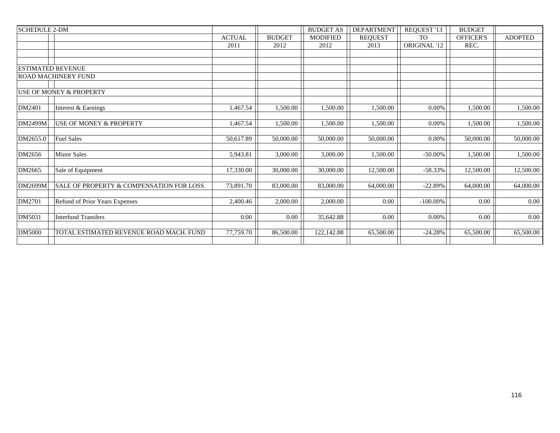| <b>SCHEDULE 2-DM</b>     |                                          |               |               | <b>BUDGET AS</b> | <b>DEPARTMENT</b> | REQUEST '13  | <b>BUDGET</b>    |                |
|--------------------------|------------------------------------------|---------------|---------------|------------------|-------------------|--------------|------------------|----------------|
|                          |                                          | <b>ACTUAL</b> | <b>BUDGET</b> | <b>MODIFIED</b>  | <b>REOUEST</b>    | <b>TO</b>    | <b>OFFICER'S</b> | <b>ADOPTED</b> |
|                          |                                          | 2011          | 2012          | 2012             | 2013              | ORIGINAL '12 | REC.             |                |
|                          |                                          |               |               |                  |                   |              |                  |                |
|                          |                                          |               |               |                  |                   |              |                  |                |
| <b>ESTIMATED REVENUE</b> |                                          |               |               |                  |                   |              |                  |                |
|                          | <b>ROAD MACHINERY FUND</b>               |               |               |                  |                   |              |                  |                |
|                          | USE OF MONEY & PROPERTY                  |               |               |                  |                   |              |                  |                |
|                          |                                          |               |               |                  |                   |              |                  |                |
| DM2401                   | Interest & Earnings                      | 1,467.54      | 1,500.00      | 1,500.00         | 1,500.00          | $0.00\%$     | 1,500.00         | 1,500.00       |
|                          |                                          |               |               |                  |                   |              |                  |                |
| <b>DM2499M</b>           | <b>USE OF MONEY &amp; PROPERTY</b>       | 1,467.54      | 1,500.00      | 1,500.00         | 1,500.00          | 0.00%        | 1,500.00         | 1,500.00       |
|                          |                                          |               |               |                  |                   |              |                  |                |
| DM2655.0                 | <b>Fuel Sales</b>                        | 50,617.89     | 50,000.00     | 50,000.00        | 50,000.00         | 0.00%        | 50,000.00        | 50,000.00      |
| DM2656                   | <b>Minor Sales</b>                       | 5,943.81      | 3,000.00      | 3,000.00         | 1,500.00          | $-50.00\%$   | 1,500.00         | 1,500.00       |
|                          |                                          |               |               |                  |                   |              |                  |                |
| DM2665                   | Sale of Equipment                        | 17,330.00     | 30,000.00     | 30,000.00        | 12,500.00         | $-58.33%$    | 12,500.00        | 12,500.00      |
|                          |                                          |               |               |                  |                   |              |                  |                |
| DM2699M                  | SALE OF PROPERTY & COMPENSATION FOR LOSS | 73,891.70     | 83,000.00     | 83,000.00        | 64,000.00         | $-22.89%$    | 64,000.00        | 64,000.00      |
| DM2701                   | Refund of Prior Years Expenses           | 2,400.46      | 2,000.00      | 2,000.00         | 0.00              | $-100.00\%$  | 0.00             | 0.00           |
|                          |                                          |               |               |                  |                   |              |                  |                |
| DM5031                   | <b>Interfund Transfers</b>               | 0.00          | 0.00          | 35,642.88        | 0.00              | 0.00%        | 0.00             | $0.00\,$       |
|                          |                                          |               |               |                  |                   |              |                  |                |
| <b>DM5000</b>            | TOTAL ESTIMATED REVENUE ROAD MACH. FUND  | 77,759.70     | 86,500.00     | 122,142.88       | 65,500.00         | $-24.28%$    | 65,500.00        | 65,500.00      |
|                          |                                          |               |               |                  |                   |              |                  |                |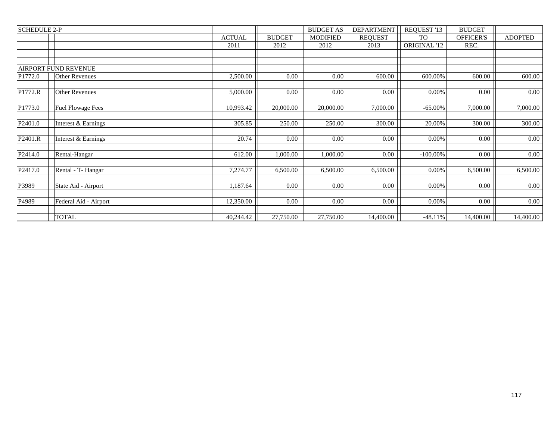| <b>SCHEDULE 2-P</b> |                             |               |               | <b>BUDGET AS</b> | DEPARTMENT     | REQUEST '13  | <b>BUDGET</b>    |                |
|---------------------|-----------------------------|---------------|---------------|------------------|----------------|--------------|------------------|----------------|
|                     |                             | <b>ACTUAL</b> | <b>BUDGET</b> | <b>MODIFIED</b>  | <b>REQUEST</b> | <b>TO</b>    | <b>OFFICER'S</b> | <b>ADOPTED</b> |
|                     |                             | 2011          | 2012          | 2012             | 2013           | ORIGINAL '12 | REC.             |                |
|                     |                             |               |               |                  |                |              |                  |                |
|                     |                             |               |               |                  |                |              |                  |                |
|                     | <b>AIRPORT FUND REVENUE</b> |               |               |                  |                |              |                  |                |
| P1772.0             | <b>Other Revenues</b>       | 2,500.00      | $0.00\,$      | $0.00\,$         | 600.00         | 600.00%      | 600.00           | 600.00         |
|                     |                             |               |               |                  |                |              |                  |                |
| P1772.R             | <b>Other Revenues</b>       | 5,000.00      | $0.00\,$      | $0.00\,$         | 0.00           | $0.00\%$     | 0.00             | 0.00           |
|                     |                             |               |               |                  |                |              |                  |                |
| P1773.0             | <b>Fuel Flowage Fees</b>    | 10,993.42     | 20,000.00     | 20,000.00        | 7,000.00       | $-65.00\%$   | 7,000.00         | 7,000.00       |
|                     |                             |               |               |                  |                |              |                  |                |
| P2401.0             | Interest & Earnings         | 305.85        | 250.00        | 250.00           | 300.00         | 20.00%       | 300.00           | 300.00         |
|                     |                             |               |               |                  |                |              |                  |                |
| P2401.R             | Interest & Earnings         | 20.74         | $0.00\,$      | $0.00\,$         | 0.00           | $0.00\%$     | 0.00             | 0.00           |
|                     |                             |               |               |                  |                |              |                  |                |
| P2414.0             | Rental-Hangar               | 612.00        | 1,000.00      | 1,000.00         | 0.00           | $-100.00\%$  | 0.00             | $0.00\,$       |
|                     |                             |               |               |                  |                |              |                  |                |
| P2417.0             | Rental - T- Hangar          | 7,274.77      | 6,500.00      | 6,500.00         | 6,500.00       | 0.00%        | 6,500.00         | 6,500.00       |
|                     |                             |               |               |                  |                |              |                  |                |
| P3989               | State Aid - Airport         | 1,187.64      | $0.00\,$      | $0.00\,$         | 0.00           | $0.00\%$     | $0.00\,$         | $0.00\,$       |
|                     |                             |               |               |                  |                |              |                  |                |
| P4989               | Federal Aid - Airport       | 12,350.00     | $0.00\,$      | $0.00\,$         | 0.00           | $0.00\%$     | 0.00             | 0.00           |
|                     |                             |               |               |                  |                |              |                  |                |
|                     | <b>TOTAL</b>                | 40,244.42     | 27,750.00     | 27,750.00        | 14,400.00      | $-48.11\%$   | 14,400.00        | 14,400.00      |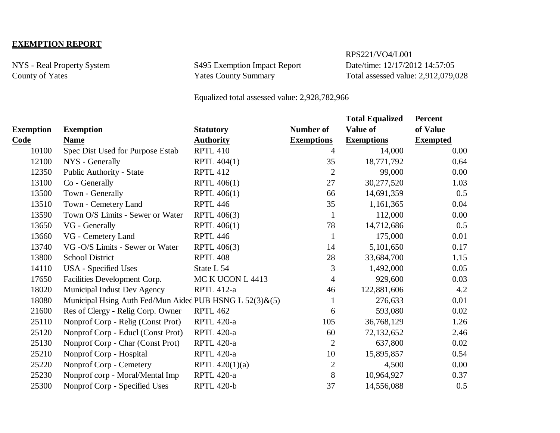## **EXEMPTION REPORT**

RPS221/VO4/L001 NYS - Real Property System S495 Exemption Impact Report Date/time:  $12/17/2012$  14:57:05 County of Yates Summary Total assessed value: 2,912,079,028

Equalized total assessed value: 2,928,782,966

|                  |                                                         |                     |                   | <b>Total Equalized</b> | <b>Percent</b>  |
|------------------|---------------------------------------------------------|---------------------|-------------------|------------------------|-----------------|
| <b>Exemption</b> | <b>Exemption</b>                                        | <b>Statutory</b>    | <b>Number of</b>  | Value of               | of Value        |
| <u>Code</u>      | <b>Name</b>                                             | <b>Authority</b>    | <b>Exemptions</b> | <b>Exemptions</b>      | <b>Exempted</b> |
| 10100            | Spec Dist Used for Purpose Estab                        | <b>RPTL 410</b>     | 4                 | 14,000                 | 0.00            |
| 12100            | NYS - Generally                                         | RPTL 404(1)         | 35                | 18,771,792             | 0.64            |
| 12350            | Public Authority - State                                | <b>RPTL 412</b>     | $\overline{2}$    | 99,000                 | 0.00            |
| 13100            | Co - Generally                                          | RPTL 406(1)         | 27                | 30,277,520             | 1.03            |
| 13500            | Town - Generally                                        | RPTL 406(1)         | 66                | 14,691,359             | 0.5             |
| 13510            | Town - Cemetery Land                                    | <b>RPTL 446</b>     | 35                | 1,161,365              | 0.04            |
| 13590            | Town O/S Limits - Sewer or Water                        | RPTL 406(3)         |                   | 112,000                | 0.00            |
| 13650            | VG - Generally                                          | RPTL 406(1)         | 78                | 14,712,686             | 0.5             |
| 13660            | VG - Cemetery Land                                      | <b>RPTL 446</b>     | $\mathbf{1}$      | 175,000                | 0.01            |
| 13740            | VG -O/S Limits - Sewer or Water                         | RPTL 406(3)         | 14                | 5,101,650              | 0.17            |
| 13800            | <b>School District</b>                                  | RPTL <sub>408</sub> | 28                | 33,684,700             | 1.15            |
| 14110            | USA - Specified Uses                                    | State L 54          | 3                 | 1,492,000              | 0.05            |
| 17650            | Facilities Development Corp.                            | MC K UCON L 4413    | 4                 | 929,600                | 0.03            |
| 18020            | Municipal Indust Dev Agency                             | <b>RPTL 412-a</b>   | 46                | 122,881,606            | 4.2             |
| 18080            | Municipal Hsing Auth Fed/Mun Aided PUB HSNG L 52(3)&(5) |                     | 1                 | 276,633                | 0.01            |
| 21600            | Res of Clergy - Relig Corp. Owner                       | <b>RPTL 462</b>     | 6                 | 593,080                | 0.02            |
| 25110            | Nonprof Corp - Relig (Const Prot)                       | RPTL 420-a          | 105               | 36,768,129             | 1.26            |
| 25120            | Nonprof Corp - Educl (Const Prot)                       | <b>RPTL 420-a</b>   | 60                | 72,132,652             | 2.46            |
| 25130            | Nonprof Corp - Char (Const Prot)                        | <b>RPTL 420-a</b>   | $\overline{2}$    | 637,800                | 0.02            |
| 25210            | Nonprof Corp - Hospital                                 | RPTL 420-a          | 10                | 15,895,857             | 0.54            |
| 25220            | Nonprof Corp - Cemetery                                 | RPTL $420(1)(a)$    | $\mathbf{2}$      | 4,500                  | 0.00            |
| 25230            | Nonprof corp - Moral/Mental Imp                         | RPTL 420-a          | 8                 | 10,964,927             | 0.37            |
| 25300            | Nonprof Corp - Specified Uses                           | <b>RPTL 420-b</b>   | 37                | 14,556,088             | 0.5             |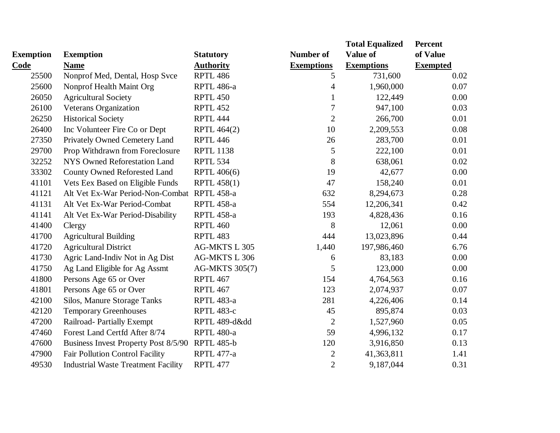|                  |                                                 |                       |                   | <b>Total Equalized</b> | <b>Percent</b>  |
|------------------|-------------------------------------------------|-----------------------|-------------------|------------------------|-----------------|
| <b>Exemption</b> | <b>Exemption</b>                                | <b>Statutory</b>      | <b>Number of</b>  | Value of               | of Value        |
| <b>Code</b>      | <b>Name</b>                                     | <b>Authority</b>      | <b>Exemptions</b> | <b>Exemptions</b>      | <b>Exempted</b> |
| 25500            | Nonprof Med, Dental, Hosp Svce                  | RPTL 486              | 5                 | 731,600                | 0.02            |
| 25600            | Nonprof Health Maint Org                        | <b>RPTL 486-a</b>     | 4                 | 1,960,000              | 0.07            |
| 26050            | <b>Agricultural Society</b>                     | RPTL <sub>450</sub>   | $\mathbf{1}$      | 122,449                | 0.00            |
| 26100            | Veterans Organization                           | RPTL 452              | 7                 | 947,100                | 0.03            |
| 26250            | <b>Historical Society</b>                       | RPTL 444              | $\overline{2}$    | 266,700                | 0.01            |
| 26400            | Inc Volunteer Fire Co or Dept                   | <b>RPTL 464(2)</b>    | 10                | 2,209,553              | 0.08            |
| 27350            | Privately Owned Cemetery Land                   | <b>RPTL 446</b>       | 26                | 283,700                | 0.01            |
| 29700            | Prop Withdrawn from Foreclosure                 | <b>RPTL 1138</b>      | 5                 | 222,100                | 0.01            |
| 32252            | NYS Owned Reforestation Land                    | RPTL 534              | 8                 | 638,061                | 0.02            |
| 33302            | <b>County Owned Reforested Land</b>             | RPTL 406(6)           | 19                | 42,677                 | 0.00            |
| 41101            | Vets Eex Based on Eligible Funds                | <b>RPTL 458(1)</b>    | 47                | 158,240                | 0.01            |
| 41121            | Alt Vet Ex-War Period-Non-Combat RPTL 458-a     |                       | 632               | 8,294,673              | 0.28            |
| 41131            | Alt Vet Ex-War Period-Combat                    | <b>RPTL 458-a</b>     | 554               | 12,206,341             | 0.42            |
| 41141            | Alt Vet Ex-War Period-Disability                | RPTL 458-a            | 193               | 4,828,436              | 0.16            |
| 41400            | Clergy                                          | <b>RPTL 460</b>       | 8                 | 12,061                 | 0.00            |
| 41700            | <b>Agricultural Building</b>                    | RPTL 483              | 444               | 13,023,896             | 0.44            |
| 41720            | <b>Agricultural District</b>                    | AG-MKTS L 305         | 1,440             | 197,986,460            | 6.76            |
| 41730            | Agric Land-Indiv Not in Ag Dist                 | AG-MKTS L 306         | 6                 | 83,183                 | 0.00            |
| 41750            | Ag Land Eligible for Ag Assmt                   | <b>AG-MKTS 305(7)</b> | 5                 | 123,000                | 0.00            |
| 41800            | Persons Age 65 or Over                          | RPTL 467              | 154               | 4,764,563              | 0.16            |
| 41801            | Persons Age 65 or Over                          | RPTL 467              | 123               | 2,074,937              | 0.07            |
| 42100            | Silos, Manure Storage Tanks                     | RPTL 483-a            | 281               | 4,226,406              | 0.14            |
| 42120            | <b>Temporary Greenhouses</b>                    | RPTL 483-c            | 45                | 895,874                | 0.03            |
| 47200            | <b>Railroad-Partially Exempt</b>                | RPTL 489-dⅆ           | $\mathbf{2}$      | 1,527,960              | 0.05            |
| 47460            | Forest Land Certfd After 8/74                   | RPTL 480-a            | 59                | 4,996,132              | 0.17            |
| 47600            | Business Invest Property Post 8/5/90 RPTL 485-b |                       | 120               | 3,916,850              | 0.13            |
| 47900            | <b>Fair Pollution Control Facility</b>          | RPTL 477-a            | 2                 | 41,363,811             | 1.41            |
| 49530            | <b>Industrial Waste Treatment Facility</b>      | RPTL 477              | $\overline{2}$    | 9,187,044              | 0.31            |